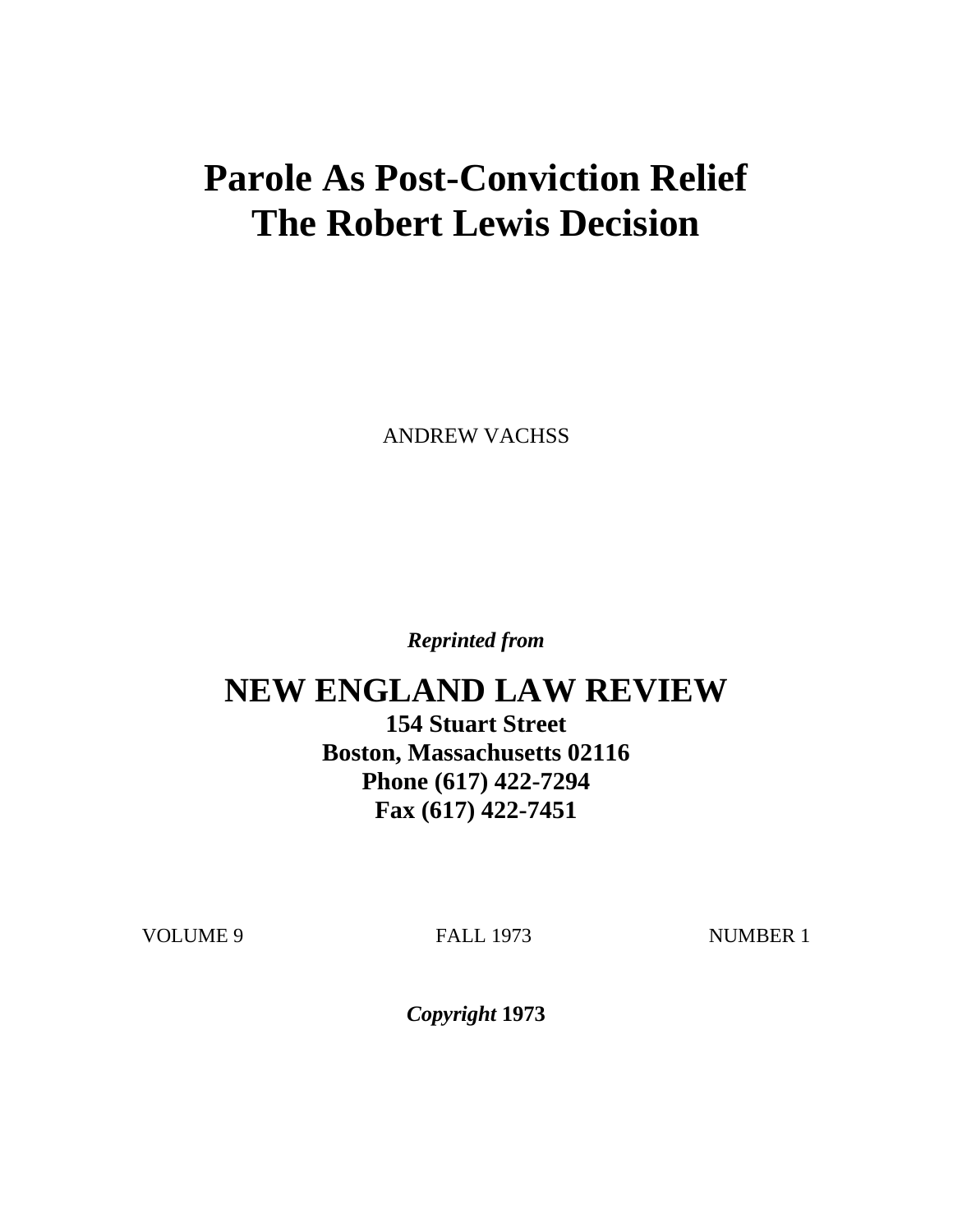# **Parole As Post-Conviction Relief The Robert Lewis Decision**

ANDREW VACHSS

*Reprinted from*

## **NEW ENGLAND LAW REVIEW**

**154 Stuart Street Boston, Massachusetts 02116 Phone (617) 422-7294 Fax (617) 422-7451**

VOLUME 9 FALL 1973 NUMBER 1

*Copyright* **1973**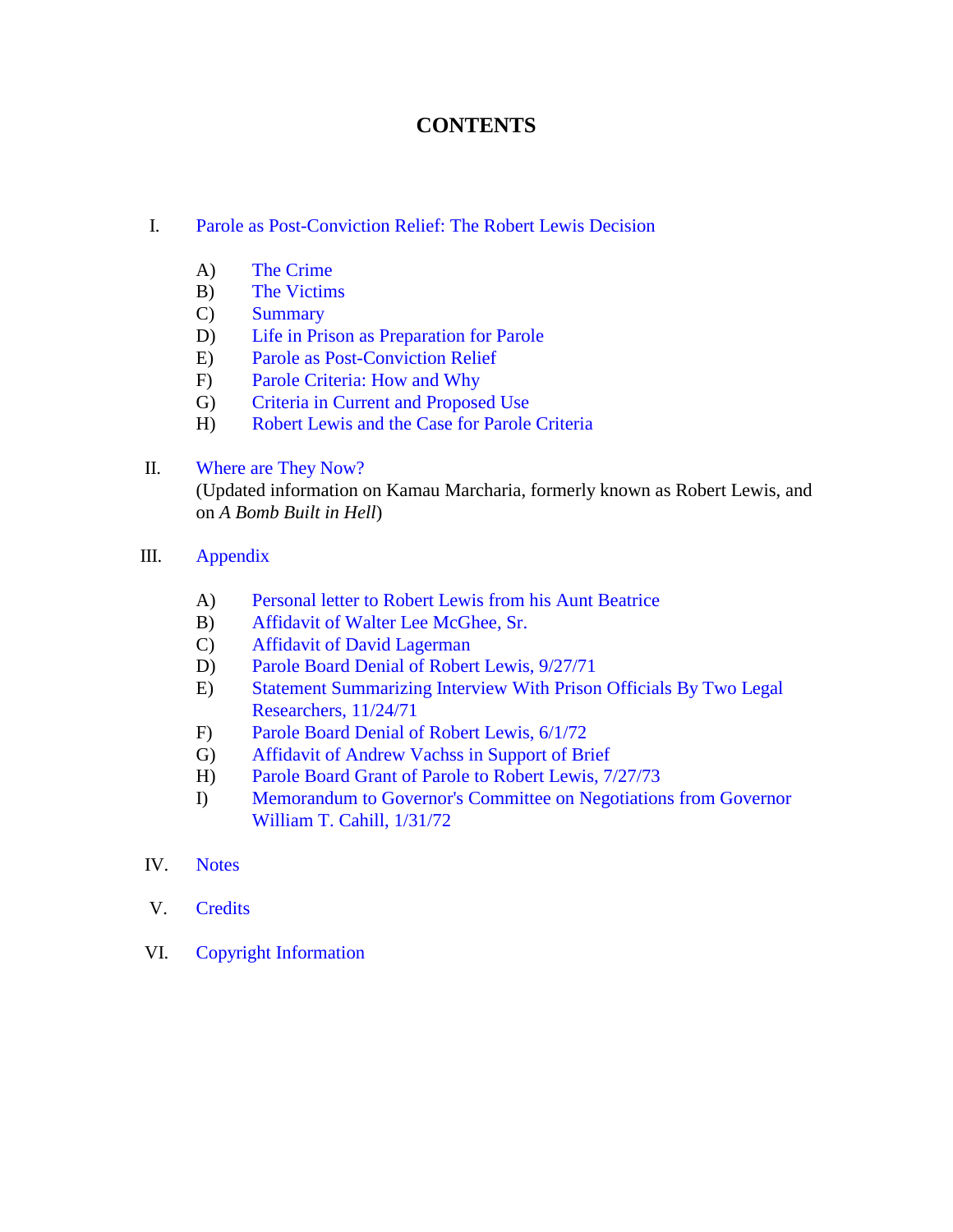## **CONTENTS**

#### I. [Parole as Post-Conviction Relief: The Robert Lewis Decision](#page-2-0)

- A) [The Crime](#page-2-1)
- B) [The Victims](#page-3-0)
- C) [Summary](#page-7-0)
- D) [Life in Prison as Preparation for Parole](#page-8-0)
- E) [Parole as Post-Conviction Relief](#page-14-0)
- F) [Parole Criteria: How and Why](#page-17-0)
- G) [Criteria in Current and Proposed Use](#page-21-0)
- H) [Robert Lewis and the Case for Parole Criteria](#page-36-0)

#### II. [Where are They Now?](#page-76-0)

(Updated information on Kamau Marcharia, formerly known as Robert Lewis, and on *A Bomb Built in Hell*)

- III. [Appendix](#page-38-0)
	- A) [Personal letter to Robert Lewis from his Aunt Beatrice](#page-39-0)
	- B) [Affidavit of Walter Lee McGhee, Sr.](#page-40-0)
	- C) [Affidavit of David Lagerman](#page-41-0)
	- D) [Parole Board Denial of Robert Lewis, 9/27/71](#page-42-0)
	- E) [Statement Summarizing Interview With Prison Officials By Two Legal](#page-43-0) Researchers, 11/24/71
	- F) [Parole Board Denial of Robert Lewis, 6/1/72](#page-44-0)
	- G) [Affidavit of Andrew Vachss in Support of Brief](#page-46-0)
	- H) [Parole Board Grant of Parole to Robert Lewis, 7/27/73](#page-48-0)
	- I) [Memorandum to Governor's Committee on Negotiations from Governor](#page-49-0) William T. Cahill, 1/31/72

#### IV. [Notes](#page-51-0)

- V. [Credits](#page-78-0)
- VI. Copyright I[nformation](#page-79-0)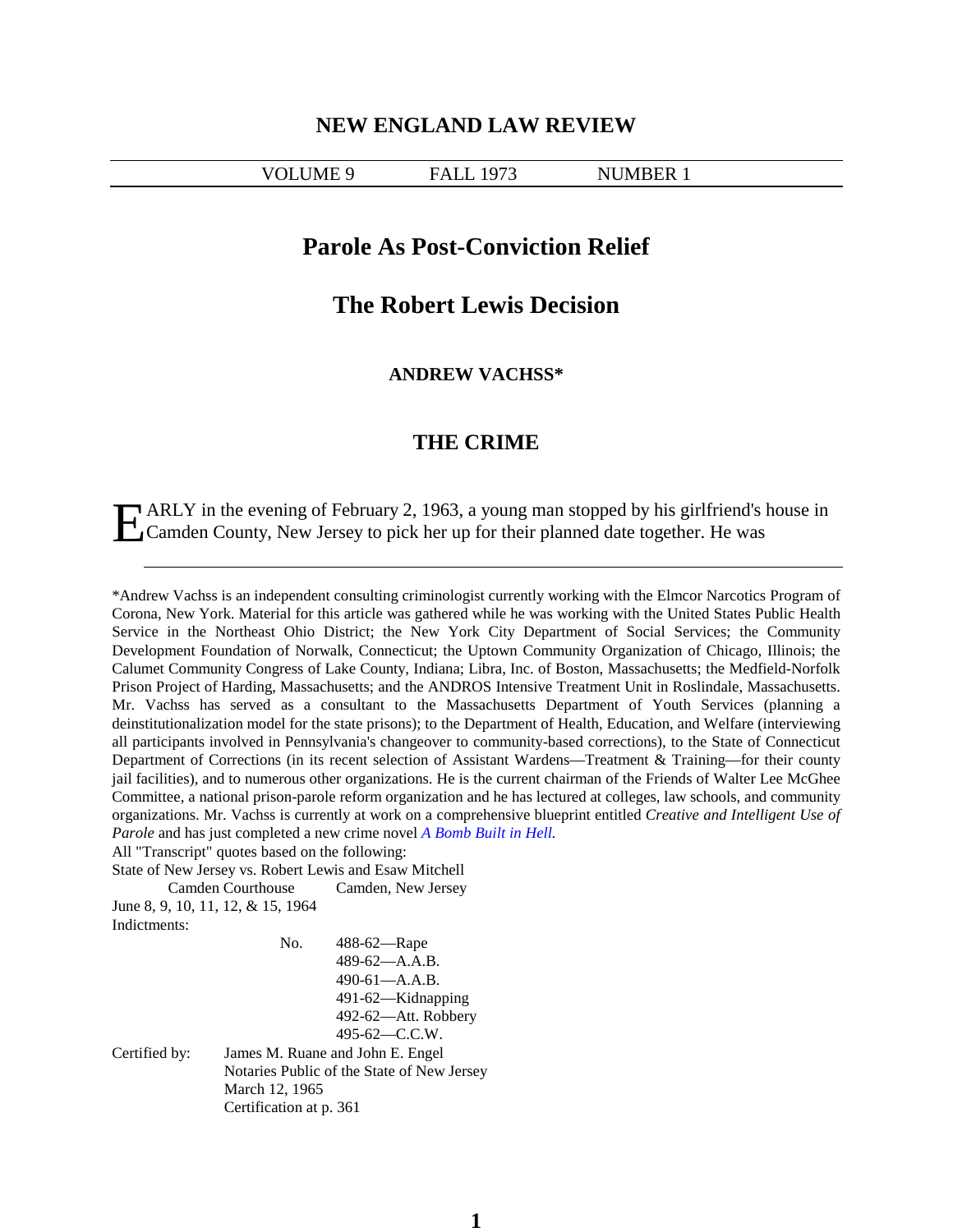#### **NEW ENGLAND LAW REVIEW**

#### <span id="page-2-0"></span>VOLUME 9 FALL 1973 NUMBER 1

#### **Parole As Post-Conviction Relief**

## **The Robert Lewis Decision**

**ANDREW VACHSS\***

#### **THE CRIME**

<span id="page-2-1"></span>ARLY in the evening of February 2, 1963, a young man stopped by his girlfriend's house in EXT in the evening of February 2, 1963, a young man stopped by his girlfriend's<br>Camden County, New Jersey to pick her up for their planned date together. He was

\*Andrew Vachss is an independent consulting criminologist currently working with the Elmcor Narcotics Program of Corona, New York. Material for this article was gathered while he was working with the United States Public Health Service in the Northeast Ohio District; the New York City Department of Social Services; the Community Development Foundation of Norwalk, Connecticut; the Uptown Community Organization of Chicago, Illinois; the Calumet Community Congress of Lake County, Indiana; Libra, Inc. of Boston, Massachusetts; the Medfield-Norfolk Prison Project of Harding, Massachusetts; and the ANDROS Intensive Treatment Unit in Roslindale, Massachusetts. Mr. Vachss has served as a consultant to the Massachusetts Department of Youth Services (planning a deinstitutionalization model for the state prisons); to the Department of Health, Education, and Welfare (interviewing all participants involved in Pennsylvania's changeover to community-based corrections), to the State of Connecticut Department of Corrections (in its recent selection of Assistant Wardens—Treatment & Training—for their county jail facilities), and to numerous other organizations. He is the current chairman of the Friends of Walter Lee McGhee Committee, a national prison-parole reform organization and he has lectured at colleges, law schools, and community organizations. Mr. Vachss is currently at work on a comprehensive blueprint entitled *Creative and Intelligent Use of Parole* and has just completed a new crime novel *[A Bomb](#page-77-0) Built in Hell.*

All "Transcript" quotes based on the following:

State of New Jersey vs. Robert Lewis and Esaw Mitchell Camden Courthouse Camden, New Jersey June 8, 9, 10, 11, 12, & 15, 1964 Indictments:

No. 488-62—Rape 489-62—A.A.B. 490-61—A.A.B. 491-62—Kidnapping 492-62—Att. Robbery 495-62—C.C.W. Certified by: James M. Ruane and John E. Engel Notaries Public of the State of New Jersey March 12, 1965 Certification at p. 361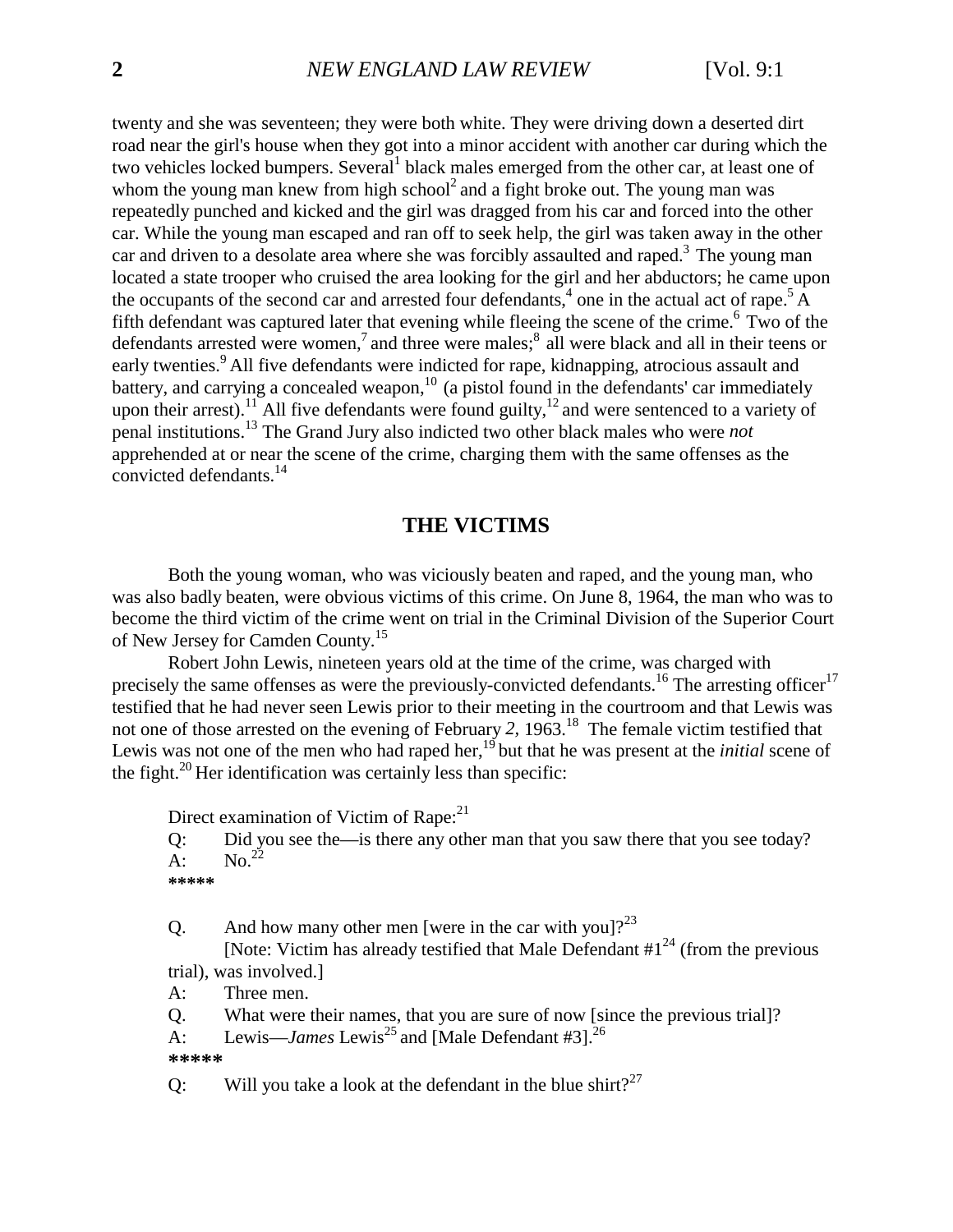twenty and she was seventeen; they were both white. They were driving down a deserted dirt road near the girl's house when they got into a minor accident with another car during which the two vehicles locked bumpers. Several<sup>1</sup> black males emerged from the other car, at least one of whom the young man knew from high school<sup>2</sup> and a fight broke out. The young man was repeatedly punched and kicked and the girl was dragged from his car and forced into the other car. While the young man escaped and ran off to seek help, the girl was taken away in the other car and driven to a desolate area where she was forcibly assaulted and raped.<sup>3</sup> The young man located a state trooper who cruised the area looking for the girl and her abductors; he came upon the occupants of the second car and arrested four defendants,  $4$  one in the actual act of rape.<sup>5</sup> A fifth defendant was captured later that evening while fleeing the scene of the crime.<sup>6</sup> Two of the defendants arrested were women,<sup>7</sup> and three were males;<sup>8</sup> all were black and all in their teens or early twenties.<sup>9</sup> All five defendants were indicted for rape, kidnapping, atrocious assault and battery, and carrying a concealed weapon, $10$  (a pistol found in the defendants' car immediately upon their arrest).<sup>11</sup> All five defendants were found guilty,<sup>12</sup> and were sentenced to a variety of penal institutions.13 The Grand Jury also indicted two other black males who were *not* apprehended at or near the scene of the crime, charging them with the same offenses as the convicted defendants.14

## **THE VICTIMS**

<span id="page-3-0"></span>Both the young woman, who was viciously beaten and raped, and the young man, who was also badly beaten, were obvious victims of this crime. On June 8, 1964, the man who was to become the third victim of the crime went on trial in the Criminal Division of the Superior Court of New Jersey for Camden County.<sup>15</sup>

Robert John Lewis, nineteen years old at the time of the crime, was charged with precisely the same offenses as were the previously-convicted defendants.<sup>16</sup> The arresting officer<sup>17</sup> testified that he had never seen Lewis prior to their meeting in the courtroom and that Lewis was not one of those arrested on the evening of February *2,* 1963.18 The female victim testified that Lewis was not one of the men who had raped her,<sup>19</sup> but that he was present at the *initial* scene of the fight. $^{20}$  Her identification was certainly less than specific:

Direct examination of Victim of Rape:<sup>21</sup>

Q: Did you see the—is there any other man that you saw there that you see today?  $\overline{A}$ : No.<sup>22</sup>

```
*****
```
Q. And how many other men [were in the car with you]?<sup>23</sup>

[Note: Victim has already testified that Male Defendant  $\#1^{24}$  (from the previous trial), was involved.]

A: Three men.

Q. What were their names, that you are sure of now [since the previous trial]?

A: Lewis—*James* Lewis<sup>25</sup> and [Male Defendant #3].<sup>26</sup>

**\*\*\*\*\***

Q: Will you take a look at the defendant in the blue shirt?<sup>27</sup>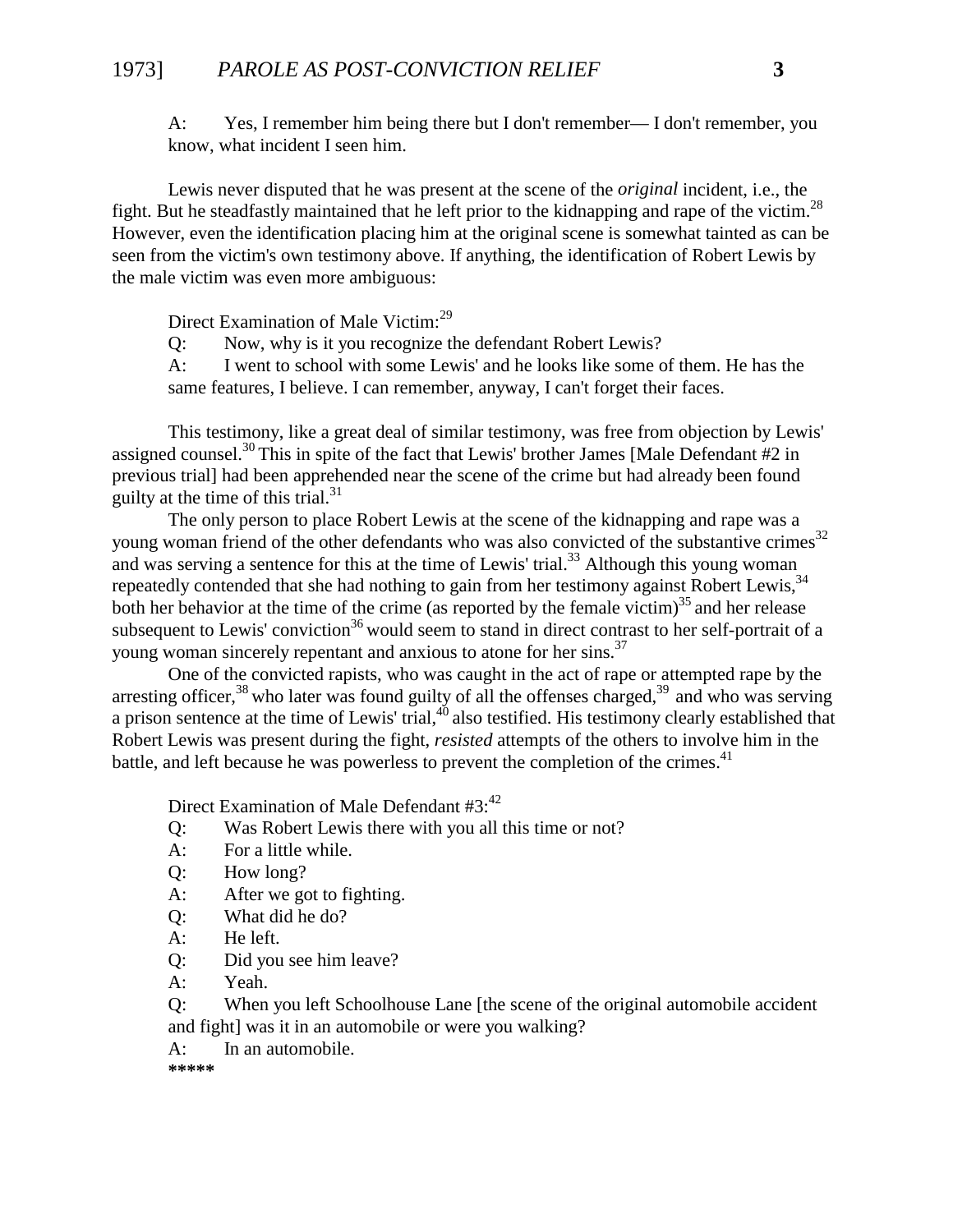## 1973] *PAROLE AS POST-CONVICTION RELIEF* **3**

A: Yes, I remember him being there but I don't remember— I don't remember, you know, what incident I seen him.

Lewis never disputed that he was present at the scene of the *original* incident, i.e., the fight. But he steadfastly maintained that he left prior to the kidnapping and rape of the victim.<sup>28</sup> However, even the identification placing him at the original scene is somewhat tainted as can be seen from the victim's own testimony above. If anything, the identification of Robert Lewis by the male victim was even more ambiguous:

Direct Examination of Male Victim:<sup>29</sup>

Q: Now, why is it you recognize the defendant Robert Lewis?

A: I went to school with some Lewis' and he looks like some of them. He has the same features, I believe. I can remember, anyway, I can't forget their faces.

This testimony, like a great deal of similar testimony, was free from objection by Lewis' assigned counsel.30 This in spite of the fact that Lewis' brother James [Male Defendant #2 in previous trial] had been apprehended near the scene of the crime but had already been found guilty at the time of this trial. $31$ 

The only person to place Robert Lewis at the scene of the kidnapping and rape was a young woman friend of the other defendants who was also convicted of the substantive crimes<sup>32</sup> and was serving a sentence for this at the time of Lewis' trial.<sup>33</sup> Although this young woman repeatedly contended that she had nothing to gain from her testimony against Robert Lewis,<sup>34</sup> both her behavior at the time of the crime (as reported by the female victim)<sup>35</sup> and her release subsequent to Lewis' conviction<sup>36</sup> would seem to stand in direct contrast to her self-portrait of a young woman sincerely repentant and anxious to atone for her sins.<sup>37</sup>

One of the convicted rapists, who was caught in the act of rape or attempted rape by the arresting officer,  $38$  who later was found guilty of all the offenses charged,  $39$  and who was serving a prison sentence at the time of Lewis' trial, $40$  also testified. His testimony clearly established that Robert Lewis was present during the fight, *resisted* attempts of the others to involve him in the battle, and left because he was powerless to prevent the completion of the crimes.<sup>41</sup>

Direct Examination of Male Defendant  $#3$ :<sup>42</sup>

Q: Was Robert Lewis there with you all this time or not?

- A: For a little while.
- Q: How long?
- A: After we got to fighting.
- Q: What did he do?
- A: He left.
- Q: Did you see him leave?
- A: Yeah.

Q: When you left Schoolhouse Lane [the scene of the original automobile accident and fight] was it in an automobile or were you walking?

A: In an automobile.

**\*\*\*\*\***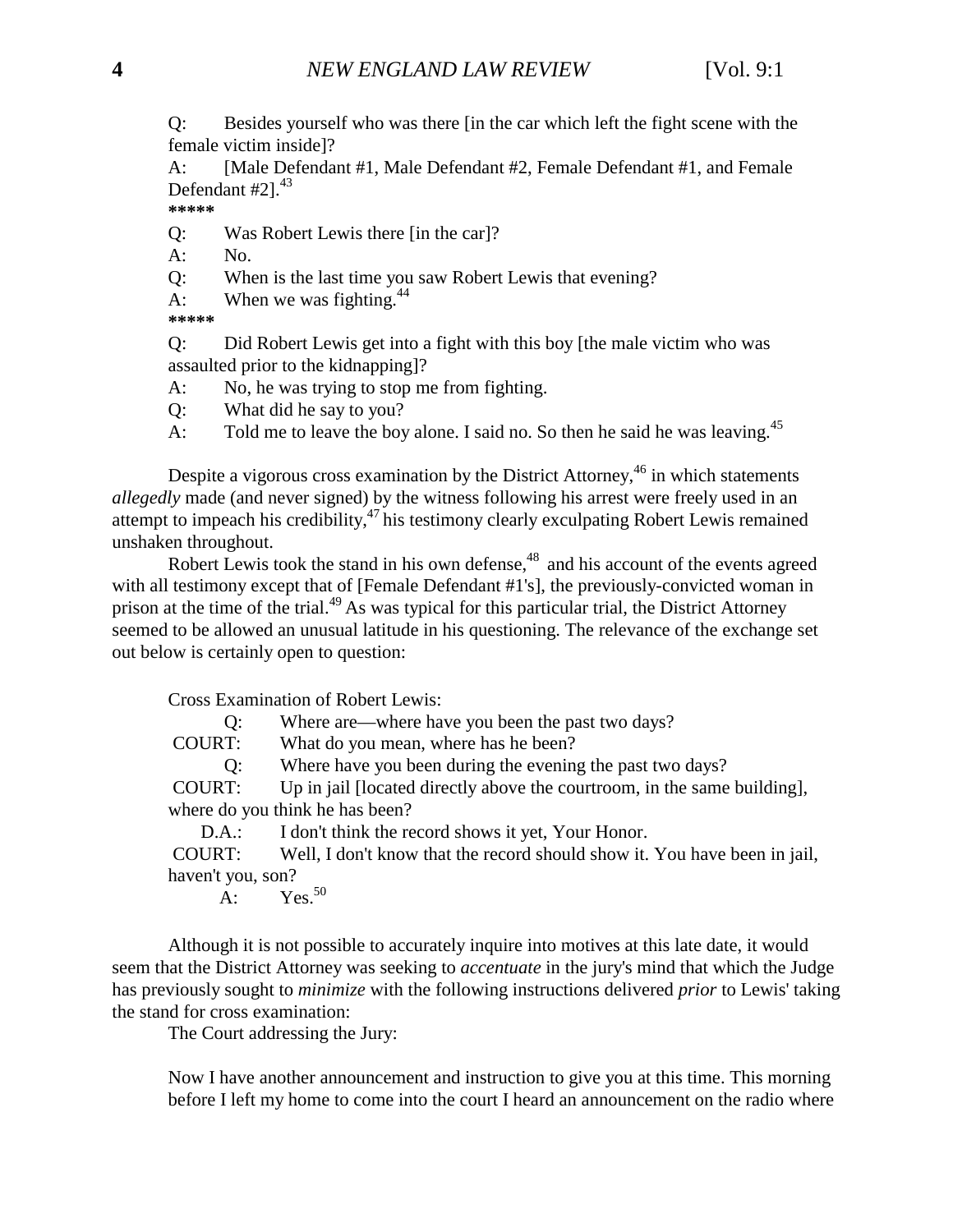Q: Besides yourself who was there [in the car which left the fight scene with the female victim inside]?

A: [Male Defendant #1, Male Defendant #2, Female Defendant #1, and Female Defendant  $#21<sup>43</sup>$ 

**\*\*\*\*\***

Q: Was Robert Lewis there [in the car]?

A: No.

Q: When is the last time you saw Robert Lewis that evening?

A: When we was fighting. $44$ 

**\*\*\*\*\***

Q: Did Robert Lewis get into a fight with this boy [the male victim who was assaulted prior to the kidnapping]?

A: No, he was trying to stop me from fighting.

Q: What did he say to you?

A: Told me to leave the boy alone. I said no. So then he said he was leaving.<sup>45</sup>

Despite a vigorous cross examination by the District Attorney,<sup>46</sup> in which statements *allegedly* made (and never signed) by the witness following his arrest were freely used in an attempt to impeach his credibility, $47$  his testimony clearly exculpating Robert Lewis remained unshaken throughout.

Robert Lewis took the stand in his own defense, $48$  and his account of the events agreed with all testimony except that of [Female Defendant #1's], the previously-convicted woman in prison at the time of the trial.49 As was typical for this particular trial, the District Attorney seemed to be allowed an unusual latitude in his questioning. The relevance of the exchange set out below is certainly open to question:

Cross Examination of Robert Lewis:

Q: Where are—where have you been the past two days?

COURT: What do you mean, where has he been?

Q: Where have you been during the evening the past two days?

 COURT: Up in jail [located directly above the courtroom, in the same building], where do you think he has been?

D.A.: I don't think the record shows it yet, Your Honor.

 COURT: Well, I don't know that the record should show it. You have been in jail, haven't you, son?

A:  $Yes.<sup>50</sup>$ 

Although it is not possible to accurately inquire into motives at this late date, it would seem that the District Attorney was seeking to *accentuate* in the jury's mind that which the Judge has previously sought to *minimize* with the following instructions delivered *prior* to Lewis' taking the stand for cross examination:

The Court addressing the Jury:

Now I have another announcement and instruction to give you at this time. This morning before I left my home to come into the court I heard an announcement on the radio where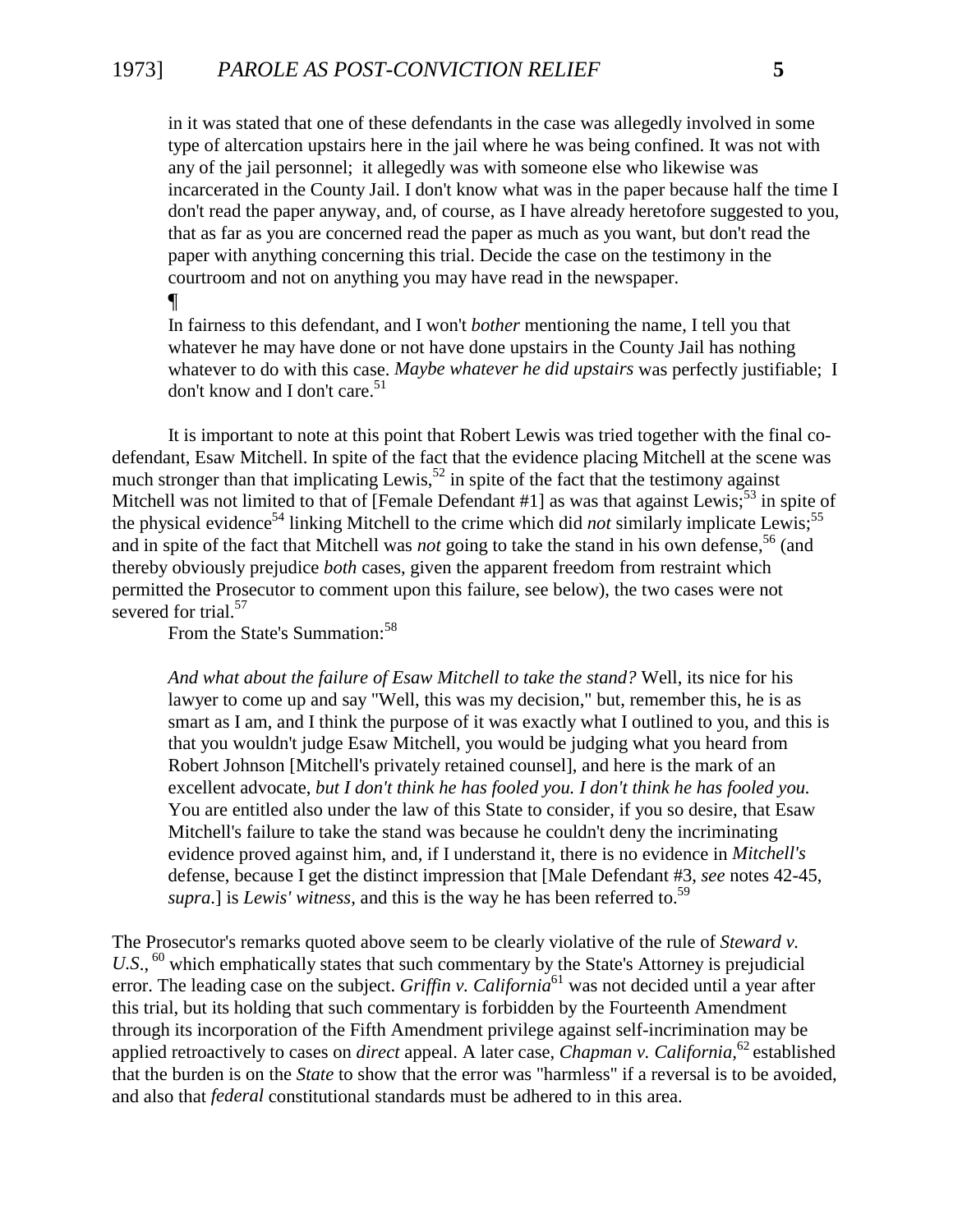in it was stated that one of these defendants in the case was allegedly involved in some type of altercation upstairs here in the jail where he was being confined. It was not with any of the jail personnel; it allegedly was with someone else who likewise was incarcerated in the County Jail. I don't know what was in the paper because half the time I don't read the paper anyway, and, of course, as I have already heretofore suggested to you, that as far as you are concerned read the paper as much as you want, but don't read the paper with anything concerning this trial. Decide the case on the testimony in the courtroom and not on anything you may have read in the newspaper.

#### ¶

In fairness to this defendant, and I won't *bother* mentioning the name, I tell you that whatever he may have done or not have done upstairs in the County Jail has nothing whatever to do with this case. *Maybe whatever he did upstairs* was perfectly justifiable; I don't know and I don't care.<sup>51</sup>

It is important to note at this point that Robert Lewis was tried together with the final codefendant, Esaw Mitchell. In spite of the fact that the evidence placing Mitchell at the scene was much stronger than that implicating Lewis,<sup>52</sup> in spite of the fact that the testimony against Mitchell was not limited to that of [Female Defendant  $\#1$ ] as was that against Lewis;<sup>53</sup> in spite of the physical evidence<sup>54</sup> linking Mitchell to the crime which did *not* similarly implicate Lewis;<sup>55</sup> and in spite of the fact that Mitchell was *not* going to take the stand in his own defense,<sup>56</sup> (and thereby obviously prejudice *both* cases, given the apparent freedom from restraint which permitted the Prosecutor to comment upon this failure, see below), the two cases were not severed for trial.<sup>57</sup>

From the State's Summation:<sup>58</sup>

*And what about the failure of Esaw Mitchell to take the stand?* Well, its nice for his lawyer to come up and say "Well, this was my decision," but, remember this, he is as smart as I am, and I think the purpose of it was exactly what I outlined to you, and this is that you wouldn't judge Esaw Mitchell, you would be judging what you heard from Robert Johnson [Mitchell's privately retained counsel], and here is the mark of an excellent advocate, *but I don't think he has fooled you. I don't think he has fooled you.* You are entitled also under the law of this State to consider, if you so desire, that Esaw Mitchell's failure to take the stand was because he couldn't deny the incriminating evidence proved against him, and, if I understand it, there is no evidence in *Mitchell's* defense, because I get the distinct impression that [Male Defendant #3, *see* notes 42-45, *supra*.] is *Lewis' witness*, and this is the way he has been referred to.<sup>59</sup>

The Prosecutor's remarks quoted above seem to be clearly violative of the rule of *Steward v.* U.S., <sup>60</sup> which emphatically states that such commentary by the State's Attorney is prejudicial error. The leading case on the subject. *Griffin v. California*<sup>61</sup> was not decided until a year after this trial, but its holding that such commentary is forbidden by the Fourteenth Amendment through its incorporation of the Fifth Amendment privilege against self-incrimination may be applied retroactively to cases on *direct* appeal. A later case, *Chapman v. California,*<sup>62</sup> established that the burden is on the *State* to show that the error was "harmless" if a reversal is to be avoided, and also that *federal* constitutional standards must be adhered to in this area.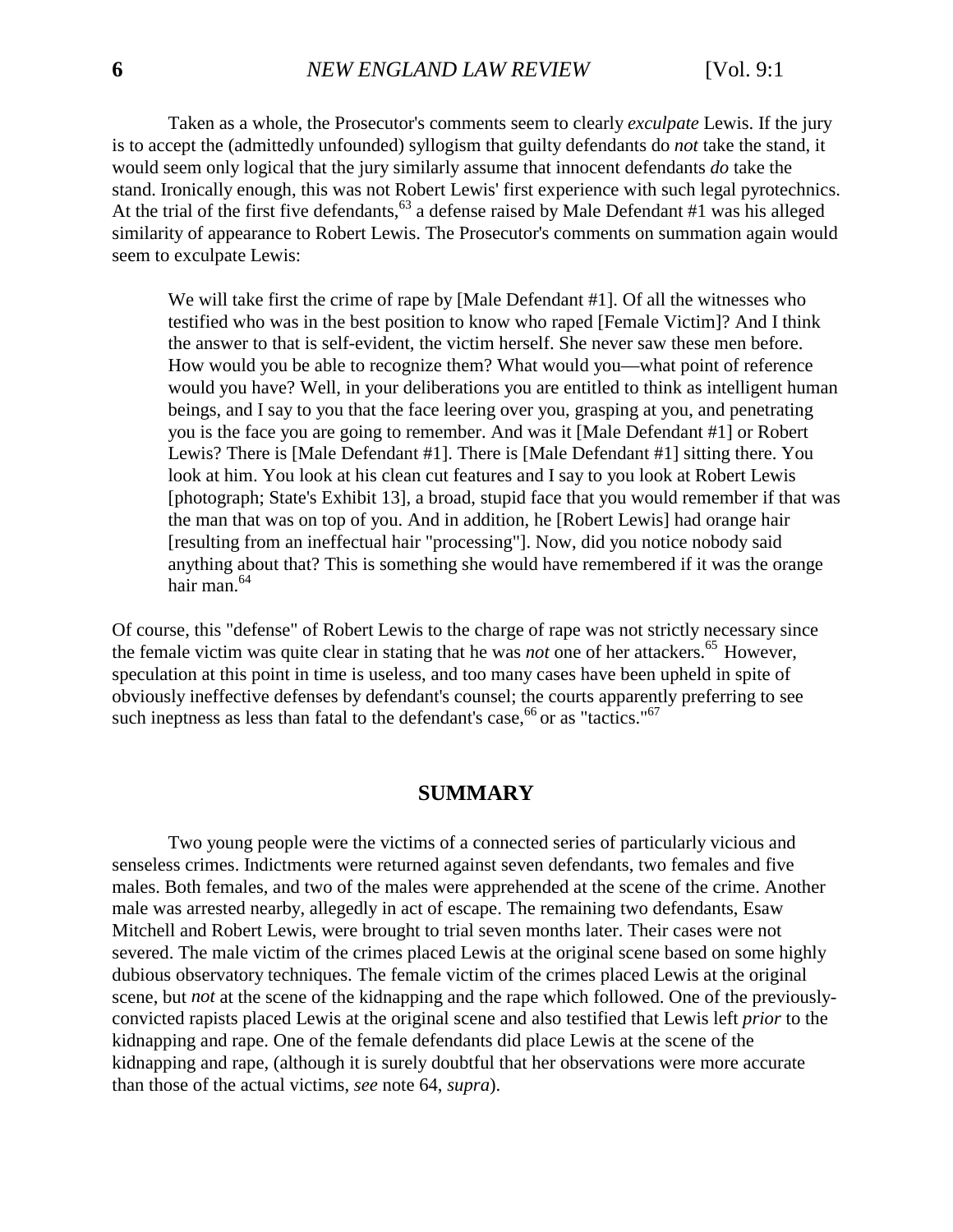Taken as a whole, the Prosecutor's comments seem to clearly *exculpate* Lewis. If the jury is to accept the (admittedly unfounded) syllogism that guilty defendants do *not* take the stand, it would seem only logical that the jury similarly assume that innocent defendants *do* take the stand. Ironically enough, this was not Robert Lewis' first experience with such legal pyrotechnics. At the trial of the first five defendants,  $63$  a defense raised by Male Defendant #1 was his alleged similarity of appearance to Robert Lewis. The Prosecutor's comments on summation again would seem to exculpate Lewis:

We will take first the crime of rape by [Male Defendant #1]. Of all the witnesses who testified who was in the best position to know who raped [Female Victim]? And I think the answer to that is self-evident, the victim herself. She never saw these men before. How would you be able to recognize them? What would you—what point of reference would you have? Well, in your deliberations you are entitled to think as intelligent human beings, and I say to you that the face leering over you, grasping at you, and penetrating you is the face you are going to remember. And was it [Male Defendant #1] or Robert Lewis? There is [Male Defendant #1]. There is [Male Defendant #1] sitting there. You look at him. You look at his clean cut features and I say to you look at Robert Lewis [photograph; State's Exhibit 13], a broad, stupid face that you would remember if that was the man that was on top of you. And in addition, he [Robert Lewis] had orange hair [resulting from an ineffectual hair "processing"]. Now, did you notice nobody said anything about that? This is something she would have remembered if it was the orange hair man.<sup>64</sup>

<span id="page-7-0"></span>Of course, this "defense" of Robert Lewis to the charge of rape was not strictly necessary since the female victim was quite clear in stating that he was *not* one of her attackers.<sup>65</sup> However, speculation at this point in time is useless, and too many cases have been upheld in spite of obviously ineffective defenses by defendant's counsel; the courts apparently preferring to see such ineptness as less than fatal to the defendant's case,  $66$  or as "tactics." $67$ 

#### **SUMMARY**

Two young people were the victims of a connected series of particularly vicious and senseless crimes. Indictments were returned against seven defendants, two females and five males. Both females, and two of the males were apprehended at the scene of the crime. Another male was arrested nearby, allegedly in act of escape. The remaining two defendants, Esaw Mitchell and Robert Lewis, were brought to trial seven months later. Their cases were not severed. The male victim of the crimes placed Lewis at the original scene based on some highly dubious observatory techniques. The female victim of the crimes placed Lewis at the original scene, but *not* at the scene of the kidnapping and the rape which followed. One of the previouslyconvicted rapists placed Lewis at the original scene and also testified that Lewis left *prior* to the kidnapping and rape. One of the female defendants did place Lewis at the scene of the kidnapping and rape, (although it is surely doubtful that her observations were more accurate than those of the actual victims, *see* note 64, *supra*).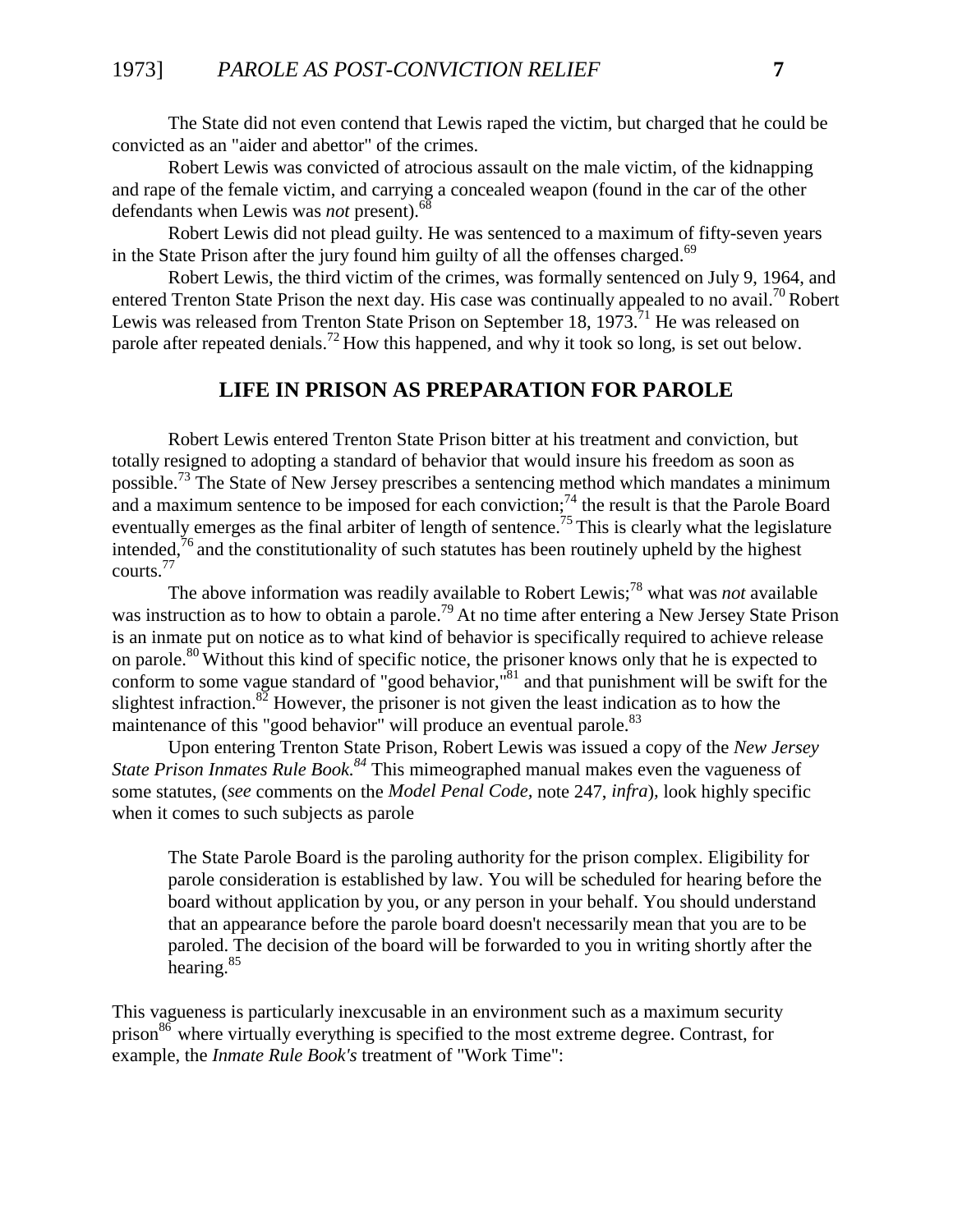The State did not even contend that Lewis raped the victim, but charged that he could be convicted as an "aider and abettor" of the crimes.

Robert Lewis was convicted of atrocious assault on the male victim, of the kidnapping and rape of the female victim, and carrying a concealed weapon (found in the car of the other defendants when Lewis was *not* present).<sup>68</sup>

Robert Lewis did not plead guilty. He was sentenced to a maximum of fifty-seven years in the State Prison after the jury found him guilty of all the offenses charged.<sup>69</sup>

Robert Lewis, the third victim of the crimes, was formally sentenced on July 9, 1964, and entered Trenton State Prison the next day. His case was continually appealed to no avail.<sup>70</sup> Robert Lewis was released from Trenton State Prison on September 18,  $1973$ .<sup>71</sup> He was released on parole after repeated denials.<sup>72</sup> How this happened, and why it took so long, is set out below.

#### **LIFE IN PRISON AS PREPARATION FOR PAROLE**

<span id="page-8-0"></span>Robert Lewis entered Trenton State Prison bitter at his treatment and conviction, but totally resigned to adopting a standard of behavior that would insure his freedom as soon as possible.<sup>73</sup> The State of New Jersey prescribes a sentencing method which mandates a minimum and a maximum sentence to be imposed for each conviction;<sup>74</sup> the result is that the Parole Board eventually emerges as the final arbiter of length of sentence.<sup>75</sup> This is clearly what the legislature intended, $^{76}$  and the constitutionality of such statutes has been routinely upheld by the highest courts.77

The above information was readily available to Robert Lewis;78 what was *not* available was instruction as to how to obtain a parole.<sup>79</sup> At no time after entering a New Jersey State Prison is an inmate put on notice as to what kind of behavior is specifically required to achieve release on parole.<sup>80</sup> Without this kind of specific notice, the prisoner knows only that he is expected to conform to some vague standard of "good behavior,"<sup>81</sup> and that punishment will be swift for the slightest infraction.<sup>82</sup> However, the prisoner is not given the least indication as to how the maintenance of this "good behavior" will produce an eventual parole.<sup>83</sup>

Upon entering Trenton State Prison, Robert Lewis was issued a copy of the *New Jersey State Prison Inmates Rule Book.<sup>84</sup>* This mimeographed manual makes even the vagueness of some statutes, (*see* comments on the *Model Penal Code,* note 247, *infra*)*,* look highly specific when it comes to such subjects as parole

The State Parole Board is the paroling authority for the prison complex. Eligibility for parole consideration is established by law. You will be scheduled for hearing before the board without application by you, or any person in your behalf. You should understand that an appearance before the parole board doesn't necessarily mean that you are to be paroled. The decision of the board will be forwarded to you in writing shortly after the hearing.85

This vagueness is particularly inexcusable in an environment such as a maximum security  $\frac{86}{6}$  where virtually everything is specified to the most extreme degree. Contrast, for example, the *Inmate Rule Book's* treatment of "Work Time":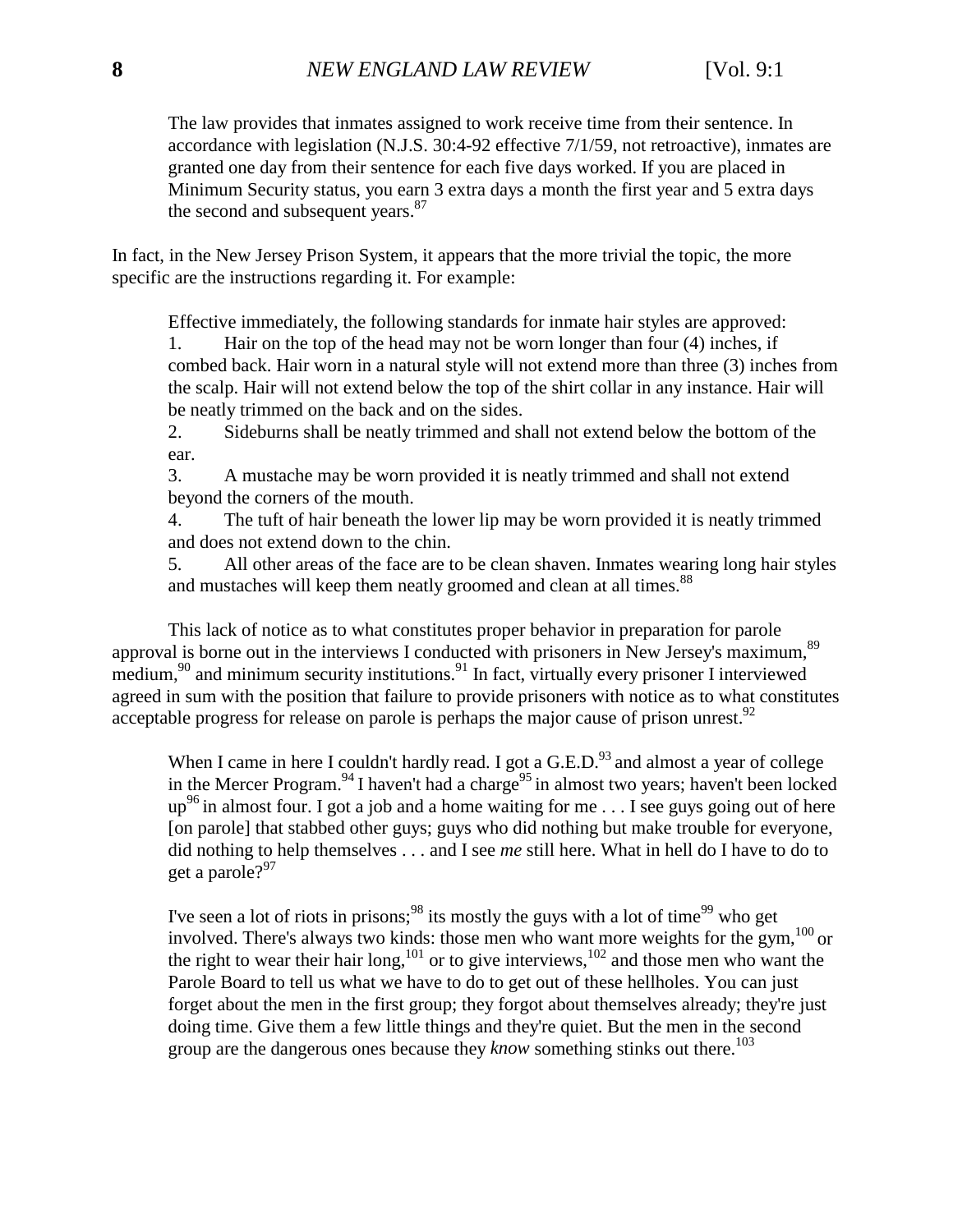The law provides that inmates assigned to work receive time from their sentence. In accordance with legislation (N.J.S. 30:4-92 effective 7/1/59, not retroactive), inmates are granted one day from their sentence for each five days worked. If you are placed in Minimum Security status, you earn 3 extra days a month the first year and 5 extra days the second and subsequent years.<sup>87</sup>

In fact, in the New Jersey Prison System, it appears that the more trivial the topic, the more specific are the instructions regarding it. For example:

Effective immediately, the following standards for inmate hair styles are approved:

1. Hair on the top of the head may not be worn longer than four (4) inches, if combed back. Hair worn in a natural style will not extend more than three (3) inches from the scalp. Hair will not extend below the top of the shirt collar in any instance. Hair will be neatly trimmed on the back and on the sides.

2. Sideburns shall be neatly trimmed and shall not extend below the bottom of the ear.

3. A mustache may be worn provided it is neatly trimmed and shall not extend beyond the corners of the mouth.

4. The tuft of hair beneath the lower lip may be worn provided it is neatly trimmed and does not extend down to the chin.

5. All other areas of the face are to be clean shaven. Inmates wearing long hair styles and mustaches will keep them neatly groomed and clean at all times.<sup>88</sup>

This lack of notice as to what constitutes proper behavior in preparation for parole approval is borne out in the interviews I conducted with prisoners in New Jersey's maximum,  $89$ medium,<sup>90</sup> and minimum security institutions.<sup>91</sup> In fact, virtually every prisoner I interviewed agreed in sum with the position that failure to provide prisoners with notice as to what constitutes acceptable progress for release on parole is perhaps the major cause of prison unrest.  $92$ 

When I came in here I couldn't hardly read. I got a  $G.E.D.^{93}$  and almost a year of college in the Mercer Program.<sup>94</sup> I haven't had a charge<sup>95</sup> in almost two years; haven't been locked up<sup>96</sup> in almost four. I got a job and a home waiting for me . . . I see guys going out of here [on parole] that stabbed other guys; guys who did nothing but make trouble for everyone, did nothing to help themselves . . . and I see *me* still here. What in hell do I have to do to get a parole? $97$ 

I've seen a lot of riots in prisons;<sup>98</sup> its mostly the guys with a lot of time<sup>99</sup> who get involved. There's always two kinds: those men who want more weights for the gym,100 or the right to wear their hair long,<sup>101</sup> or to give interviews,<sup>102</sup> and those men who want the Parole Board to tell us what we have to do to get out of these hellholes. You can just forget about the men in the first group; they forgot about themselves already; they're just doing time. Give them a few little things and they're quiet. But the men in the second group are the dangerous ones because they *know* something stinks out there.<sup>103</sup>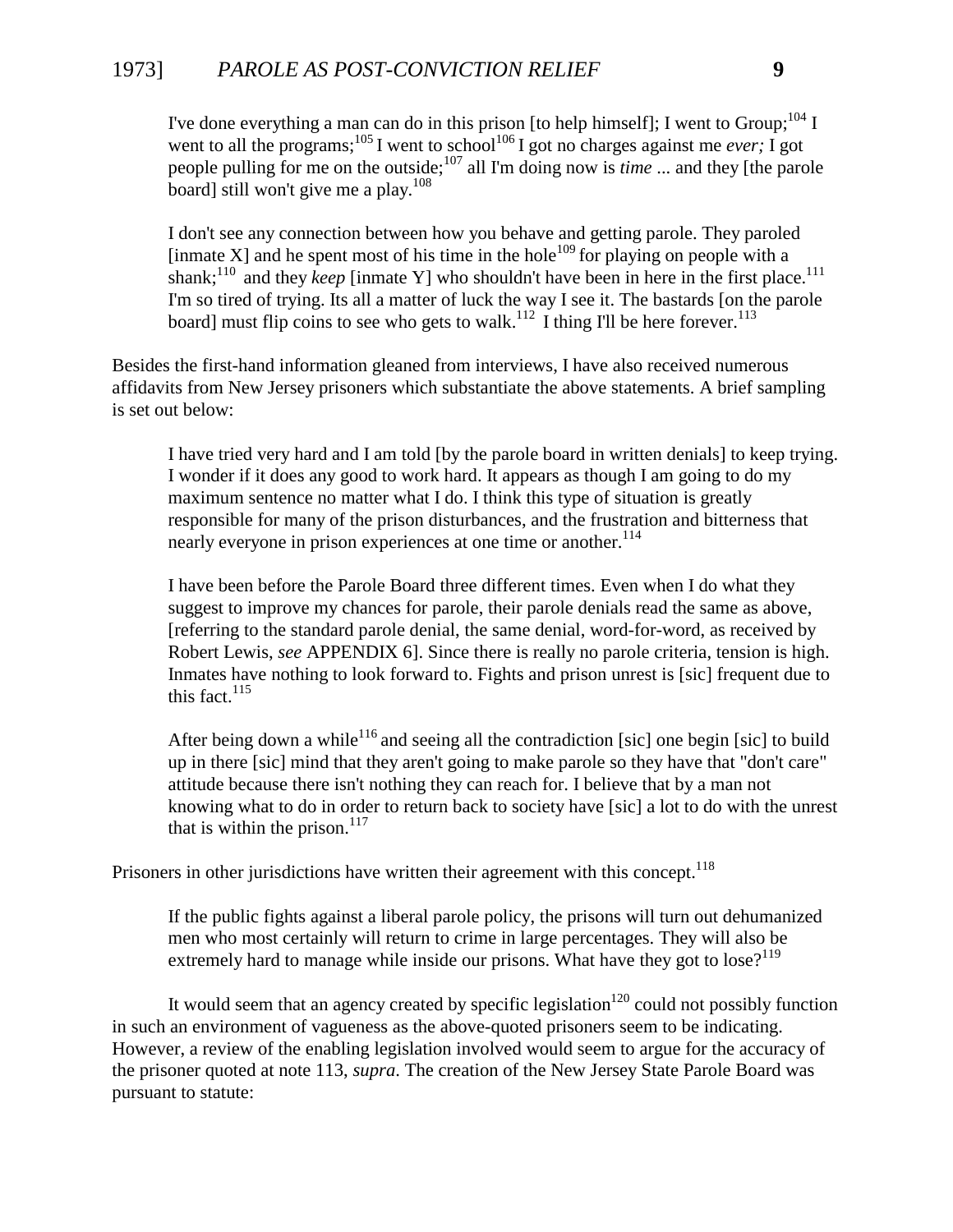## 1973] *PAROLE AS POST-CONVICTION RELIEF* **9**

I've done everything a man can do in this prison [to help himself]; I went to Group;  $^{104}$  I went to all the programs;<sup>105</sup> I went to school<sup>106</sup> I got no charges against me *ever;* I got people pulling for me on the outside;107 all I'm doing now is *time* ... and they [the parole board] still won't give me a play. $108$ 

I don't see any connection between how you behave and getting parole. They paroled [inmate X] and he spent most of his time in the hole<sup>109</sup> for playing on people with a shank;<sup>110</sup> and they *keep* [inmate Y] who shouldn't have been in here in the first place.<sup>111</sup> I'm so tired of trying. Its all a matter of luck the way I see it. The bastards [on the parole board] must flip coins to see who gets to walk.<sup>112</sup> I thing I'll be here forever.<sup>113</sup>

Besides the first-hand information gleaned from interviews, I have also received numerous affidavits from New Jersey prisoners which substantiate the above statements. A brief sampling is set out below:

I have tried very hard and I am told [by the parole board in written denials] to keep trying. I wonder if it does any good to work hard. It appears as though I am going to do my maximum sentence no matter what I do. I think this type of situation is greatly responsible for many of the prison disturbances, and the frustration and bitterness that nearly everyone in prison experiences at one time or another.<sup>114</sup>

I have been before the Parole Board three different times. Even when I do what they suggest to improve my chances for parole, their parole denials read the same as above, [referring to the standard parole denial, the same denial, word-for-word, as received by Robert Lewis, *see* APPENDIX 6]. Since there is really no parole criteria, tension is high. Inmates have nothing to look forward to. Fights and prison unrest is [sic] frequent due to this fact. $115$ 

After being down a while<sup>116</sup> and seeing all the contradiction [sic] one begin [sic] to build up in there [sic] mind that they aren't going to make parole so they have that "don't care" attitude because there isn't nothing they can reach for. I believe that by a man not knowing what to do in order to return back to society have [sic] a lot to do with the unrest that is within the prison. $117$ 

Prisoners in other jurisdictions have written their agreement with this concept.<sup>118</sup>

If the public fights against a liberal parole policy, the prisons will turn out dehumanized men who most certainly will return to crime in large percentages. They will also be extremely hard to manage while inside our prisons. What have they got to lose?<sup>119</sup>

It would seem that an agency created by specific legislation<sup>120</sup> could not possibly function in such an environment of vagueness as the above-quoted prisoners seem to be indicating. However, a review of the enabling legislation involved would seem to argue for the accuracy of the prisoner quoted at note 113, *supra*. The creation of the New Jersey State Parole Board was pursuant to statute: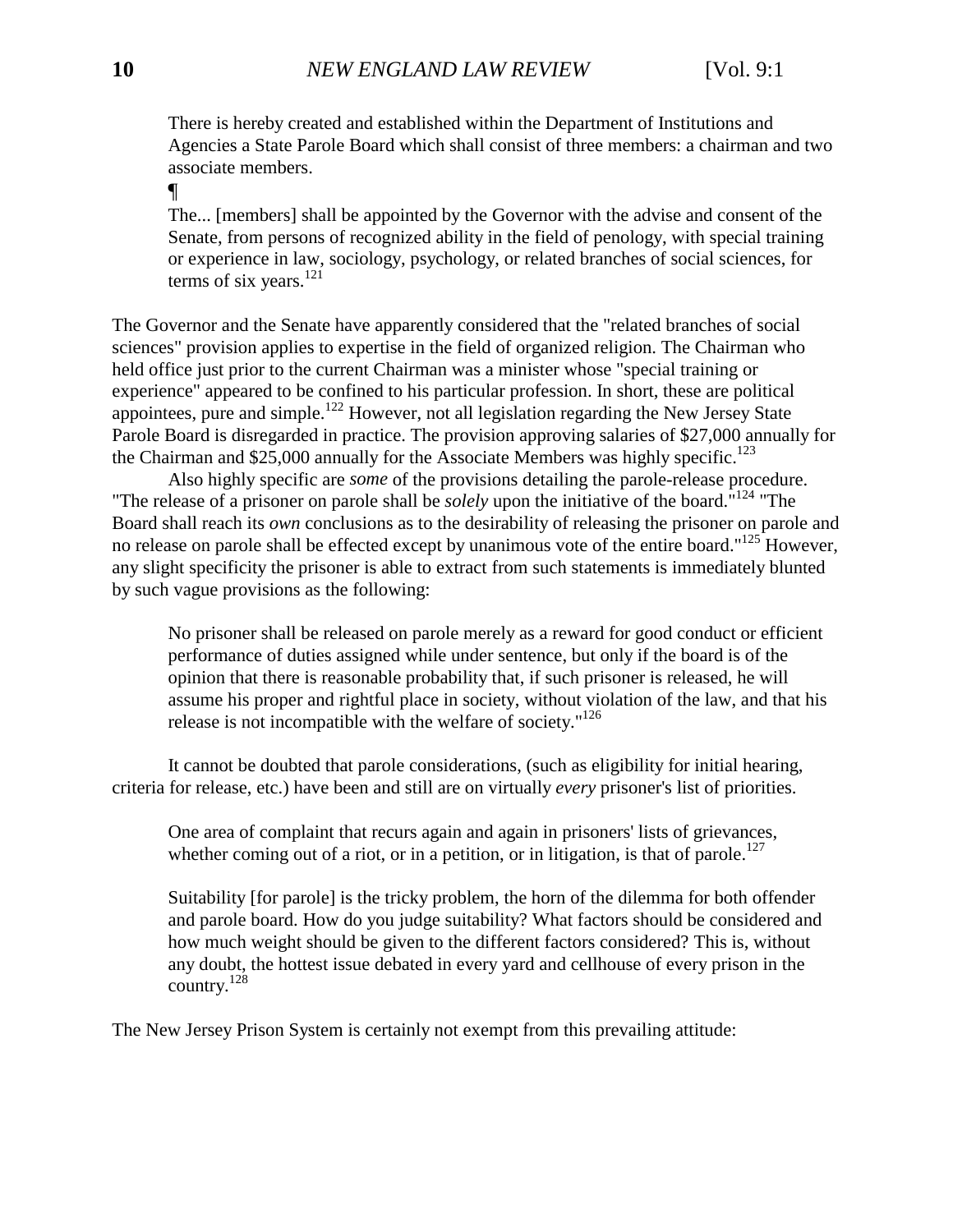There is hereby created and established within the Department of Institutions and Agencies a State Parole Board which shall consist of three members: a chairman and two associate members.

¶

The... [members] shall be appointed by the Governor with the advise and consent of the Senate, from persons of recognized ability in the field of penology, with special training or experience in law, sociology, psychology, or related branches of social sciences, for terms of six years. $^{121}$ 

The Governor and the Senate have apparently considered that the "related branches of social sciences" provision applies to expertise in the field of organized religion. The Chairman who held office just prior to the current Chairman was a minister whose "special training or experience" appeared to be confined to his particular profession. In short, these are political appointees, pure and simple.122 However, not all legislation regarding the New Jersey State Parole Board is disregarded in practice. The provision approving salaries of \$27,000 annually for the Chairman and \$25,000 annually for the Associate Members was highly specific.<sup>123</sup>

Also highly specific are *some* of the provisions detailing the parole-release procedure. "The release of a prisoner on parole shall be *solely* upon the initiative of the board."124 "The Board shall reach its *own* conclusions as to the desirability of releasing the prisoner on parole and no release on parole shall be effected except by unanimous vote of the entire board."<sup>125</sup> However, any slight specificity the prisoner is able to extract from such statements is immediately blunted by such vague provisions as the following:

No prisoner shall be released on parole merely as a reward for good conduct or efficient performance of duties assigned while under sentence, but only if the board is of the opinion that there is reasonable probability that, if such prisoner is released, he will assume his proper and rightful place in society, without violation of the law, and that his release is not incompatible with the welfare of society."<sup>126</sup>

It cannot be doubted that parole considerations, (such as eligibility for initial hearing, criteria for release, etc.) have been and still are on virtually *every* prisoner's list of priorities.

One area of complaint that recurs again and again in prisoners' lists of grievances, whether coming out of a riot, or in a petition, or in litigation, is that of parole.<sup>127</sup>

Suitability [for parole] is the tricky problem, the horn of the dilemma for both offender and parole board. How do you judge suitability? What factors should be considered and how much weight should be given to the different factors considered? This is, without any doubt, the hottest issue debated in every yard and cellhouse of every prison in the country.<sup>128</sup>

The New Jersey Prison System is certainly not exempt from this prevailing attitude: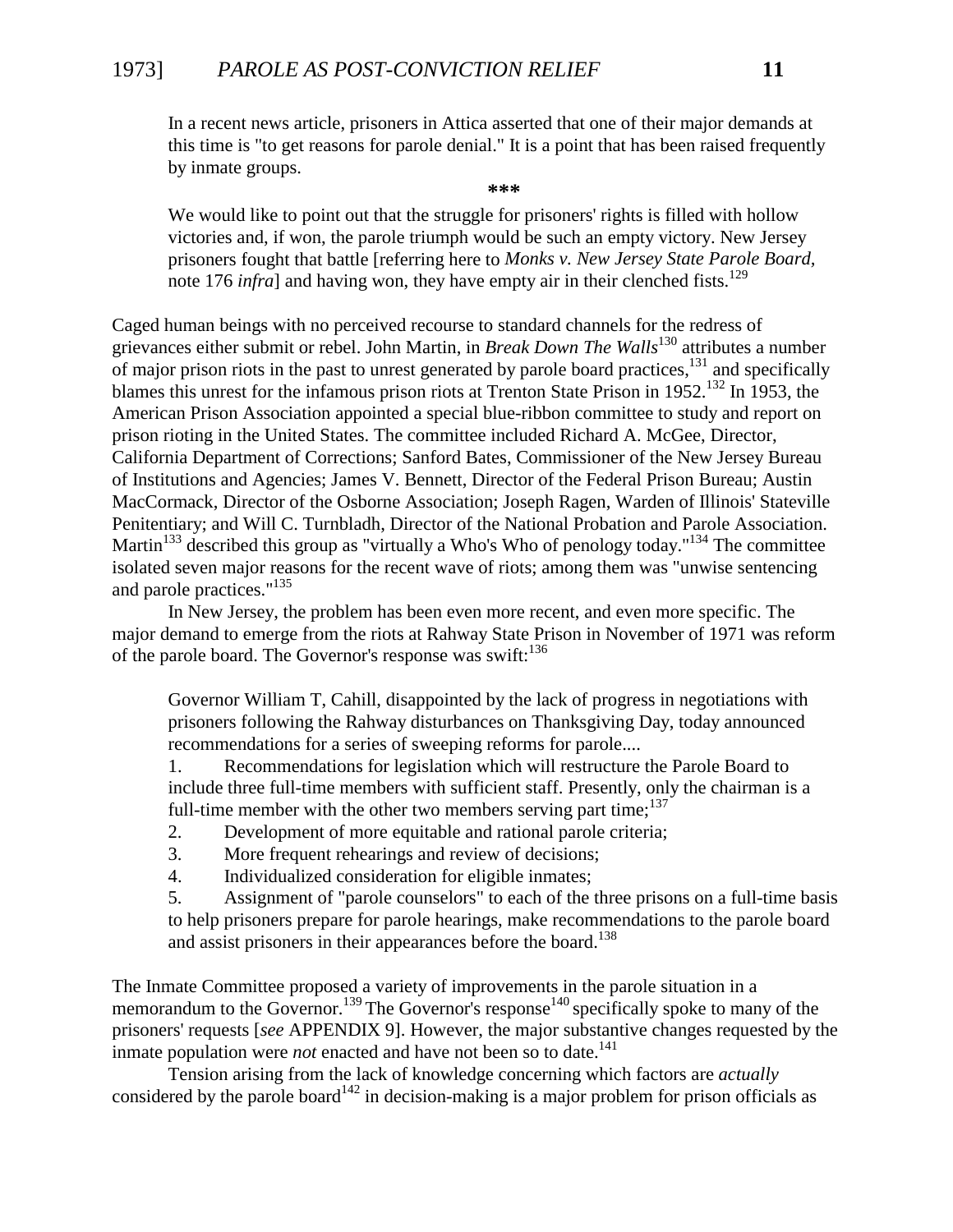## 1973] *PAROLE AS POST-CONVICTION RELIEF* **11**

In a recent news article, prisoners in Attica asserted that one of their major demands at this time is "to get reasons for parole denial." It is a point that has been raised frequently by inmate groups.

**\*\*\***

We would like to point out that the struggle for prisoners' rights is filled with hollow victories and, if won, the parole triumph would be such an empty victory. New Jersey prisoners fought that battle [referring here to *Monks v. New Jersey State Parole Board,* note 176 *infra*] and having won, they have empty air in their clenched fists.<sup>129</sup>

Caged human beings with no perceived recourse to standard channels for the redress of grievances either submit or rebel. John Martin, in *Break Down The Walls*<sup>130</sup> attributes a number of major prison riots in the past to unrest generated by parole board practices,<sup>131</sup> and specifically blames this unrest for the infamous prison riots at Trenton State Prison in 1952.<sup>132</sup> In 1953, the American Prison Association appointed a special blue-ribbon committee to study and report on prison rioting in the United States. The committee included Richard A. McGee, Director, California Department of Corrections; Sanford Bates, Commissioner of the New Jersey Bureau of Institutions and Agencies; James V. Bennett, Director of the Federal Prison Bureau; Austin MacCormack, Director of the Osborne Association; Joseph Ragen, Warden of Illinois' Stateville Penitentiary; and Will C. Turnbladh, Director of the National Probation and Parole Association. Martin<sup>133</sup> described this group as "virtually a Who's Who of penology today."<sup>134</sup> The committee isolated seven major reasons for the recent wave of riots; among them was "unwise sentencing and parole practices."135

In New Jersey, the problem has been even more recent, and even more specific. The major demand to emerge from the riots at Rahway State Prison in November of 1971 was reform of the parole board. The Governor's response was swift:  $136$ 

Governor William T, Cahill, disappointed by the lack of progress in negotiations with prisoners following the Rahway disturbances on Thanksgiving Day, today announced recommendations for a series of sweeping reforms for parole....

1. Recommendations for legislation which will restructure the Parole Board to include three full-time members with sufficient staff. Presently, only the chairman is a full-time member with the other two members serving part time; $137$ 

- 2. Development of more equitable and rational parole criteria;
- 3. More frequent rehearings and review of decisions;
- 4. Individualized consideration for eligible inmates;

5. Assignment of "parole counselors" to each of the three prisons on a full-time basis to help prisoners prepare for parole hearings, make recommendations to the parole board and assist prisoners in their appearances before the board.<sup>138</sup>

The Inmate Committee proposed a variety of improvements in the parole situation in a memorandum to the Governor.<sup>139</sup> The Governor's response<sup>140</sup> specifically spoke to many of the prisoners' requests [*see* APPENDIX 9]. However, the major substantive changes requested by the inmate population were *not* enacted and have not been so to date.<sup>141</sup>

Tension arising from the lack of knowledge concerning which factors are *actually* considered by the parole board<sup>142</sup> in decision-making is a major problem for prison officials as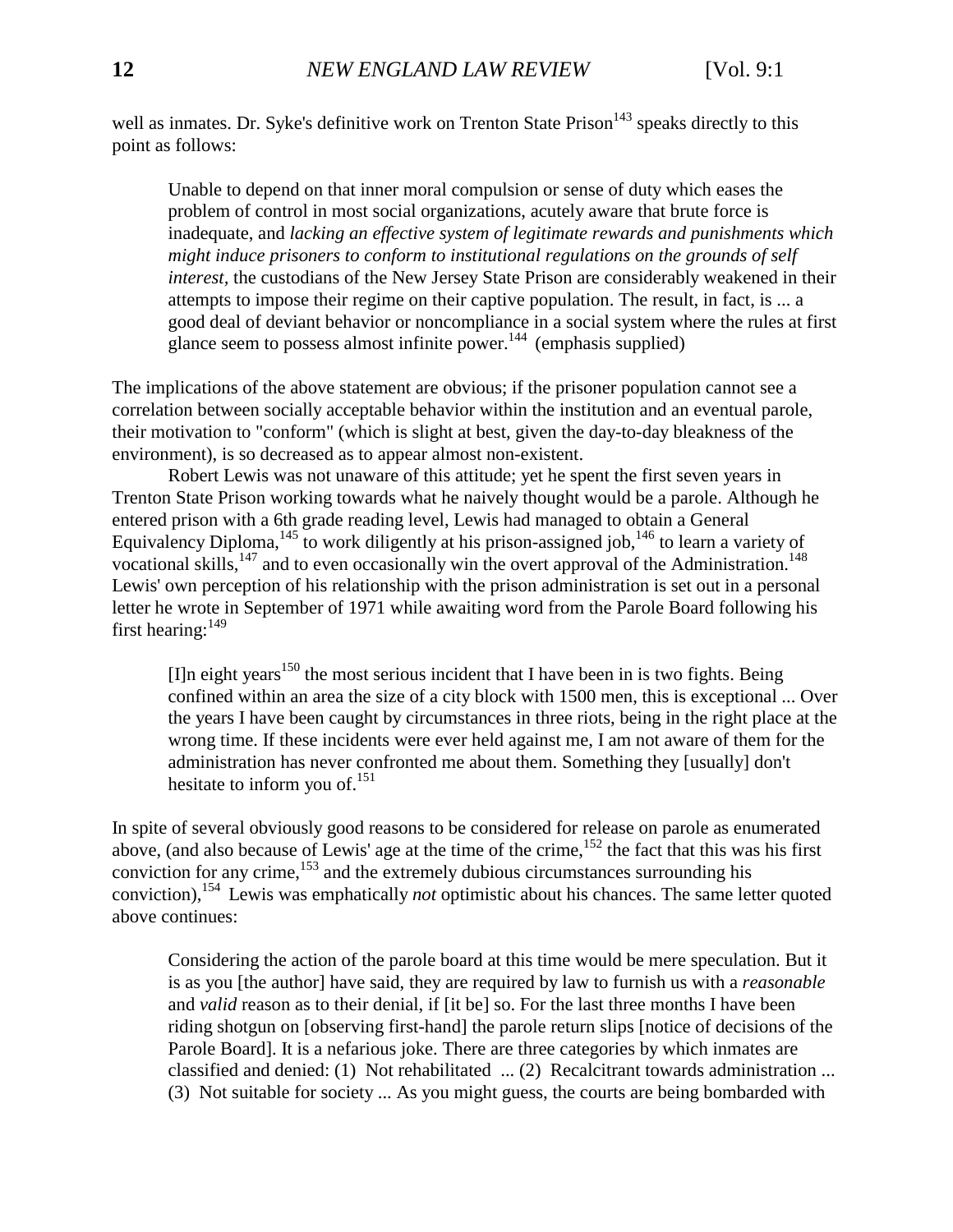well as inmates. Dr. Syke's definitive work on Trenton State Prison<sup>143</sup> speaks directly to this point as follows:

Unable to depend on that inner moral compulsion or sense of duty which eases the problem of control in most social organizations, acutely aware that brute force is inadequate, and *lacking an effective system of legitimate rewards and punishments which might induce prisoners to conform to institutional regulations on the grounds of self interest,* the custodians of the New Jersey State Prison are considerably weakened in their attempts to impose their regime on their captive population. The result, in fact, is ... a good deal of deviant behavior or noncompliance in a social system where the rules at first glance seem to possess almost infinite power.<sup>144</sup> (emphasis supplied)

The implications of the above statement are obvious; if the prisoner population cannot see a correlation between socially acceptable behavior within the institution and an eventual parole, their motivation to "conform" (which is slight at best, given the day-to-day bleakness of the environment), is so decreased as to appear almost non-existent.

Robert Lewis was not unaware of this attitude; yet he spent the first seven years in Trenton State Prison working towards what he naively thought would be a parole. Although he entered prison with a 6th grade reading level, Lewis had managed to obtain a General Equivalency Diploma,  $145$  to work diligently at his prison-assigned job,  $146$  to learn a variety of vocational skills,<sup>147</sup> and to even occasionally win the overt approval of the Administration.<sup>148</sup> Lewis' own perception of his relationship with the prison administration is set out in a personal letter he wrote in September of 1971 while awaiting word from the Parole Board following his first hearing:  $149$ 

[I]n eight years<sup>150</sup> the most serious incident that I have been in is two fights. Being confined within an area the size of a city block with 1500 men, this is exceptional ... Over the years I have been caught by circumstances in three riots, being in the right place at the wrong time. If these incidents were ever held against me, I am not aware of them for the administration has never confronted me about them. Something they [usually] don't hesitate to inform you of. $^{151}$ 

In spite of several obviously good reasons to be considered for release on parole as enumerated above, (and also because of Lewis' age at the time of the crime,<sup>152</sup> the fact that this was his first conviction for any crime, $153$  and the extremely dubious circumstances surrounding his conviction),154 Lewis was emphatically *not* optimistic about his chances. The same letter quoted above continues:

Considering the action of the parole board at this time would be mere speculation. But it is as you [the author] have said, they are required by law to furnish us with a *reasonable* and *valid* reason as to their denial, if [it be] so. For the last three months I have been riding shotgun on [observing first-hand] the parole return slips [notice of decisions of the Parole Board]. It is a nefarious joke. There are three categories by which inmates are classified and denied: (1) Not rehabilitated ... (2) Recalcitrant towards administration ... (3) Not suitable for society ... As you might guess, the courts are being bombarded with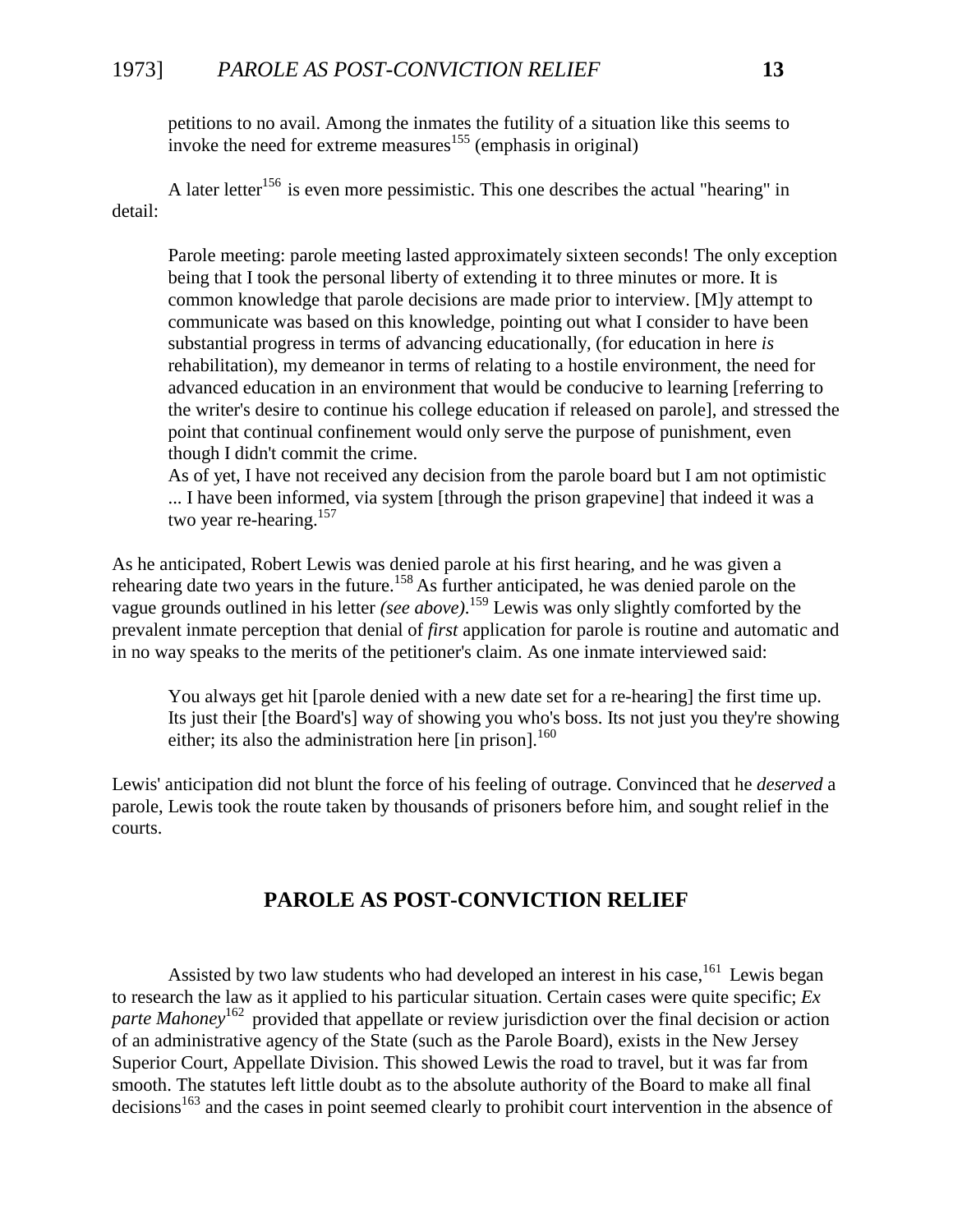## 1973] *PAROLE AS POST-CONVICTION RELIEF* **13**

petitions to no avail. Among the inmates the futility of a situation like this seems to invoke the need for extreme measures<sup>155</sup> (emphasis in original)

A later letter<sup>156</sup> is even more pessimistic. This one describes the actual "hearing" in detail:

Parole meeting: parole meeting lasted approximately sixteen seconds! The only exception being that I took the personal liberty of extending it to three minutes or more. It is common knowledge that parole decisions are made prior to interview. [M]y attempt to communicate was based on this knowledge, pointing out what I consider to have been substantial progress in terms of advancing educationally, (for education in here *is* rehabilitation), my demeanor in terms of relating to a hostile environment, the need for advanced education in an environment that would be conducive to learning [referring to the writer's desire to continue his college education if released on parole], and stressed the point that continual confinement would only serve the purpose of punishment, even though I didn't commit the crime.

As of yet, I have not received any decision from the parole board but I am not optimistic ... I have been informed, via system [through the prison grapevine] that indeed it was a two year re-hearing.<sup>157</sup>

<span id="page-14-0"></span>As he anticipated, Robert Lewis was denied parole at his first hearing, and he was given a rehearing date two years in the future.<sup>158</sup> As further anticipated, he was denied parole on the vague grounds outlined in his letter *(see above)*. 159 Lewis was only slightly comforted by the prevalent inmate perception that denial of *first* application for parole is routine and automatic and in no way speaks to the merits of the petitioner's claim. As one inmate interviewed said:

You always get hit [parole denied with a new date set for a re-hearing] the first time up. Its just their [the Board's] way of showing you who's boss. Its not just you they're showing either; its also the administration here [in prison].<sup>160</sup>

Lewis' anticipation did not blunt the force of his feeling of outrage. Convinced that he *deserved* a parole, Lewis took the route taken by thousands of prisoners before him, and sought relief in the courts.

## **PAROLE AS POST-CONVICTION RELIEF**

Assisted by two law students who had developed an interest in his case,  $161$  Lewis began to research the law as it applied to his particular situation. Certain cases were quite specific; *Ex* parte Mahoney<sup>162</sup> provided that appellate or review jurisdiction over the final decision or action of an administrative agency of the State (such as the Parole Board), exists in the New Jersey Superior Court, Appellate Division. This showed Lewis the road to travel, but it was far from smooth. The statutes left little doubt as to the absolute authority of the Board to make all final decisions<sup>163</sup> and the cases in point seemed clearly to prohibit court intervention in the absence of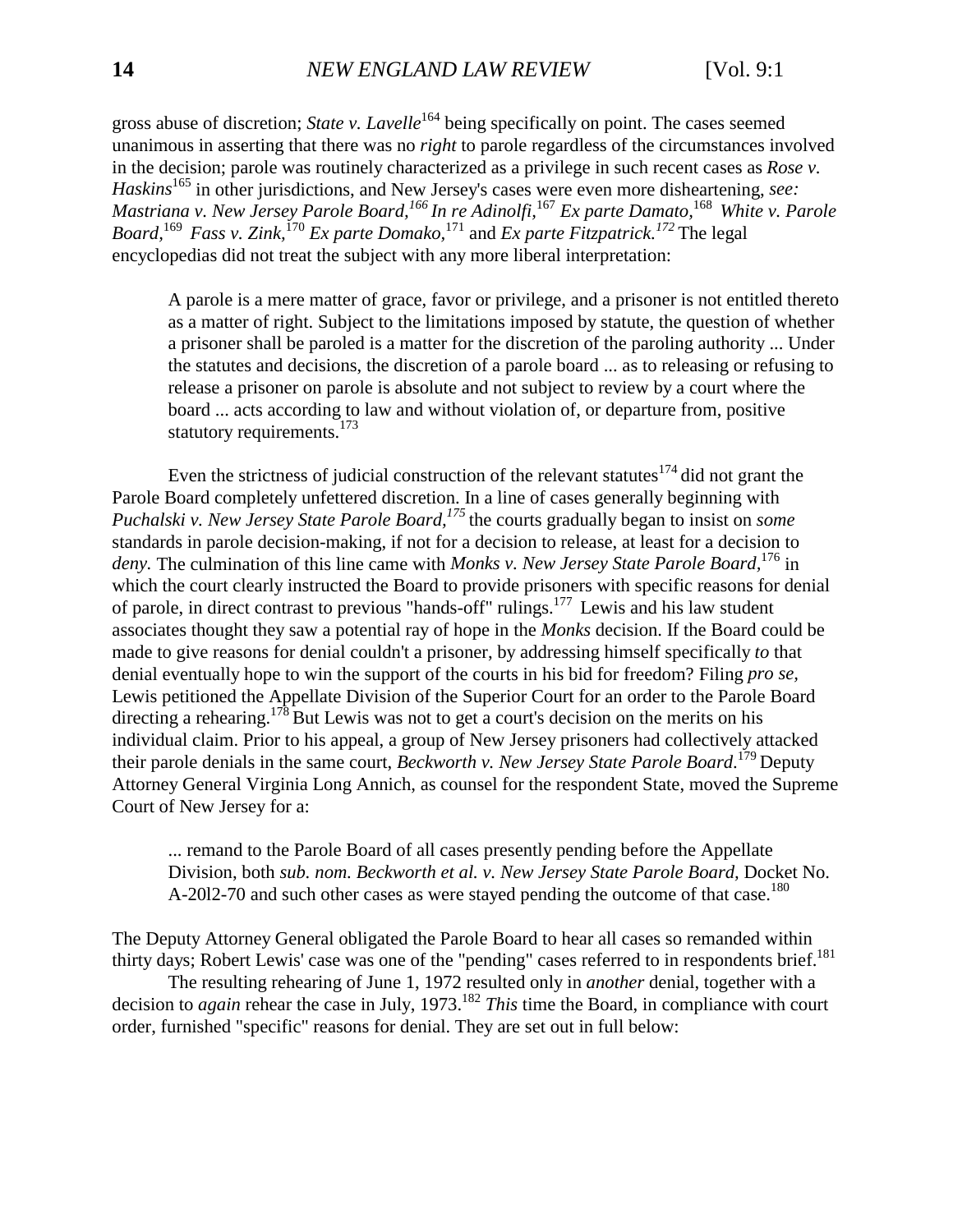gross abuse of discretion; *State v. Lavelle*<sup>164</sup> being specifically on point. The cases seemed unanimous in asserting that there was no *right* to parole regardless of the circumstances involved in the decision; parole was routinely characterized as a privilege in such recent cases as *Rose v. Haskins*<sup>165</sup> in other jurisdictions, and New Jersey's cases were even more disheartening, *see: Mastriana v. New Jersey Parole Board,166 In re Adinolfi,*<sup>167</sup> *Ex parte Damato,*<sup>168</sup> *White v. Parole Board,*<sup>169</sup> *Fass v. Zink,*<sup>170</sup> *Ex parte Domako,*<sup>171</sup> and *Ex parte Fitzpatrick.<sup>172</sup>*The legal encyclopedias did not treat the subject with any more liberal interpretation:

A parole is a mere matter of grace, favor or privilege, and a prisoner is not entitled thereto as a matter of right. Subject to the limitations imposed by statute, the question of whether a prisoner shall be paroled is a matter for the discretion of the paroling authority ... Under the statutes and decisions, the discretion of a parole board ... as to releasing or refusing to release a prisoner on parole is absolute and not subject to review by a court where the board ... acts according to law and without violation of, or departure from, positive statutory requirements. $173$ 

Even the strictness of judicial construction of the relevant statutes $174$  did not grant the Parole Board completely unfettered discretion. In a line of cases generally beginning with *Puchalski v. New Jersey State Parole Board,*<sup>175</sup> the courts gradually began to insist on *some* standards in parole decision-making, if not for a decision to release, at least for a decision to *deny.* The culmination of this line came with *Monks v. New Jersey State Parole Board,*<sup>176</sup> in which the court clearly instructed the Board to provide prisoners with specific reasons for denial of parole, in direct contrast to previous "hands-off" rulings.<sup>177</sup> Lewis and his law student associates thought they saw a potential ray of hope in the *Monks* decision. If the Board could be made to give reasons for denial couldn't a prisoner, by addressing himself specifically *to* that denial eventually hope to win the support of the courts in his bid for freedom? Filing *pro se,* Lewis petitioned the Appellate Division of the Superior Court for an order to the Parole Board directing a rehearing.<sup>178</sup> But Lewis was not to get a court's decision on the merits on his individual claim. Prior to his appeal, a group of New Jersey prisoners had collectively attacked their parole denials in the same court, *Beckworth v. New Jersey State Parole Board*. 179 Deputy Attorney General Virginia Long Annich, as counsel for the respondent State, moved the Supreme Court of New Jersey for a:

... remand to the Parole Board of all cases presently pending before the Appellate Division, both *sub. nom. Beckworth et al. v. New Jersey State Parole Board*, Docket No. A-2012-70 and such other cases as were stayed pending the outcome of that case.<sup>180</sup>

The Deputy Attorney General obligated the Parole Board to hear all cases so remanded within thirty days; Robert Lewis' case was one of the "pending" cases referred to in respondents brief.<sup>181</sup>

The resulting rehearing of June 1, 1972 resulted only in *another* denial, together with a decision to *again* rehear the case in July, 1973.<sup>182</sup> *This* time the Board, in compliance with court order, furnished "specific" reasons for denial. They are set out in full below: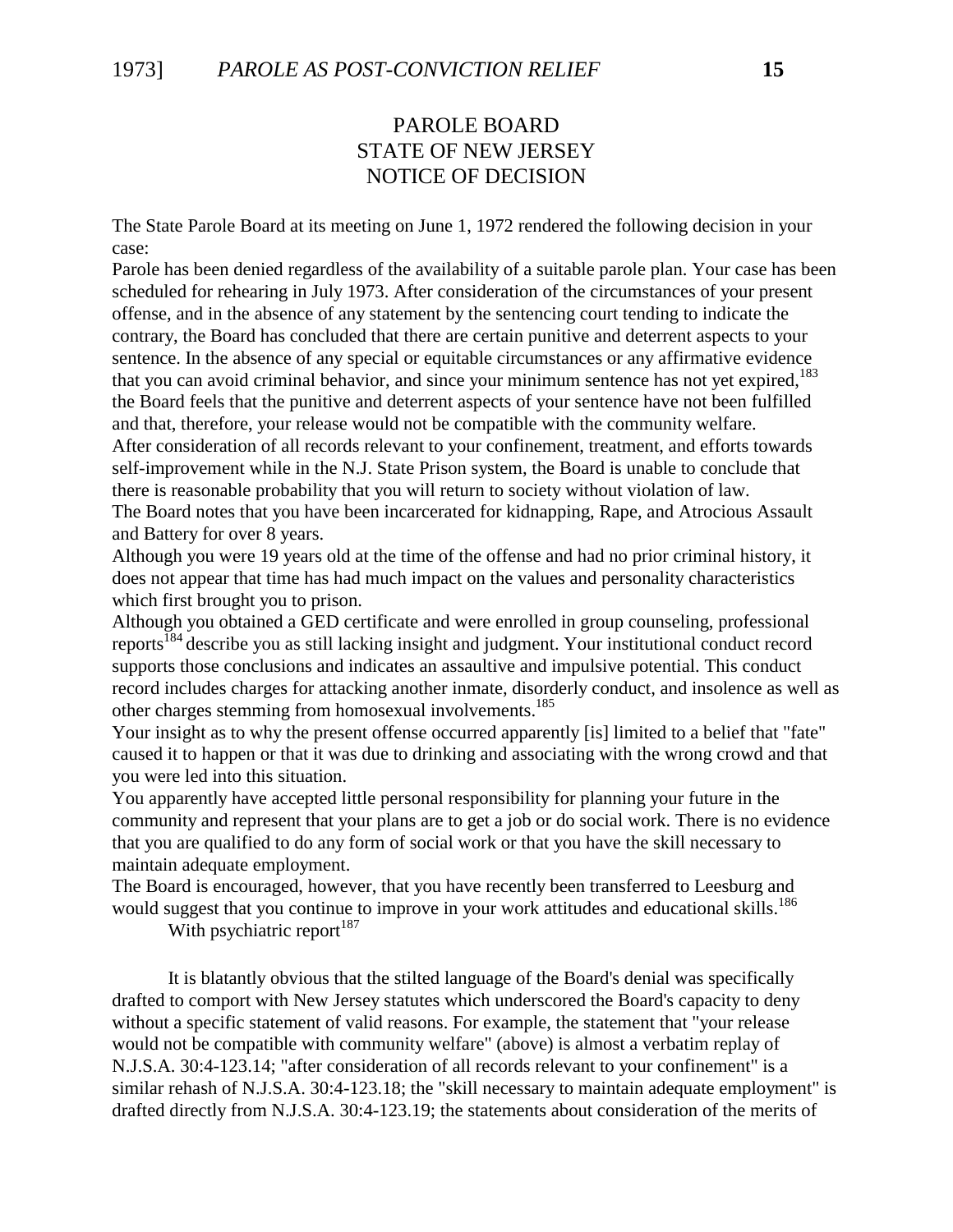## PAROLE BOARD STATE OF NEW JERSEY NOTICE OF DECISION

The State Parole Board at its meeting on June 1, 1972 rendered the following decision in your case:

Parole has been denied regardless of the availability of a suitable parole plan. Your case has been scheduled for rehearing in July 1973. After consideration of the circumstances of your present offense, and in the absence of any statement by the sentencing court tending to indicate the contrary, the Board has concluded that there are certain punitive and deterrent aspects to your sentence. In the absence of any special or equitable circumstances or any affirmative evidence that you can avoid criminal behavior, and since your minimum sentence has not yet expired,<sup>183</sup> the Board feels that the punitive and deterrent aspects of your sentence have not been fulfilled and that, therefore, your release would not be compatible with the community welfare.

After consideration of all records relevant to your confinement, treatment, and efforts towards self-improvement while in the N.J. State Prison system, the Board is unable to conclude that there is reasonable probability that you will return to society without violation of law.

The Board notes that you have been incarcerated for kidnapping, Rape, and Atrocious Assault and Battery for over 8 years.

Although you were 19 years old at the time of the offense and had no prior criminal history, it does not appear that time has had much impact on the values and personality characteristics which first brought you to prison.

Although you obtained a GED certificate and were enrolled in group counseling, professional reports<sup>184</sup> describe you as still lacking insight and judgment. Your institutional conduct record supports those conclusions and indicates an assaultive and impulsive potential. This conduct record includes charges for attacking another inmate, disorderly conduct, and insolence as well as other charges stemming from homosexual involvements.<sup>185</sup>

Your insight as to why the present offense occurred apparently [is] limited to a belief that "fate" caused it to happen or that it was due to drinking and associating with the wrong crowd and that you were led into this situation.

You apparently have accepted little personal responsibility for planning your future in the community and represent that your plans are to get a job or do social work. There is no evidence that you are qualified to do any form of social work or that you have the skill necessary to maintain adequate employment.

The Board is encouraged, however, that you have recently been transferred to Leesburg and would suggest that you continue to improve in your work attitudes and educational skills.<sup>186</sup>

With psychiatric report<sup>187</sup>

It is blatantly obvious that the stilted language of the Board's denial was specifically drafted to comport with New Jersey statutes which underscored the Board's capacity to deny without a specific statement of valid reasons. For example, the statement that "your release would not be compatible with community welfare" (above) is almost a verbatim replay of N.J.S.A. 30:4-123.14; "after consideration of all records relevant to your confinement" is a similar rehash of N.J.S.A. 30:4-123.18; the "skill necessary to maintain adequate employment" is drafted directly from N.J.S.A. 30:4-123.19; the statements about consideration of the merits of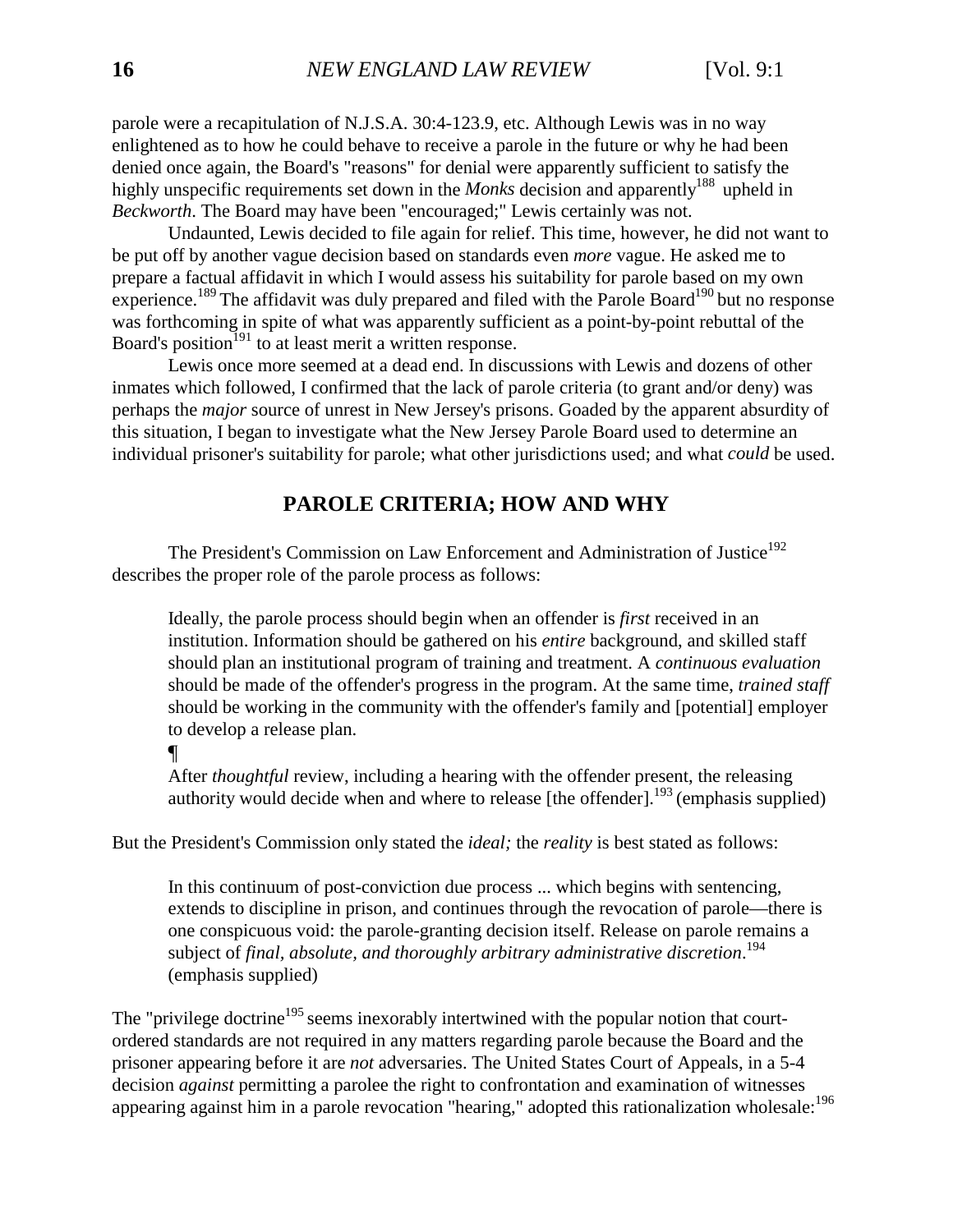parole were a recapitulation of N.J.S.A. 30:4-123.9, etc. Although Lewis was in no way enlightened as to how he could behave to receive a parole in the future or why he had been denied once again, the Board's "reasons" for denial were apparently sufficient to satisfy the highly unspecific requirements set down in the *Monks* decision and apparently<sup>188</sup> upheld in *Beckworth*. The Board may have been "encouraged;" Lewis certainly was not.

Undaunted, Lewis decided to file again for relief. This time, however, he did not want to be put off by another vague decision based on standards even *more* vague. He asked me to prepare a factual affidavit in which I would assess his suitability for parole based on my own experience.<sup>189</sup> The affidavit was duly prepared and filed with the Parole Board<sup>190</sup> but no response was forthcoming in spite of what was apparently sufficient as a point-by-point rebuttal of the Board's position<sup> $191$ </sup> to at least merit a written response.

Lewis once more seemed at a dead end. In discussions with Lewis and dozens of other inmates which followed, I confirmed that the lack of parole criteria (to grant and/or deny) was perhaps the *major* source of unrest in New Jersey's prisons. Goaded by the apparent absurdity of this situation, I began to investigate what the New Jersey Parole Board used to determine an individual prisoner's suitability for parole; what other jurisdictions used; and what *could* be used.

## **PAROLE CRITERIA; HOW AND WHY**

<span id="page-17-0"></span>The President's Commission on Law Enforcement and Administration of Justice<sup>192</sup> describes the proper role of the parole process as follows:

Ideally, the parole process should begin when an offender is *first* received in an institution. Information should be gathered on his *entire* background, and skilled staff should plan an institutional program of training and treatment. A *continuous evaluation* should be made of the offender's progress in the program. At the same time, *trained staff* should be working in the community with the offender's family and [potential] employer to develop a release plan.

#### $\P$

After *thoughtful* review, including a hearing with the offender present, the releasing authority would decide when and where to release [the offender].<sup>193</sup> (emphasis supplied)

But the President's Commission only stated the *ideal;* the *reality* is best stated as follows:

In this continuum of post-conviction due process ... which begins with sentencing, extends to discipline in prison, and continues through the revocation of parole—there is one conspicuous void: the parole-granting decision itself. Release on parole remains a subject of *final, absolute, and thoroughly arbitrary administrative discretion*. 194 (emphasis supplied)

The "privilege doctrine<sup>195</sup> seems inexorably intertwined with the popular notion that courtordered standards are not required in any matters regarding parole because the Board and the prisoner appearing before it are *not* adversaries. The United States Court of Appeals, in a 5-4 decision *against* permitting a parolee the right to confrontation and examination of witnesses appearing against him in a parole revocation "hearing," adopted this rationalization wholesale:<sup>196</sup>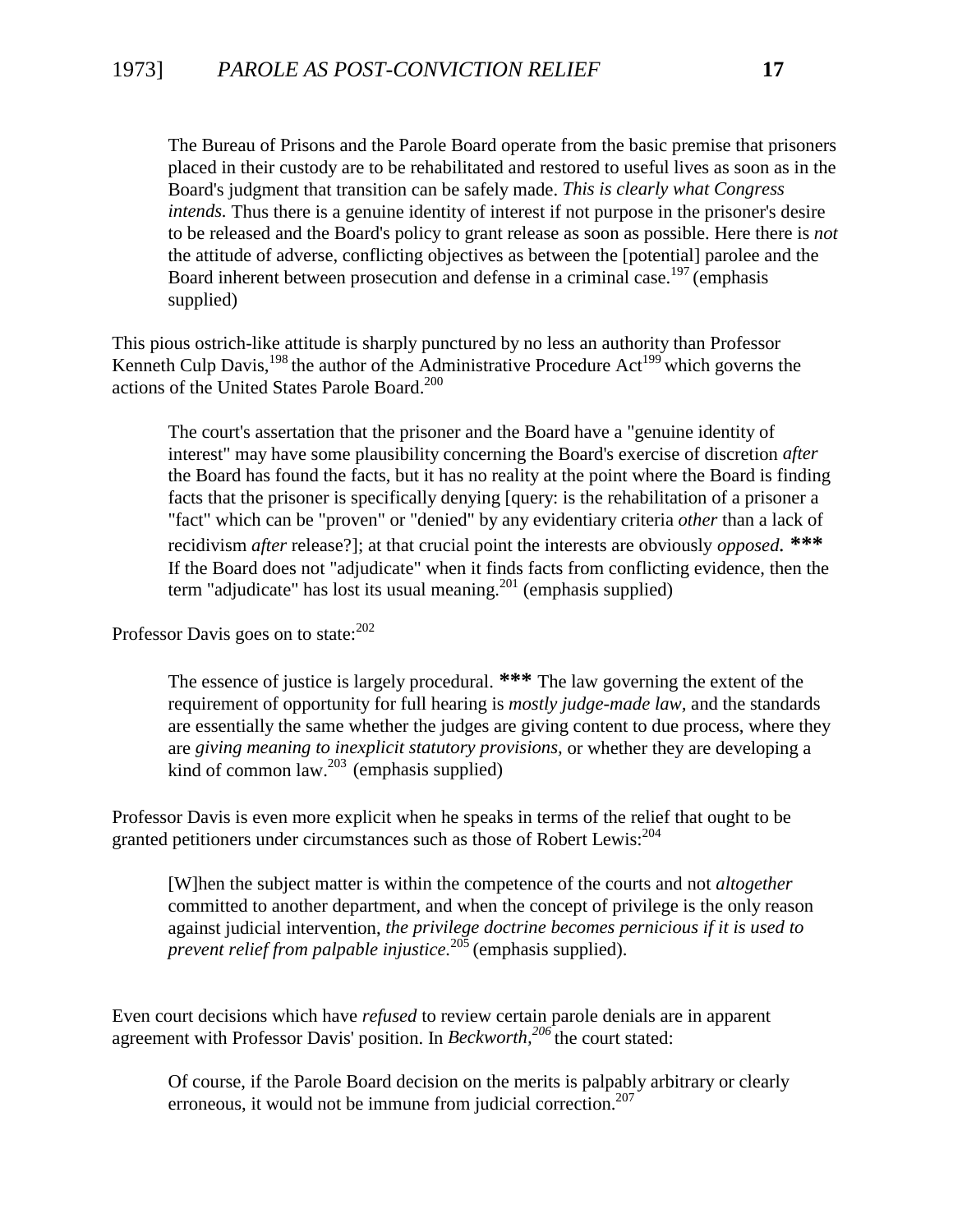The Bureau of Prisons and the Parole Board operate from the basic premise that prisoners placed in their custody are to be rehabilitated and restored to useful lives as soon as in the Board's judgment that transition can be safely made. *This is clearly what Congress intends.* Thus there is a genuine identity of interest if not purpose in the prisoner's desire to be released and the Board's policy to grant release as soon as possible. Here there is *not* the attitude of adverse, conflicting objectives as between the [potential] parolee and the Board inherent between prosecution and defense in a criminal case.<sup>197</sup> (emphasis supplied)

This pious ostrich-like attitude is sharply punctured by no less an authority than Professor Kenneth Culp Davis,<sup>198</sup> the author of the Administrative Procedure Act<sup>199</sup> which governs the actions of the United States Parole Board.200

The court's assertation that the prisoner and the Board have a "genuine identity of interest" may have some plausibility concerning the Board's exercise of discretion *after* the Board has found the facts, but it has no reality at the point where the Board is finding facts that the prisoner is specifically denying [query: is the rehabilitation of a prisoner a "fact" which can be "proven" or "denied" by any evidentiary criteria *other* than a lack of recidivism *after* release?]; at that crucial point the interests are obviously *opposed.* **\*\*\*** If the Board does not "adjudicate" when it finds facts from conflicting evidence, then the term "adjudicate" has lost its usual meaning.<sup>201</sup> (emphasis supplied)

Professor Davis goes on to state: $202$ 

The essence of justice is largely procedural. **\*\*\*** The law governing the extent of the requirement of opportunity for full hearing is *mostly judge-made law,* and the standards are essentially the same whether the judges are giving content to due process, where they are *giving meaning to inexplicit statutory provisions,* or whether they are developing a kind of common law.<sup>203</sup> (emphasis supplied)

Professor Davis is even more explicit when he speaks in terms of the relief that ought to be granted petitioners under circumstances such as those of Robert Lewis:<sup>204</sup>

[W]hen the subject matter is within the competence of the courts and not *altogether* committed to another department, and when the concept of privilege is the only reason against judicial intervention, *the privilege doctrine becomes pernicious if it is used to prevent relief from palpable injustice.*<sup>205</sup> (emphasis supplied).

Even court decisions which have *refused* to review certain parole denials are in apparent agreement with Professor Davis' position. In *Beckworth*,<sup>206</sup>the court stated:

Of course, if the Parole Board decision on the merits is palpably arbitrary or clearly erroneous, it would not be immune from judicial correction. $207$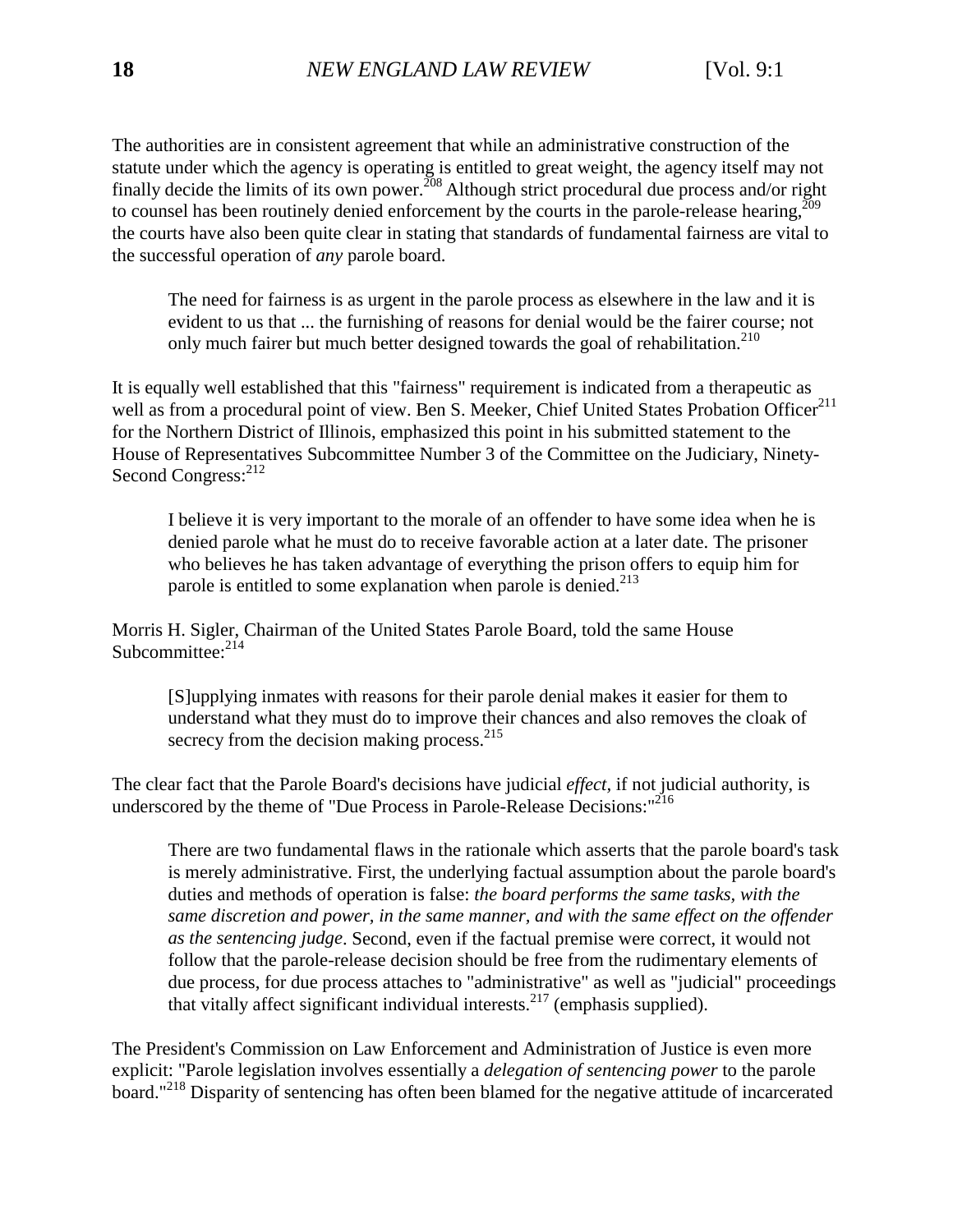The authorities are in consistent agreement that while an administrative construction of the statute under which the agency is operating is entitled to great weight, the agency itself may not finally decide the limits of its own power.<sup>208</sup> Although strict procedural due process and/or right to counsel has been routinely denied enforcement by the courts in the parole-release hearing, $^{209}$ the courts have also been quite clear in stating that standards of fundamental fairness are vital to the successful operation of *any* parole board.

The need for fairness is as urgent in the parole process as elsewhere in the law and it is evident to us that ... the furnishing of reasons for denial would be the fairer course; not only much fairer but much better designed towards the goal of rehabilitation.<sup>210</sup>

It is equally well established that this "fairness" requirement is indicated from a therapeutic as well as from a procedural point of view. Ben S. Meeker, Chief United States Probation Officer<sup>211</sup> for the Northern District of Illinois, emphasized this point in his submitted statement to the House of Representatives Subcommittee Number 3 of the Committee on the Judiciary, Ninety-Second Congress:<sup>212</sup>

I believe it is very important to the morale of an offender to have some idea when he is denied parole what he must do to receive favorable action at a later date. The prisoner who believes he has taken advantage of everything the prison offers to equip him for parole is entitled to some explanation when parole is denied.<sup>213</sup>

Morris H. Sigler, Chairman of the United States Parole Board, told the same House Subcommittee: $2^{14}$ 

[S]upplying inmates with reasons for their parole denial makes it easier for them to understand what they must do to improve their chances and also removes the cloak of secrecy from the decision making process.<sup>215</sup>

The clear fact that the Parole Board's decisions have judicial *effect,* if not judicial authority, is underscored by the theme of "Due Process in Parole-Release Decisions:"<sup>216</sup>

There are two fundamental flaws in the rationale which asserts that the parole board's task is merely administrative. First, the underlying factual assumption about the parole board's duties and methods of operation is false: *the board performs the same tasks, with the same discretion and power, in the same manner, and with the same effect on the offender as the sentencing judge*. Second, even if the factual premise were correct, it would not follow that the parole-release decision should be free from the rudimentary elements of due process, for due process attaches to "administrative" as well as "judicial" proceedings that vitally affect significant individual interests. $217$  (emphasis supplied).

The President's Commission on Law Enforcement and Administration of Justice is even more explicit: "Parole legislation involves essentially a *delegation of sentencing power* to the parole board."218 Disparity of sentencing has often been blamed for the negative attitude of incarcerated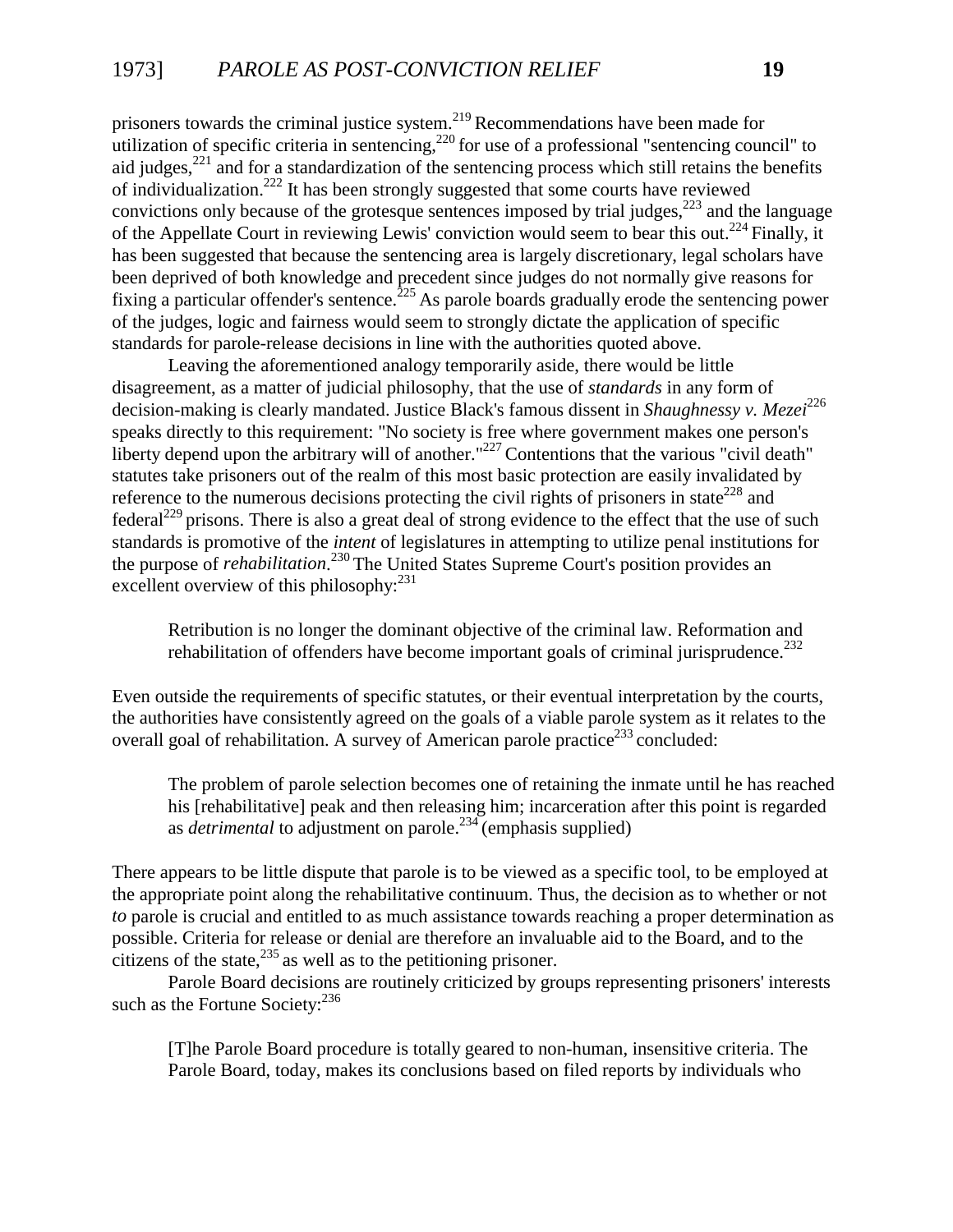prisoners towards the criminal justice system.<sup>219</sup> Recommendations have been made for utilization of specific criteria in sentencing,<sup>220</sup> for use of a professional "sentencing council" to aid judges, $^{221}$  and for a standardization of the sentencing process which still retains the benefits of individualization.222 It has been strongly suggested that some courts have reviewed convictions only because of the grotesque sentences imposed by trial judges, $223$  and the language of the Appellate Court in reviewing Lewis' conviction would seem to bear this out.<sup>224</sup> Finally, it has been suggested that because the sentencing area is largely discretionary, legal scholars have been deprived of both knowledge and precedent since judges do not normally give reasons for fixing a particular offender's sentence.<sup>225</sup> As parole boards gradually erode the sentencing power of the judges, logic and fairness would seem to strongly dictate the application of specific standards for parole-release decisions in line with the authorities quoted above.

Leaving the aforementioned analogy temporarily aside, there would be little disagreement, as a matter of judicial philosophy, that the use of *standards* in any form of decision-making is clearly mandated. Justice Black's famous dissent in *Shaughnessy v. Mezei*<sup>226</sup> speaks directly to this requirement: "No society is free where government makes one person's liberty depend upon the arbitrary will of another."<sup>227</sup> Contentions that the various "civil death" statutes take prisoners out of the realm of this most basic protection are easily invalidated by reference to the numerous decisions protecting the civil rights of prisoners in state<sup>228</sup> and federal<sup>229</sup> prisons. There is also a great deal of strong evidence to the effect that the use of such standards is promotive of the *intent* of legislatures in attempting to utilize penal institutions for the purpose of *rehabilitation*. <sup>230</sup> The United States Supreme Court's position provides an excellent overview of this philosophy:<sup>231</sup>

Retribution is no longer the dominant objective of the criminal law. Reformation and rehabilitation of offenders have become important goals of criminal jurisprudence.<sup>232</sup>

Even outside the requirements of specific statutes, or their eventual interpretation by the courts, the authorities have consistently agreed on the goals of a viable parole system as it relates to the overall goal of rehabilitation. A survey of American parole practice<sup>233</sup> concluded:

The problem of parole selection becomes one of retaining the inmate until he has reached his [rehabilitative] peak and then releasing him; incarceration after this point is regarded as *detrimental* to adjustment on parole.234 (emphasis supplied)

There appears to be little dispute that parole is to be viewed as a specific tool, to be employed at the appropriate point along the rehabilitative continuum. Thus, the decision as to whether or not *to* parole is crucial and entitled to as much assistance towards reaching a proper determination as possible. Criteria for release or denial are therefore an invaluable aid to the Board, and to the citizens of the state,  $^{235}$  as well as to the petitioning prisoner.

Parole Board decisions are routinely criticized by groups representing prisoners' interests such as the Fortune Society: $^{236}$ 

[T]he Parole Board procedure is totally geared to non-human, insensitive criteria. The Parole Board, today, makes its conclusions based on filed reports by individuals who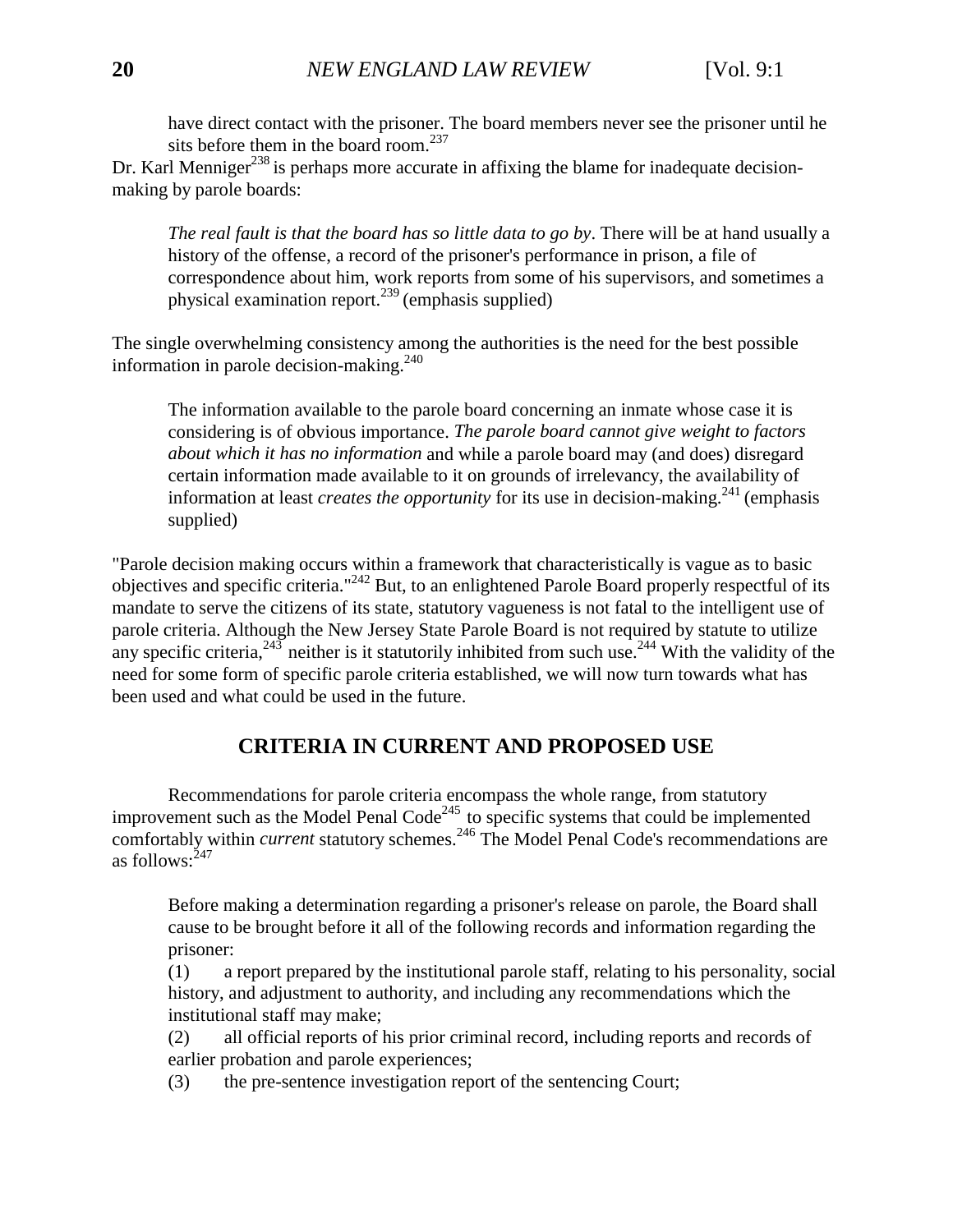have direct contact with the prisoner. The board members never see the prisoner until he sits before them in the board room. $^{237}$ 

Dr. Karl Menniger<sup>238</sup> is perhaps more accurate in affixing the blame for inadequate decisionmaking by parole boards:

*The real fault is that the board has so little data to go by*. There will be at hand usually a history of the offense, a record of the prisoner's performance in prison, a file of correspondence about him, work reports from some of his supervisors, and sometimes a physical examination report.<sup>239</sup> (emphasis supplied)

The single overwhelming consistency among the authorities is the need for the best possible information in parole decision-making.<sup>240</sup>

The information available to the parole board concerning an inmate whose case it is considering is of obvious importance. *The parole board cannot give weight to factors about which it has no information* and while a parole board may (and does) disregard certain information made available to it on grounds of irrelevancy, the availability of information at least *creates the opportunity* for its use in decision-making.<sup>241</sup> (emphasis supplied)

<span id="page-21-0"></span>"Parole decision making occurs within a framework that characteristically is vague as to basic objectives and specific criteria."242 But, to an enlightened Parole Board properly respectful of its mandate to serve the citizens of its state, statutory vagueness is not fatal to the intelligent use of parole criteria. Although the New Jersey State Parole Board is not required by statute to utilize any specific criteria,  $243$  neither is it statutorily inhibited from such use.  $244$  With the validity of the need for some form of specific parole criteria established, we will now turn towards what has been used and what could be used in the future.

## **CRITERIA IN CURRENT AND PROPOSED USE**

Recommendations for parole criteria encompass the whole range, from statutory improvement such as the Model Penal Code<sup>245</sup> to specific systems that could be implemented comfortably within *current* statutory schemes.<sup>246</sup> The Model Penal Code's recommendations are as follows: $^{247}$ 

Before making a determination regarding a prisoner's release on parole, the Board shall cause to be brought before it all of the following records and information regarding the prisoner:

(1) a report prepared by the institutional parole staff, relating to his personality, social history, and adjustment to authority, and including any recommendations which the institutional staff may make;

(2) all official reports of his prior criminal record, including reports and records of earlier probation and parole experiences;

(3) the pre-sentence investigation report of the sentencing Court;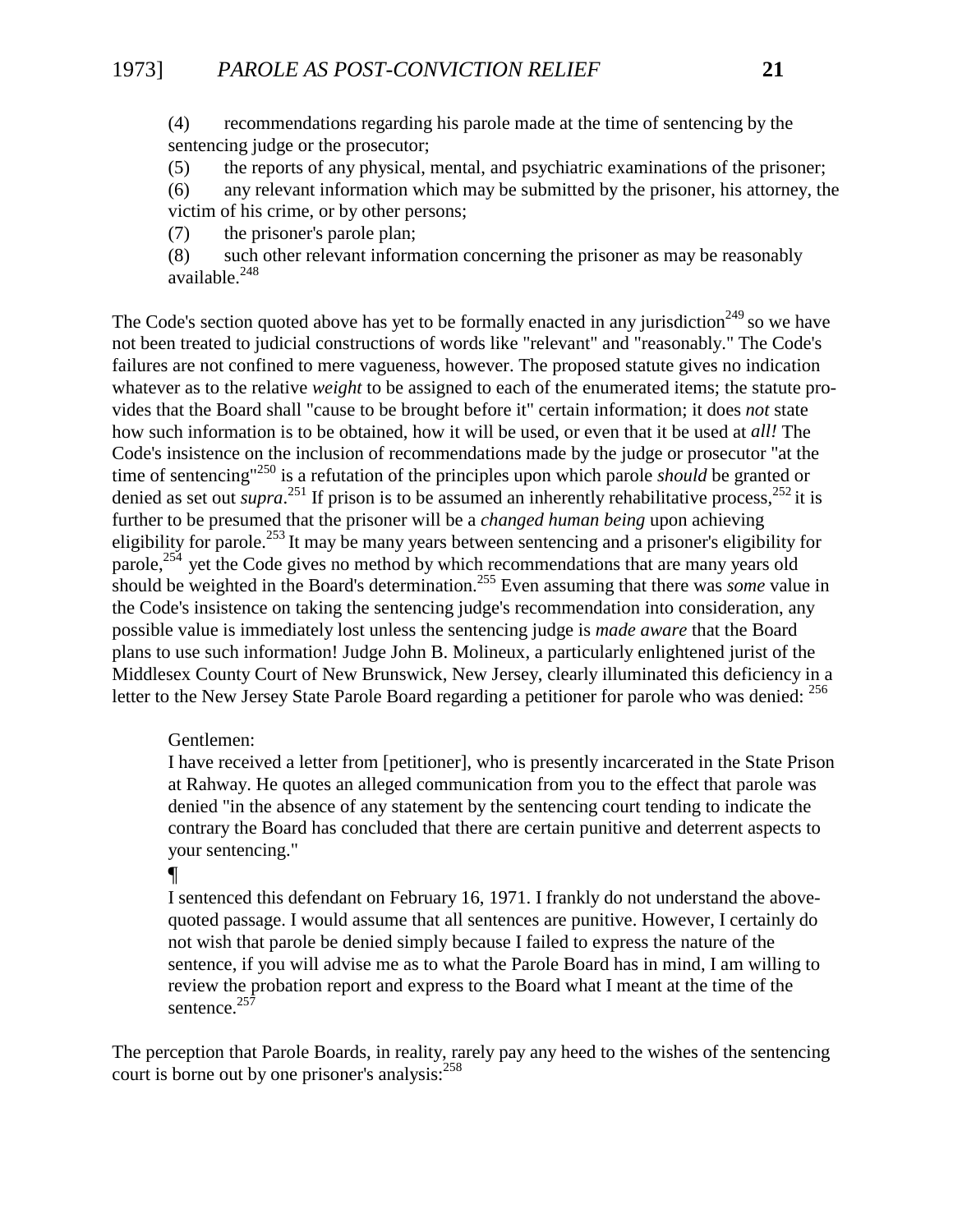(4) recommendations regarding his parole made at the time of sentencing by the sentencing judge or the prosecutor;

(5) the reports of any physical, mental, and psychiatric examinations of the prisoner;

(6) any relevant information which may be submitted by the prisoner, his attorney, the victim of his crime, or by other persons;

(7) the prisoner's parole plan;

(8) such other relevant information concerning the prisoner as may be reasonably available. $248$ 

The Code's section quoted above has yet to be formally enacted in any jurisdiction<sup>249</sup> so we have not been treated to judicial constructions of words like "relevant" and "reasonably." The Code's failures are not confined to mere vagueness, however. The proposed statute gives no indication whatever as to the relative *weight* to be assigned to each of the enumerated items; the statute provides that the Board shall "cause to be brought before it" certain information; it does *not* state how such information is to be obtained, how it will be used, or even that it be used at *all!* The Code's insistence on the inclusion of recommendations made by the judge or prosecutor "at the time of sentencing"250 is a refutation of the principles upon which parole *should* be granted or denied as set out *supra*.<sup>251</sup> If prison is to be assumed an inherently rehabilitative process,<sup>252</sup> it is further to be presumed that the prisoner will be a *changed human being* upon achieving eligibility for parole.253 It may be many years between sentencing and a prisoner's eligibility for parole,<sup>254</sup> yet the Code gives no method by which recommendations that are many years old should be weighted in the Board's determination.255 Even assuming that there was *some* value in the Code's insistence on taking the sentencing judge's recommendation into consideration, any possible value is immediately lost unless the sentencing judge is *made aware* that the Board plans to use such information! Judge John B. Molineux, a particularly enlightened jurist of the Middlesex County Court of New Brunswick, New Jersey, clearly illuminated this deficiency in a letter to the New Jersey State Parole Board regarding a petitioner for parole who was denied: <sup>256</sup>

#### Gentlemen:

I have received a letter from [petitioner], who is presently incarcerated in the State Prison at Rahway. He quotes an alleged communication from you to the effect that parole was denied "in the absence of any statement by the sentencing court tending to indicate the contrary the Board has concluded that there are certain punitive and deterrent aspects to your sentencing."

## ¶

I sentenced this defendant on February 16, 1971. I frankly do not understand the abovequoted passage. I would assume that all sentences are punitive. However, I certainly do not wish that parole be denied simply because I failed to express the nature of the sentence, if you will advise me as to what the Parole Board has in mind, I am willing to review the probation report and express to the Board what I meant at the time of the sentence.<sup>257</sup>

The perception that Parole Boards, in reality, rarely pay any heed to the wishes of the sentencing court is borne out by one prisoner's analysis: $258$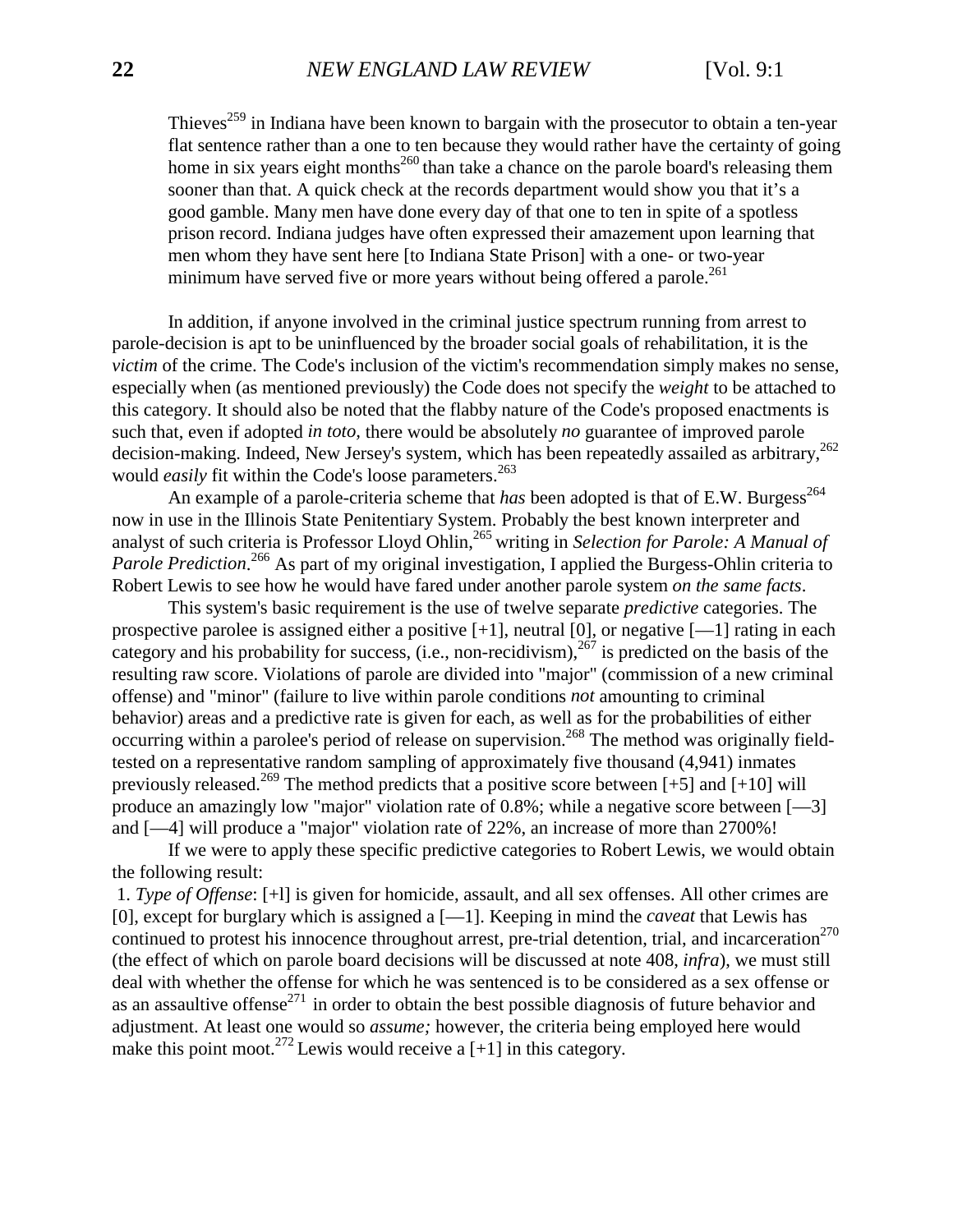Thieves<sup>259</sup> in Indiana have been known to bargain with the prosecutor to obtain a ten-year flat sentence rather than a one to ten because they would rather have the certainty of going home in six years eight months<sup>260</sup> than take a chance on the parole board's releasing them sooner than that. A quick check at the records department would show you that it's a good gamble. Many men have done every day of that one to ten in spite of a spotless prison record. Indiana judges have often expressed their amazement upon learning that men whom they have sent here [to Indiana State Prison] with a one- or two-year minimum have served five or more years without being offered a parole.<sup>261</sup>

In addition, if anyone involved in the criminal justice spectrum running from arrest to parole-decision is apt to be uninfluenced by the broader social goals of rehabilitation, it is the *victim* of the crime. The Code's inclusion of the victim's recommendation simply makes no sense, especially when (as mentioned previously) the Code does not specify the *weight* to be attached to this category. It should also be noted that the flabby nature of the Code's proposed enactments is such that, even if adopted *in toto,* there would be absolutely *no* guarantee of improved parole decision-making. Indeed, New Jersey's system, which has been repeatedly assailed as arbitrary,<sup>262</sup> would *easily* fit within the Code's loose parameters.<sup>263</sup>

An example of a parole-criteria scheme that *has* been adopted is that of E.W. Burgess<sup>264</sup> now in use in the Illinois State Penitentiary System. Probably the best known interpreter and analyst of such criteria is Professor Lloyd Ohlin,<sup>265</sup> writing in *Selection for Parole: A Manual of* Parole Prediction.<sup>266</sup> As part of my original investigation, I applied the Burgess-Ohlin criteria to Robert Lewis to see how he would have fared under another parole system *on the same facts*.

This system's basic requirement is the use of twelve separate *predictive* categories. The prospective parolee is assigned either a positive  $[+1]$ , neutral  $[0]$ , or negative  $[-1]$  rating in each category and his probability for success, (i.e., non-recidivism),  $267$  is predicted on the basis of the resulting raw score. Violations of parole are divided into "major" (commission of a new criminal offense) and "minor" (failure to live within parole conditions *not* amounting to criminal behavior) areas and a predictive rate is given for each, as well as for the probabilities of either occurring within a parolee's period of release on supervision.<sup>268</sup> The method was originally fieldtested on a representative random sampling of approximately five thousand (4,941) inmates previously released.<sup>269</sup> The method predicts that a positive score between [+5] and [+10] will produce an amazingly low "major" violation rate of 0.8%; while a negative score between [—3] and [—4] will produce a "major" violation rate of 22%, an increase of more than 2700%!

If we were to apply these specific predictive categories to Robert Lewis, we would obtain the following result:

 1. *Type of Offense*: [+l] is given for homicide, assault, and all sex offenses. All other crimes are [0], except for burglary which is assigned a [—1]. Keeping in mind the *caveat* that Lewis has continued to protest his innocence throughout arrest, pre-trial detention, trial, and incarceration<sup>270</sup> (the effect of which on parole board decisions will be discussed at note 408, *infra*), we must still deal with whether the offense for which he was sentenced is to be considered as a sex offense or as an assaultive offense<sup>271</sup> in order to obtain the best possible diagnosis of future behavior and adjustment. At least one would so *assume;* however, the criteria being employed here would make this point moot.<sup>272</sup> Lewis would receive a  $[+1]$  in this category.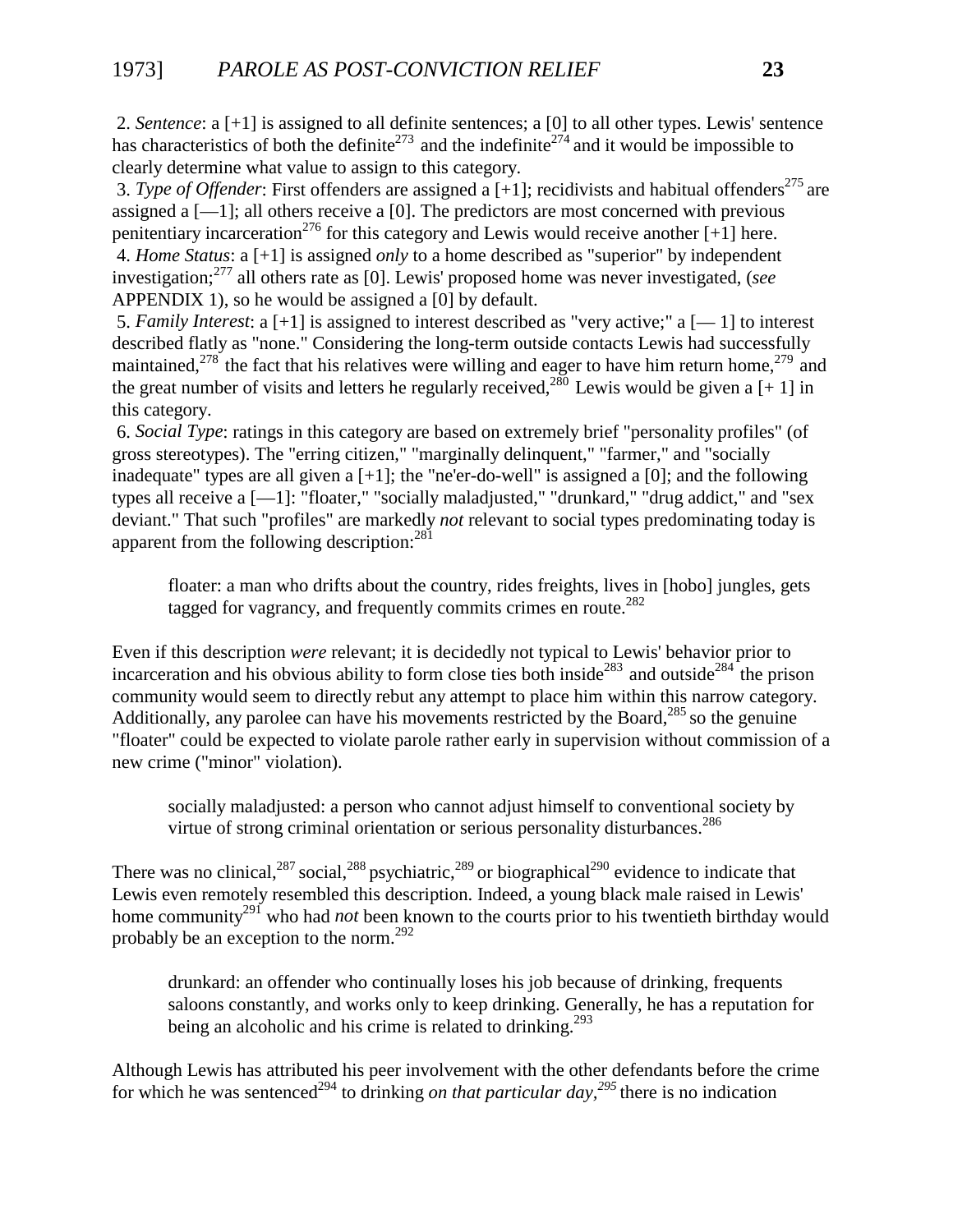2. *Sentence*: a [+1] is assigned to all definite sentences; a [0] to all other types. Lewis' sentence has characteristics of both the definite<sup>273</sup> and the indefinite<sup>274</sup> and it would be impossible to clearly determine what value to assign to this category.

3. *Type of Offender*: First offenders are assigned a  $[+1]$ ; recidivists and habitual offenders<sup>275</sup> are assigned a  $[-1]$ ; all others receive a  $[0]$ . The predictors are most concerned with previous penitentiary incarceration<sup>276</sup> for this category and Lewis would receive another  $[+1]$  here. 4. *Home Status*: a [+1] is assigned *only* to a home described as "superior" by independent investigation;277 all others rate as [0]. Lewis' proposed home was never investigated, (*see* APPENDIX 1), so he would be assigned a [0] by default.

 5. *Family Interest*: a [+1] is assigned to interest described as "very active;" a [— 1] to interest described flatly as "none." Considering the long-term outside contacts Lewis had successfully maintained,<sup>278</sup> the fact that his relatives were willing and eager to have him return home,<sup>279</sup> and the great number of visits and letters he regularly received.<sup>280</sup> Lewis would be given a [+ 1] in this category.

 6. *Social Type*: ratings in this category are based on extremely brief "personality profiles" (of gross stereotypes). The "erring citizen," "marginally delinquent," "farmer," and "socially inadequate" types are all given a  $[+1]$ ; the "ne'er-do-well" is assigned a  $[0]$ ; and the following types all receive a [—1]: "floater," "socially maladjusted," "drunkard," "drug addict," and "sex deviant." That such "profiles" are markedly *not* relevant to social types predominating today is apparent from the following description:  $281$ 

floater: a man who drifts about the country, rides freights, lives in [hobo] jungles, gets tagged for vagrancy, and frequently commits crimes en route.<sup>282</sup>

Even if this description *were* relevant; it is decidedly not typical to Lewis' behavior prior to incarceration and his obvious ability to form close ties both inside<sup>283</sup> and outside<sup>284</sup> the prison community would seem to directly rebut any attempt to place him within this narrow category. Additionally, any parolee can have his movements restricted by the Board,  $^{285}$  so the genuine "floater" could be expected to violate parole rather early in supervision without commission of a new crime ("minor" violation).

socially maladjusted: a person who cannot adjust himself to conventional society by virtue of strong criminal orientation or serious personality disturbances.<sup>286</sup>

There was no clinical,  $287$  social,  $288$  psychiatric,  $289$  or biographical  $290$  evidence to indicate that Lewis even remotely resembled this description. Indeed, a young black male raised in Lewis' home community<sup>291</sup> who had *not* been known to the courts prior to his twentieth birthday would probably be an exception to the norm.292

drunkard: an offender who continually loses his job because of drinking, frequents saloons constantly, and works only to keep drinking. Generally, he has a reputation for being an alcoholic and his crime is related to drinking.<sup>293</sup>

Although Lewis has attributed his peer involvement with the other defendants before the crime for which he was sentenced<sup>294</sup> to drinking *on that particular day*,<sup>295</sup> there is no indication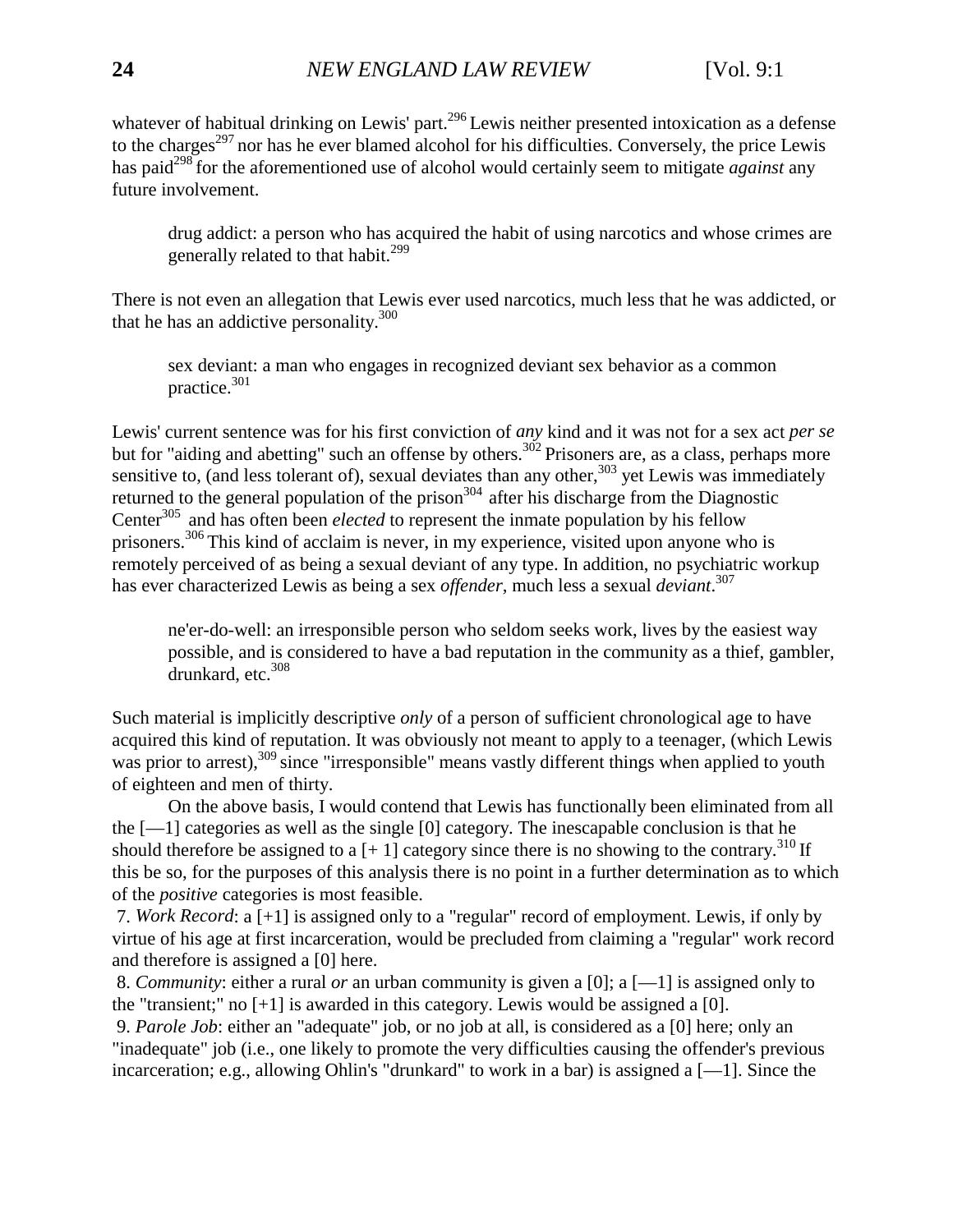whatever of habitual drinking on Lewis' part.<sup>296</sup> Lewis neither presented intoxication as a defense to the charges<sup> $297$ </sup> nor has he ever blamed alcohol for his difficulties. Conversely, the price Lewis has paid<sup>298</sup> for the aforementioned use of alcohol would certainly seem to mitigate *against* any future involvement.

drug addict: a person who has acquired the habit of using narcotics and whose crimes are generally related to that habit.<sup>299</sup>

There is not even an allegation that Lewis ever used narcotics, much less that he was addicted, or that he has an addictive personality.<sup>300</sup>

sex deviant: a man who engages in recognized deviant sex behavior as a common practice.301

Lewis' current sentence was for his first conviction of *any* kind and it was not for a sex act *per se* but for "aiding and abetting" such an offense by others.<sup>302</sup> Prisoners are, as a class, perhaps more sensitive to, (and less tolerant of), sexual deviates than any other,  $303$  yet Lewis was immediately returned to the general population of the prison<sup>304</sup> after his discharge from the Diagnostic Center<sup>305</sup> and has often been *elected* to represent the inmate population by his fellow prisoners.306 This kind of acclaim is never, in my experience, visited upon anyone who is remotely perceived of as being a sexual deviant of any type. In addition, no psychiatric workup has ever characterized Lewis as being a sex *offender,* much less a sexual *deviant*. 307

ne'er-do-well: an irresponsible person who seldom seeks work, lives by the easiest way possible, and is considered to have a bad reputation in the community as a thief, gambler, drunkard, etc. $308$ 

Such material is implicitly descriptive *only* of a person of sufficient chronological age to have acquired this kind of reputation. It was obviously not meant to apply to a teenager, (which Lewis was prior to arrest),<sup>309</sup> since "irresponsible" means vastly different things when applied to youth of eighteen and men of thirty.

On the above basis, I would contend that Lewis has functionally been eliminated from all the  $[-1]$  categories as well as the single [0] category. The inescapable conclusion is that he should therefore be assigned to a  $[+1]$  category since there is no showing to the contrary.<sup>310</sup> If this be so, for the purposes of this analysis there is no point in a further determination as to which of the *positive* categories is most feasible.

 7. *Work Record*: a [+1] is assigned only to a "regular" record of employment. Lewis, if only by virtue of his age at first incarceration, would be precluded from claiming a "regular" work record and therefore is assigned a [0] here.

 8. *Community*: either a rural *or* an urban community is given a [0]; a [—1] is assigned only to the "transient;" no  $[+1]$  is awarded in this category. Lewis would be assigned a [0].

 9. *Parole Job*: either an "adequate" job, or no job at all, is considered as a [0] here; only an "inadequate" job (i.e., one likely to promote the very difficulties causing the offender's previous incarceration; e.g., allowing Ohlin's "drunkard" to work in a bar) is assigned a [—1]. Since the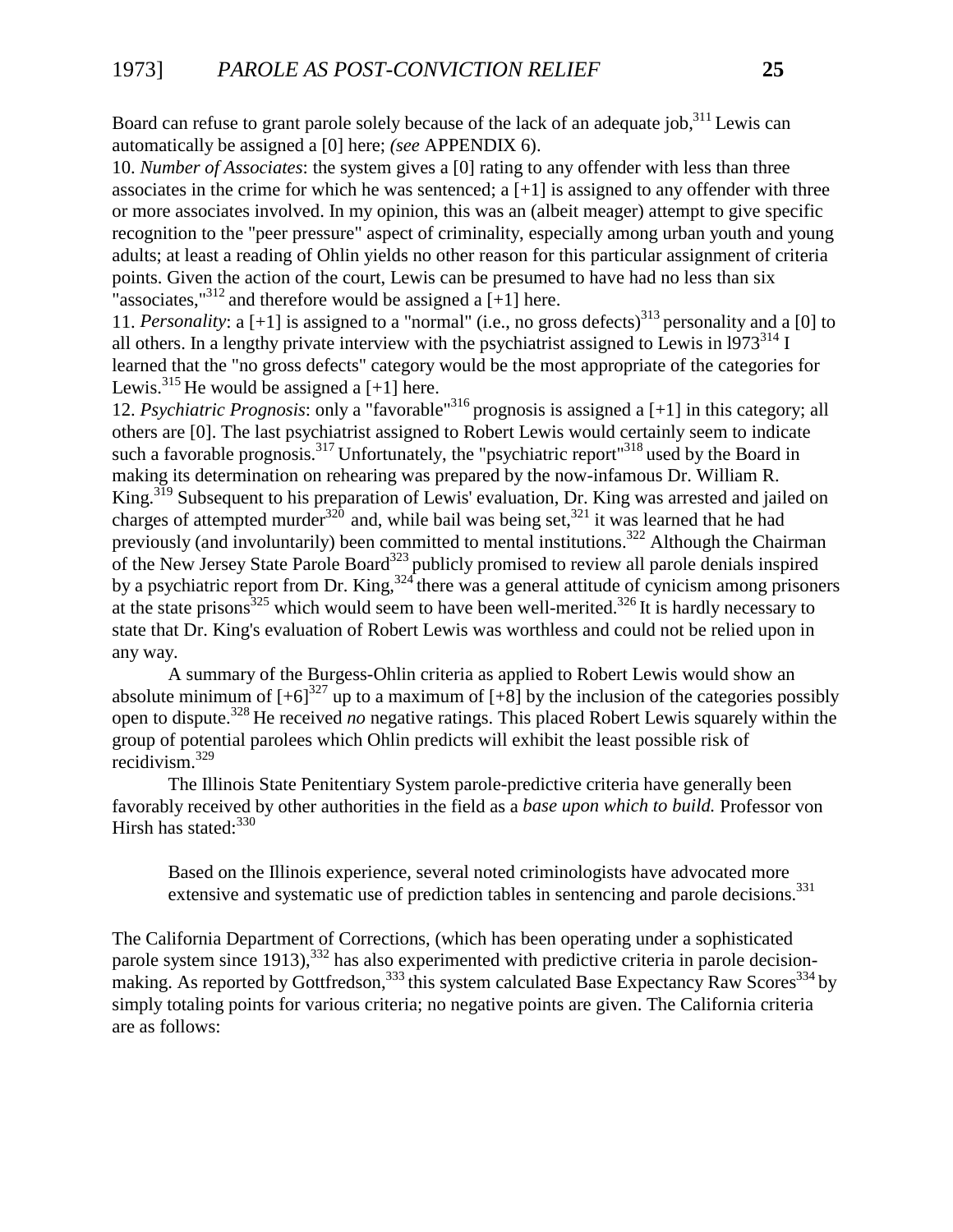Board can refuse to grant parole solely because of the lack of an adequate job,  $311$  Lewis can automatically be assigned a [0] here; *(see* APPENDIX 6).

10. *Number of Associates*: the system gives a [0] rating to any offender with less than three associates in the crime for which he was sentenced; a  $[+1]$  is assigned to any offender with three or more associates involved. In my opinion, this was an (albeit meager) attempt to give specific recognition to the "peer pressure" aspect of criminality, especially among urban youth and young adults; at least a reading of Ohlin yields no other reason for this particular assignment of criteria points. Given the action of the court, Lewis can be presumed to have had no less than six "associates,"<sup>312</sup> and therefore would be assigned a  $[+1]$  here.

11. *Personality*: a  $[+1]$  is assigned to a "normal" (i.e., no gross defects)<sup>313</sup> personality and a [0] to all others. In a lengthy private interview with the psychiatrist assigned to Lewis in  $1973^{314}$  I learned that the "no gross defects" category would be the most appropriate of the categories for Lewis.<sup>315</sup> He would be assigned a  $[+1]$  here.

12. *Psychiatric Prognosis*: only a "favorable"316 prognosis is assigned a [+1] in this category; all others are [0]. The last psychiatrist assigned to Robert Lewis would certainly seem to indicate such a favorable prognosis.<sup>317</sup> Unfortunately, the "psychiatric report"<sup>318</sup> used by the Board in making its determination on rehearing was prepared by the now-infamous Dr. William R. King.319 Subsequent to his preparation of Lewis' evaluation, Dr. King was arrested and jailed on charges of attempted murder<sup>320</sup> and, while bail was being set,<sup>321</sup> it was learned that he had previously (and involuntarily) been committed to mental institutions.<sup>322</sup> Although the Chairman of the New Jersey State Parole Board<sup>323</sup> publicly promised to review all parole denials inspired by a psychiatric report from Dr. King,  $324$  there was a general attitude of cynicism among prisoners at the state prisons<sup>325</sup> which would seem to have been well-merited.<sup>326</sup> It is hardly necessary to state that Dr. King's evaluation of Robert Lewis was worthless and could not be relied upon in any way.

A summary of the Burgess-Ohlin criteria as applied to Robert Lewis would show an absolute minimum of  $[-6]^{327}$  up to a maximum of  $[-8]$  by the inclusion of the categories possibly open to dispute.328 He received *no* negative ratings. This placed Robert Lewis squarely within the group of potential parolees which Ohlin predicts will exhibit the least possible risk of recidivism.329

The Illinois State Penitentiary System parole-predictive criteria have generally been favorably received by other authorities in the field as a *base upon which to build.* Professor von Hirsh has stated: $330$ 

Based on the Illinois experience, several noted criminologists have advocated more extensive and systematic use of prediction tables in sentencing and parole decisions.<sup>331</sup>

The California Department of Corrections, (which has been operating under a sophisticated parole system since  $1913$ ),  $332$  has also experimented with predictive criteria in parole decisionmaking. As reported by Gottfredson,  $333$  this system calculated Base Expectancy Raw Scores  $334$  by simply totaling points for various criteria; no negative points are given. The California criteria are as follows: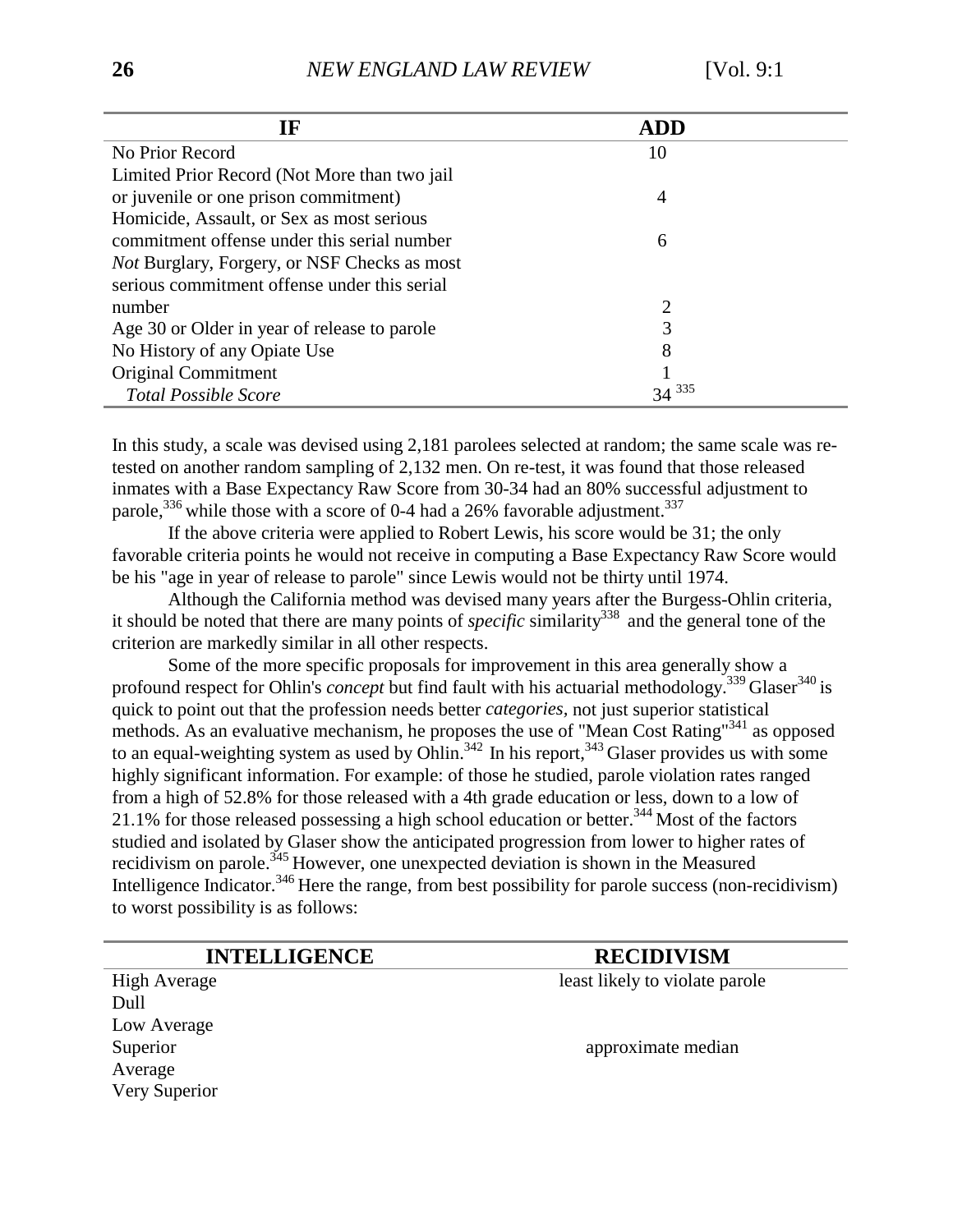| <b>IF</b>                                           | <b>ADD</b> |
|-----------------------------------------------------|------------|
| No Prior Record                                     | 10         |
| Limited Prior Record (Not More than two jail        |            |
| or juvenile or one prison commitment)               | 4          |
| Homicide, Assault, or Sex as most serious           |            |
| commitment offense under this serial number         | 6          |
| <i>Not</i> Burglary, Forgery, or NSF Checks as most |            |
| serious commitment offense under this serial        |            |
| number                                              | 2          |
| Age 30 or Older in year of release to parole        | 3          |
| No History of any Opiate Use                        | 8          |
| Original Commitment                                 |            |
| <b>Total Possible Score</b>                         | 335<br>34  |

In this study, a scale was devised using 2,181 parolees selected at random; the same scale was retested on another random sampling of 2,132 men. On re-test, it was found that those released inmates with a Base Expectancy Raw Score from 30-34 had an 80% successful adjustment to parole,<sup>336</sup> while those with a score of 0-4 had a 26% favorable adjustment.<sup>337</sup>

If the above criteria were applied to Robert Lewis, his score would be 31; the only favorable criteria points he would not receive in computing a Base Expectancy Raw Score would be his "age in year of release to parole" since Lewis would not be thirty until 1974.

Although the California method was devised many years after the Burgess-Ohlin criteria, it should be noted that there are many points of *specific* similarity<sup>338</sup> and the general tone of the criterion are markedly similar in all other respects.

Some of the more specific proposals for improvement in this area generally show a profound respect for Ohlin's *concept* but find fault with his actuarial methodology.<sup>339</sup> Glaser<sup>340</sup> is quick to point out that the profession needs better *categories,* not just superior statistical methods. As an evaluative mechanism, he proposes the use of "Mean Cost Rating"341 as opposed to an equal-weighting system as used by Ohlin.<sup>342</sup> In his report,<sup>343</sup> Glaser provides us with some highly significant information. For example: of those he studied, parole violation rates ranged from a high of 52.8% for those released with a 4th grade education or less, down to a low of 21.1% for those released possessing a high school education or better.344 Most of the factors studied and isolated by Glaser show the anticipated progression from lower to higher rates of recidivism on parole.<sup>345</sup> However, one unexpected deviation is shown in the Measured Intelligence Indicator.<sup>346</sup> Here the range, from best possibility for parole success (non-recidivism) to worst possibility is as follows:

**INTELLIGENCE RECIDIVISM** 

High Average least likely to violate parole Dull Low Average Average Very Superior

Superior approximate median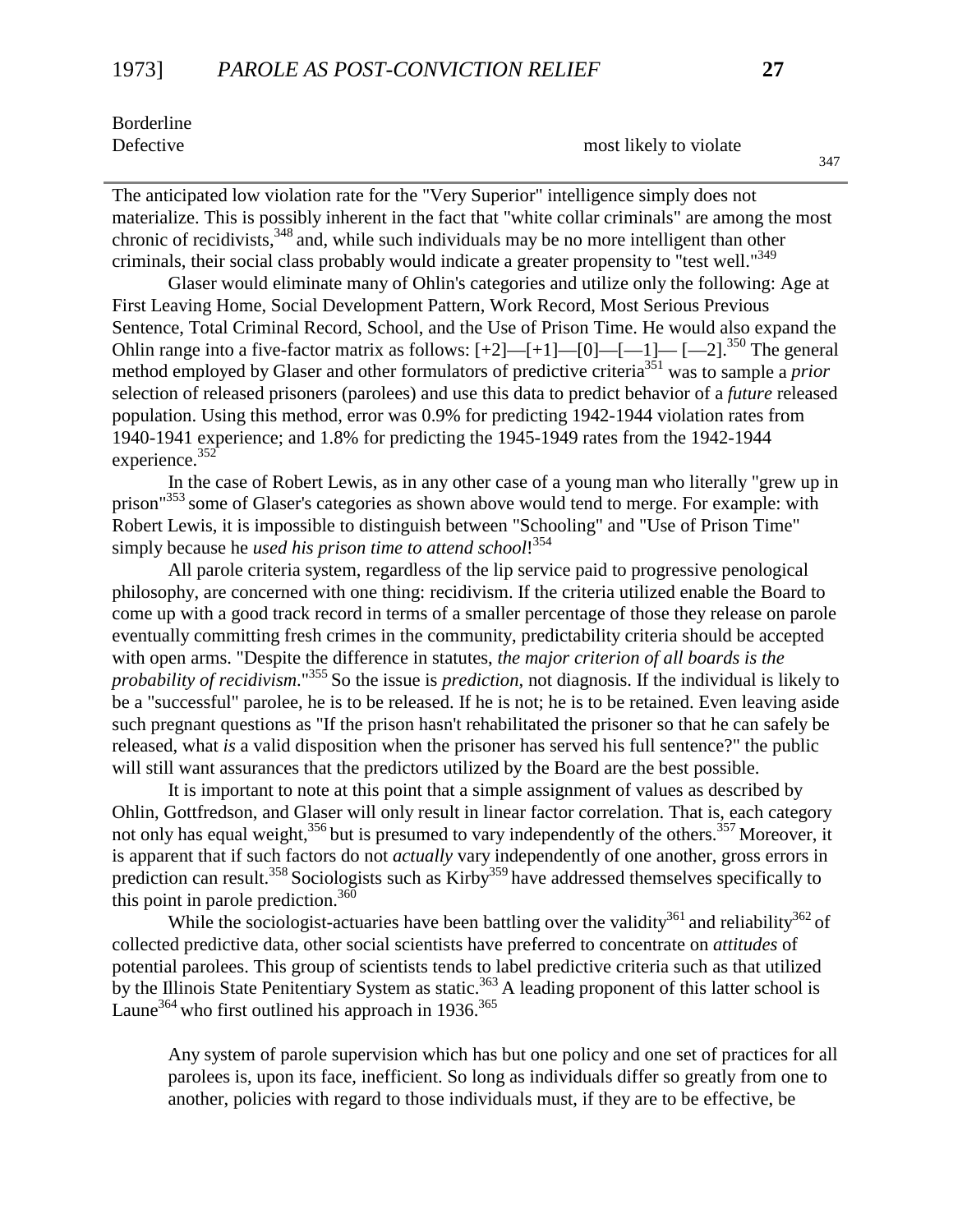Borderline

Defective most likely to violate

The anticipated low violation rate for the "Very Superior" intelligence simply does not materialize. This is possibly inherent in the fact that "white collar criminals" are among the most chronic of recidivists,<sup>348</sup> and, while such individuals may be no more intelligent than other criminals, their social class probably would indicate a greater propensity to "test well."<sup>349</sup>

Glaser would eliminate many of Ohlin's categories and utilize only the following: Age at First Leaving Home, Social Development Pattern, Work Record, Most Serious Previous Sentence, Total Criminal Record, School, and the Use of Prison Time. He would also expand the Ohlin range into a five-factor matrix as follows:  $[+2]$ — $[+1]$ — $[0]$ — $[-1]$ — $[-2]$ .<sup>350</sup> The general method employed by Glaser and other formulators of predictive criteria<sup>351</sup> was to sample a *prior* selection of released prisoners (parolees) and use this data to predict behavior of a *future* released population. Using this method, error was 0.9% for predicting 1942-1944 violation rates from 1940-1941 experience; and 1.8% for predicting the 1945-1949 rates from the 1942-1944 experience.<sup>352</sup>

In the case of Robert Lewis, as in any other case of a young man who literally "grew up in prison"<sup>353</sup> some of Glaser's categories as shown above would tend to merge. For example: with Robert Lewis, it is impossible to distinguish between "Schooling" and "Use of Prison Time" simply because he *used his prison time to attend school*! 354

All parole criteria system, regardless of the lip service paid to progressive penological philosophy, are concerned with one thing: recidivism. If the criteria utilized enable the Board to come up with a good track record in terms of a smaller percentage of those they release on parole eventually committing fresh crimes in the community, predictability criteria should be accepted with open arms. "Despite the difference in statutes, *the major criterion of all boards is the probability of recidivism*."355 So the issue is *prediction,* not diagnosis. If the individual is likely to be a "successful" parolee, he is to be released. If he is not; he is to be retained. Even leaving aside such pregnant questions as "If the prison hasn't rehabilitated the prisoner so that he can safely be released, what *is* a valid disposition when the prisoner has served his full sentence?" the public will still want assurances that the predictors utilized by the Board are the best possible.

It is important to note at this point that a simple assignment of values as described by Ohlin, Gottfredson, and Glaser will only result in linear factor correlation. That is, each category not only has equal weight,<sup>356</sup> but is presumed to vary independently of the others.<sup>357</sup> Moreover, it is apparent that if such factors do not *actually* vary independently of one another, gross errors in prediction can result.<sup>358</sup> Sociologists such as Kirby<sup>359</sup> have addressed themselves specifically to this point in parole prediction.  $360$ 

While the sociologist-actuaries have been battling over the validity<sup>361</sup> and reliability<sup>362</sup> of collected predictive data, other social scientists have preferred to concentrate on *attitudes* of potential parolees. This group of scientists tends to label predictive criteria such as that utilized by the Illinois State Penitentiary System as static.<sup>363</sup> A leading proponent of this latter school is Laune<sup>364</sup> who first outlined his approach in  $1936$ <sup>365</sup>

Any system of parole supervision which has but one policy and one set of practices for all parolees is, upon its face, inefficient. So long as individuals differ so greatly from one to another, policies with regard to those individuals must, if they are to be effective, be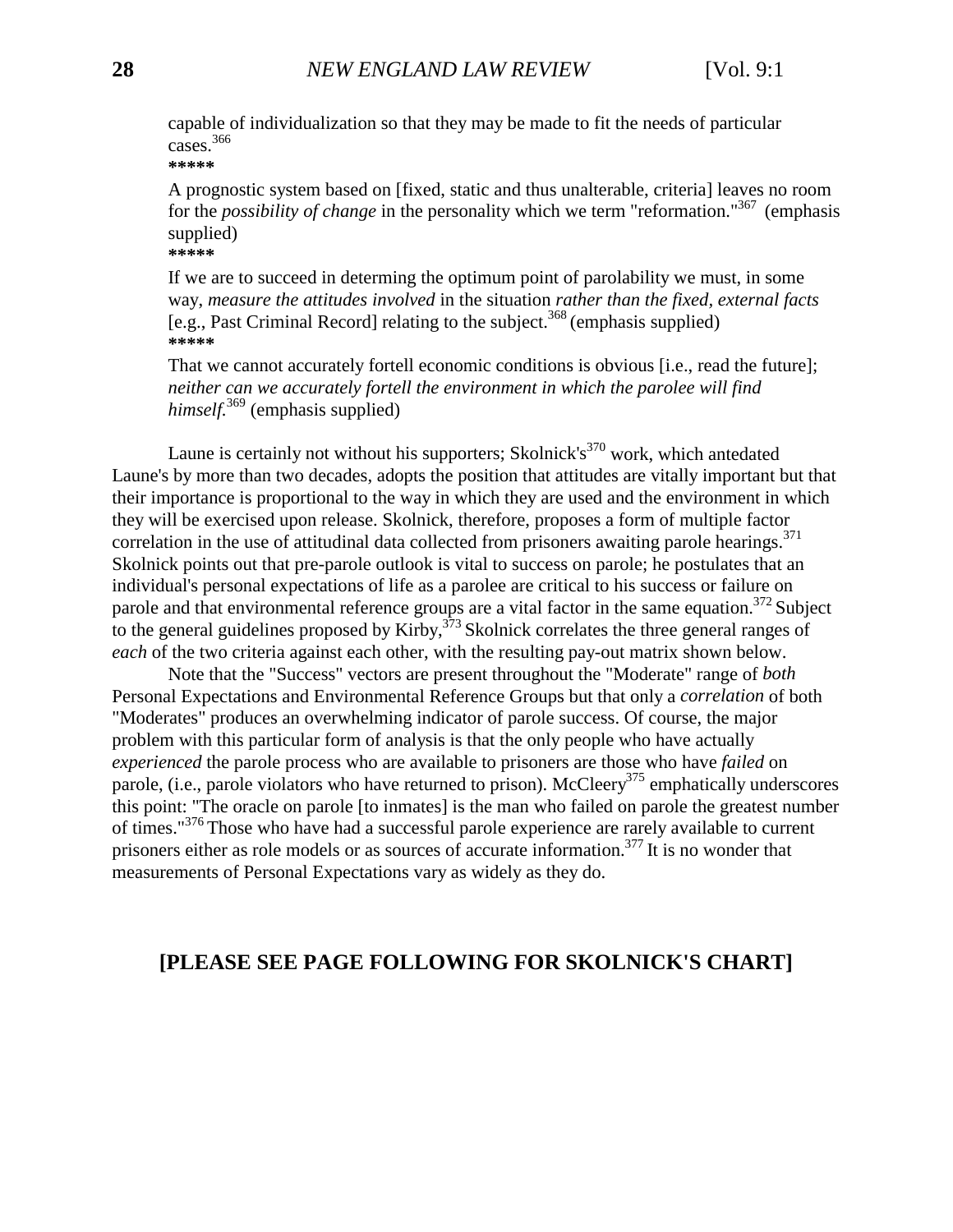capable of individualization so that they may be made to fit the needs of particular cases.366

**\*\*\*\*\***

A prognostic system based on [fixed, static and thus unalterable, criteria] leaves no room for the *possibility of change* in the personality which we term "reformation."367 (emphasis supplied) **\*\*\*\*\***

If we are to succeed in determing the optimum point of parolability we must, in some way, *measure the attitudes involved* in the situation *rather than the fixed, external facts*  $[e.g.,$  Past Criminal Record] relating to the subject.<sup>368</sup> (emphasis supplied) **\*\*\*\*\***

That we cannot accurately fortell economic conditions is obvious [i.e., read the future]; *neither can we accurately fortell the environment in which the parolee will find himself.*<sup>369</sup> (emphasis supplied)

Laune is certainly not without his supporters; Skolnick's<sup>370</sup> work, which antedated Laune's by more than two decades, adopts the position that attitudes are vitally important but that their importance is proportional to the way in which they are used and the environment in which they will be exercised upon release. Skolnick, therefore, proposes a form of multiple factor correlation in the use of attitudinal data collected from prisoners awaiting parole hearings.<sup>371</sup> Skolnick points out that pre-parole outlook is vital to success on parole; he postulates that an individual's personal expectations of life as a parolee are critical to his success or failure on parole and that environmental reference groups are a vital factor in the same equation.<sup>372</sup> Subject to the general guidelines proposed by Kirby,  $3^{73}$  Skolnick correlates the three general ranges of *each* of the two criteria against each other, with the resulting pay-out matrix shown below.

Note that the "Success" vectors are present throughout the "Moderate" range of *both* Personal Expectations and Environmental Reference Groups but that only a *correlation* of both "Moderates" produces an overwhelming indicator of parole success. Of course, the major problem with this particular form of analysis is that the only people who have actually *experienced* the parole process who are available to prisoners are those who have *failed* on parole, (i.e., parole violators who have returned to prison). McCleery<sup>375</sup> emphatically underscores this point: "The oracle on parole [to inmates] is the man who failed on parole the greatest number of times."<sup>376</sup> Those who have had a successful parole experience are rarely available to current prisoners either as role models or as sources of accurate information.<sup>377</sup> It is no wonder that measurements of Personal Expectations vary as widely as they do.

## **[PLEASE SEE PAGE FOLLOWING FOR SKOLNICK'S CHART]**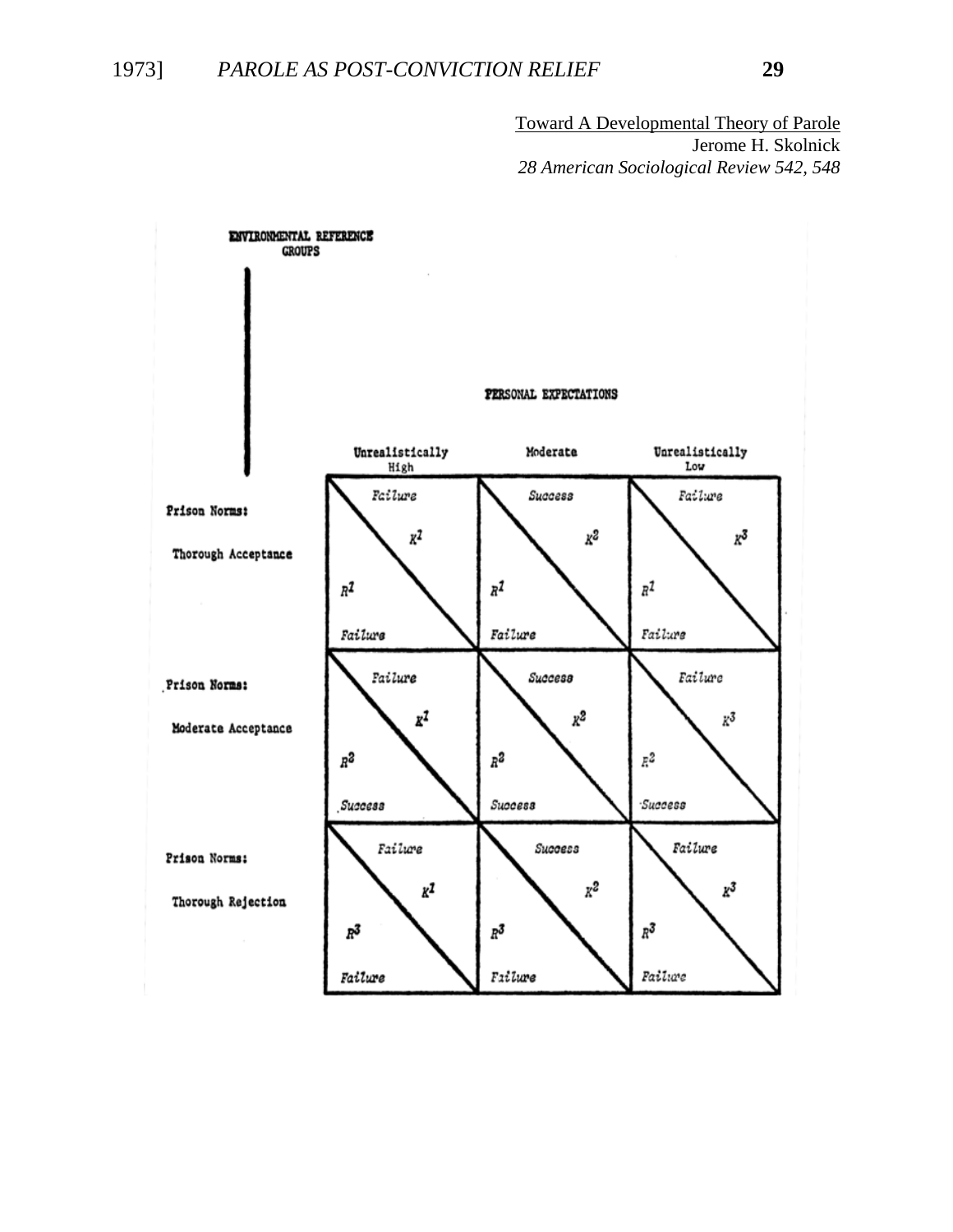Toward A Developmental Theory of Parole Jerome H. Skolnick *28 American Sociological Review 542, 548*

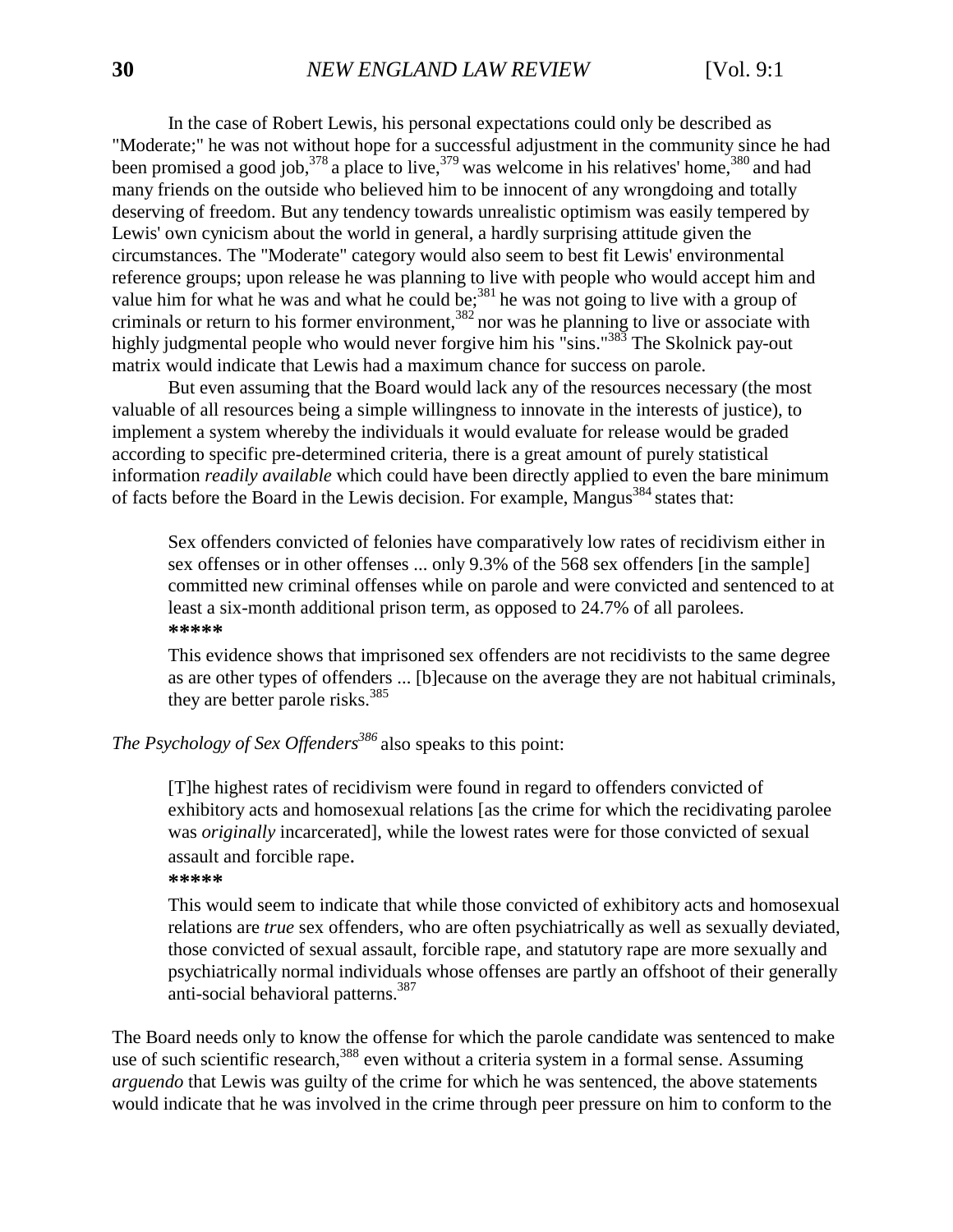In the case of Robert Lewis, his personal expectations could only be described as "Moderate;" he was not without hope for a successful adjustment in the community since he had been promised a good job,  $378$  a place to live,  $379$  was welcome in his relatives' home,  $380$  and had many friends on the outside who believed him to be innocent of any wrongdoing and totally deserving of freedom. But any tendency towards unrealistic optimism was easily tempered by Lewis' own cynicism about the world in general, a hardly surprising attitude given the circumstances. The "Moderate" category would also seem to best fit Lewis' environmental reference groups; upon release he was planning to live with people who would accept him and value him for what he was and what he could be;<sup>381</sup> he was not going to live with a group of criminals or return to his former environment,  $382$  nor was he planning to live or associate with highly judgmental people who would never forgive him his "sins."<sup>383</sup> The Skolnick pay-out matrix would indicate that Lewis had a maximum chance for success on parole.

But even assuming that the Board would lack any of the resources necessary (the most valuable of all resources being a simple willingness to innovate in the interests of justice), to implement a system whereby the individuals it would evaluate for release would be graded according to specific pre-determined criteria, there is a great amount of purely statistical information *readily available* which could have been directly applied to even the bare minimum of facts before the Board in the Lewis decision. For example, Mangus<sup>384</sup> states that:

Sex offenders convicted of felonies have comparatively low rates of recidivism either in sex offenses or in other offenses ... only 9.3% of the 568 sex offenders [in the sample] committed new criminal offenses while on parole and were convicted and sentenced to at least a six-month additional prison term, as opposed to 24.7% of all parolees. **\*\*\*\*\***

This evidence shows that imprisoned sex offenders are not recidivists to the same degree as are other types of offenders ... [b]ecause on the average they are not habitual criminals, they are better parole risks.<sup>385</sup>

*The Psychology of Sex Offenders<sup>386</sup>*also speaks to this point:

[T]he highest rates of recidivism were found in regard to offenders convicted of exhibitory acts and homosexual relations [as the crime for which the recidivating parolee was *originally* incarcerated], while the lowest rates were for those convicted of sexual assault and forcible rape.

**\*\*\*\*\***

This would seem to indicate that while those convicted of exhibitory acts and homosexual relations are *true* sex offenders, who are often psychiatrically as well as sexually deviated, those convicted of sexual assault, forcible rape, and statutory rape are more sexually and psychiatrically normal individuals whose offenses are partly an offshoot of their generally anti-social behavioral patterns.<sup>387</sup>

The Board needs only to know the offense for which the parole candidate was sentenced to make use of such scientific research,<sup>388</sup> even without a criteria system in a formal sense. Assuming *arguendo* that Lewis was guilty of the crime for which he was sentenced, the above statements would indicate that he was involved in the crime through peer pressure on him to conform to the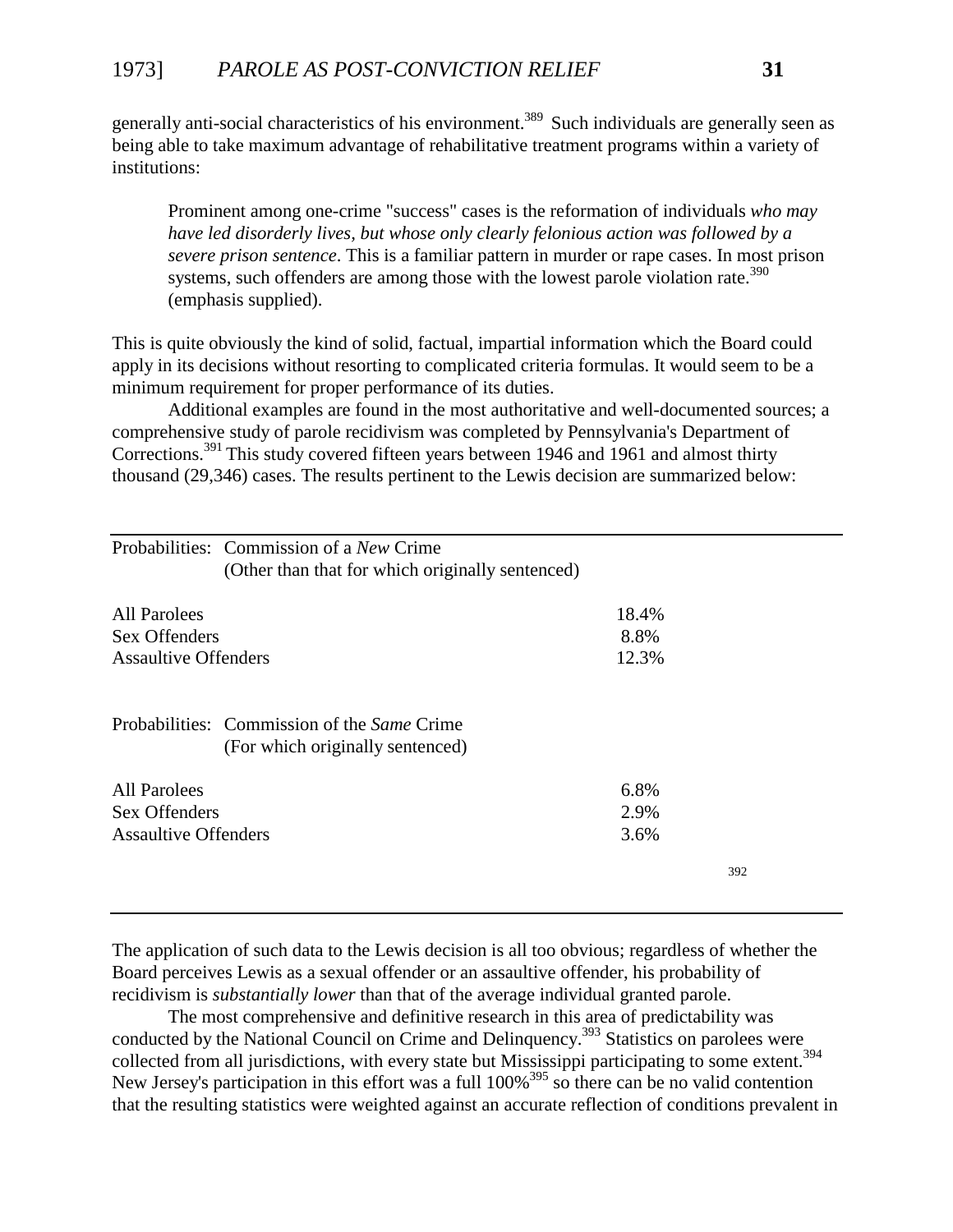generally anti-social characteristics of his environment.<sup>389</sup> Such individuals are generally seen as being able to take maximum advantage of rehabilitative treatment programs within a variety of institutions:

Prominent among one-crime "success" cases is the reformation of individuals *who may have led disorderly lives, but whose only clearly felonious action was followed by a severe prison sentence*. This is a familiar pattern in murder or rape cases. In most prison systems, such offenders are among those with the lowest parole violation rate.<sup>390</sup> (emphasis supplied).

This is quite obviously the kind of solid, factual, impartial information which the Board could apply in its decisions without resorting to complicated criteria formulas. It would seem to be a minimum requirement for proper performance of its duties.

Additional examples are found in the most authoritative and well-documented sources; a comprehensive study of parole recidivism was completed by Pennsylvania's Department of Corrections.<sup>391</sup> This study covered fifteen years between 1946 and 1961 and almost thirty thousand (29,346) cases. The results pertinent to the Lewis decision are summarized below:

|                             | Probabilities: Commission of a New Crime                                        |       |     |
|-----------------------------|---------------------------------------------------------------------------------|-------|-----|
|                             | (Other than that for which originally sentenced)                                |       |     |
| All Parolees                |                                                                                 | 18.4% |     |
| Sex Offenders               |                                                                                 | 8.8%  |     |
| <b>Assaultive Offenders</b> |                                                                                 | 12.3% |     |
|                             | Probabilities: Commission of the Same Crime<br>(For which originally sentenced) |       |     |
| All Parolees                |                                                                                 | 6.8%  |     |
| Sex Offenders               |                                                                                 | 2.9%  |     |
| <b>Assaultive Offenders</b> |                                                                                 | 3.6%  |     |
|                             |                                                                                 |       | 392 |

The application of such data to the Lewis decision is all too obvious; regardless of whether the Board perceives Lewis as a sexual offender or an assaultive offender, his probability of recidivism is *substantially lower* than that of the average individual granted parole.

The most comprehensive and definitive research in this area of predictability was conducted by the National Council on Crime and Delinquency.<sup>393</sup> Statistics on parolees were collected from all jurisdictions, with every state but Mississippi participating to some extent.<sup>394</sup> New Jersey's participation in this effort was a full  $100\%^{395}$  so there can be no valid contention that the resulting statistics were weighted against an accurate reflection of conditions prevalent in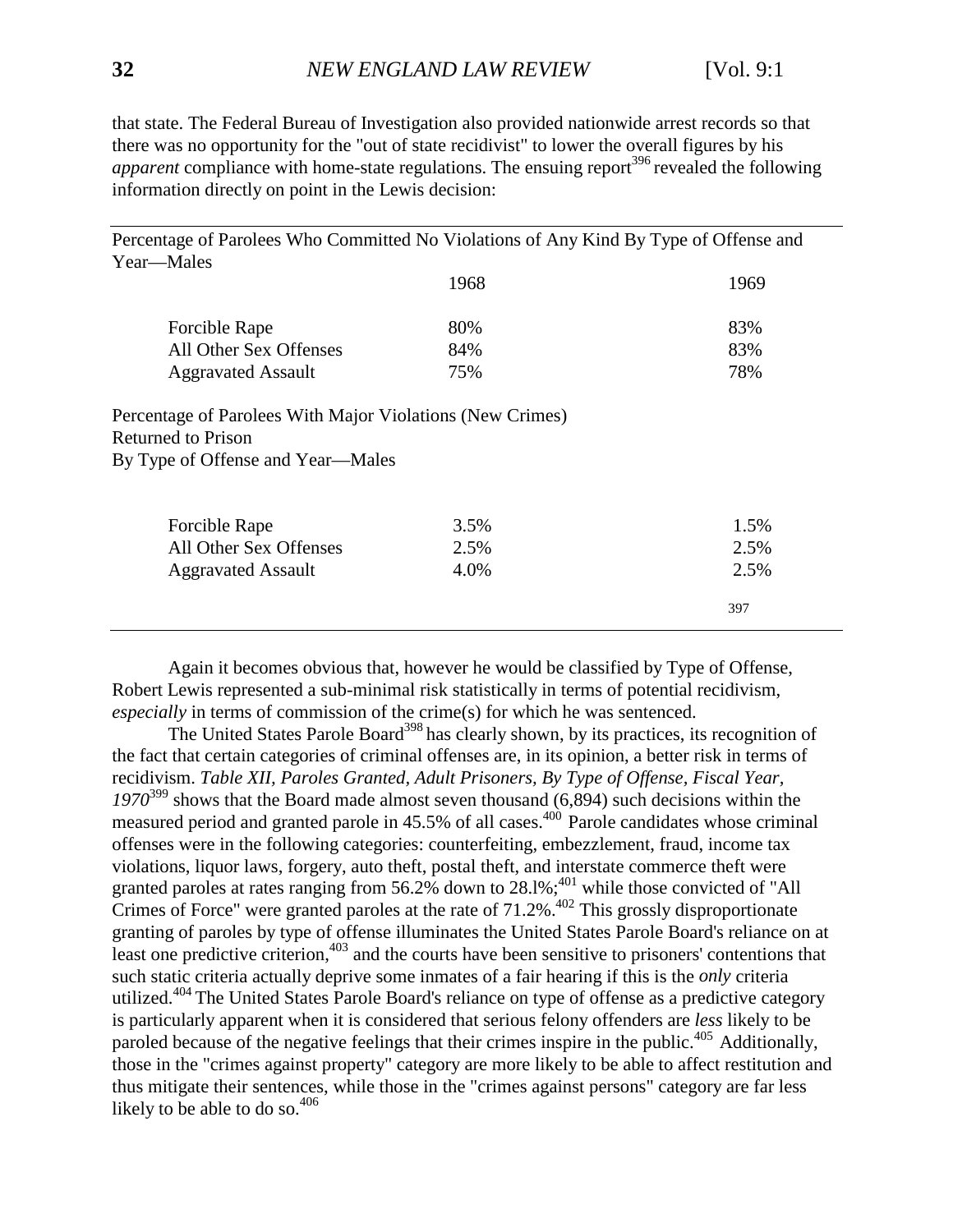that state. The Federal Bureau of Investigation also provided nationwide arrest records so that there was no opportunity for the "out of state recidivist" to lower the overall figures by his *apparent* compliance with home-state regulations. The ensuing report<sup>396</sup> revealed the following information directly on point in the Lewis decision:

Percentage of Parolees Who Committed No Violations of Any Kind By Type of Offense and Year—Males 1968 1969 Forcible Rape 80% 83% All Other Sex Offenses 84% 83% Aggravated Assault 75% 75% 78% Percentage of Parolees With Major Violations (New Crimes) Returned to Prison By Type of Offense and Year—Males Forcible Rape 3.5% 1.5% All Other Sex Offenses 2.5% 2.5% Aggravated Assault  $4.0\%$  2.5% 397

Again it becomes obvious that, however he would be classified by Type of Offense, Robert Lewis represented a sub-minimal risk statistically in terms of potential recidivism, *especially* in terms of commission of the crime(s) for which he was sentenced.

The United States Parole Board<sup>398</sup> has clearly shown, by its practices, its recognition of the fact that certain categories of criminal offenses are, in its opinion, a better risk in terms of recidivism. *Table XII, Paroles Granted, Adult Prisoners, By Type of Offense, Fiscal Year, 1970*<sup>399</sup> shows that the Board made almost seven thousand (6,894) such decisions within the measured period and granted parole in  $45.5\%$  of all cases.<sup> $400$ </sup> Parole candidates whose criminal offenses were in the following categories: counterfeiting, embezzlement, fraud, income tax violations, liquor laws, forgery, auto theft, postal theft, and interstate commerce theft were granted paroles at rates ranging from 56.2% down to  $28.1\%$ ;<sup>401</sup> while those convicted of "All Crimes of Force" were granted paroles at the rate of  $71.2\%$ .<sup>402</sup> This grossly disproportionate granting of paroles by type of offense illuminates the United States Parole Board's reliance on at least one predictive criterion,  $403$  and the courts have been sensitive to prisoners' contentions that such static criteria actually deprive some inmates of a fair hearing if this is the *only* criteria utilized.<sup>404</sup> The United States Parole Board's reliance on type of offense as a predictive category is particularly apparent when it is considered that serious felony offenders are *less* likely to be paroled because of the negative feelings that their crimes inspire in the public.<sup>405</sup> Additionally, those in the "crimes against property" category are more likely to be able to affect restitution and thus mitigate their sentences, while those in the "crimes against persons" category are far less likely to be able to do so. $406$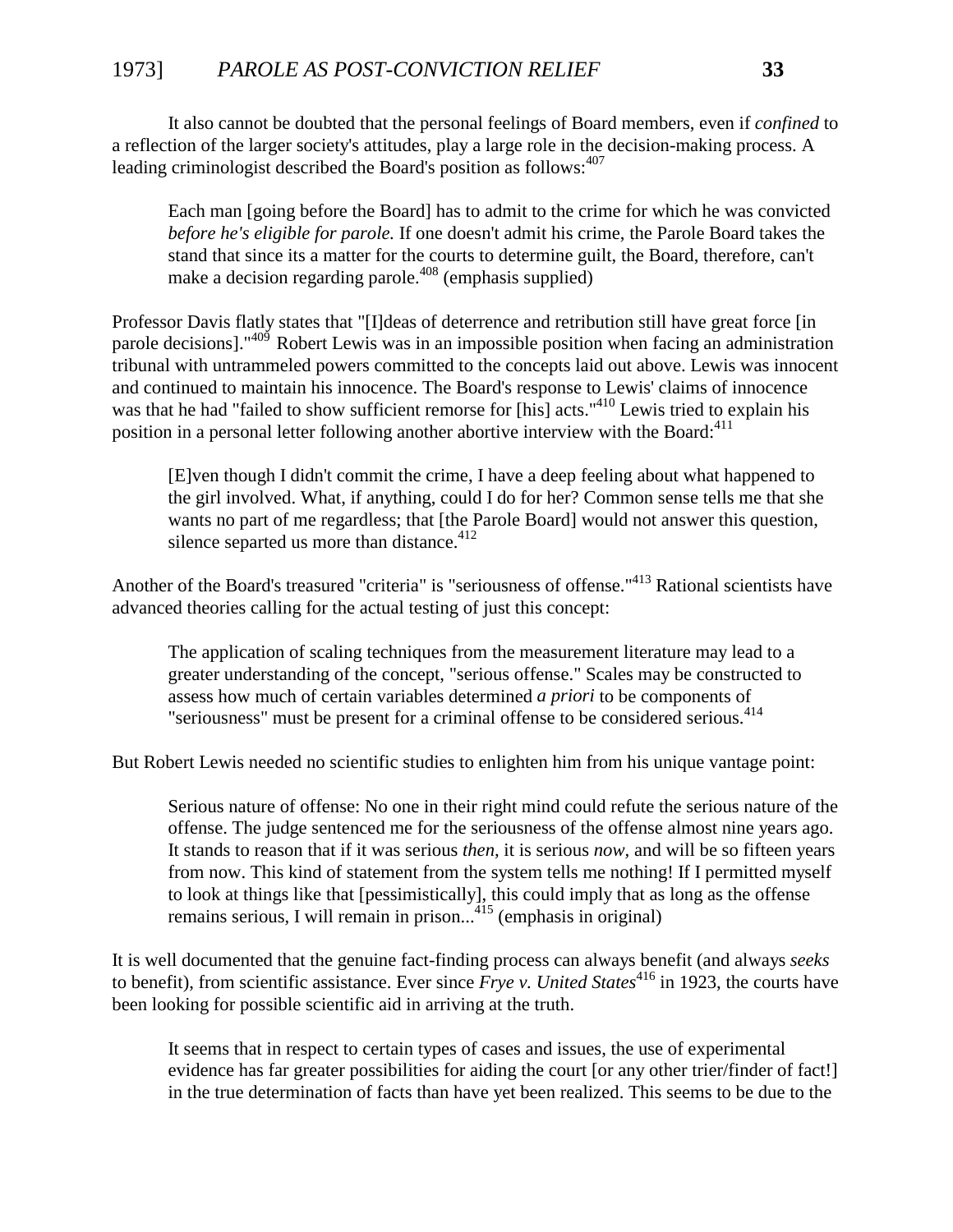## 1973] *PAROLE AS POST-CONVICTION RELIEF* **33**

It also cannot be doubted that the personal feelings of Board members, even if *confined* to a reflection of the larger society's attitudes, play a large role in the decision-making process. A leading criminologist described the Board's position as follows:<sup>407</sup>

Each man [going before the Board] has to admit to the crime for which he was convicted *before he's eligible for parole.* If one doesn't admit his crime, the Parole Board takes the stand that since its a matter for the courts to determine guilt, the Board, therefore, can't make a decision regarding parole.<sup> $408$ </sup> (emphasis supplied)

Professor Davis flatly states that "[I]deas of deterrence and retribution still have great force [in parole decisions]."<sup>409</sup> Robert Lewis was in an impossible position when facing an administration tribunal with untrammeled powers committed to the concepts laid out above. Lewis was innocent and continued to maintain his innocence. The Board's response to Lewis' claims of innocence was that he had "failed to show sufficient remorse for [his] acts."<sup>410</sup> Lewis tried to explain his position in a personal letter following another abortive interview with the Board: $^{411}$ 

[E]ven though I didn't commit the crime, I have a deep feeling about what happened to the girl involved. What, if anything, could I do for her? Common sense tells me that she wants no part of me regardless; that [the Parole Board] would not answer this question, silence separted us more than distance. $412$ 

Another of the Board's treasured "criteria" is "seriousness of offense."413 Rational scientists have advanced theories calling for the actual testing of just this concept:

The application of scaling techniques from the measurement literature may lead to a greater understanding of the concept, "serious offense." Scales may be constructed to assess how much of certain variables determined *a priori* to be components of "seriousness" must be present for a criminal offense to be considered serious.<sup>414</sup>

But Robert Lewis needed no scientific studies to enlighten him from his unique vantage point:

Serious nature of offense: No one in their right mind could refute the serious nature of the offense. The judge sentenced me for the seriousness of the offense almost nine years ago. It stands to reason that if it was serious *then,* it is serious *now,* and will be so fifteen years from now. This kind of statement from the system tells me nothing! If I permitted myself to look at things like that [pessimistically], this could imply that as long as the offense remains serious, I will remain in prison...<sup>415</sup> (emphasis in original)

It is well documented that the genuine fact-finding process can always benefit (and always *seeks* to benefit), from scientific assistance. Ever since *Frye v. United States*<sup>416</sup> in 1923, the courts have been looking for possible scientific aid in arriving at the truth.

It seems that in respect to certain types of cases and issues, the use of experimental evidence has far greater possibilities for aiding the court [or any other trier/finder of fact!] in the true determination of facts than have yet been realized. This seems to be due to the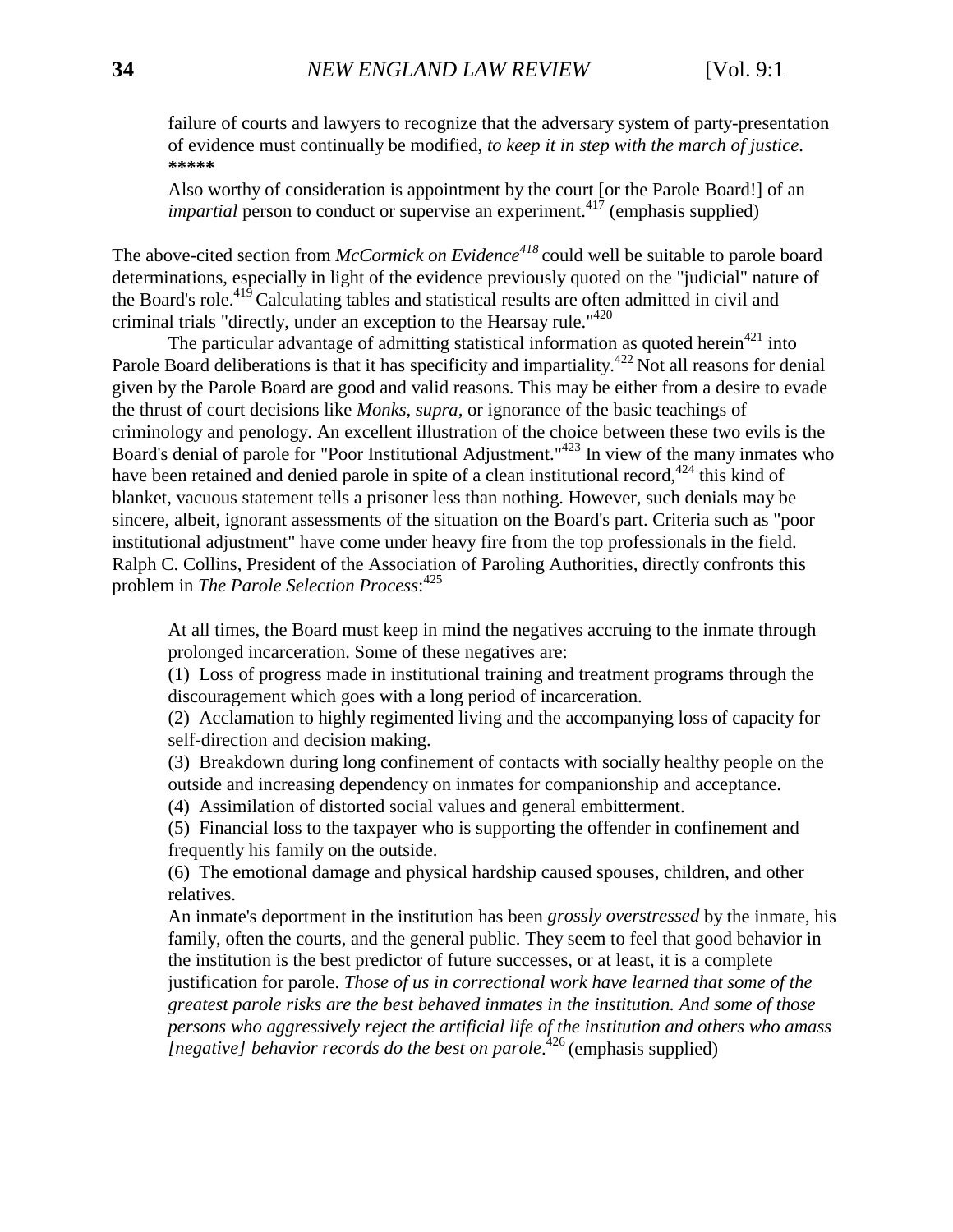failure of courts and lawyers to recognize that the adversary system of party-presentation of evidence must continually be modified, *to keep it in step with the march of justice*. **\*\*\*\*\***

Also worthy of consideration is appointment by the court [or the Parole Board!] of an *impartial* person to conduct or supervise an experiment.<sup>417</sup> (emphasis supplied)

The above-cited section from *McCormick on Evidence*<sup>418</sup> could well be suitable to parole board determinations, especially in light of the evidence previously quoted on the "judicial" nature of the Board's role.<sup>419</sup> Calculating tables and statistical results are often admitted in civil and criminal trials "directly, under an exception to the Hearsay rule."<sup> $420$ </sup>

The particular advantage of admitting statistical information as quoted herein<sup>421</sup> into Parole Board deliberations is that it has specificity and impartiality.<sup>422</sup> Not all reasons for denial given by the Parole Board are good and valid reasons. This may be either from a desire to evade the thrust of court decisions like *Monks, supra,* or ignorance of the basic teachings of criminology and penology. An excellent illustration of the choice between these two evils is the Board's denial of parole for "Poor Institutional Adjustment."<sup>423</sup> In view of the many inmates who have been retained and denied parole in spite of a clean institutional record,<sup>424</sup> this kind of blanket, vacuous statement tells a prisoner less than nothing. However, such denials may be sincere, albeit, ignorant assessments of the situation on the Board's part. Criteria such as "poor institutional adjustment" have come under heavy fire from the top professionals in the field. Ralph C. Collins, President of the Association of Paroling Authorities, directly confronts this problem in *The Parole Selection Process*: 425

At all times, the Board must keep in mind the negatives accruing to the inmate through prolonged incarceration. Some of these negatives are:

(1) Loss of progress made in institutional training and treatment programs through the discouragement which goes with a long period of incarceration.

(2) Acclamation to highly regimented living and the accompanying loss of capacity for self-direction and decision making.

(3) Breakdown during long confinement of contacts with socially healthy people on the outside and increasing dependency on inmates for companionship and acceptance.

(4) Assimilation of distorted social values and general embitterment.

(5) Financial loss to the taxpayer who is supporting the offender in confinement and frequently his family on the outside.

(6) The emotional damage and physical hardship caused spouses, children, and other relatives.

An inmate's deportment in the institution has been *grossly overstressed* by the inmate, his family, often the courts, and the general public. They seem to feel that good behavior in the institution is the best predictor of future successes, or at least, it is a complete justification for parole. *Those of us in correctional work have learned that some of the greatest parole risks are the best behaved inmates in the institution. And some of those persons who aggressively reject the artificial life of the institution and others who amass [negative] behavior records do the best on parole*. <sup>426</sup> (emphasis supplied)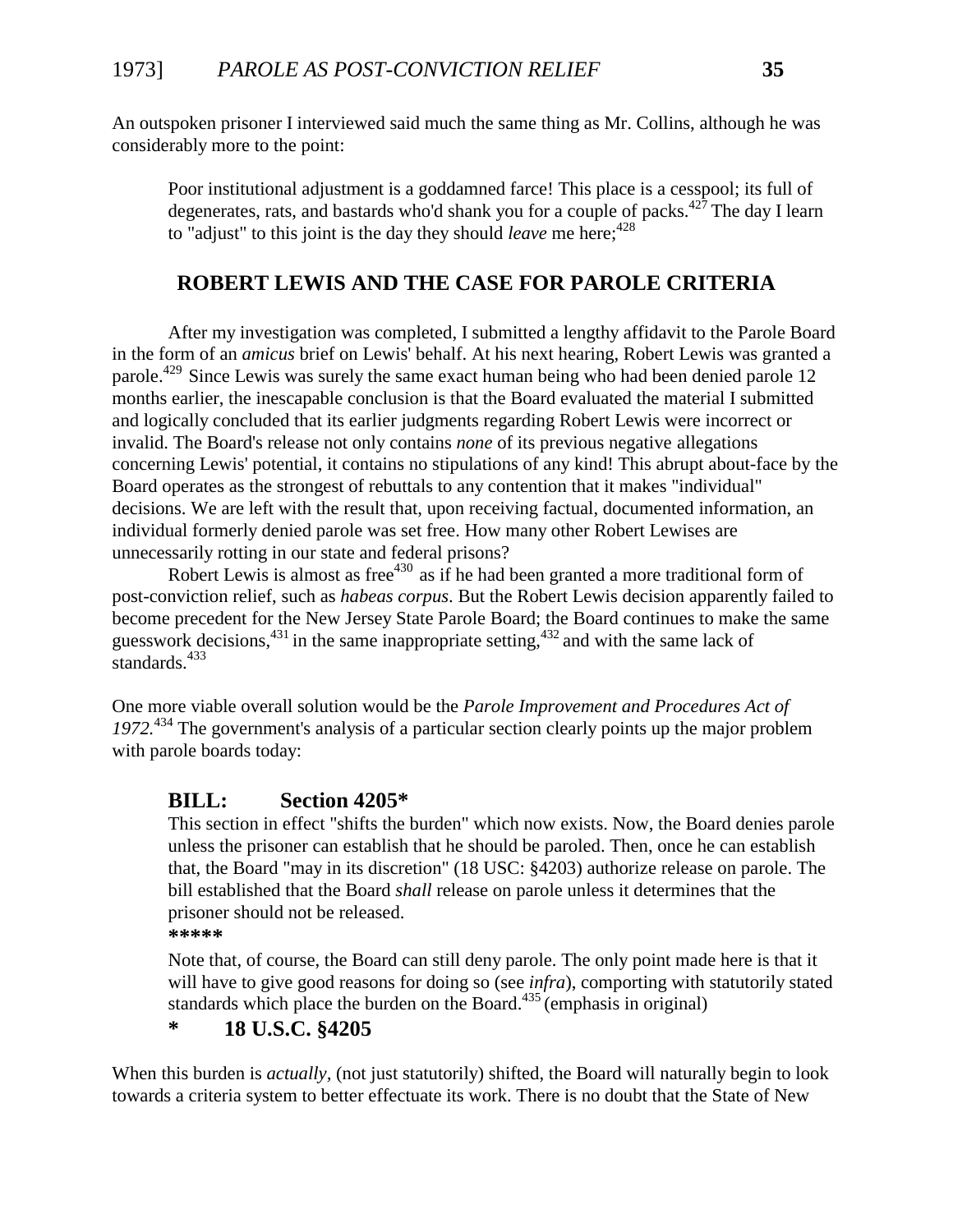An outspoken prisoner I interviewed said much the same thing as Mr. Collins, although he was considerably more to the point:

Poor institutional adjustment is a goddamned farce! This place is a cesspool; its full of degenerates, rats, and bastards who'd shank you for a couple of packs. $427$  The day I learn to "adjust" to this joint is the day they should *leave* me here:<sup>428</sup>

## **ROBERT LEWIS AND THE CASE FOR PAROLE CRITERIA**

After my investigation was completed, I submitted a lengthy affidavit to the Parole Board in the form of an *amicus* brief on Lewis' behalf. At his next hearing, Robert Lewis was granted a parole.<sup>429</sup> Since Lewis was surely the same exact human being who had been denied parole 12 months earlier, the inescapable conclusion is that the Board evaluated the material I submitted and logically concluded that its earlier judgments regarding Robert Lewis were incorrect or invalid. The Board's release not only contains *none* of its previous negative allegations concerning Lewis' potential, it contains no stipulations of any kind! This abrupt about-face by the Board operates as the strongest of rebuttals to any contention that it makes "individual" decisions. We are left with the result that, upon receiving factual, documented information, an individual formerly denied parole was set free. How many other Robert Lewises are unnecessarily rotting in our state and federal prisons?

Robert Lewis is almost as free $430$  as if he had been granted a more traditional form of post-conviction relief, such as *habeas corpus*. But the Robert Lewis decision apparently failed to become precedent for the New Jersey State Parole Board; the Board continues to make the same guesswork decisions,  $431$  in the same inappropriate setting,  $432$  and with the same lack of standards. $433$ 

One more viable overall solution would be the *Parole Improvement and Procedures Act of 1972.*<sup>434</sup> The government's analysis of a particular section clearly points up the major problem with parole boards today:

#### **BILL: Section 4205\***

This section in effect "shifts the burden" which now exists. Now, the Board denies parole unless the prisoner can establish that he should be paroled. Then, once he can establish that, the Board "may in its discretion" (18 USC: §4203) authorize release on parole. The bill established that the Board *shall* release on parole unless it determines that the prisoner should not be released.

**\*\*\*\*\***

Note that, of course, the Board can still deny parole. The only point made here is that it will have to give good reasons for doing so (see *infra*), comporting with statutorily stated standards which place the burden on the Board. $435$ <sup>(emphasis in original)</sup>

# **\* 18 U.S.C. §4205**

When this burden is *actually,* (not just statutorily) shifted, the Board will naturally begin to look towards a criteria system to better effectuate its work. There is no doubt that the State of New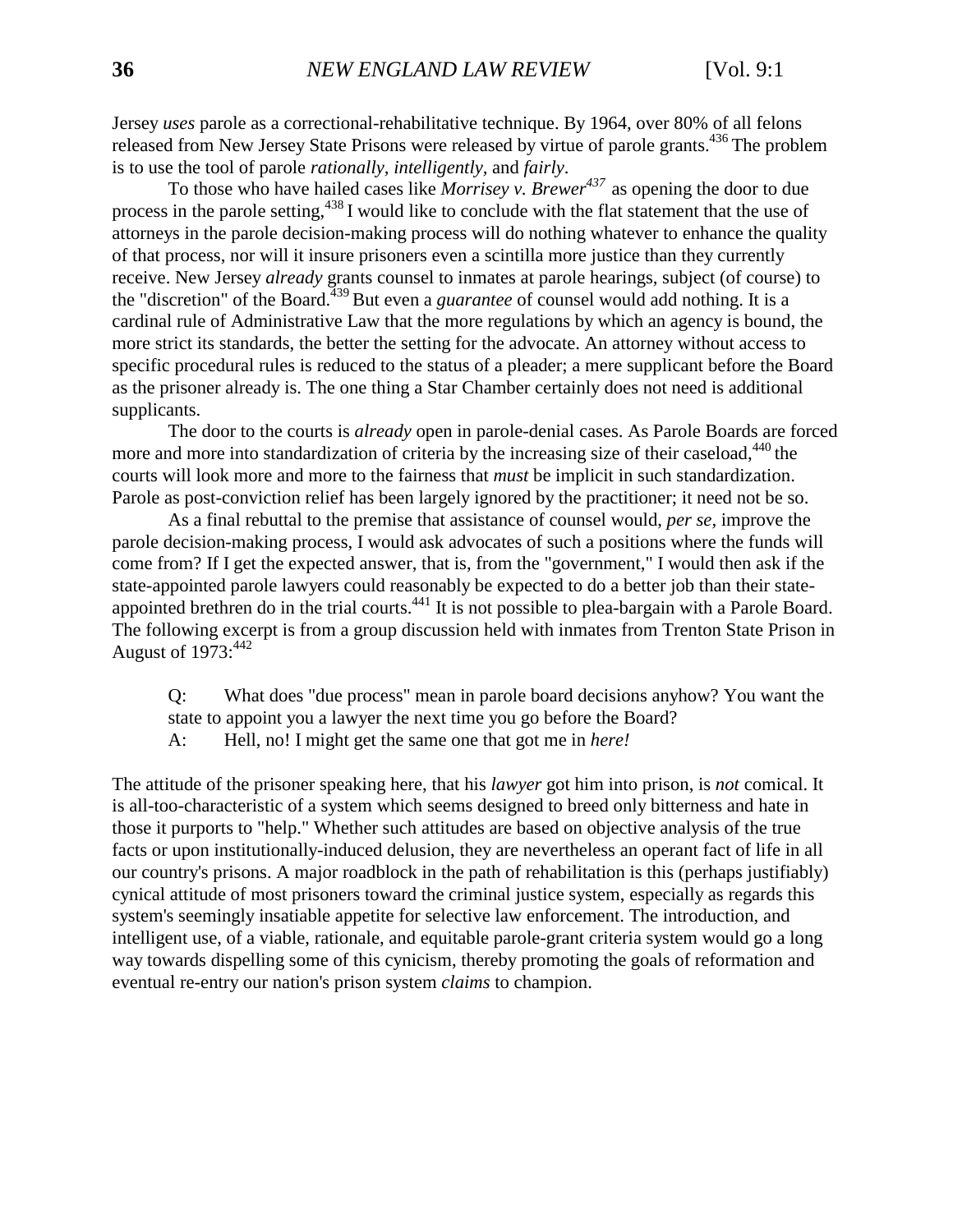Jersey *uses* parole as a correctional-rehabilitative technique. By 1964, over 80% of all felons released from New Jersey State Prisons were released by virtue of parole grants.436 The problem is to use the tool of parole *rationally, intelligently,* and *fairly*.

To those who have hailed cases like *Morrisey v. Brewer<sup>437</sup>*as opening the door to due process in the parole setting,<sup>438</sup> I would like to conclude with the flat statement that the use of attorneys in the parole decision-making process will do nothing whatever to enhance the quality of that process, nor will it insure prisoners even a scintilla more justice than they currently receive. New Jersey *already* grants counsel to inmates at parole hearings, subject (of course) to the "discretion" of the Board.439 But even a *guarantee* of counsel would add nothing. It is a cardinal rule of Administrative Law that the more regulations by which an agency is bound, the more strict its standards, the better the setting for the advocate. An attorney without access to specific procedural rules is reduced to the status of a pleader; a mere supplicant before the Board as the prisoner already is. The one thing a Star Chamber certainly does not need is additional supplicants.

The door to the courts is *already* open in parole-denial cases. As Parole Boards are forced more and more into standardization of criteria by the increasing size of their caseload,<sup>440</sup> the courts will look more and more to the fairness that *must* be implicit in such standardization. Parole as post-conviction relief has been largely ignored by the practitioner; it need not be so.

As a final rebuttal to the premise that assistance of counsel would, *per se,* improve the parole decision-making process, I would ask advocates of such a positions where the funds will come from? If I get the expected answer, that is, from the "government," I would then ask if the state-appointed parole lawyers could reasonably be expected to do a better job than their stateappointed brethren do in the trial courts.<sup>441</sup> It is not possible to plea-bargain with a Parole Board. The following excerpt is from a group discussion held with inmates from Trenton State Prison in August of  $1973:^{442}$ 

Q: What does "due process" mean in parole board decisions anyhow? You want the state to appoint you a lawyer the next time you go before the Board?

A: Hell, no! I might get the same one that got me in *here!*

The attitude of the prisoner speaking here, that his *lawyer* got him into prison, is *not* comical. It is all-too-characteristic of a system which seems designed to breed only bitterness and hate in those it purports to "help." Whether such attitudes are based on objective analysis of the true facts or upon institutionally-induced delusion, they are nevertheless an operant fact of life in all our country's prisons. A major roadblock in the path of rehabilitation is this (perhaps justifiably) cynical attitude of most prisoners toward the criminal justice system, especially as regards this system's seemingly insatiable appetite for selective law enforcement. The introduction, and intelligent use, of a viable, rationale, and equitable parole-grant criteria system would go a long way towards dispelling some of this cynicism, thereby promoting the goals of reformation and eventual re-entry our nation's prison system *claims* to champion.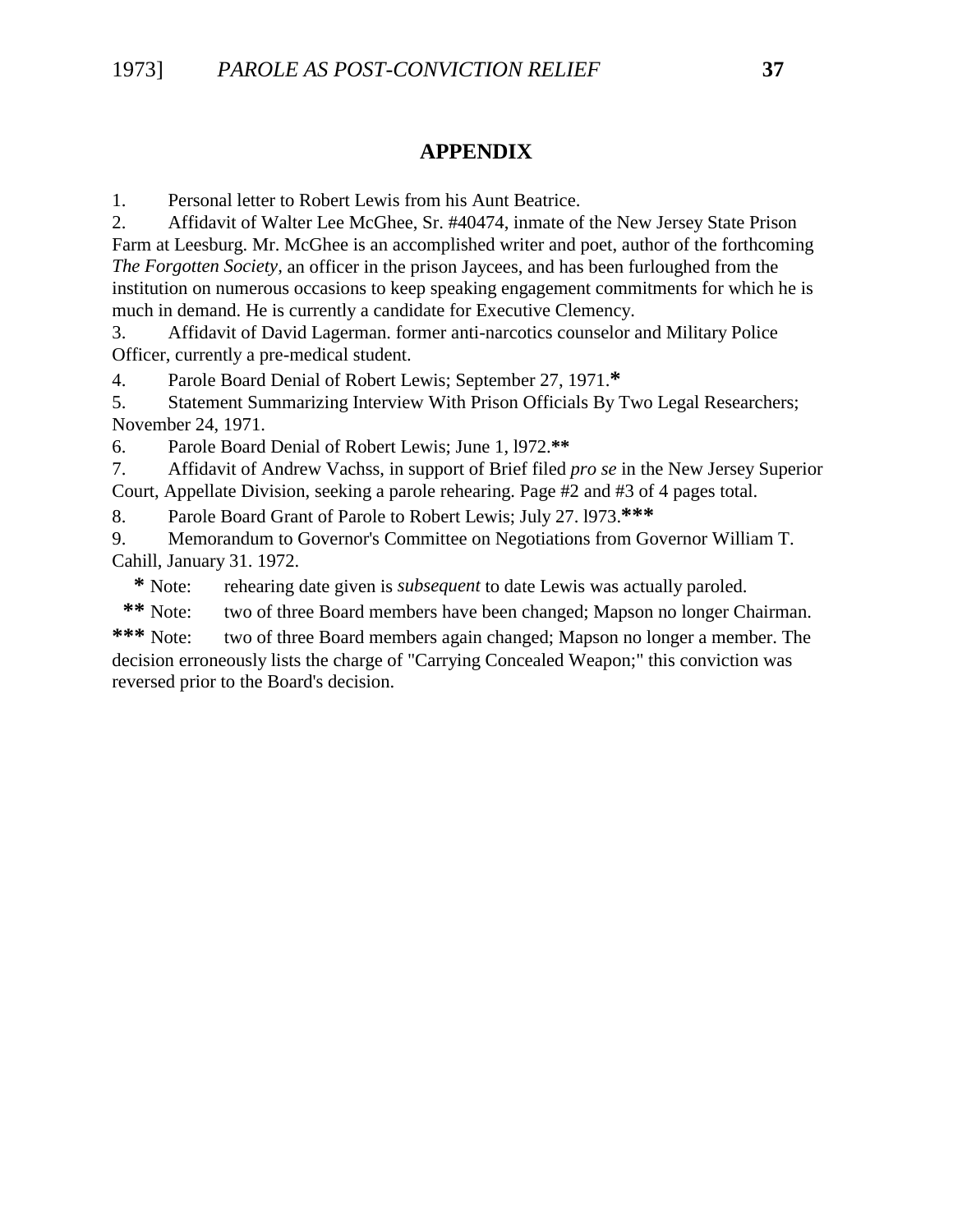### **APPENDIX**

1. Personal letter to Robert Lewis from his Aunt Beatrice.

2. Affidavit of Walter Lee McGhee, Sr. #40474, inmate of the New Jersey State Prison Farm at Leesburg. Mr. McGhee is an accomplished writer and poet, author of the forthcoming *The Forgotten Society,* an officer in the prison Jaycees, and has been furloughed from the institution on numerous occasions to keep speaking engagement commitments for which he is much in demand. He is currently a candidate for Executive Clemency.

3. Affidavit of David Lagerman. former anti-narcotics counselor and Military Police Officer, currently a pre-medical student.

4. Parole Board Denial of Robert Lewis; September 27, 1971.**\***

5. Statement Summarizing Interview With Prison Officials By Two Legal Researchers; November 24, 1971.

6. Parole Board Denial of Robert Lewis; June 1, l972.**\*\***

7. Affidavit of Andrew Vachss, in support of Brief filed *pro se* in the New Jersey Superior Court, Appellate Division, seeking a parole rehearing. Page #2 and #3 of 4 pages total.

8. Parole Board Grant of Parole to Robert Lewis; July 27. l973.**\*\*\***

9. Memorandum to Governor's Committee on Negotiations from Governor William T. Cahill, January 31. 1972.

 **\*** Note: rehearing date given is *subsequent* to date Lewis was actually paroled.

 **\*\*** Note: two of three Board members have been changed; Mapson no longer Chairman.

**\*\*\*** Note: two of three Board members again changed; Mapson no longer a member. The decision erroneously lists the charge of "Carrying Concealed Weapon;" this conviction was reversed prior to the Board's decision.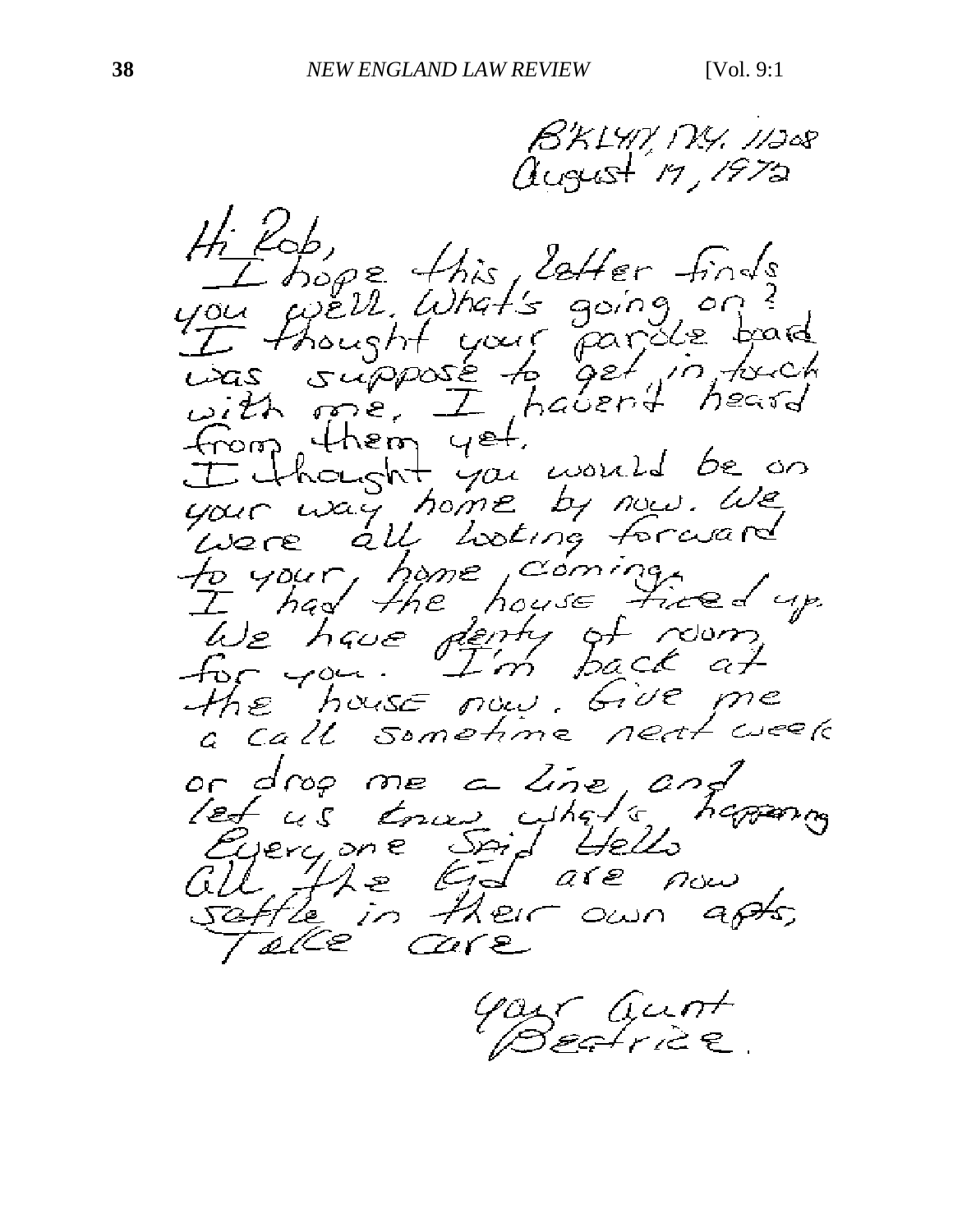B'KLYP, PXY, 11208 august 19,1972 Hi Rob,<br>you well. What's going on?<br>Use thought your parole board<br>was suppose to get in joint<br>with me. I haven't heard<br>from them yet. from them yet.<br>Thought you would be on<br>your usy home by now. We<br>there all listing forward<br>to your home coming.<br>We have denty of room.<br>The house now. Give me<br>the house now. Give me<br>a call sometime neat week or drop me a line and<br>let us trou what's happing<br>Everyone Spid Hello<br>Gill the End are now<br>Safte in their own apts,

Gast Gunt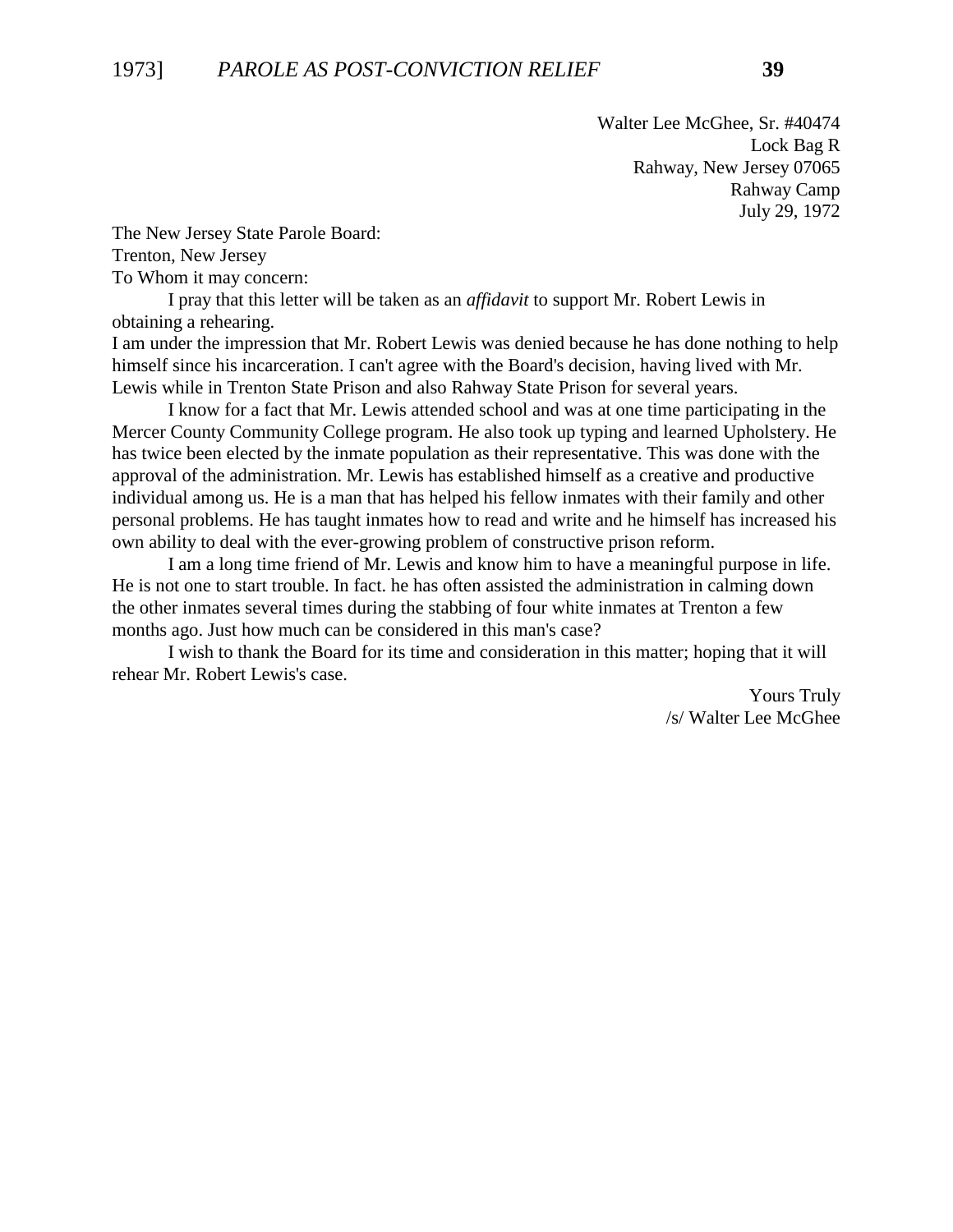Walter Lee McGhee, Sr. #40474 Lock Bag R Rahway, New Jersey 07065 Rahway Camp July 29, 1972

The New Jersey State Parole Board: Trenton, New Jersey To Whom it may concern:

I pray that this letter will be taken as an *affidavit* to support Mr. Robert Lewis in obtaining a rehearing.

I am under the impression that Mr. Robert Lewis was denied because he has done nothing to help himself since his incarceration. I can't agree with the Board's decision, having lived with Mr. Lewis while in Trenton State Prison and also Rahway State Prison for several years.

I know for a fact that Mr. Lewis attended school and was at one time participating in the Mercer County Community College program. He also took up typing and learned Upholstery. He has twice been elected by the inmate population as their representative. This was done with the approval of the administration. Mr. Lewis has established himself as a creative and productive individual among us. He is a man that has helped his fellow inmates with their family and other personal problems. He has taught inmates how to read and write and he himself has increased his own ability to deal with the ever-growing problem of constructive prison reform.

I am a long time friend of Mr. Lewis and know him to have a meaningful purpose in life. He is not one to start trouble. In fact. he has often assisted the administration in calming down the other inmates several times during the stabbing of four white inmates at Trenton a few months ago. Just how much can be considered in this man's case?

I wish to thank the Board for its time and consideration in this matter; hoping that it will rehear Mr. Robert Lewis's case.

> Yours Truly /s/ Walter Lee McGhee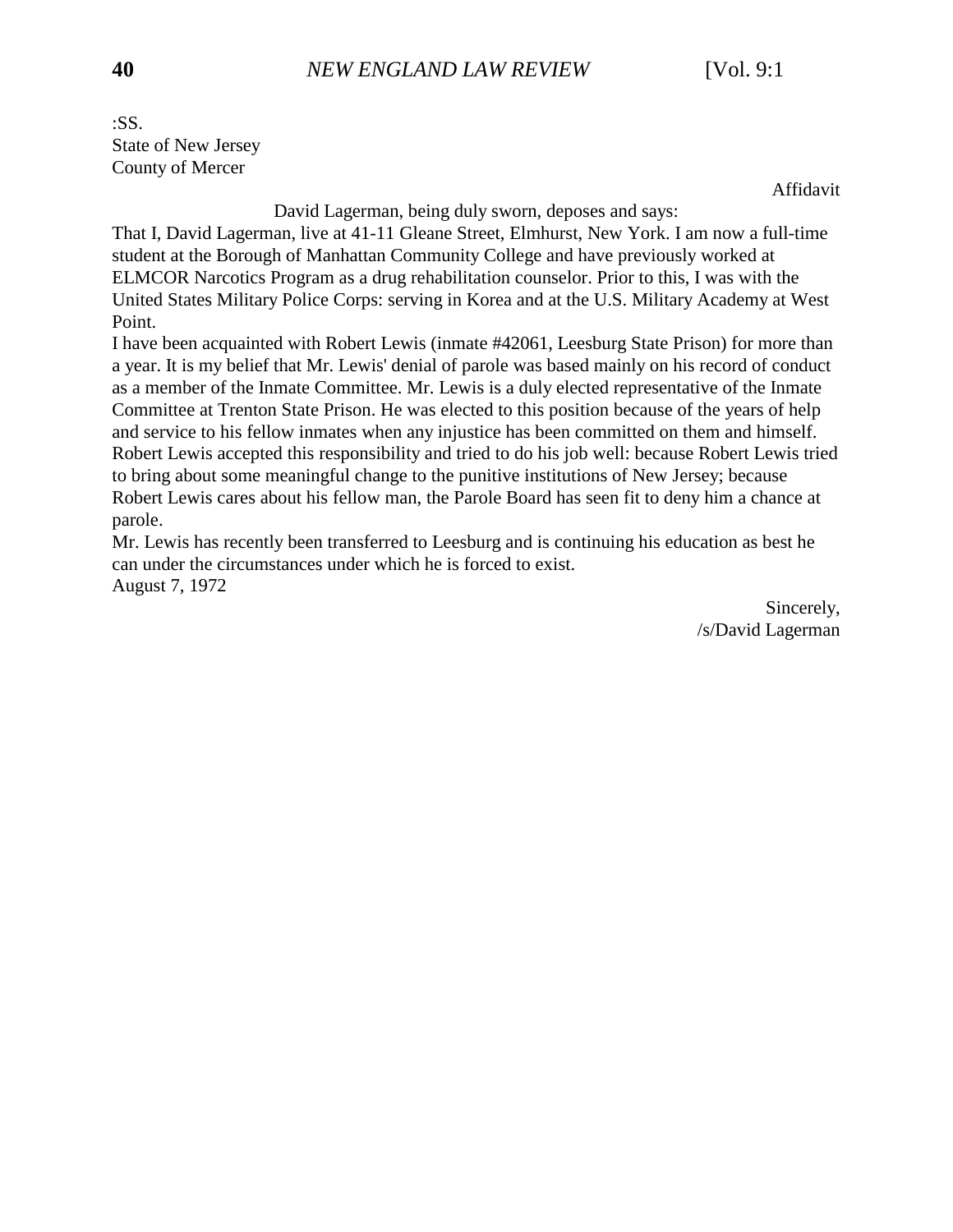:SS. State of New Jersey County of Mercer

Affidavit

David Lagerman, being duly sworn, deposes and says:

That I, David Lagerman, live at 41-11 Gleane Street, Elmhurst, New York. I am now a full-time student at the Borough of Manhattan Community College and have previously worked at ELMCOR Narcotics Program as a drug rehabilitation counselor. Prior to this, I was with the United States Military Police Corps: serving in Korea and at the U.S. Military Academy at West Point.

I have been acquainted with Robert Lewis (inmate #42061, Leesburg State Prison) for more than a year. It is my belief that Mr. Lewis' denial of parole was based mainly on his record of conduct as a member of the Inmate Committee. Mr. Lewis is a duly elected representative of the Inmate Committee at Trenton State Prison. He was elected to this position because of the years of help and service to his fellow inmates when any injustice has been committed on them and himself. Robert Lewis accepted this responsibility and tried to do his job well: because Robert Lewis tried to bring about some meaningful change to the punitive institutions of New Jersey; because Robert Lewis cares about his fellow man, the Parole Board has seen fit to deny him a chance at parole.

Mr. Lewis has recently been transferred to Leesburg and is continuing his education as best he can under the circumstances under which he is forced to exist. August 7, 1972

> Sincerely, /s/David Lagerman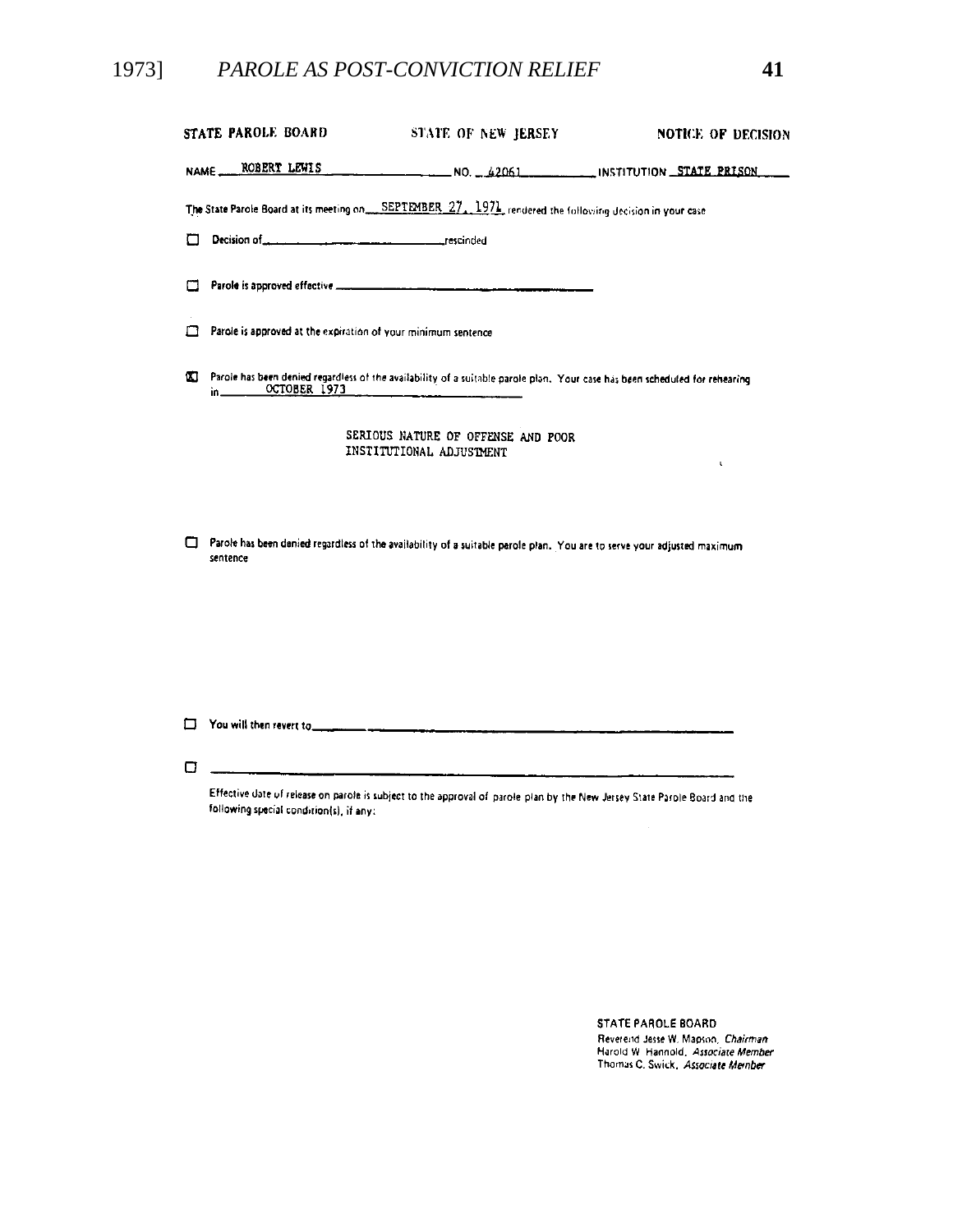# 1973] *PAROLE AS POST-CONVICTION RELIEF* **41**

| STATE PAROLE BOARD                                            | STATE OF NEW JERSEY                                                                                                         | <b>NOTICE OF DECISION</b> |  |  |  |  |  |
|---------------------------------------------------------------|-----------------------------------------------------------------------------------------------------------------------------|---------------------------|--|--|--|--|--|
|                                                               | NAME ROBERT LEWIS NO. 42061 INSTITUTION STATE PRISON                                                                        |                           |  |  |  |  |  |
|                                                               | The State Parole Board at its meeting on SEPTEMBER 27, 1971, rendered the following decision in your case                   |                           |  |  |  |  |  |
|                                                               |                                                                                                                             |                           |  |  |  |  |  |
| П                                                             |                                                                                                                             |                           |  |  |  |  |  |
| Parole is approved at the expiration of your minimum sentence |                                                                                                                             |                           |  |  |  |  |  |
| w<br>OCTOBER 1973<br>in $\qquad \qquad$                       | Parole has been denied regardless of the availability of a suitable parole plan. Your case has been scheduled for rehearing |                           |  |  |  |  |  |
|                                                               | SERIOUS NATURE OF OFFENSE AND POOR<br>INSTITUTIONAL ADJUSTMENT                                                              | ι                         |  |  |  |  |  |

Parole has been denied regardless of the availability of a suitable parole plan. You are to serve your adjusted maximum sentence

T You will then revert to was a series and contained a series of the contact of the contact of the contact of the contact of the contact of the contact of the contact of the contact of the contact of the contact of the con

 $\Box$ 

Effective date of release on parole is subject to the approval of parole plan by the New Jersey State Parole Board and the following special condition(s), if any:

> STATE PAROLE BOARD Reverend Jesse W. Mapson, Chairman Harold W. Hannold, Associate Member Thomas C. Swick, Associate Member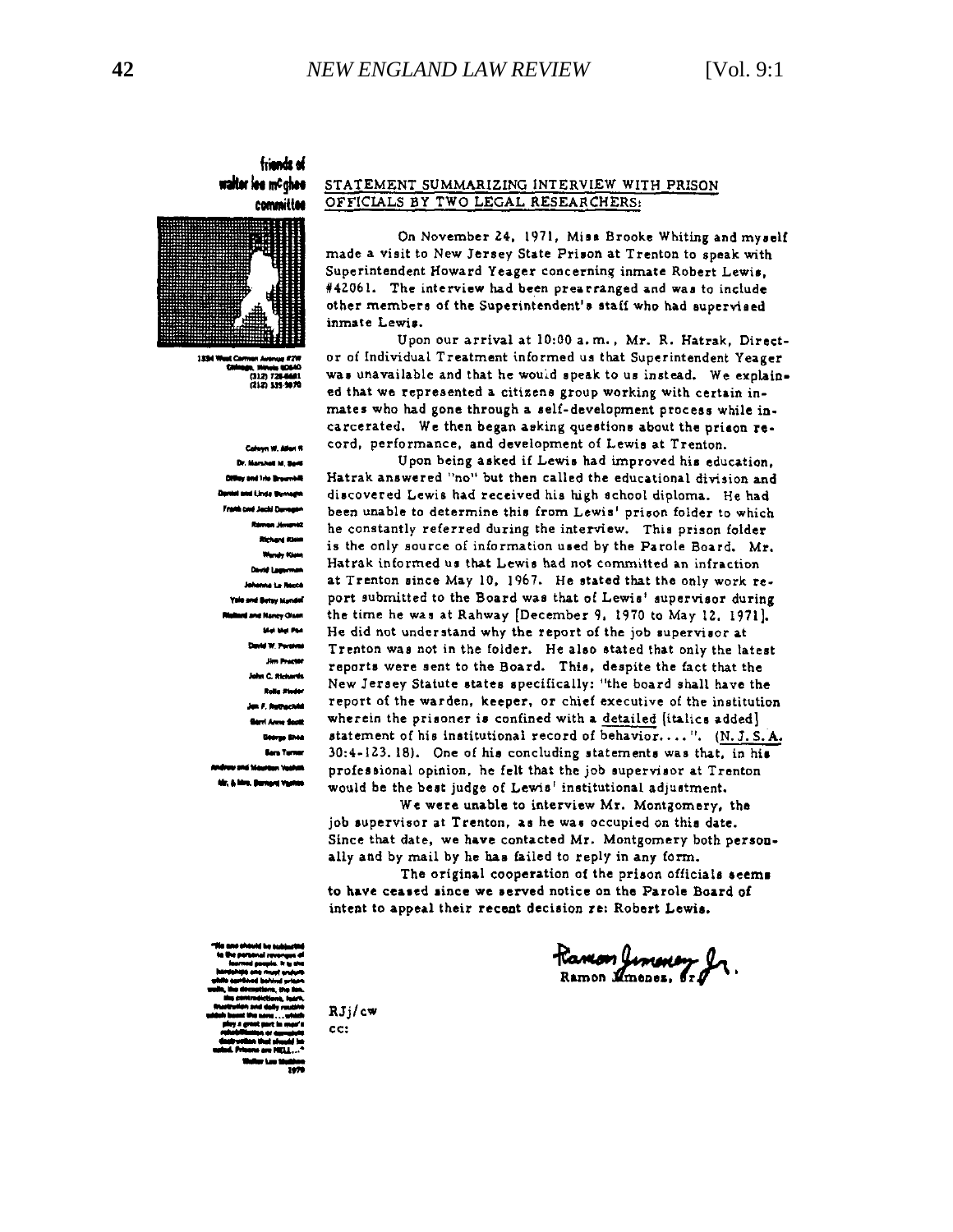#### friends of waiter lee mc ghee committee



 $(312)$  72 (212) 134-9820

> **Dr. Marshall M. Band And Isla Brow** and Linda Bu Framh one Jacki Duragen Devid Lan **Mata Le Rombi** Yale and Betsy Mandel d Nancy Olsen Mai Mai Pak d W. Perdina n C. Richards **Rolls Stades** F. Ruthachild ri Anne Sacit George Shee **Bara Turner** an Vanhan tir, & Mrs. Barnerd Vanhas

#### STATEMENT SUMMARIZING INTERVIEW WITH PRISON OFFICIALS BY TWO LEGAL RESEARCHERS:

On November 24, 1971, Miss Brooke Whiting and myself made a visit to New Jersey State Prison at Trenton to speak with Superintendent Howard Yeager concerning inmate Robert Lewis. #42061. The interview had been prearranged and was to include other members of the Superintendent's staff who had supervised inmate Lewis.

Upon our arrival at 10:00 a.m., Mr. R. Hatrak, Director of Individual Treatment informed us that Superintendent Yeager was unavailable and that he would speak to us instead. We explained that we represented a citizens group working with certain inmates who had gone through a self-development process while incarcerated. We then began asking questions about the prison record, performance, and development of Lewis at Trenton.

Upon being asked if Lewis had improved his education. Hatrak answered "no" but then called the educational division and discovered Lewis had received his high school diploma. He had been unable to determine this from Lewis' prison folder to which he constantly referred during the interview. This prison folder is the only source of information used by the Parole Board. Mr. Hatrak informed us that Lewis had not committed an infraction at Trenton since May 10, 1967. He stated that the only work report submitted to the Board was that of Lewis' supervisor during the time he was at Rahway [December 9, 1970 to May 12, 1971]. He did not understand why the report of the job supervisor at Trenton was not in the folder. He also stated that only the latest reports were sent to the Board. This, despite the fact that the New Jersey Statute states specifically: "the board shall have the report of the warden, keeper, or chief executive of the institution wherein the prisoner is confined with a detailed (italics added) statement of his institutional record of behavior....". (N. J. S. A. 30:4-123.18). One of his concluding statements was that, in his professional opinion, he felt that the job supervisor at Trenton would be the best judge of Lewis' institutional adjustment.

We were unable to interview Mr. Montgomery, the job supervisor at Trenton, as he was occupied on this date. Since that date, we have contacted Mr. Montgomery both personally and by mail by he has failed to reply in any form.

The original cooperation of the prison officials seems to have ceased since we served notice on the Parole Board of intent to appeal their recent decision re: Robert Lewis.

Ramon Jimoury J

 $RJj/cm$  $cc:$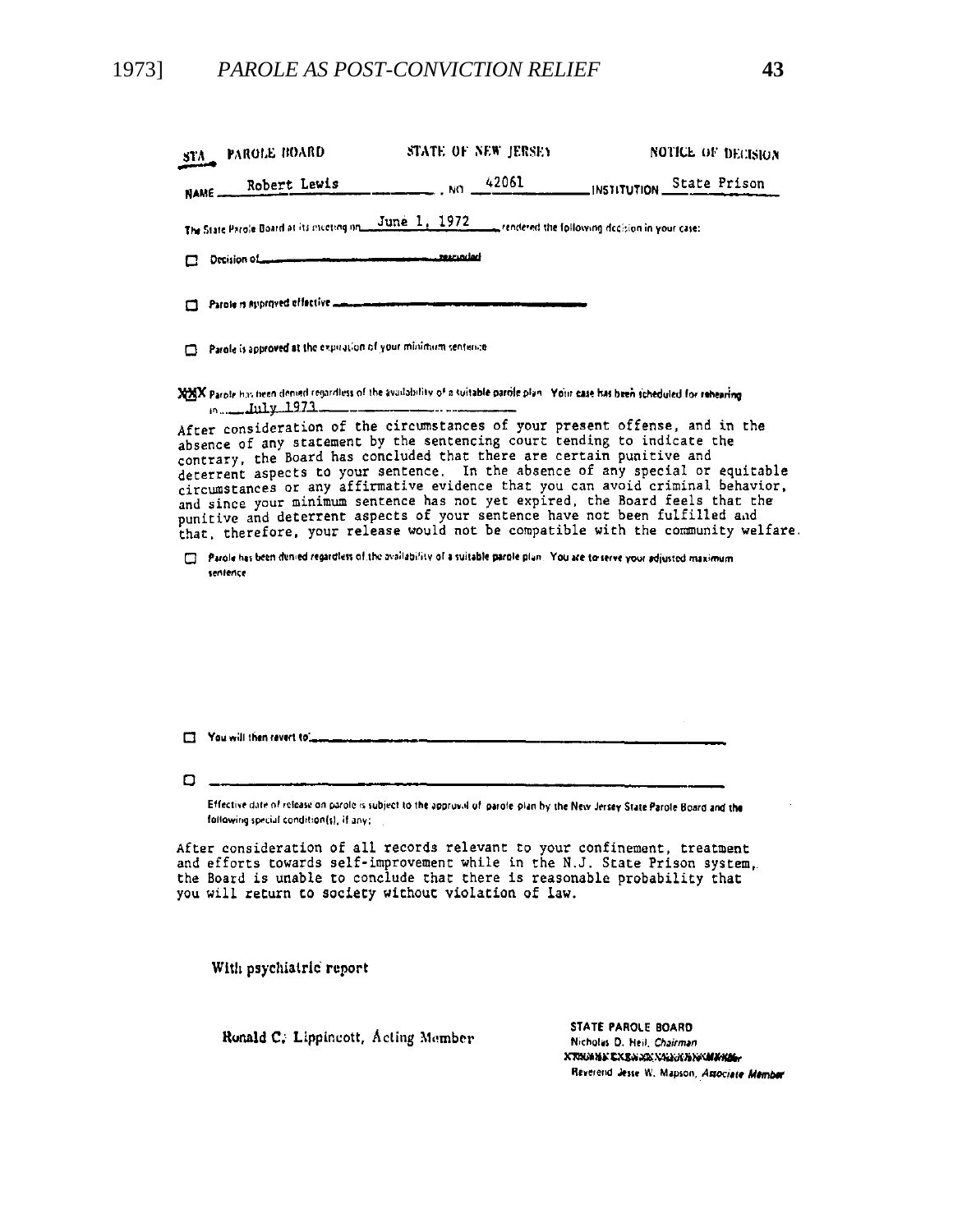### 1973] *PAROLE AS POST-CONVICTION RELIEF* **43**

| STA_ PAROLE BOARD                                                                                                                                                                                                                                                                                                                                                                                                                                                                                                                                                                                                                                           | STATE OF NEW JERSEY |                                   | <b>NOTICE OF DECISION</b> |  |
|-------------------------------------------------------------------------------------------------------------------------------------------------------------------------------------------------------------------------------------------------------------------------------------------------------------------------------------------------------------------------------------------------------------------------------------------------------------------------------------------------------------------------------------------------------------------------------------------------------------------------------------------------------------|---------------------|-----------------------------------|---------------------------|--|
| NAME Robert Lewis                                                                                                                                                                                                                                                                                                                                                                                                                                                                                                                                                                                                                                           |                     | NO 42061 INSTITUTION State Prison |                           |  |
| The State Parole Board at its meeting in June 1, 1972 rendered the following decision in your case:                                                                                                                                                                                                                                                                                                                                                                                                                                                                                                                                                         |                     |                                   |                           |  |
| Decision of the communities are a communities and the context                                                                                                                                                                                                                                                                                                                                                                                                                                                                                                                                                                                               |                     |                                   |                           |  |
| Parole is approved effective decommendation and convenience                                                                                                                                                                                                                                                                                                                                                                                                                                                                                                                                                                                                 |                     |                                   |                           |  |
| Parole is approved at the expiration of your minimum sentence                                                                                                                                                                                                                                                                                                                                                                                                                                                                                                                                                                                               |                     |                                   |                           |  |
| XXX Parole has been denied regardless of the availability of a suitable parole plan. Your case has been scheduled for rehearing                                                                                                                                                                                                                                                                                                                                                                                                                                                                                                                             |                     |                                   |                           |  |
| After consideration of the circumstances of your present offense, and in the<br>absence of any statement by the sentencing court tending to indicate the<br>contrary, the Board has concluded that there are certain punitive and<br>deterrent aspects to your sentence. In the absence of any special or equitable<br>circumstances or any affirmative evidence that you can avoid criminal behavior,<br>and since your minimum sentence has not yet expired, the Board feels that the<br>punitive and deterrent aspects of your sentence have not been fulfilled and<br>that, therefore, your release would not be compatible with the community welfare. |                     |                                   |                           |  |
| Parole has been denied regardless of the availability of a suitable parole plan. You are to serve your adjusted maximum<br>sentence                                                                                                                                                                                                                                                                                                                                                                                                                                                                                                                         |                     |                                   |                           |  |
|                                                                                                                                                                                                                                                                                                                                                                                                                                                                                                                                                                                                                                                             |                     |                                   |                           |  |
|                                                                                                                                                                                                                                                                                                                                                                                                                                                                                                                                                                                                                                                             |                     |                                   |                           |  |
|                                                                                                                                                                                                                                                                                                                                                                                                                                                                                                                                                                                                                                                             |                     |                                   |                           |  |
|                                                                                                                                                                                                                                                                                                                                                                                                                                                                                                                                                                                                                                                             |                     |                                   |                           |  |

 $\Box$ 

Effective date of release on parole is subject to the approval of parole plan by the New Jersey State Parole Board and the following special condition(s), if any:

After consideration of all records relevant to your confinement, treatment and efforts towards self-improvement while in the N.J. State Prison system,<br>the Board is unable to conclude that there is reasonable probability that you will return to society without violation of law.

With psychiatric report

Ronald C. Lippincott, Acting Member

STATE PAROLE BOARD Nicholas D. Heil, Chairman ХТИМИК СХЕММК ХАНАКИЙ КАМИИНЫ Reverend Jesse W. Mapson, Associate Member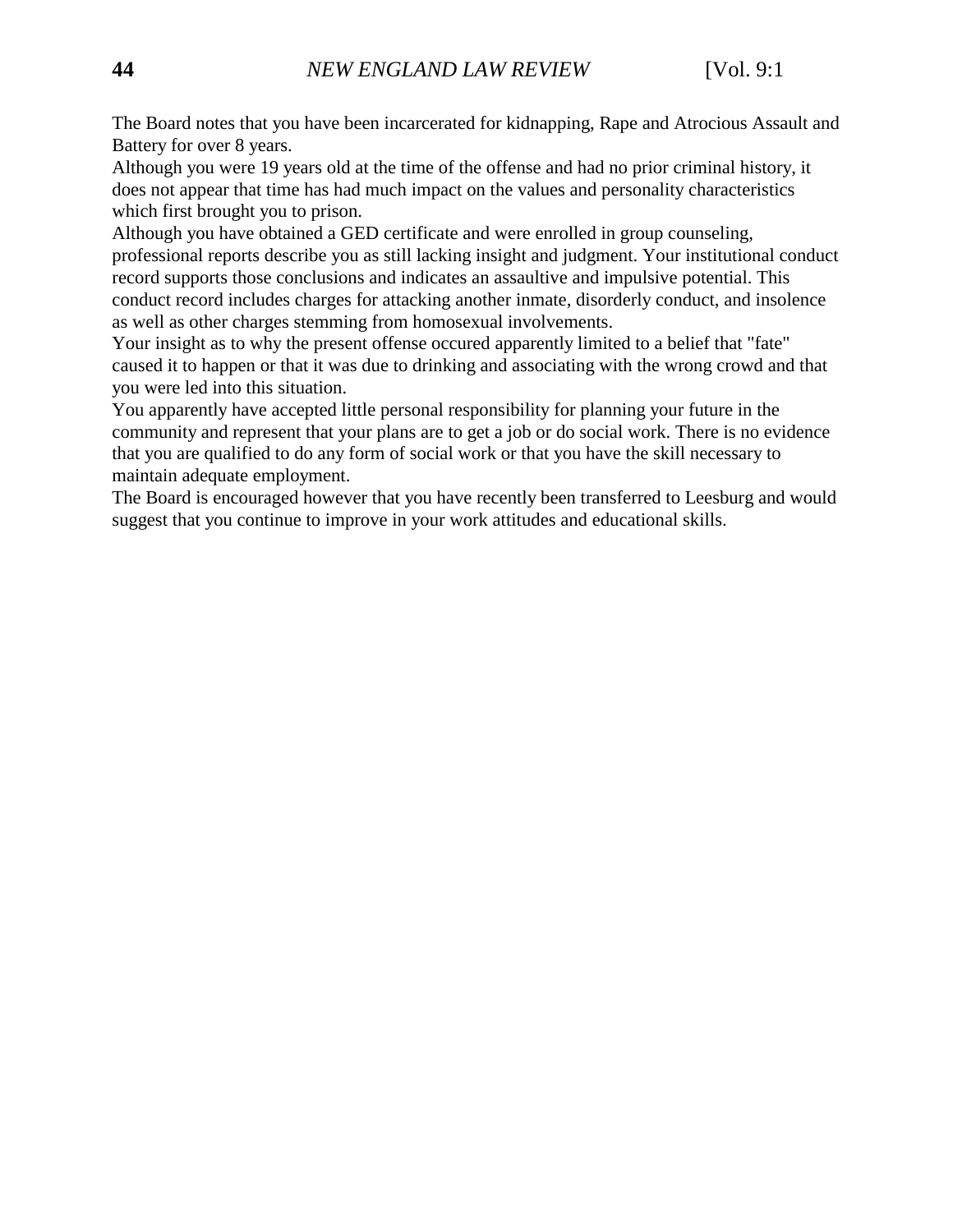The Board notes that you have been incarcerated for kidnapping, Rape and Atrocious Assault and Battery for over 8 years.

Although you were 19 years old at the time of the offense and had no prior criminal history, it does not appear that time has had much impact on the values and personality characteristics which first brought you to prison.

Although you have obtained a GED certificate and were enrolled in group counseling, professional reports describe you as still lacking insight and judgment. Your institutional conduct record supports those conclusions and indicates an assaultive and impulsive potential. This conduct record includes charges for attacking another inmate, disorderly conduct, and insolence as well as other charges stemming from homosexual involvements.

Your insight as to why the present offense occured apparently limited to a belief that "fate" caused it to happen or that it was due to drinking and associating with the wrong crowd and that you were led into this situation.

You apparently have accepted little personal responsibility for planning your future in the community and represent that your plans are to get a job or do social work. There is no evidence that you are qualified to do any form of social work or that you have the skill necessary to maintain adequate employment.

The Board is encouraged however that you have recently been transferred to Leesburg and would suggest that you continue to improve in your work attitudes and educational skills.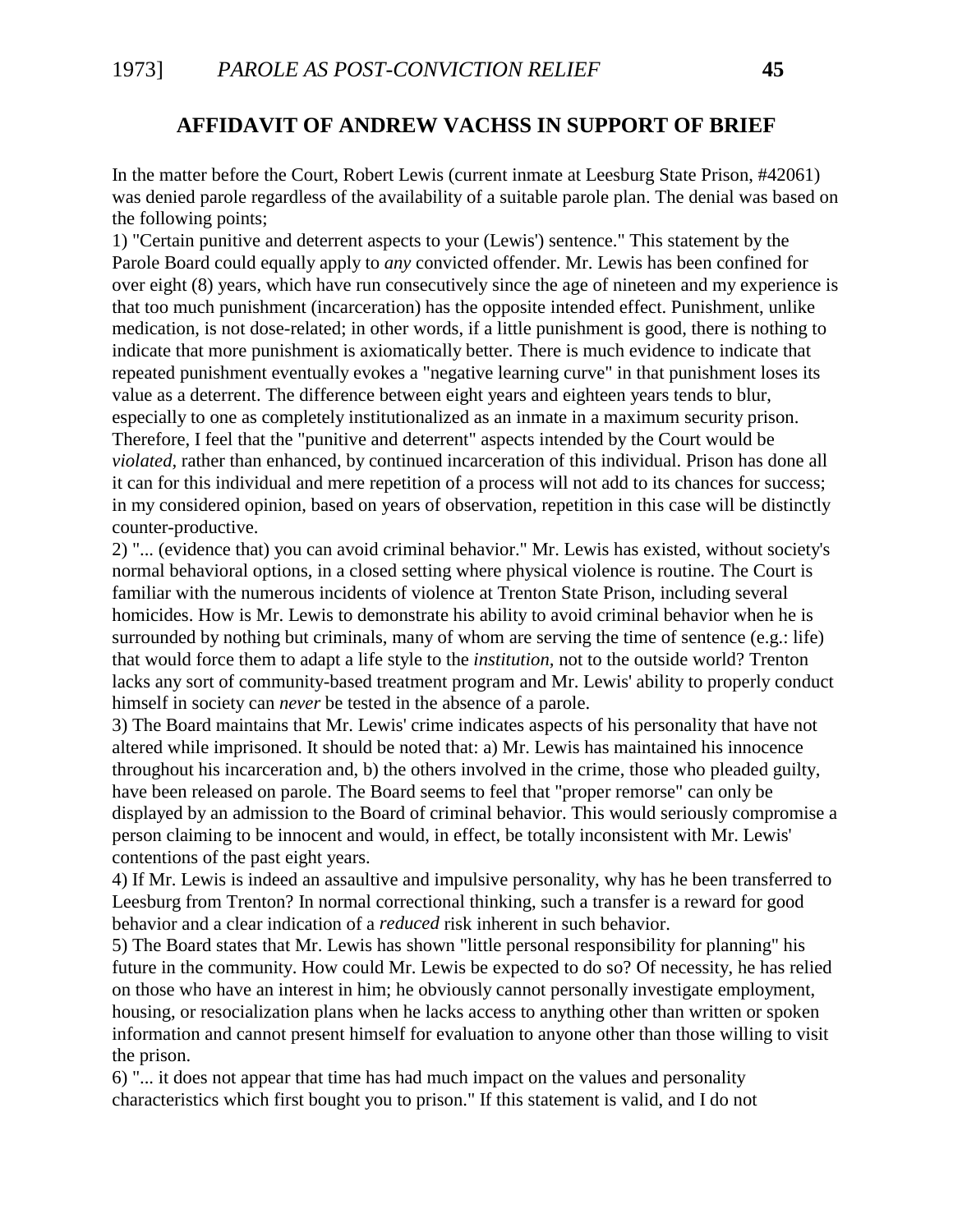### **AFFIDAVIT OF ANDREW VACHSS IN SUPPORT OF BRIEF**

In the matter before the Court, Robert Lewis (current inmate at Leesburg State Prison, #42061) was denied parole regardless of the availability of a suitable parole plan. The denial was based on the following points;

1) "Certain punitive and deterrent aspects to your (Lewis') sentence." This statement by the Parole Board could equally apply to *any* convicted offender. Mr. Lewis has been confined for over eight (8) years, which have run consecutively since the age of nineteen and my experience is that too much punishment (incarceration) has the opposite intended effect. Punishment, unlike medication, is not dose-related; in other words, if a little punishment is good, there is nothing to indicate that more punishment is axiomatically better. There is much evidence to indicate that repeated punishment eventually evokes a "negative learning curve" in that punishment loses its value as a deterrent. The difference between eight years and eighteen years tends to blur, especially to one as completely institutionalized as an inmate in a maximum security prison. Therefore, I feel that the "punitive and deterrent" aspects intended by the Court would be *violated,* rather than enhanced, by continued incarceration of this individual. Prison has done all it can for this individual and mere repetition of a process will not add to its chances for success; in my considered opinion, based on years of observation, repetition in this case will be distinctly counter-productive.

2) "... (evidence that) you can avoid criminal behavior." Mr. Lewis has existed, without society's normal behavioral options, in a closed setting where physical violence is routine. The Court is familiar with the numerous incidents of violence at Trenton State Prison, including several homicides. How is Mr. Lewis to demonstrate his ability to avoid criminal behavior when he is surrounded by nothing but criminals, many of whom are serving the time of sentence (e.g.: life) that would force them to adapt a life style to the *institution,* not to the outside world? Trenton lacks any sort of community-based treatment program and Mr. Lewis' ability to properly conduct himself in society can *never* be tested in the absence of a parole.

3) The Board maintains that Mr. Lewis' crime indicates aspects of his personality that have not altered while imprisoned. It should be noted that: a) Mr. Lewis has maintained his innocence throughout his incarceration and, b) the others involved in the crime, those who pleaded guilty, have been released on parole. The Board seems to feel that "proper remorse" can only be displayed by an admission to the Board of criminal behavior. This would seriously compromise a person claiming to be innocent and would, in effect, be totally inconsistent with Mr. Lewis' contentions of the past eight years.

4) If Mr. Lewis is indeed an assaultive and impulsive personality, why has he been transferred to Leesburg from Trenton? In normal correctional thinking, such a transfer is a reward for good behavior and a clear indication of a *reduced* risk inherent in such behavior.

5) The Board states that Mr. Lewis has shown "little personal responsibility for planning" his future in the community. How could Mr. Lewis be expected to do so? Of necessity, he has relied on those who have an interest in him; he obviously cannot personally investigate employment, housing, or resocialization plans when he lacks access to anything other than written or spoken information and cannot present himself for evaluation to anyone other than those willing to visit the prison.

6) "... it does not appear that time has had much impact on the values and personality characteristics which first bought you to prison." If this statement is valid, and I do not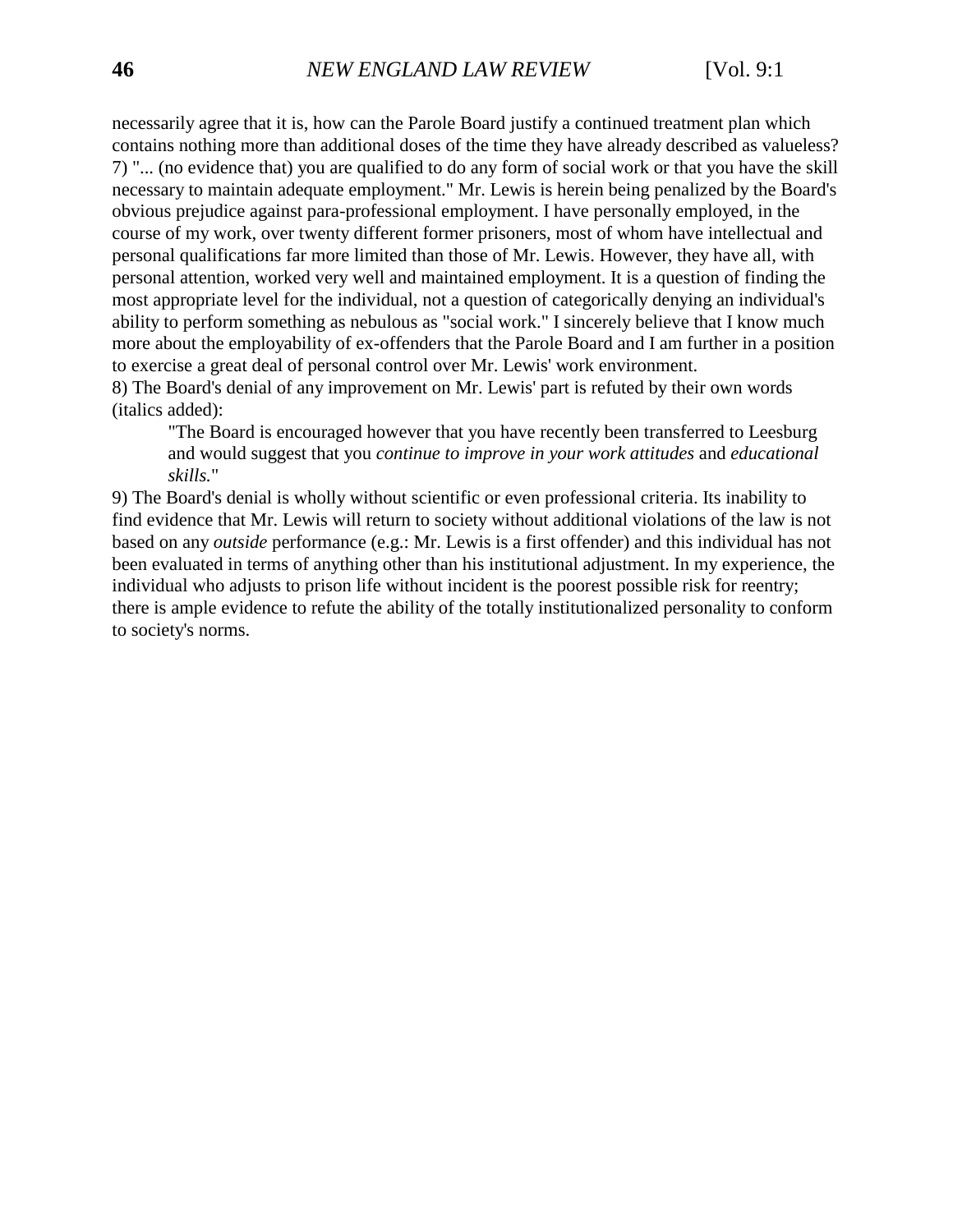necessarily agree that it is, how can the Parole Board justify a continued treatment plan which contains nothing more than additional doses of the time they have already described as valueless? 7) "... (no evidence that) you are qualified to do any form of social work or that you have the skill necessary to maintain adequate employment." Mr. Lewis is herein being penalized by the Board's obvious prejudice against para-professional employment. I have personally employed, in the course of my work, over twenty different former prisoners, most of whom have intellectual and personal qualifications far more limited than those of Mr. Lewis. However, they have all, with personal attention, worked very well and maintained employment. It is a question of finding the most appropriate level for the individual, not a question of categorically denying an individual's ability to perform something as nebulous as "social work." I sincerely believe that I know much more about the employability of ex-offenders that the Parole Board and I am further in a position to exercise a great deal of personal control over Mr. Lewis' work environment.

8) The Board's denial of any improvement on Mr. Lewis' part is refuted by their own words (italics added):

"The Board is encouraged however that you have recently been transferred to Leesburg and would suggest that you *continue to improve in your work attitudes* and *educational skills.*"

9) The Board's denial is wholly without scientific or even professional criteria. Its inability to find evidence that Mr. Lewis will return to society without additional violations of the law is not based on any *outside* performance (e.g.: Mr. Lewis is a first offender) and this individual has not been evaluated in terms of anything other than his institutional adjustment. In my experience, the individual who adjusts to prison life without incident is the poorest possible risk for reentry; there is ample evidence to refute the ability of the totally institutionalized personality to conform to society's norms.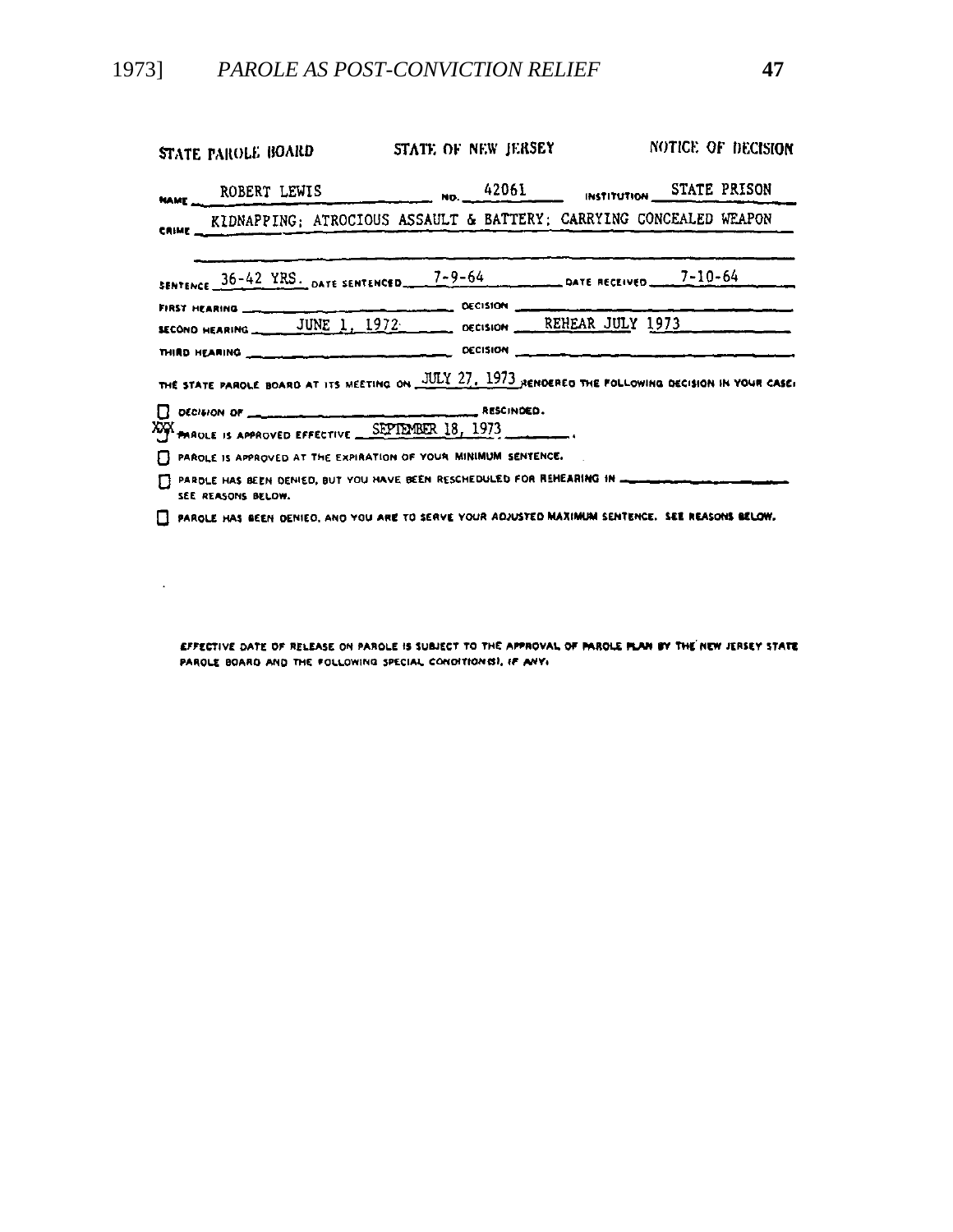$\Delta \phi$ 

| STATE PAROLE BOARD                                                                                                    | STATE OF NEW JERSEY | NOTICE OF DECISION |
|-----------------------------------------------------------------------------------------------------------------------|---------------------|--------------------|
| NAME ROBERT LEWIS NO. 42061 INSTITUTION STATE PRISON                                                                  |                     |                    |
| CRIME KIDNAPPING; ATROCIOUS ASSAULT & BATTERY; CARRYING CONCEALED WEAPON                                              |                     |                    |
| SENTENCE 36-42 YRS. DATE SENTENCED 7-9-64 DATE RECEIVED 7-10-64                                                       |                     |                    |
|                                                                                                                       |                     |                    |
| THE STATE PAROLE BOARD AT ITS MEETING ON JULY 27, 1973 RENDERED THE FOLLOWING DECISION IN YOUR CASE!                  |                     |                    |
| DECISION OF COMMISSION CONTINUES.<br>XXX PAROLE IS APPROVED EFFECTIVE SEPTEMBER 18, 1973                              |                     |                    |
| PAROLE IS APPROVED AT THE EXPIRATION OF YOUR MINIMUM SENTENCE.                                                        |                     |                    |
| PARDLE HAS BEEN DENIED, BUT YOU HAVE BEEN RESCHEDULED FOR REHEARING IN CONTINUES AND CONTINUES.<br>SEE REASONS BELOW. |                     |                    |
| FI PAROLE HAS BEEN DENIED, AND YOU ARE TO SERVE YOUR ADJUSTED MAXIMUM SENTENCE. SEE REASONS BELOW.                    |                     |                    |

EFFECTIVE DATE OF RELEASE ON PAROLE IS SUBJECT TO THE APPROVAL OF PAROLE PLAN BY THE NEW JERSEY STATE PAROLE BOARD AND THE FOLLOWING SPECIAL CONDITIONS), IF ANY.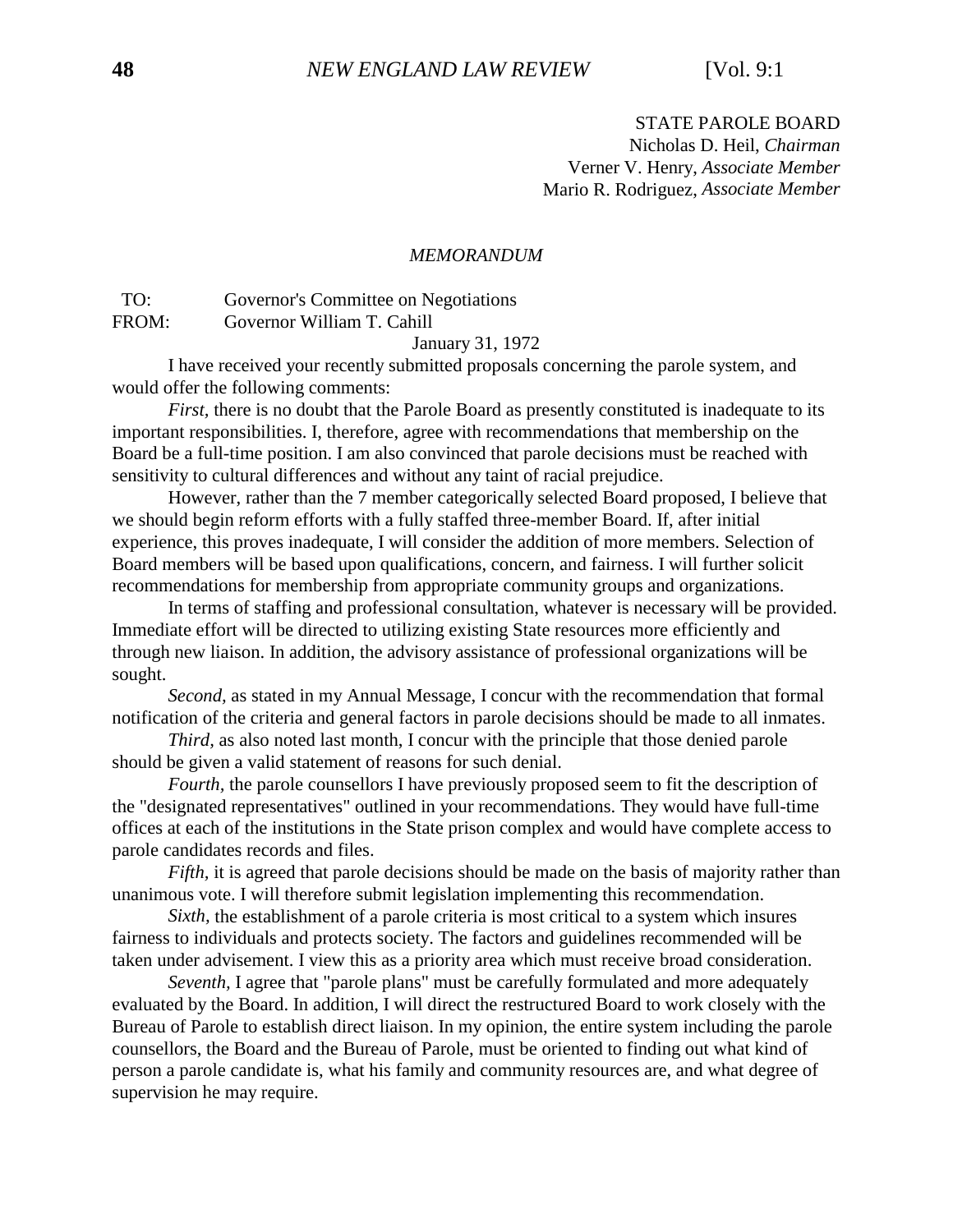#### STATE PAROLE BOARD Nicholas D. Heil, *Chairman* Verner V. Henry, *Associate Member* Mario R. Rodriguez, *Associate Member*

#### *MEMORANDUM*

 TO: Governor's Committee on Negotiations FROM: Governor William T. Cahill

January 31, 1972

I have received your recently submitted proposals concerning the parole system, and would offer the following comments:

*First*, there is no doubt that the Parole Board as presently constituted is inadequate to its important responsibilities. I, therefore, agree with recommendations that membership on the Board be a full-time position. I am also convinced that parole decisions must be reached with sensitivity to cultural differences and without any taint of racial prejudice.

However, rather than the 7 member categorically selected Board proposed, I believe that we should begin reform efforts with a fully staffed three-member Board. If, after initial experience, this proves inadequate, I will consider the addition of more members. Selection of Board members will be based upon qualifications, concern, and fairness. I will further solicit recommendations for membership from appropriate community groups and organizations.

In terms of staffing and professional consultation, whatever is necessary will be provided. Immediate effort will be directed to utilizing existing State resources more efficiently and through new liaison. In addition, the advisory assistance of professional organizations will be sought.

*Second,* as stated in my Annual Message, I concur with the recommendation that formal notification of the criteria and general factors in parole decisions should be made to all inmates.

*Third*, as also noted last month, I concur with the principle that those denied parole should be given a valid statement of reasons for such denial.

*Fourth,* the parole counsellors I have previously proposed seem to fit the description of the "designated representatives" outlined in your recommendations. They would have full-time offices at each of the institutions in the State prison complex and would have complete access to parole candidates records and files.

*Fifth*, it is agreed that parole decisions should be made on the basis of majority rather than unanimous vote. I will therefore submit legislation implementing this recommendation.

*Sixth*, the establishment of a parole criteria is most critical to a system which insures fairness to individuals and protects society. The factors and guidelines recommended will be taken under advisement. I view this as a priority area which must receive broad consideration.

*Seventh,* I agree that "parole plans" must be carefully formulated and more adequately evaluated by the Board. In addition, I will direct the restructured Board to work closely with the Bureau of Parole to establish direct liaison. In my opinion, the entire system including the parole counsellors, the Board and the Bureau of Parole, must be oriented to finding out what kind of person a parole candidate is, what his family and community resources are, and what degree of supervision he may require.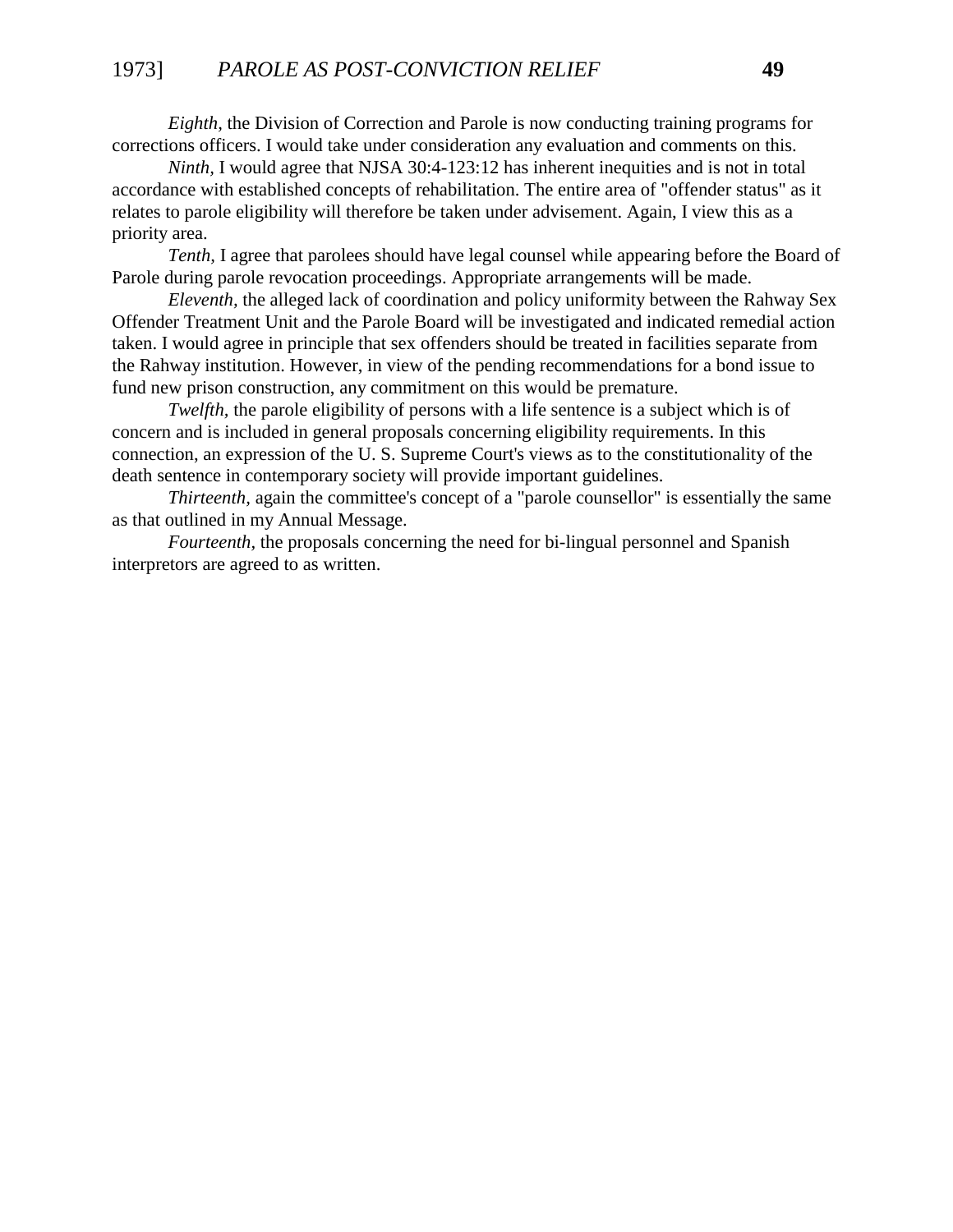*Eighth,* the Division of Correction and Parole is now conducting training programs for corrections officers. I would take under consideration any evaluation and comments on this.

*Ninth,* I would agree that NJSA 30:4-123:12 has inherent inequities and is not in total accordance with established concepts of rehabilitation. The entire area of "offender status" as it relates to parole eligibility will therefore be taken under advisement. Again, I view this as a priority area.

*Tenth,* I agree that parolees should have legal counsel while appearing before the Board of Parole during parole revocation proceedings. Appropriate arrangements will be made.

*Eleventh,* the alleged lack of coordination and policy uniformity between the Rahway Sex Offender Treatment Unit and the Parole Board will be investigated and indicated remedial action taken. I would agree in principle that sex offenders should be treated in facilities separate from the Rahway institution. However, in view of the pending recommendations for a bond issue to fund new prison construction, any commitment on this would be premature.

*Twelfth*, the parole eligibility of persons with a life sentence is a subject which is of concern and is included in general proposals concerning eligibility requirements. In this connection, an expression of the U. S. Supreme Court's views as to the constitutionality of the death sentence in contemporary society will provide important guidelines.

*Thirteenth*, again the committee's concept of a "parole counsellor" is essentially the same as that outlined in my Annual Message.

*Fourteenth,* the proposals concerning the need for bi-lingual personnel and Spanish interpretors are agreed to as written.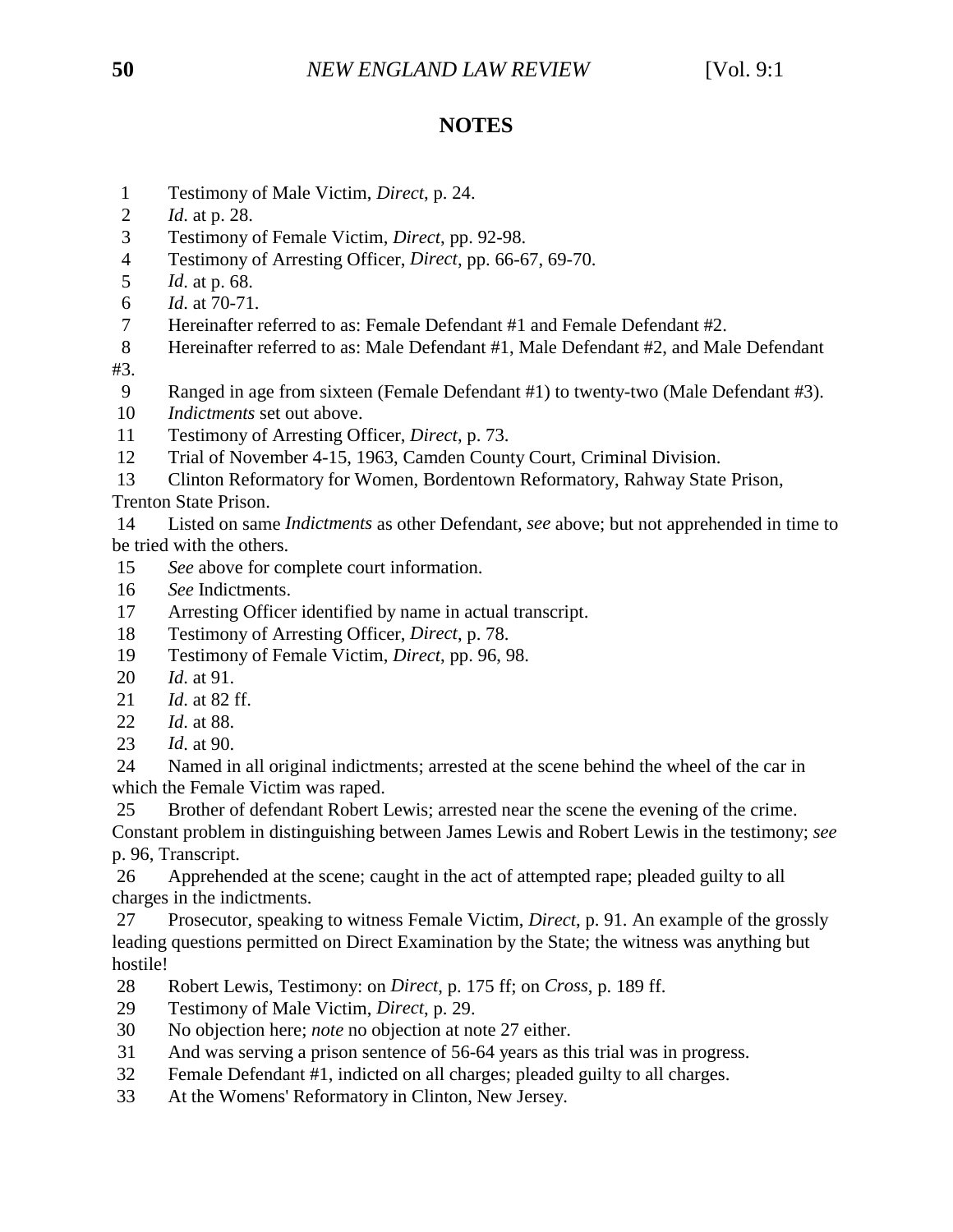# **NOTES**

- 1 Testimony of Male Victim, *Direct*, p. 24.
- 2 *Id*. at p. 28.
- 3 Testimony of Female Victim, *Direct*, pp. 92-98.
- 4 Testimony of Arresting Officer, *Direct*, pp. 66-67, 69-70.
- 5 *Id*. at p. 68.
- 6 *Id*. at 70-71.
- 7 Hereinafter referred to as: Female Defendant #1 and Female Defendant #2.
- 8 Hereinafter referred to as: Male Defendant #1, Male Defendant #2, and Male Defendant
- #3.
	- 9 Ranged in age from sixteen (Female Defendant #1) to twenty-two (Male Defendant #3).
- 10 *Indictments* set out above.
- 11 Testimony of Arresting Officer, *Direct*, p. 73.
- 12 Trial of November 4-15, 1963, Camden County Court, Criminal Division.
- 13 Clinton Reformatory for Women, Bordentown Reformatory, Rahway State Prison,

Trenton State Prison.

 14 Listed on same *Indictments* as other Defendant, *see* above; but not apprehended in time to be tried with the others.

- 15 *See* above for complete court information.
- 16 *See* Indictments.
- 17 Arresting Officer identified by name in actual transcript.
- 18 Testimony of Arresting Officer, *Direct*, p. 78.
- 19 Testimony of Female Victim, *Direct*, pp. 96, 98.
- 20 *Id*. at 91.
- 21 *Id*. at 82 ff.
- 22 *Id*. at 88.
- 23 *Id*. at 90.

 24 Named in all original indictments; arrested at the scene behind the wheel of the car in which the Female Victim was raped.

25 Brother of defendant Robert Lewis; arrested near the scene the evening of the crime.

Constant problem in distinguishing between James Lewis and Robert Lewis in the testimony; *see* p. 96, Transcript.

 26 Apprehended at the scene; caught in the act of attempted rape; pleaded guilty to all charges in the indictments.

 27 Prosecutor, speaking to witness Female Victim, *Direct*, p. 91. An example of the grossly leading questions permitted on Direct Examination by the State; the witness was anything but hostile!

- 28 Robert Lewis, Testimony: on *Direct*, p. 175 ff; on *Cross*, p. 189 ff.
- 29 Testimony of Male Victim, *Direct*, p. 29.
- 30 No objection here; *note* no objection at note 27 either.
- 31 And was serving a prison sentence of 56-64 years as this trial was in progress.
- 32 Female Defendant #1, indicted on all charges; pleaded guilty to all charges.
- 33 At the Womens' Reformatory in Clinton, New Jersey.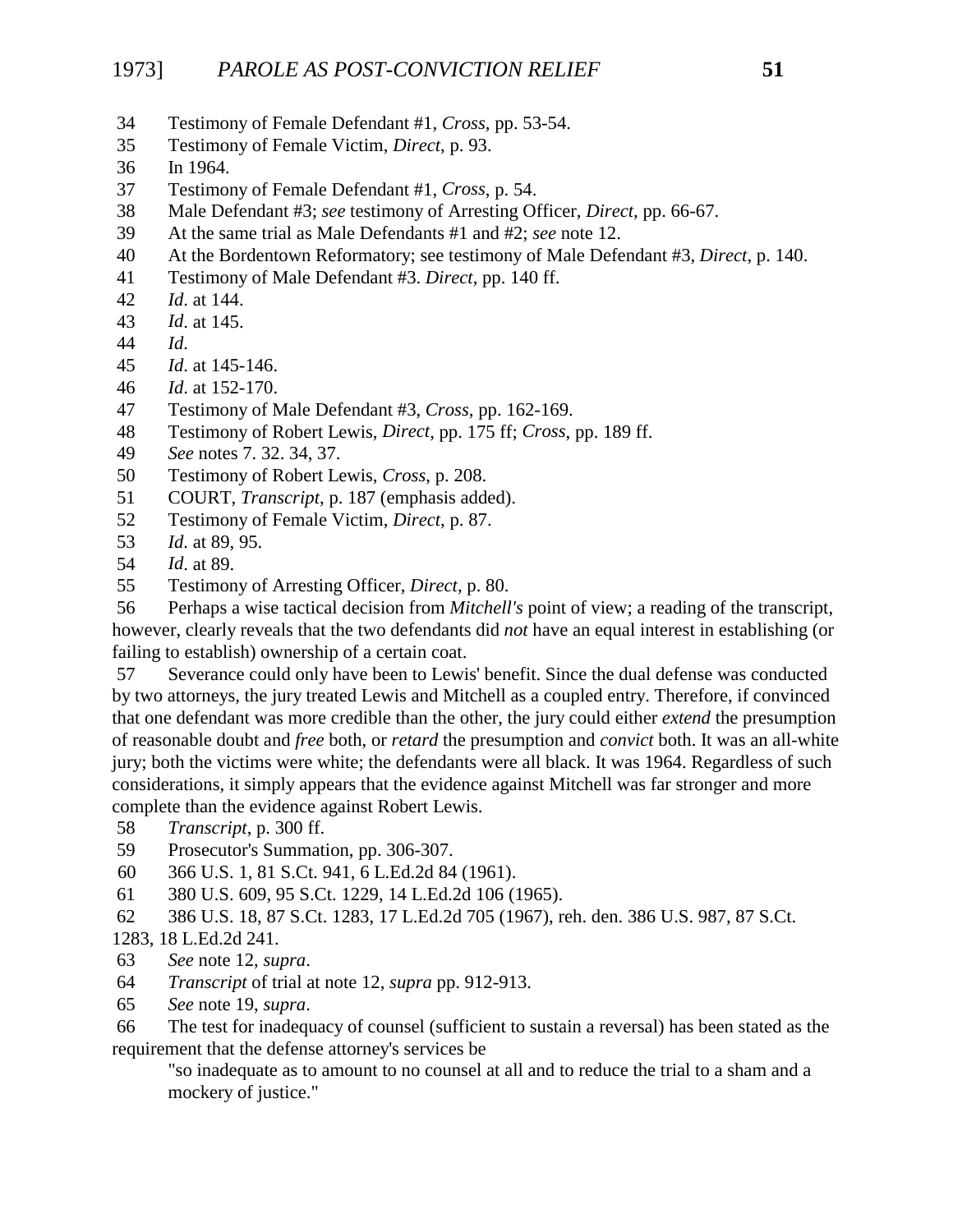- 34 Testimony of Female Defendant #1, *Cross*, pp. 53-54.
- 35 Testimony of Female Victim, *Direct*, p. 93.
- 36 In 1964.
- 37 Testimony of Female Defendant #1, *Cross*, p. 54.
- 38 Male Defendant #3; *see* testimony of Arresting Officer, *Direct*, pp. 66-67.
- 39 At the same trial as Male Defendants #1 and #2; *see* note 12.
- 40 At the Bordentown Reformatory; see testimony of Male Defendant #3, *Direct*, p. 140.
- 41 Testimony of Male Defendant #3. *Direct*, pp. 140 ff.
- 42 *Id*. at 144.
- 43 *Id*. at 145.
- 44 *Id*.
- 45 *Id*. at 145-146.
- 46 *Id*. at 152-170.
- 47 Testimony of Male Defendant #3, *Cross*, pp. 162-169.
- 48 Testimony of Robert Lewis, *Direct*, pp. 175 ff; *Cross*, pp. 189 ff.
- 49 *See* notes 7. 32. 34, 37.
- 50 Testimony of Robert Lewis, *Cross*, p. 208.
- 51 COURT, *Transcript*, p. 187 (emphasis added).
- 52 Testimony of Female Victim, *Direct*, p. 87.
- 53 *Id*. at 89, 95.
- 54 *Id*. at 89.
- 55 Testimony of Arresting Officer, *Direct*, p. 80.

 56 Perhaps a wise tactical decision from *Mitchell's* point of view; a reading of the transcript, however, clearly reveals that the two defendants did *not* have an equal interest in establishing (or failing to establish) ownership of a certain coat.

 57 Severance could only have been to Lewis' benefit. Since the dual defense was conducted by two attorneys, the jury treated Lewis and Mitchell as a coupled entry. Therefore, if convinced that one defendant was more credible than the other, the jury could either *extend* the presumption of reasonable doubt and *free* both, or *retard* the presumption and *convict* both. It was an all-white jury; both the victims were white; the defendants were all black. It was 1964. Regardless of such considerations, it simply appears that the evidence against Mitchell was far stronger and more complete than the evidence against Robert Lewis.

- 58 *Transcript*, p. 300 ff.
- 59 Prosecutor's Summation, pp. 306-307.
- 60 366 U.S. 1, 81 S.Ct. 941, 6 L.Ed.2d 84 (1961).
- 61 380 U.S. 609, 95 S.Ct. 1229, 14 L.Ed.2d 106 (1965).
- 62 386 U.S. 18, 87 S.Ct. 1283, 17 L.Ed.2d 705 (1967), reh. den. 386 U.S. 987, 87 S.Ct.

#### 1283, 18 L.Ed.2d 241.

- 63 *See* note 12, *supra*.
- 64 *Transcript* of trial at note 12, *supra* pp. 912-913.
- 65 *See* note 19, *supra*.

 66 The test for inadequacy of counsel (sufficient to sustain a reversal) has been stated as the requirement that the defense attorney's services be

"so inadequate as to amount to no counsel at all and to reduce the trial to a sham and a mockery of justice."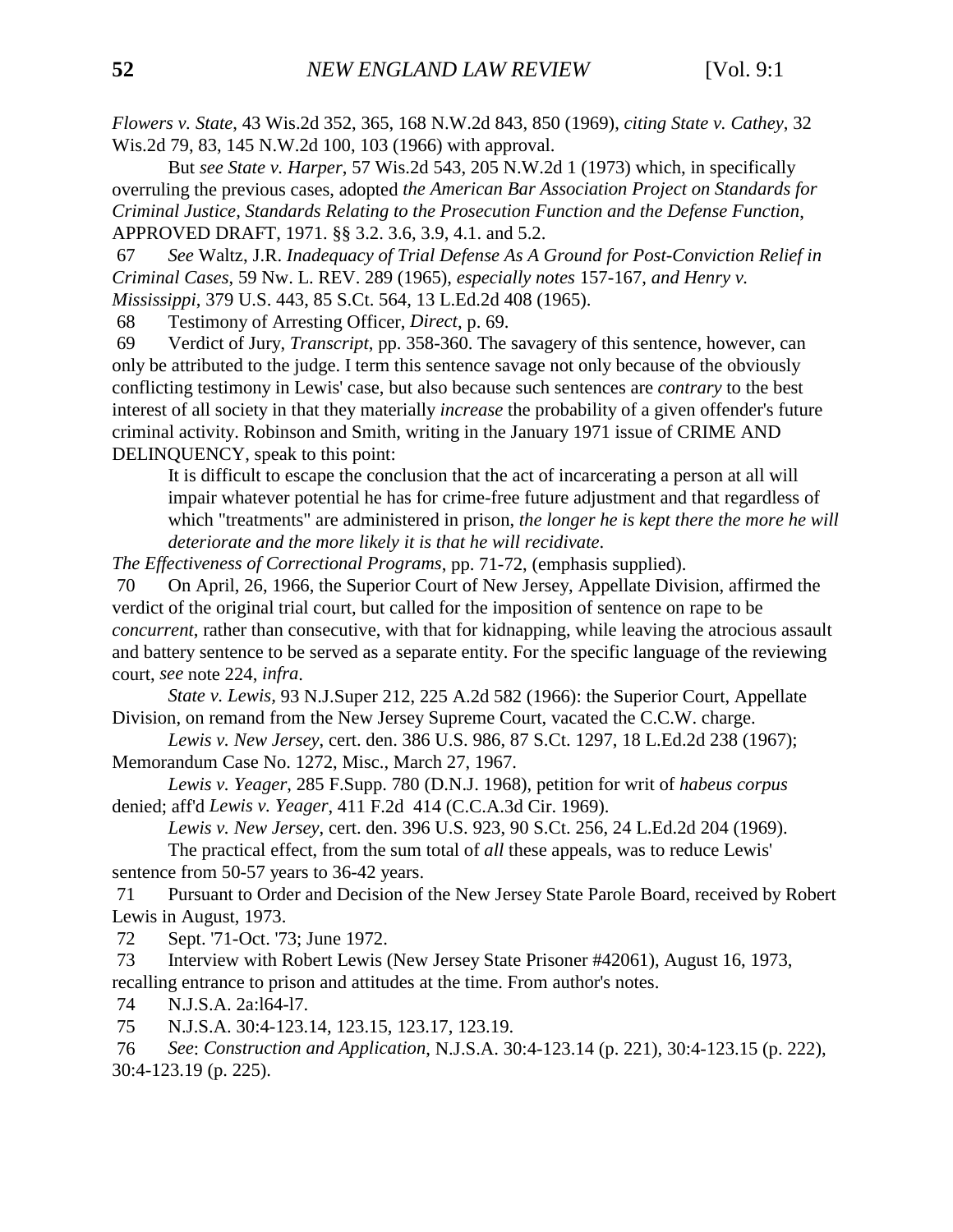*Flowers v. State*, 43 Wis.2d 352, 365, 168 N.W.2d 843, 850 (1969), *citing State v. Cathey*, 32 Wis.2d 79, 83, 145 N.W.2d 100, 103 (1966) with approval.

But *see State v. Harper*, 57 Wis.2d 543, 205 N.W.2d 1 (1973) which, in specifically overruling the previous cases, adopted *the American Bar Association Project on Standards for Criminal Justice, Standards Relating to the Prosecution Function and the Defense Function*, APPROVED DRAFT, 1971. §§ 3.2. 3.6, 3.9, 4.1. and 5.2.

 67 *See* Waltz, J.R. *Inadequacy of Trial Defense As A Ground for Post-Conviction Relief in Criminal Cases*, 59 Nw. L. REV. 289 (1965), *especially notes* 157-167, *and Henry v. Mississippi*, 379 U.S. 443, 85 S.Ct. 564, 13 L.Ed.2d 408 (1965).

68 Testimony of Arresting Officer, *Direct*, p. 69.

 69 Verdict of Jury, *Transcript*, pp. 358-360. The savagery of this sentence, however, can only be attributed to the judge. I term this sentence savage not only because of the obviously conflicting testimony in Lewis' case, but also because such sentences are *contrary* to the best interest of all society in that they materially *increase* the probability of a given offender's future criminal activity. Robinson and Smith, writing in the January 1971 issue of CRIME AND DELINQUENCY, speak to this point:

It is difficult to escape the conclusion that the act of incarcerating a person at all will impair whatever potential he has for crime-free future adjustment and that regardless of which "treatments" are administered in prison, *the longer he is kept there the more he will deteriorate and the more likely it is that he will recidivate*.

*The Effectiveness of Correctional Programs*, pp. 71-72, (emphasis supplied).

 70 On April, 26, 1966, the Superior Court of New Jersey, Appellate Division, affirmed the verdict of the original trial court, but called for the imposition of sentence on rape to be *concurrent*, rather than consecutive, with that for kidnapping, while leaving the atrocious assault and battery sentence to be served as a separate entity. For the specific language of the reviewing court, *see* note 224, *infra*.

*State v. Lewis,* 93 N.J.Super 212, 225 A.2d 582 (1966): the Superior Court, Appellate Division, on remand from the New Jersey Supreme Court, vacated the C.C.W. charge.

*Lewis v. New Jersey*, cert. den. 386 U.S. 986, 87 S.Ct. 1297, 18 L.Ed.2d 238 (1967); Memorandum Case No. 1272, Misc., March 27, 1967.

*Lewis v. Yeager*, 285 F.Supp. 780 (D.N.J. 1968), petition for writ of *habeus corpus* denied; aff'd *Lewis v. Yeager*, 411 F.2d 414 (C.C.A.3d Cir. 1969).

*Lewis v. New Jersey*, cert. den. 396 U.S. 923, 90 S.Ct. 256, 24 L.Ed.2d 204 (1969).

The practical effect, from the sum total of *all* these appeals, was to reduce Lewis' sentence from 50-57 years to 36-42 years.

 71 Pursuant to Order and Decision of the New Jersey State Parole Board, received by Robert Lewis in August, 1973.

72 Sept. '71-Oct. '73; June 1972.

 73 Interview with Robert Lewis (New Jersey State Prisoner #42061), August 16, 1973, recalling entrance to prison and attitudes at the time. From author's notes.

74 N.J.S.A. 2a:l64-l7.

75 N.J.S.A. 30:4-123.14, 123.15, 123.17, 123.19.

 76 *See*: *Construction and Application*, N.J.S.A. 30:4-123.14 (p. 221), 30:4-123.15 (p. 222), 30:4-123.19 (p. 225).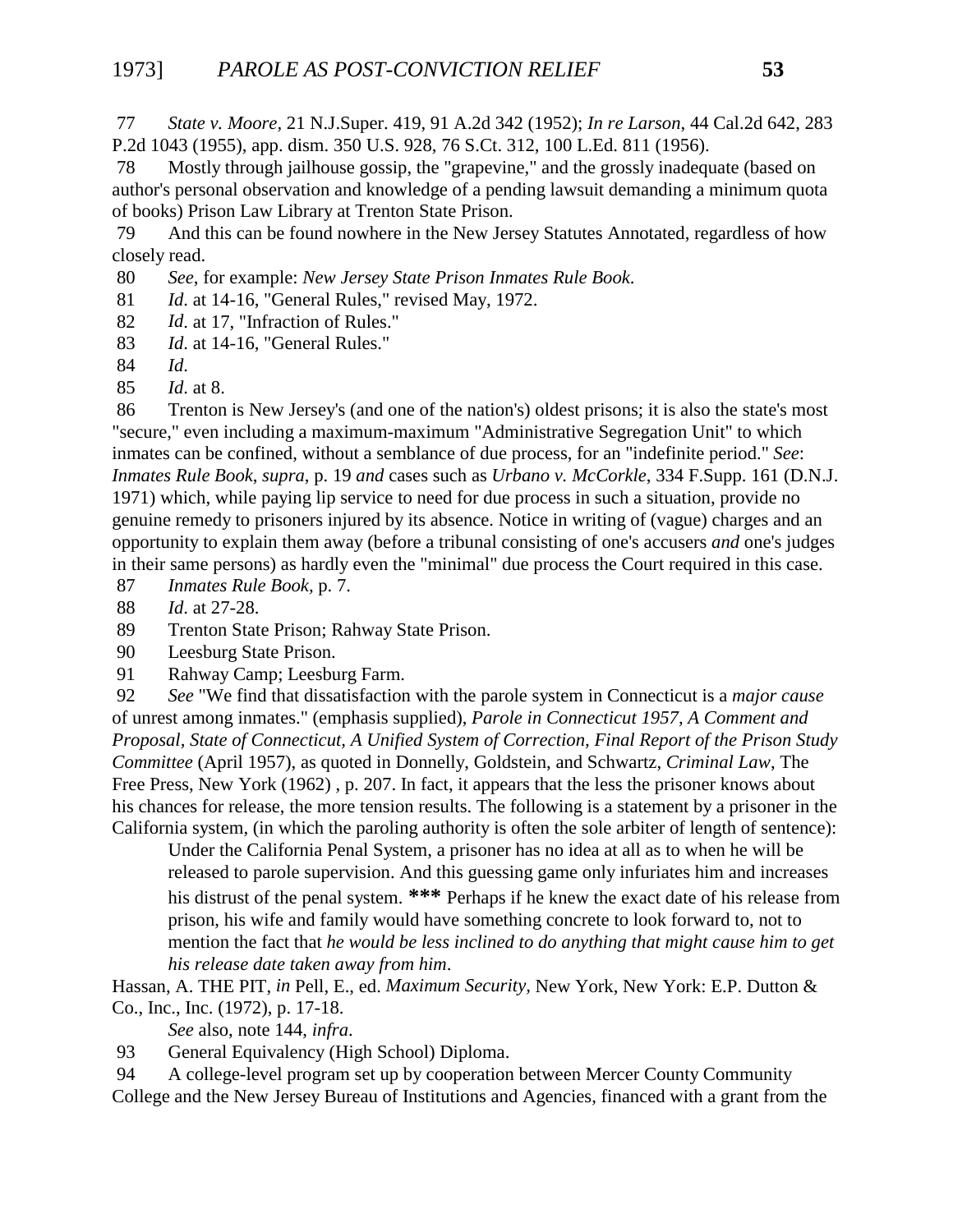77 *State v. Moore,* 21 N.J.Super. 419, 91 A.2d 342 (1952); *In re Larson*, 44 Cal.2d 642, 283 P.2d 1043 (1955), app. dism. 350 U.S. 928, 76 S.Ct. 312, 100 L.Ed. 811 (1956).

 78 Mostly through jailhouse gossip, the "grapevine," and the grossly inadequate (based on author's personal observation and knowledge of a pending lawsuit demanding a minimum quota of books) Prison Law Library at Trenton State Prison.

 79 And this can be found nowhere in the New Jersey Statutes Annotated, regardless of how closely read.

80 *See*, for example: *New Jersey State Prison Inmates Rule Book*.

81 *Id*. at 14-16, "General Rules," revised May, 1972.

82 *Id*. at 17, "Infraction of Rules."

83 *Id*. at 14-16, "General Rules."

84 *Id*.

85 *Id*. at 8.

 86 Trenton is New Jersey's (and one of the nation's) oldest prisons; it is also the state's most "secure," even including a maximum-maximum "Administrative Segregation Unit" to which inmates can be confined, without a semblance of due process, for an "indefinite period." *See*: *Inmates Rule Book*, *supra*, p. 19 *and* cases such as *Urbano v. McCorkle*, 334 F.Supp. 161 (D.N.J. 1971) which, while paying lip service to need for due process in such a situation, provide no genuine remedy to prisoners injured by its absence. Notice in writing of (vague) charges and an opportunity to explain them away (before a tribunal consisting of one's accusers *and* one's judges in their same persons) as hardly even the "minimal" due process the Court required in this case.

87 *Inmates Rule Book,* p. 7.

88 *Id*. at 27-28.

89 Trenton State Prison; Rahway State Prison.

90 Leesburg State Prison.

91 Rahway Camp; Leesburg Farm.

 92 *See* "We find that dissatisfaction with the parole system in Connecticut is a *major cause* of unrest among inmates." (emphasis supplied), *Parole in Connecticut 1957, A Comment and Proposal, State of Connecticut, A Unified System of Correction, Final Report of the Prison Study Committee* (April 1957), as quoted in Donnelly, Goldstein, and Schwartz, *Criminal Law*, The Free Press, New York (1962) , p. 207. In fact, it appears that the less the prisoner knows about his chances for release, the more tension results. The following is a statement by a prisoner in the California system, (in which the paroling authority is often the sole arbiter of length of sentence):

Under the California Penal System, a prisoner has no idea at all as to when he will be released to parole supervision. And this guessing game only infuriates him and increases his distrust of the penal system. **\*\*\*** Perhaps if he knew the exact date of his release from prison, his wife and family would have something concrete to look forward to, not to mention the fact that *he would be less inclined to do anything that might cause him to get his release date taken away from him*.

Hassan, A. THE PIT, *in* Pell, E., ed. *Maximum Security,* New York, New York: E.P. Dutton & Co., Inc., Inc. (1972), p. 17-18.

*See* also, note 144, *infra*.

93 General Equivalency (High School) Diploma.

 94 A college-level program set up by cooperation between Mercer County Community College and the New Jersey Bureau of Institutions and Agencies, financed with a grant from the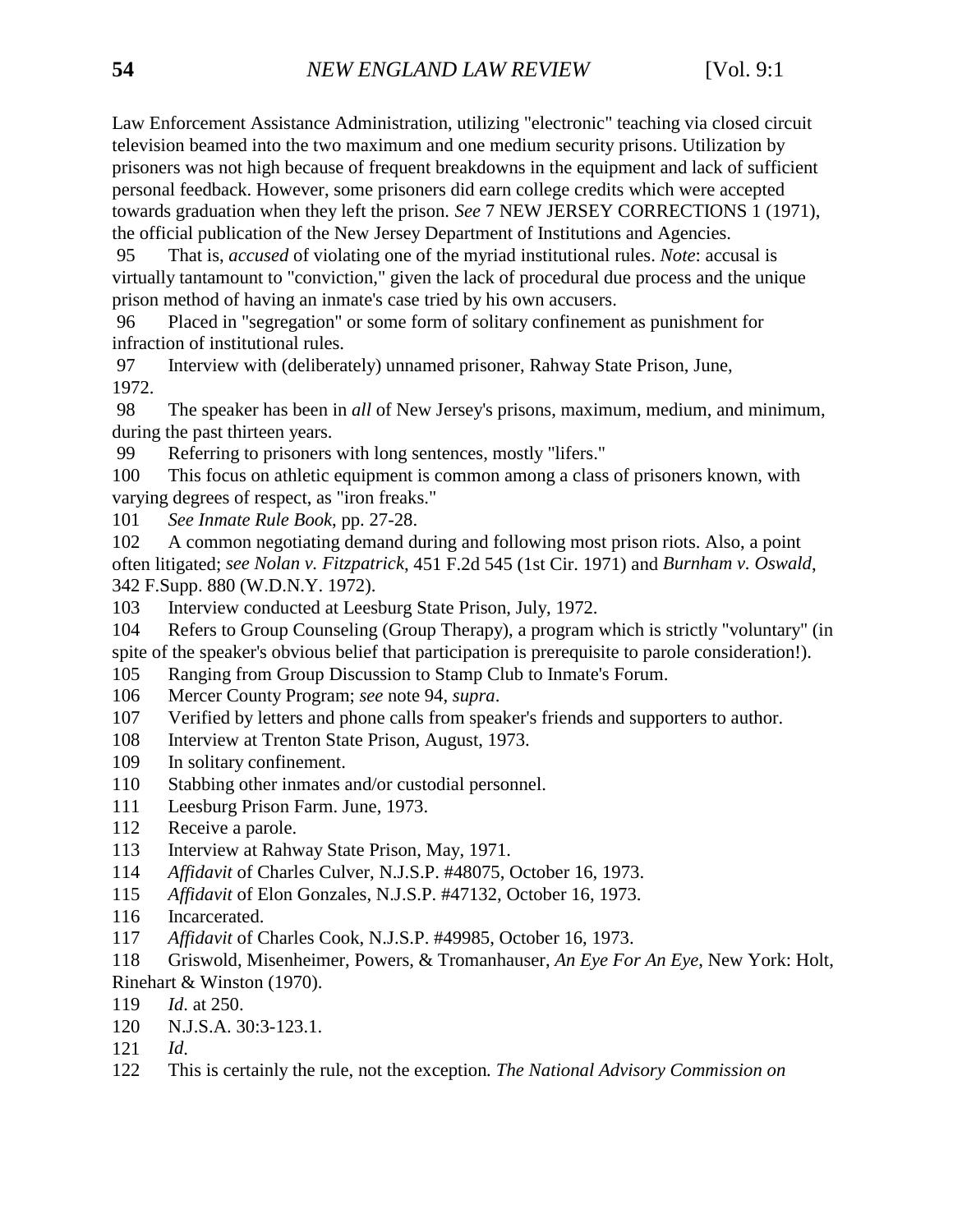Law Enforcement Assistance Administration, utilizing "electronic" teaching via closed circuit television beamed into the two maximum and one medium security prisons. Utilization by prisoners was not high because of frequent breakdowns in the equipment and lack of sufficient personal feedback. However, some prisoners did earn college credits which were accepted towards graduation when they left the prison. *See* 7 NEW JERSEY CORRECTIONS 1 (1971), the official publication of the New Jersey Department of Institutions and Agencies.

 95 That is, *accused* of violating one of the myriad institutional rules. *Note*: accusal is virtually tantamount to "conviction," given the lack of procedural due process and the unique prison method of having an inmate's case tried by his own accusers.

 96 Placed in "segregation" or some form of solitary confinement as punishment for infraction of institutional rules.

 97 Interview with (deliberately) unnamed prisoner, Rahway State Prison, June, 1972.

 98 The speaker has been in *all* of New Jersey's prisons, maximum, medium, and minimum, during the past thirteen years.

99 Referring to prisoners with long sentences, mostly "lifers."

100 This focus on athletic equipment is common among a class of prisoners known, with varying degrees of respect, as "iron freaks."

101 *See Inmate Rule Book*, pp. 27-28.

102 A common negotiating demand during and following most prison riots. Also, a point often litigated; *see Nolan v. Fitzpatrick*, 451 F.2d 545 (1st Cir. 1971) and *Burnham v. Oswald*, 342 F.Supp. 880 (W.D.N.Y. 1972).

103 Interview conducted at Leesburg State Prison, July, 1972.

104 Refers to Group Counseling (Group Therapy), a program which is strictly "voluntary" (in spite of the speaker's obvious belief that participation is prerequisite to parole consideration!).

105 Ranging from Group Discussion to Stamp Club to Inmate's Forum.

106 Mercer County Program; *see* note 94, *supra*.

107 Verified by letters and phone calls from speaker's friends and supporters to author.

- 108 Interview at Trenton State Prison, August, 1973.
- 109 In solitary confinement.
- 110 Stabbing other inmates and/or custodial personnel.
- 111 Leesburg Prison Farm. June, 1973.
- 112 Receive a parole.
- 113 Interview at Rahway State Prison, May, 1971.
- 114 *Affidavit* of Charles Culver, N.J.S.P. #48075, October 16, 1973.
- 115 *Affidavit* of Elon Gonzales, N.J.S.P. #47132, October 16, 1973.
- 116 Incarcerated.
- 117 *Affidavit* of Charles Cook, N.J.S.P. #49985, October 16, 1973.
- 118 Griswold, Misenheimer, Powers, & Tromanhauser, *An Eye For An Eye*, New York: Holt, Rinehart & Winston (1970).
- 119 *Id*. at 250.
- 120 N.J.S.A. 30:3-123.1.
- 121 *Id*.
- 122 This is certainly the rule, not the exception*. The National Advisory Commission on*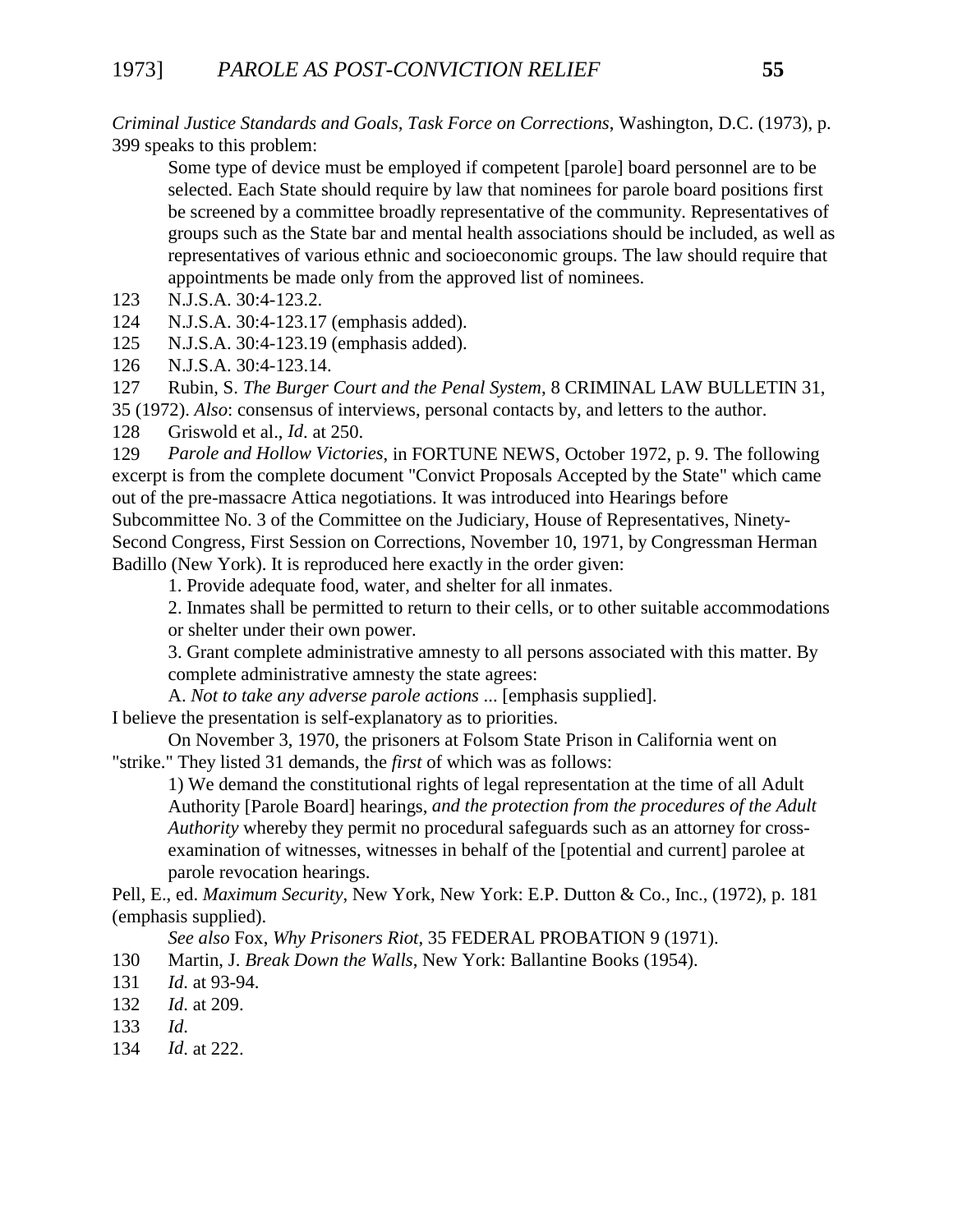*Criminal Justice Standards and Goals, Task Force on Corrections*, Washington, D.C. (1973), p. 399 speaks to this problem:

Some type of device must be employed if competent [parole] board personnel are to be selected. Each State should require by law that nominees for parole board positions first be screened by a committee broadly representative of the community. Representatives of groups such as the State bar and mental health associations should be included, as well as representatives of various ethnic and socioeconomic groups. The law should require that appointments be made only from the approved list of nominees.

- 123 N.J.S.A. 30:4-123.2.
- 124 N.J.S.A. 30:4-123.17 (emphasis added).
- 125 N.J.S.A. 30:4-123.19 (emphasis added).
- 126 N.J.S.A. 30:4-123.14.

127 Rubin, S. *The Burger Court and the Penal System*, 8 CRIMINAL LAW BULLETIN 31, 35 (1972). *Also*: consensus of interviews, personal contacts by, and letters to the author.

128 Griswold et al., *Id*. at 250.

129 *Parole and Hollow Victories*, in FORTUNE NEWS, October 1972, p. 9. The following excerpt is from the complete document "Convict Proposals Accepted by the State" which came out of the pre-massacre Attica negotiations. It was introduced into Hearings before Subcommittee No. 3 of the Committee on the Judiciary, House of Representatives, Ninety-

Second Congress, First Session on Corrections, November 10, 1971, by Congressman Herman Badillo (New York). It is reproduced here exactly in the order given:

1. Provide adequate food, water, and shelter for all inmates.

2. Inmates shall be permitted to return to their cells, or to other suitable accommodations or shelter under their own power.

3. Grant complete administrative amnesty to all persons associated with this matter. By complete administrative amnesty the state agrees:

A. *Not to take any adverse parole actions* ... [emphasis supplied]. I believe the presentation is self-explanatory as to priorities.

On November 3, 1970, the prisoners at Folsom State Prison in California went on "strike." They listed 31 demands, the *first* of which was as follows:

1) We demand the constitutional rights of legal representation at the time of all Adult Authority [Parole Board] hearings, *and the protection from the procedures of the Adult Authority* whereby they permit no procedural safeguards such as an attorney for crossexamination of witnesses, witnesses in behalf of the [potential and current] parolee at parole revocation hearings.

Pell, E., ed. *Maximum Security*, New York, New York: E.P. Dutton & Co., Inc., (1972), p. 181 (emphasis supplied).

*See also* Fox, *Why Prisoners Riot*, 35 FEDERAL PROBATION 9 (1971).

130 Martin, J. *Break Down the Walls*, New York: Ballantine Books (1954).

- 131 *Id*. at 93-94.
- 132 *Id*. at 209.
- 133 *Id*.
- 134 *Id*. at 222.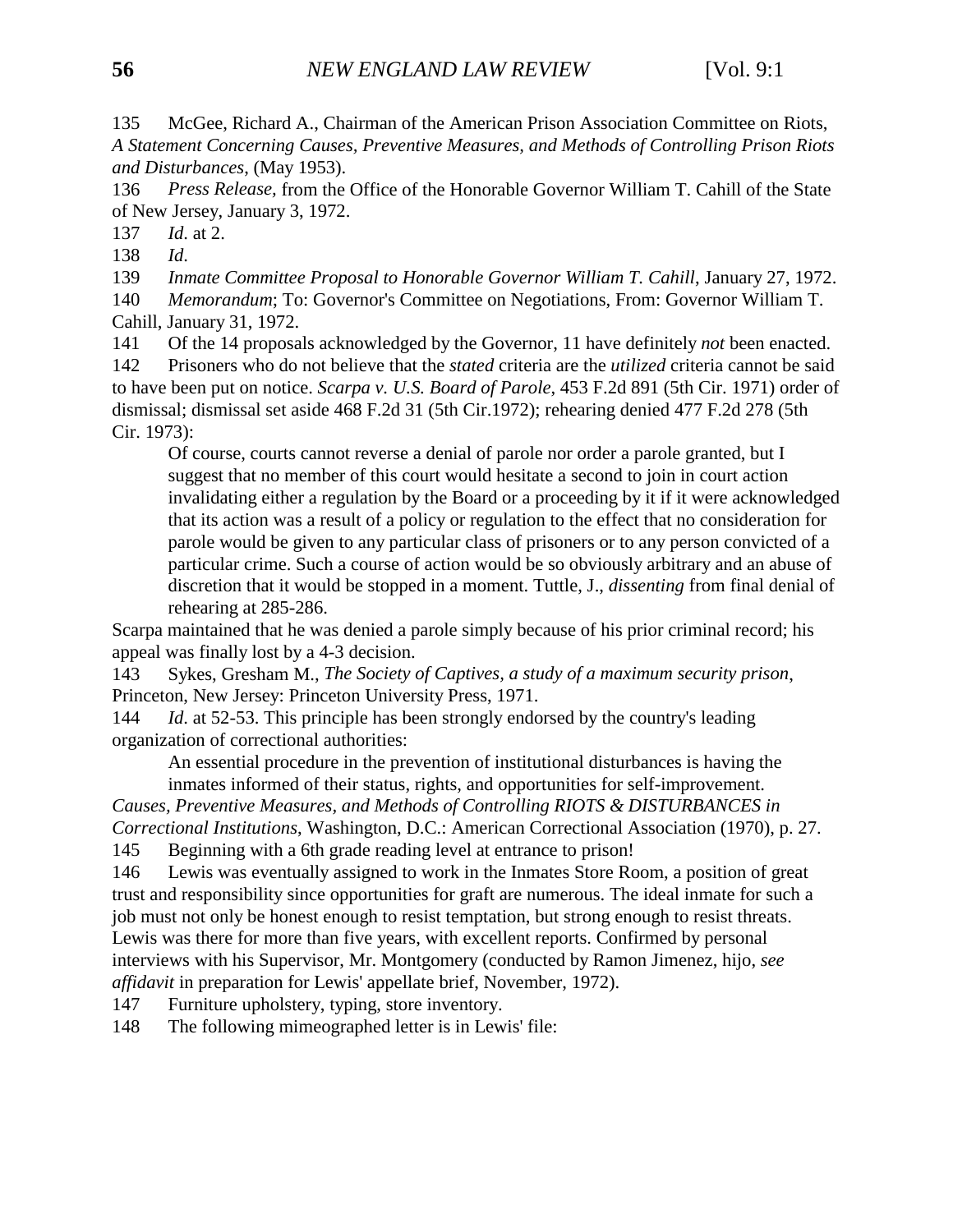135 McGee, Richard A., Chairman of the American Prison Association Committee on Riots, *A Statement Concerning Causes, Preventive Measures, and Methods of Controlling Prison Riots and Disturbances*, (May 1953).

136 *Press Release,* from the Office of the Honorable Governor William T. Cahill of the State of New Jersey, January 3, 1972.

137 *Id*. at 2.

138 *Id*.

139 *Inmate Committee Proposal to Honorable Governor William T. Cahill*, January 27, 1972.

140 *Memorandum*; To: Governor's Committee on Negotiations, From: Governor William T. Cahill, January 31, 1972.

141 Of the 14 proposals acknowledged by the Governor, 11 have definitely *not* been enacted.

142 Prisoners who do not believe that the *stated* criteria are the *utilized* criteria cannot be said to have been put on notice. *Scarpa v. U.S. Board of Parole*, 453 F.2d 891 (5th Cir. 1971) order of dismissal; dismissal set aside 468 F.2d 31 (5th Cir.1972); rehearing denied 477 F.2d 278 (5th Cir. 1973):

Of course, courts cannot reverse a denial of parole nor order a parole granted, but I suggest that no member of this court would hesitate a second to join in court action invalidating either a regulation by the Board or a proceeding by it if it were acknowledged that its action was a result of a policy or regulation to the effect that no consideration for parole would be given to any particular class of prisoners or to any person convicted of a particular crime. Such a course of action would be so obviously arbitrary and an abuse of discretion that it would be stopped in a moment. Tuttle, J., *dissenting* from final denial of rehearing at 285-286.

Scarpa maintained that he was denied a parole simply because of his prior criminal record; his appeal was finally lost by a 4-3 decision.

143 Sykes, Gresham M., *The Society of Captives, a study of a maximum security prison*, Princeton, New Jersey: Princeton University Press, 1971.

144 *Id*. at 52-53. This principle has been strongly endorsed by the country's leading organization of correctional authorities:

An essential procedure in the prevention of institutional disturbances is having the inmates informed of their status, rights, and opportunities for self-improvement.

*Causes, Preventive Measures, and Methods of Controlling RIOTS & DISTURBANCES in Correctional Institutions*, Washington, D.C.: American Correctional Association (1970), p. 27.

145 Beginning with a 6th grade reading level at entrance to prison!

146 Lewis was eventually assigned to work in the Inmates Store Room, a position of great trust and responsibility since opportunities for graft are numerous. The ideal inmate for such a job must not only be honest enough to resist temptation, but strong enough to resist threats. Lewis was there for more than five years, with excellent reports. Confirmed by personal interviews with his Supervisor, Mr. Montgomery (conducted by Ramon Jimenez, hijo, *see affidavit* in preparation for Lewis' appellate brief, November, 1972).

147 Furniture upholstery, typing, store inventory.

148 The following mimeographed letter is in Lewis' file: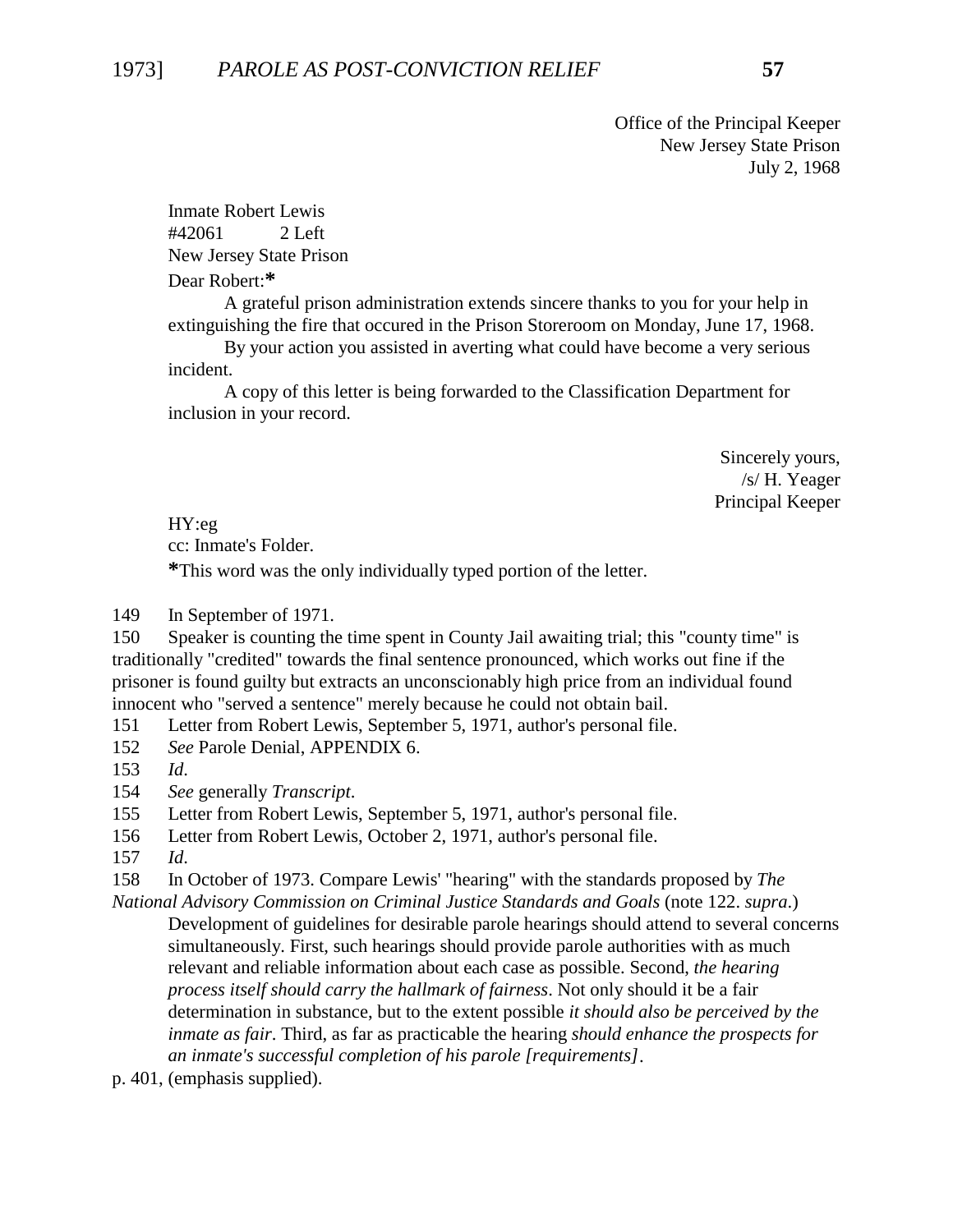Office of the Principal Keeper New Jersey State Prison July 2, 1968

Inmate Robert Lewis #42061 2 Left New Jersey State Prison Dear Robert:**\***

A grateful prison administration extends sincere thanks to you for your help in extinguishing the fire that occured in the Prison Storeroom on Monday, June 17, 1968.

By your action you assisted in averting what could have become a very serious incident.

A copy of this letter is being forwarded to the Classification Department for inclusion in your record.

> Sincerely yours, /s/ H. Yeager Principal Keeper

HY:eg cc: Inmate's Folder.

**\***This word was the only individually typed portion of the letter.

149 In September of 1971.

150 Speaker is counting the time spent in County Jail awaiting trial; this "county time" is traditionally "credited" towards the final sentence pronounced, which works out fine if the prisoner is found guilty but extracts an unconscionably high price from an individual found innocent who "served a sentence" merely because he could not obtain bail.

151 Letter from Robert Lewis, September 5, 1971, author's personal file.

152 *See* Parole Denial, APPENDIX 6.

153 *Id*.

154 *See* generally *Transcript*.

155 Letter from Robert Lewis, September 5, 1971, author's personal file.

156 Letter from Robert Lewis, October 2, 1971, author's personal file.

157 *Id*.

158 In October of 1973. Compare Lewis' "hearing" with the standards proposed by *The*

*National Advisory Commission on Criminal Justice Standards and Goals* (note 122. *supra*.) Development of guidelines for desirable parole hearings should attend to several concerns simultaneously. First, such hearings should provide parole authorities with as much relevant and reliable information about each case as possible. Second, *the hearing process itself should carry the hallmark of fairness*. Not only should it be a fair determination in substance, but to the extent possible *it should also be perceived by the inmate as fair*. Third, as far as practicable the hearing *should enhance the prospects for an inmate's successful completion of his parole [requirements]*.

p. 401, (emphasis supplied).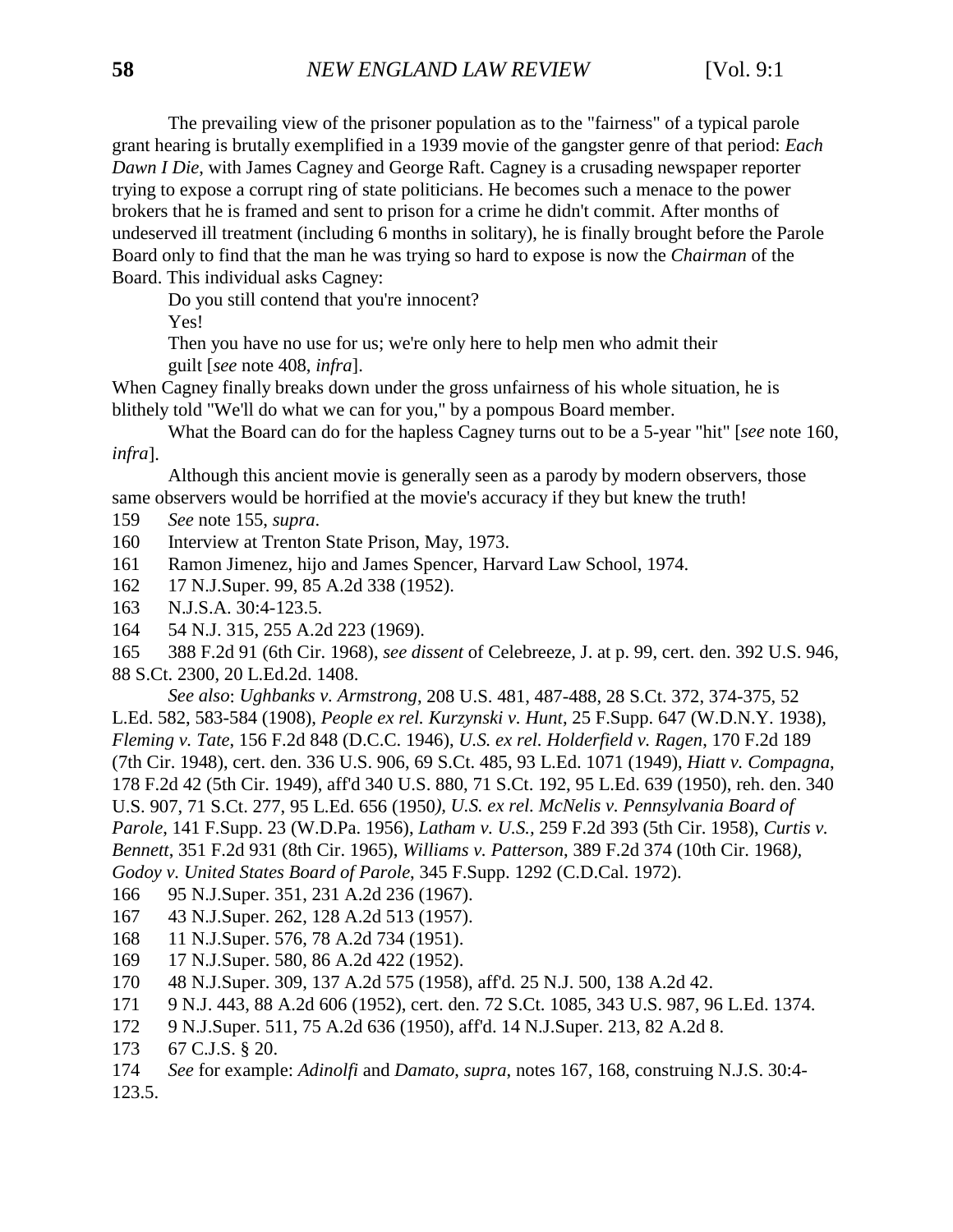The prevailing view of the prisoner population as to the "fairness" of a typical parole grant hearing is brutally exemplified in a 1939 movie of the gangster genre of that period: *Each Dawn I Die*, with James Cagney and George Raft. Cagney is a crusading newspaper reporter trying to expose a corrupt ring of state politicians. He becomes such a menace to the power brokers that he is framed and sent to prison for a crime he didn't commit. After months of undeserved ill treatment (including 6 months in solitary), he is finally brought before the Parole Board only to find that the man he was trying so hard to expose is now the *Chairman* of the Board. This individual asks Cagney:

Do you still contend that you're innocent?

Yes!

Then you have no use for us; we're only here to help men who admit their

guilt [*see* note 408, *infra*].

When Cagney finally breaks down under the gross unfairness of his whole situation, he is blithely told "We'll do what we can for you," by a pompous Board member.

What the Board can do for the hapless Cagney turns out to be a 5-year "hit" [*see* note 160, *infra*].

Although this ancient movie is generally seen as a parody by modern observers, those same observers would be horrified at the movie's accuracy if they but knew the truth!

- 159 *See* note 155, *supra*.
- 160 Interview at Trenton State Prison, May, 1973.
- 161 Ramon Jimenez, hijo and James Spencer, Harvard Law School, 1974.
- 162 17 N.J.Super. 99, 85 A.2d 338 (1952).
- 163 N.J.S.A. 30:4-123.5.
- 164 54 N.J. 315, 255 A.2d 223 (1969).

165 388 F.2d 91 (6th Cir. 1968), *see dissent* of Celebreeze, J. at p. 99, cert. den. 392 U.S. 946, 88 S.Ct. 2300, 20 L.Ed.2d. 1408.

*See also*: *Ughbanks v. Armstrong*, 208 U.S. 481, 487-488, 28 S.Ct. 372, 374-375, 52 L.Ed. 582, 583-584 (1908), *People ex rel. Kurzynski v. Hunt*, 25 F.Supp. 647 (W.D.N.Y. 1938), *Fleming v. Tate*, 156 F.2d 848 (D.C.C. 1946), *U.S. ex rel. Holderfield v. Ragen*, 170 F.2d 189 (7th Cir. 1948), cert. den. 336 U.S. 906, 69 S.Ct. 485, 93 L.Ed. 1071 (1949), *Hiatt v. Compagna*, 178 F.2d 42 (5th Cir. 1949), aff'd 340 U.S. 880, 71 S.Ct. 192, 95 L.Ed. 639 (1950), reh. den. 340 U.S. 907, 71 S.Ct. 277, 95 L.Ed. 656 (1950*), U.S. ex rel. McNelis v. Pennsylvania Board of Parole*, 141 F.Supp. 23 (W.D.Pa. 1956), *Latham v. U.S.,* 259 F.2d 393 (5th Cir. 1958), *Curtis v. Bennett*, 351 F.2d 931 (8th Cir. 1965), *Williams v. Patterson*, 389 F.2d 374 (10th Cir. 1968*), Godoy v. United States Board of Parole*, 345 F.Supp. 1292 (C.D.Cal. 1972).

- 166 95 N.J.Super. 351, 231 A.2d 236 (1967).
- 167 43 N.J.Super. 262, 128 A.2d 513 (1957).
- 168 11 N.J.Super. 576, 78 A.2d 734 (1951).
- 169 17 N.J.Super. 580, 86 A.2d 422 (1952).
- 170 48 N.J.Super. 309, 137 A.2d 575 (1958), aff'd. 25 N.J. 500, 138 A.2d 42.
- 171 9 N.J. 443, 88 A.2d 606 (1952), cert. den. 72 S.Ct. 1085, 343 U.S. 987, 96 L.Ed. 1374.
- 172 9 N.J.Super. 511, 75 A.2d 636 (1950), aff'd. 14 N.J.Super. 213, 82 A.2d 8.
- 173 67 C.J.S. § 20.
- 174 *See* for example: *Adinolfi* and *Damato*, *supra*, notes 167, 168, construing N.J.S. 30:4- 123.5.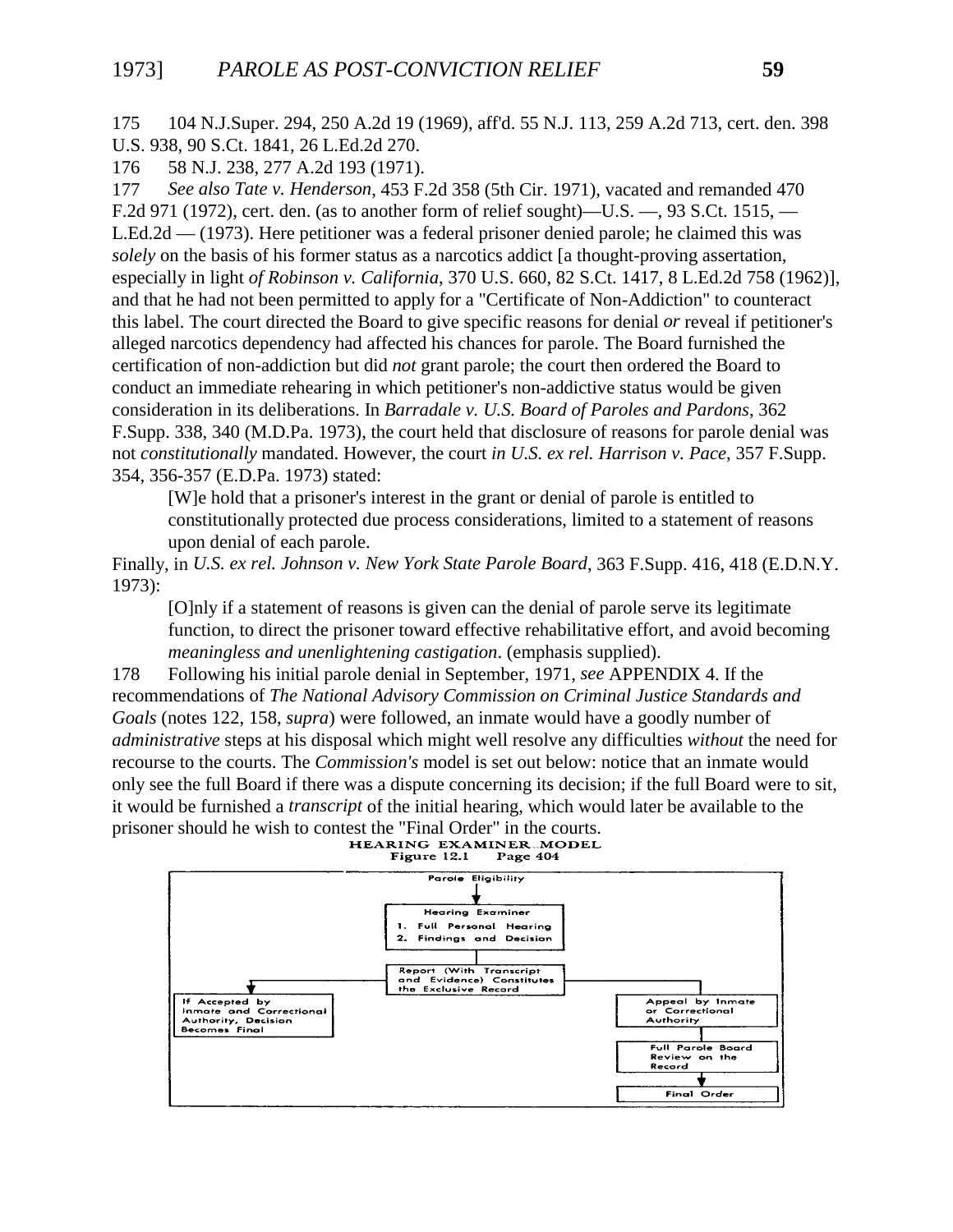175 104 N.J.Super. 294, 250 A.2d 19 (1969), aff'd. 55 N.J. 113, 259 A.2d 713, cert. den. 398 U.S. 938, 90 S.Ct. 1841, 26 L.Ed.2d 270.

176 58 N.J. 238, 277 A.2d 193 (1971).

177 *See also Tate v. Henderson*, 453 F.2d 358 (5th Cir. 1971), vacated and remanded 470 F.2d 971 (1972), cert. den. (as to another form of relief sought)—U.S. —, 93 S.Ct. 1515, — L.Ed.2d — (1973). Here petitioner was a federal prisoner denied parole; he claimed this was *solely* on the basis of his former status as a narcotics addict [a thought-proving assertation, especially in light *of Robinson v. California*, 370 U.S. 660, 82 S.Ct. 1417, 8 L.Ed.2d 758 (1962)], and that he had not been permitted to apply for a "Certificate of Non-Addiction" to counteract this label. The court directed the Board to give specific reasons for denial *or* reveal if petitioner's alleged narcotics dependency had affected his chances for parole. The Board furnished the certification of non-addiction but did *not* grant parole; the court then ordered the Board to conduct an immediate rehearing in which petitioner's non-addictive status would be given consideration in its deliberations. In *Barradale v. U.S. Board of Paroles and Pardons*, 362 F.Supp. 338, 340 (M.D.Pa. 1973), the court held that disclosure of reasons for parole denial was not *constitutionally* mandated. However, the court *in U.S. ex rel. Harrison v. Pace*, 357 F.Supp. 354, 356-357 (E.D.Pa. 1973) stated:

[W]e hold that a prisoner's interest in the grant or denial of parole is entitled to constitutionally protected due process considerations, limited to a statement of reasons upon denial of each parole.

Finally, in *U.S. ex rel. Johnson v. New York State Parole Board*, 363 F.Supp. 416, 418 (E.D.N.Y. 1973):

[O]nly if a statement of reasons is given can the denial of parole serve its legitimate function, to direct the prisoner toward effective rehabilitative effort, and avoid becoming *meaningless and unenlightening castigation*. (emphasis supplied).

178 Following his initial parole denial in September, 1971, *see* APPENDIX 4. If the recommendations of *The National Advisory Commission on Criminal Justice Standards and Goals* (notes 122, 158, *supra*) were followed, an inmate would have a goodly number of *administrative* steps at his disposal which might well resolve any difficulties *without* the need for recourse to the courts. The *Commission's* model is set out below: notice that an inmate would only see the full Board if there was a dispute concerning its decision; if the full Board were to sit, it would be furnished a *transcript* of the initial hearing, which would later be available to the prisoner should he wish to contest the "Final Order" in the courts.<br>**HEARING EXAMINER MODEL** 

Figure 12.1 Page 404

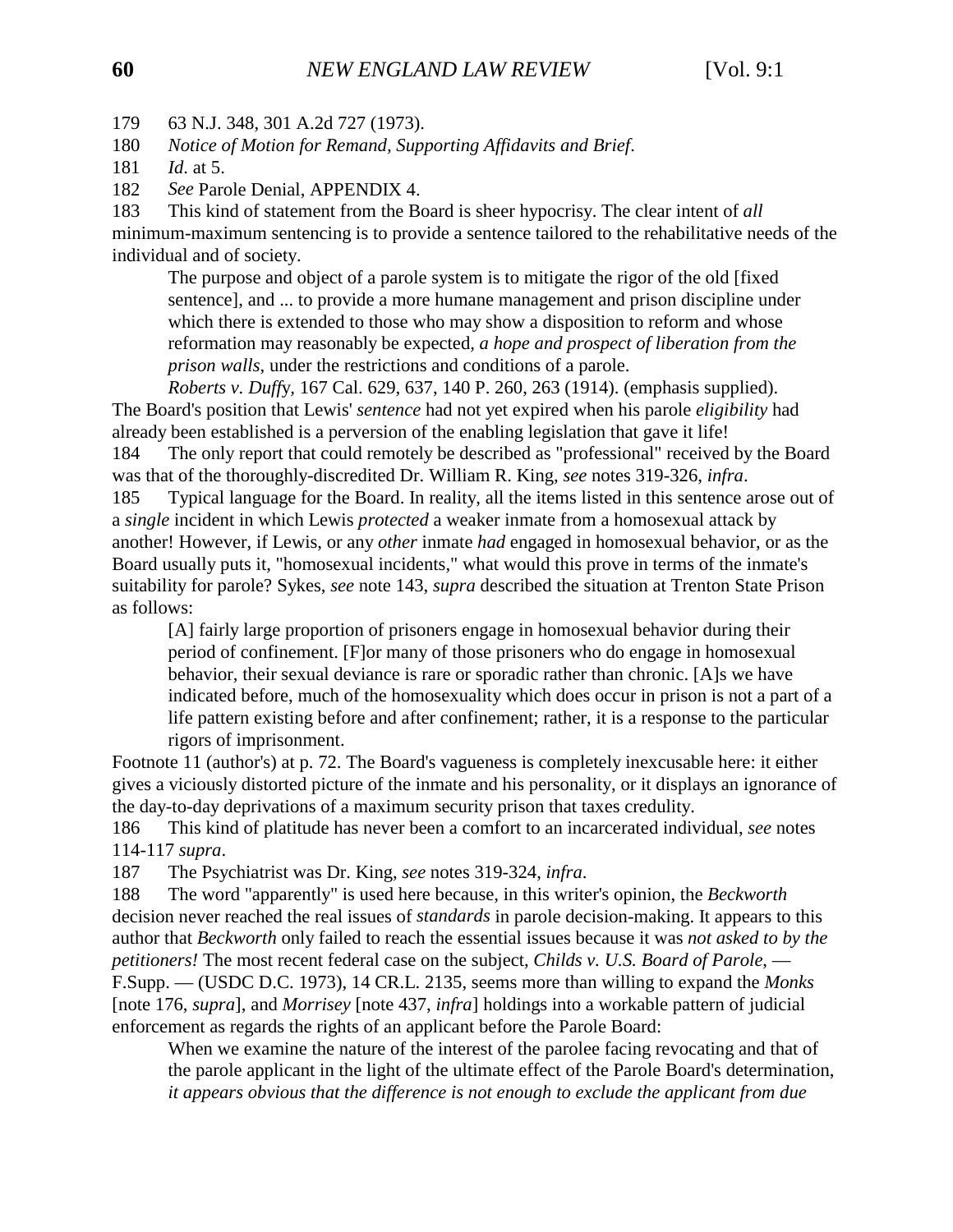179 63 N.J. 348, 301 A.2d 727 (1973).

180 *Notice of Motion for Remand, Supporting Affidavits and Brief*.

182 *See* Parole Denial, APPENDIX 4.

183 This kind of statement from the Board is sheer hypocrisy. The clear intent of *all* minimum-maximum sentencing is to provide a sentence tailored to the rehabilitative needs of the individual and of society.

The purpose and object of a parole system is to mitigate the rigor of the old [fixed sentence], and ... to provide a more humane management and prison discipline under which there is extended to those who may show a disposition to reform and whose reformation may reasonably be expected*, a hope and prospect of liberation from the prison walls*, under the restrictions and conditions of a parole.

*Roberts v. Duff*y*,* 167 Cal. 629, 637, 140 P. 260, 263 (1914). (emphasis supplied). The Board's position that Lewis' *sentence* had not yet expired when his parole *eligibility* had already been established is a perversion of the enabling legislation that gave it life!

184 The only report that could remotely be described as "professional" received by the Board was that of the thoroughly-discredited Dr. William R. King, *see* notes 319-326, *infra*.

185 Typical language for the Board. In reality, all the items listed in this sentence arose out of a *single* incident in which Lewis *protected* a weaker inmate from a homosexual attack by another! However, if Lewis, or any *other* inmate *had* engaged in homosexual behavior, or as the Board usually puts it, "homosexual incidents," what would this prove in terms of the inmate's suitability for parole? Sykes, *see* note 143, *supra* described the situation at Trenton State Prison as follows:

[A] fairly large proportion of prisoners engage in homosexual behavior during their period of confinement. [F]or many of those prisoners who do engage in homosexual behavior, their sexual deviance is rare or sporadic rather than chronic. [A]s we have indicated before, much of the homosexuality which does occur in prison is not a part of a life pattern existing before and after confinement; rather, it is a response to the particular rigors of imprisonment.

Footnote 11 (author's) at p. 72. The Board's vagueness is completely inexcusable here: it either gives a viciously distorted picture of the inmate and his personality, or it displays an ignorance of the day-to-day deprivations of a maximum security prison that taxes credulity.

186 This kind of platitude has never been a comfort to an incarcerated individual, *see* notes 114-117 *supra*.

187 The Psychiatrist was Dr. King, *see* notes 319-324, *infra*.

188 The word "apparently" is used here because, in this writer's opinion, the *Beckworth* decision never reached the real issues of *standards* in parole decision-making. It appears to this author that *Beckworth* only failed to reach the essential issues because it was *not asked to by the petitioners!* The most recent federal case on the subject, *Childs v. U.S. Board of Parole*, — F.Supp. — (USDC D.C. 1973), 14 CR.L. 2135, seems more than willing to expand the *Monks* [note 176, *supra*], and *Morrisey* [note 437, *infra*] holdings into a workable pattern of judicial enforcement as regards the rights of an applicant before the Parole Board:

When we examine the nature of the interest of the parolee facing revocating and that of the parole applicant in the light of the ultimate effect of the Parole Board's determination, *it appears obvious that the difference is not enough to exclude the applicant from due*

<sup>181</sup> *Id*. at 5.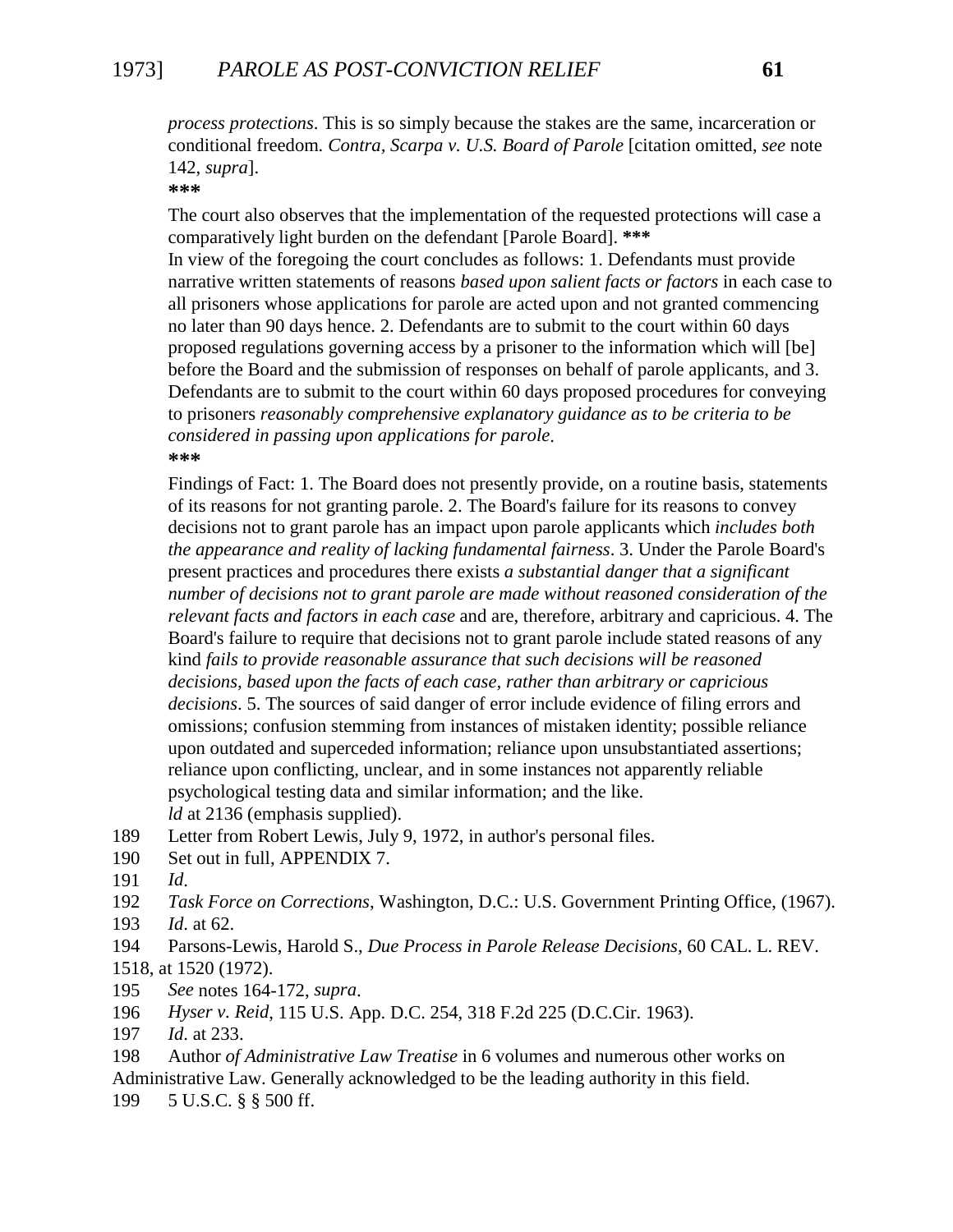# 1973] *PAROLE AS POST-CONVICTION RELIEF* **61**

*process protections*. This is so simply because the stakes are the same, incarceration or conditional freedom*. Contra, Scarpa v. U.S. Board of Parole* [citation omitted, *see* note 142, *supra*].

**\*\*\***

The court also observes that the implementation of the requested protections will case a comparatively light burden on the defendant [Parole Board]. **\*\*\***

In view of the foregoing the court concludes as follows: 1. Defendants must provide narrative written statements of reasons *based upon salient facts or factors* in each case to all prisoners whose applications for parole are acted upon and not granted commencing no later than 90 days hence. 2. Defendants are to submit to the court within 60 days proposed regulations governing access by a prisoner to the information which will [be] before the Board and the submission of responses on behalf of parole applicants, and 3. Defendants are to submit to the court within 60 days proposed procedures for conveying to prisoners *reasonably comprehensive explanatory guidance as to be criteria to be considered in passing upon applications for parole*. **\*\*\***

Findings of Fact: 1. The Board does not presently provide, on a routine basis, statements of its reasons for not granting parole. 2. The Board's failure for its reasons to convey decisions not to grant parole has an impact upon parole applicants which *includes both the appearance and reality of lacking fundamental fairness*. 3. Under the Parole Board's present practices and procedures there exists *a substantial danger that a significant number of decisions not to grant parole are made without reasoned consideration of the relevant facts and factors in each case* and are, therefore, arbitrary and capricious. 4. The Board's failure to require that decisions not to grant parole include stated reasons of any kind *fails to provide reasonable assurance that such decisions will be reasoned decisions, based upon the facts of each case, rather than arbitrary or capricious decisions*. 5. The sources of said danger of error include evidence of filing errors and omissions; confusion stemming from instances of mistaken identity; possible reliance upon outdated and superceded information; reliance upon unsubstantiated assertions; reliance upon conflicting, unclear, and in some instances not apparently reliable psychological testing data and similar information; and the like. *ld* at 2136 (emphasis supplied).

- 189 Letter from Robert Lewis, July 9, 1972, in author's personal files.
- 190 Set out in full, APPENDIX 7.
- 191 *Id*.
- 192 *Task Force on Corrections*, Washington, D.C.: U.S. Government Printing Office, (1967). 193 *Id*. at 62.
- 194 Parsons-Lewis, Harold S., *Due Process in Parole Release Decisions*, 60 CAL. L. REV. 1518, at 1520 (1972).
- 195 *See* notes 164-172, *supra*.
- 196 *Hyser v. Reid*, 115 U.S. App. D.C. 254, 318 F.2d 225 (D.C.Cir. 1963).
- 197 *Id*. at 233.
- 198 Author *of Administrative Law Treatise* in 6 volumes and numerous other works on Administrative Law. Generally acknowledged to be the leading authority in this field.
- 199 5 U.S.C. § § 500 ff.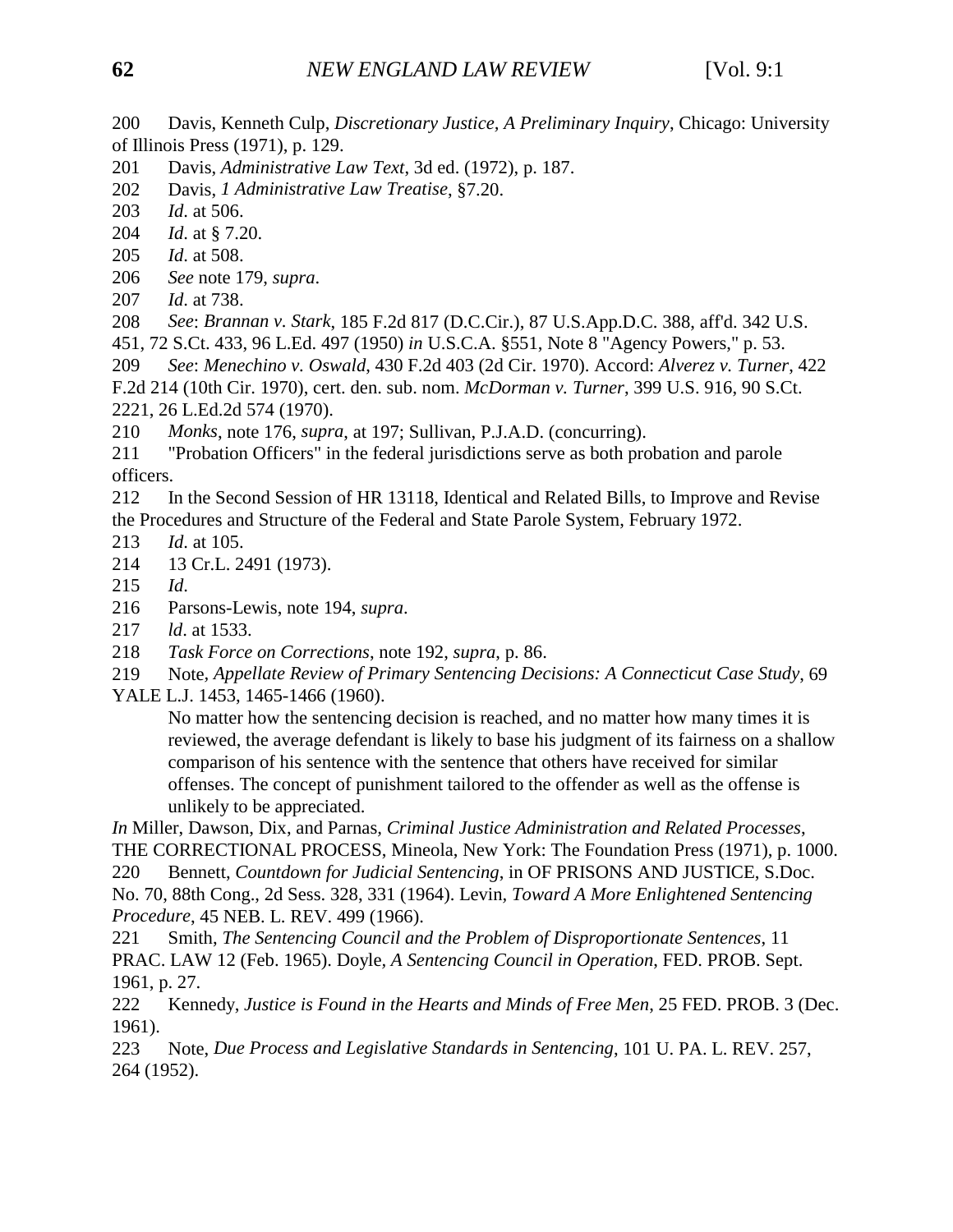200 Davis, Kenneth Culp, *Discretionary Justice, A Preliminary Inquiry*, Chicago: University of Illinois Press (1971), p. 129.

- 201 Davis, *Administrative Law Text*, 3d ed. (1972), p. 187.
- 202 Davis, *1 Administrative Law Treatise*, §7.20.
- 203 *Id*. at 506.
- 204 *Id*. at § 7.20.
- 205 *Id*. at 508.
- 206 *See* note 179, *supra*.
- 207 *Id*. at 738.
- 208 *See*: *Brannan v. Stark*, 185 F.2d 817 (D.C.Cir.), 87 U.S.App.D.C. 388, aff'd. 342 U.S.
- 451, 72 S.Ct. 433, 96 L.Ed. 497 (1950) *in* U.S.C.A. §551, Note 8 "Agency Powers," p. 53.
- 209 *See*: *Menechino v. Oswald*, 430 F.2d 403 (2d Cir. 1970). Accord: *Alverez v. Turner*, 422 F.2d 214 (10th Cir. 1970), cert. den. sub. nom. *McDorman v. Turner*, 399 U.S. 916, 90 S.Ct.
- 2221, 26 L.Ed.2d 574 (1970).
- 210 *Monks*, note 176, *supra*, at 197; Sullivan, P.J.A.D. (concurring).

211 "Probation Officers" in the federal jurisdictions serve as both probation and parole officers.

212 In the Second Session of HR 13118, Identical and Related Bills, to Improve and Revise the Procedures and Structure of the Federal and State Parole System, February 1972.

- 213 *Id*. at 105.
- 214 13 Cr.L. 2491 (1973).
- 215 *Id*.
- 216 Parsons-Lewis, note 194, *supra*.
- 217 *ld*. at 1533.
- 218 *Task Force on Corrections*, note 192, *supra*, p. 86.

219 Note*, Appellate Review of Primary Sentencing Decisions: A Connecticut Case Study*, 69 YALE L.J. 1453, 1465-1466 (1960).

No matter how the sentencing decision is reached, and no matter how many times it is reviewed, the average defendant is likely to base his judgment of its fairness on a shallow comparison of his sentence with the sentence that others have received for similar offenses. The concept of punishment tailored to the offender as well as the offense is unlikely to be appreciated.

*In* Miller, Dawson, Dix, and Parnas*, Criminal Justice Administration and Related Processes*, THE CORRECTIONAL PROCESS, Mineola, New York: The Foundation Press (1971), p. 1000.

220 Bennett, *Countdown for Judicial Sentencing*, in OF PRISONS AND JUSTICE, S.Doc.

No. 70, 88th Cong., 2d Sess. 328, 331 (1964). Levin*, Toward A More Enlightened Sentencing Procedure*, 45 NEB. L. REV. 499 (1966).

221 Smith, *The Sentencing Council and the Problem of Disproportionate Sentences*, 11 PRAC. LAW 12 (Feb. 1965). Doyle*, A Sentencing Council in Operation*, FED. PROB. Sept. 1961, p. 27.

222 Kennedy, *Justice is Found in the Hearts and Minds of Free Men*, 25 FED. PROB. 3 (Dec. 1961).

223 Note, *Due Process and Legislative Standards in Sentencing*, 101 U. PA. L. REV. 257, 264 (1952).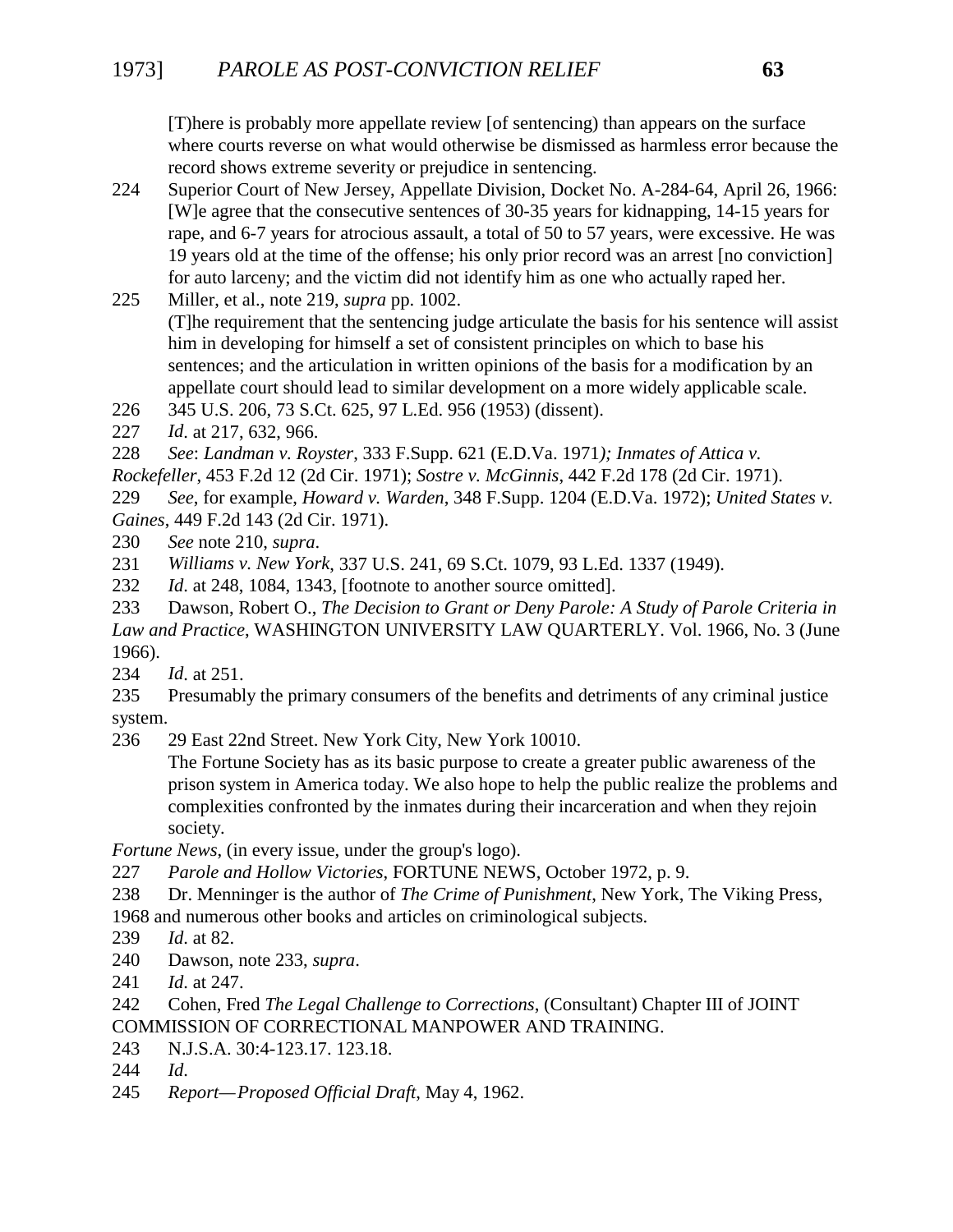[T)here is probably more appellate review [of sentencing) than appears on the surface where courts reverse on what would otherwise be dismissed as harmless error because the record shows extreme severity or prejudice in sentencing.

224 Superior Court of New Jersey, Appellate Division, Docket No. A-284-64, April 26, 1966: [W]e agree that the consecutive sentences of 30-35 years for kidnapping, 14-15 years for rape, and 6-7 years for atrocious assault, a total of 50 to 57 years, were excessive. He was 19 years old at the time of the offense; his only prior record was an arrest [no conviction] for auto larceny; and the victim did not identify him as one who actually raped her.

225 Miller, et al., note 219, *supra* pp. 1002. (T]he requirement that the sentencing judge articulate the basis for his sentence will assist him in developing for himself a set of consistent principles on which to base his sentences; and the articulation in written opinions of the basis for a modification by an appellate court should lead to similar development on a more widely applicable scale.

226 345 U.S. 206, 73 S.Ct. 625, 97 L.Ed. 956 (1953) (dissent).

227 *Id*. at 217, 632, 966.

228 *See*: *Landman v. Royster*, 333 F.Supp. 621 (E.D.Va. 1971*); Inmates of Attica v. Rockefeller*, 453 F.2d 12 (2d Cir. 1971); *Sostre v. McGinnis*, 442 F.2d 178 (2d Cir. 1971).

229 *See*, for example, *Howard v. Warden*, 348 F.Supp. 1204 (E.D.Va. 1972); *United States v. Gaines*, 449 F.2d 143 (2d Cir. 1971).

230 *See* note 210, *supra*.

- 231 *Williams v. New York*, 337 U.S. 241, 69 S.Ct. 1079, 93 L.Ed. 1337 (1949).
- 232 *Id*. at 248, 1084, 1343, [footnote to another source omitted].

233 Dawson, Robert O., *The Decision to Grant or Deny Parole: A Study of Parole Criteria in Law and Practice*, WASHINGTON UNIVERSITY LAW QUARTERLY. Vol. 1966, No. 3 (June 1966).

234 *Id*. at 251.

- 235 Presumably the primary consumers of the benefits and detriments of any criminal justice system.
- 236 29 East 22nd Street. New York City, New York 10010.

The Fortune Society has as its basic purpose to create a greater public awareness of the prison system in America today. We also hope to help the public realize the problems and complexities confronted by the inmates during their incarceration and when they rejoin society.

*Fortune News*, (in every issue, under the group's logo).

- 227 *Parole and Hollow Victories*, FORTUNE NEWS, October 1972, p. 9.
- 238 Dr. Menninger is the author of *The Crime of Punishment*, New York, The Viking Press,
- 1968 and numerous other books and articles on criminological subjects.
- 239 *Id*. at 82.
- 240 Dawson, note 233, *supra*.
- 241 *Id*. at 247.
- 242 Cohen, Fred *The Legal Challenge to Corrections*, (Consultant) Chapter III of JOINT COMMISSION OF CORRECTIONAL MANPOWER AND TRAINING.
- 243 N.J.S.A. 30:4-123.17. 123.18.
- 244 *Id*.
- 245 *Report—Proposed Official Draft*, May 4, 1962.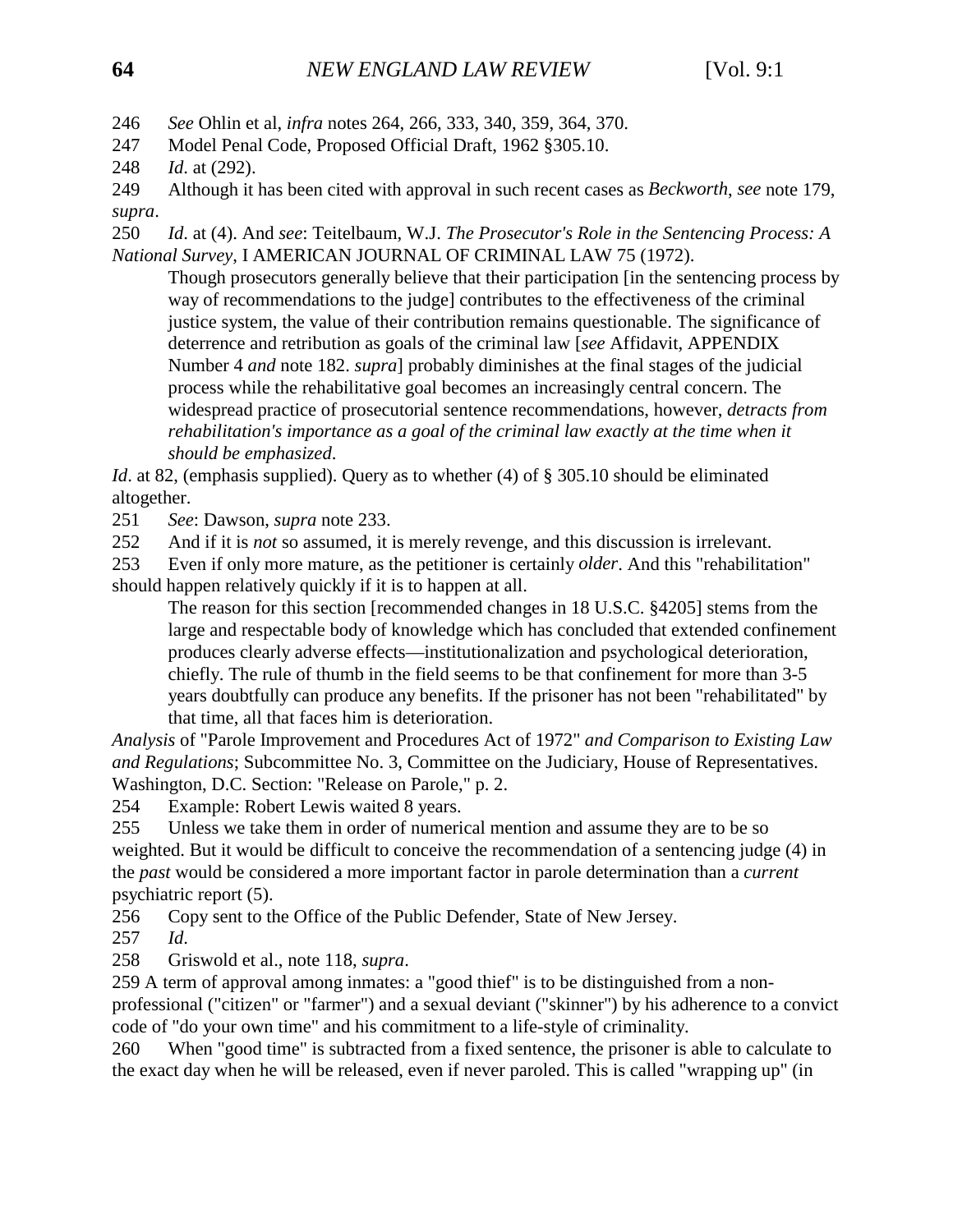246 *See* Ohlin et al, *infra* notes 264, 266, 333, 340, 359, 364, 370.

- 247 Model Penal Code, Proposed Official Draft, 1962 §305.10.
- 248 *Id*. at (292).

249 Although it has been cited with approval in such recent cases as *Beckworth*, *see* note 179, *supra*.

250 *Id*. at (4). And *see*: Teitelbaum, W.J. *The Prosecutor's Role in the Sentencing Process: A National Survey*, I AMERICAN JOURNAL OF CRIMINAL LAW 75 (1972).

Though prosecutors generally believe that their participation [in the sentencing process by way of recommendations to the judge] contributes to the effectiveness of the criminal justice system, the value of their contribution remains questionable. The significance of deterrence and retribution as goals of the criminal law [*see* Affidavit, APPENDIX Number 4 *and* note 182. *supra*] probably diminishes at the final stages of the judicial process while the rehabilitative goal becomes an increasingly central concern. The widespread practice of prosecutorial sentence recommendations, however, *detracts from rehabilitation's importance as a goal of the criminal law exactly at the time when it should be emphasized*.

*Id.* at 82, (emphasis supplied). Query as to whether (4) of § 305.10 should be eliminated altogether.

251 *See*: Dawson, *supra* note 233.

252 And if it is *not* so assumed, it is merely revenge, and this discussion is irrelevant.

253 Even if only more mature, as the petitioner is certainly *older*. And this "rehabilitation" should happen relatively quickly if it is to happen at all.

The reason for this section [recommended changes in 18 U.S.C. §4205] stems from the large and respectable body of knowledge which has concluded that extended confinement produces clearly adverse effects—institutionalization and psychological deterioration, chiefly. The rule of thumb in the field seems to be that confinement for more than 3-5 years doubtfully can produce any benefits. If the prisoner has not been "rehabilitated" by that time, all that faces him is deterioration.

*Analysis* of "Parole Improvement and Procedures Act of 1972" *and Comparison to Existing Law and Regulations*; Subcommittee No. 3, Committee on the Judiciary, House of Representatives. Washington, D.C. Section: "Release on Parole," p. 2.

254 Example: Robert Lewis waited 8 years.

255 Unless we take them in order of numerical mention and assume they are to be so weighted. But it would be difficult to conceive the recommendation of a sentencing judge (4) in the *past* would be considered a more important factor in parole determination than a *current* psychiatric report (5).

256 Copy sent to the Office of the Public Defender, State of New Jersey.

257 *Id*.

258 Griswold et al., note 118, *supra*.

259 A term of approval among inmates: a "good thief" is to be distinguished from a nonprofessional ("citizen" or "farmer") and a sexual deviant ("skinner") by his adherence to a convict code of "do your own time" and his commitment to a life-style of criminality.

260 When "good time" is subtracted from a fixed sentence, the prisoner is able to calculate to the exact day when he will be released, even if never paroled. This is called "wrapping up" (in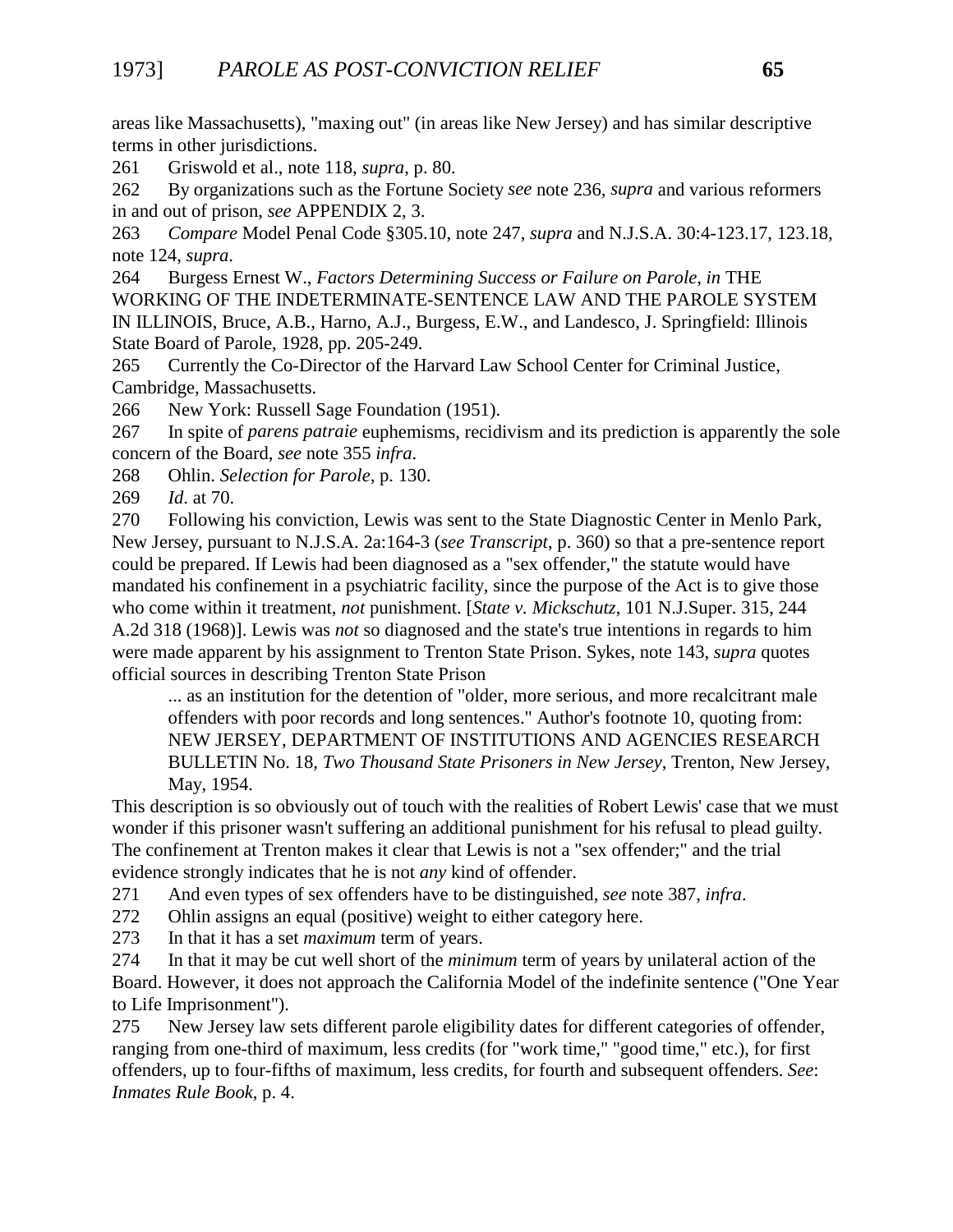areas like Massachusetts), "maxing out" (in areas like New Jersey) and has similar descriptive terms in other jurisdictions.

261 Griswold et al., note 118, *supra*, p. 80.

262 By organizations such as the Fortune Society *see* note 236, *supra* and various reformers in and out of prison, *see* APPENDIX 2, 3.

263 *Compare* Model Penal Code §305.10, note 247, *supra* and N.J.S.A. 30:4-123.17, 123.18, note 124, *supra*.

264 Burgess Ernest W., *Factors Determining Success or Failure on Parole*, *in* THE WORKING OF THE INDETERMINATE-SENTENCE LAW AND THE PAROLE SYSTEM IN ILLINOIS, Bruce, A.B., Harno, A.J., Burgess, E.W., and Landesco, J. Springfield: Illinois State Board of Parole, 1928, pp. 205-249.

265 Currently the Co-Director of the Harvard Law School Center for Criminal Justice, Cambridge, Massachusetts.

266 New York: Russell Sage Foundation (1951).

267 In spite of *parens patraie* euphemisms, recidivism and its prediction is apparently the sole concern of the Board, *see* note 355 *infra*.

268 Ohlin. *Selection for Parole*, p. 130.

269 *Id*. at 70.

270 Following his conviction, Lewis was sent to the State Diagnostic Center in Menlo Park, New Jersey, pursuant to N.J.S.A. 2a:164-3 (*see Transcript*, p. 360) so that a pre-sentence report could be prepared. If Lewis had been diagnosed as a "sex offender," the statute would have mandated his confinement in a psychiatric facility, since the purpose of the Act is to give those who come within it treatment, *not* punishment. [*State v. Mickschutz*, 101 N.J.Super. 315, 244 A.2d 318 (1968)]. Lewis was *not* so diagnosed and the state's true intentions in regards to him were made apparent by his assignment to Trenton State Prison. Sykes, note 143, *supra* quotes official sources in describing Trenton State Prison

... as an institution for the detention of "older, more serious, and more recalcitrant male offenders with poor records and long sentences." Author's footnote 10, quoting from: NEW JERSEY, DEPARTMENT OF INSTITUTIONS AND AGENCIES RESEARCH BULLETIN No. 18*, Two Thousand State Prisoners in New Jersey*, Trenton, New Jersey, May, 1954.

This description is so obviously out of touch with the realities of Robert Lewis' case that we must wonder if this prisoner wasn't suffering an additional punishment for his refusal to plead guilty. The confinement at Trenton makes it clear that Lewis is not a "sex offender;" and the trial evidence strongly indicates that he is not *any* kind of offender.

271 And even types of sex offenders have to be distinguished, *see* note 387, *infra*.

272 Ohlin assigns an equal (positive) weight to either category here.

273 In that it has a set *maximum* term of years.

274 In that it may be cut well short of the *minimum* term of years by unilateral action of the Board. However, it does not approach the California Model of the indefinite sentence ("One Year to Life Imprisonment").

275 New Jersey law sets different parole eligibility dates for different categories of offender, ranging from one-third of maximum, less credits (for "work time," "good time," etc.), for first offenders, up to four-fifths of maximum, less credits, for fourth and subsequent offenders. *See*: *Inmates Rule Book*, p. 4.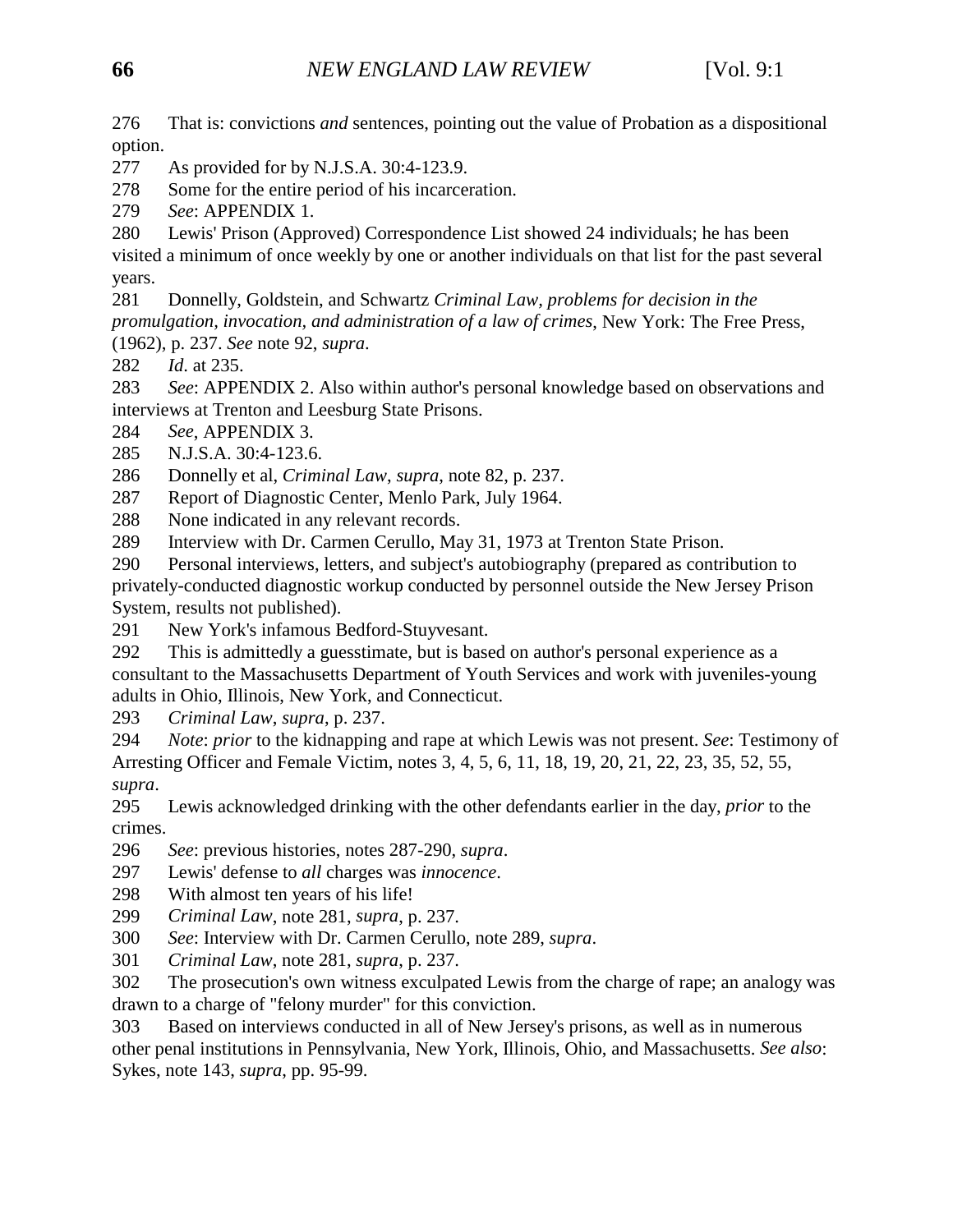276 That is: convictions *and* sentences, pointing out the value of Probation as a dispositional option.

277 As provided for by N.J.S.A. 30:4-123.9.

278 Some for the entire period of his incarceration.

279 *See*: APPENDIX 1.

280 Lewis' Prison (Approved) Correspondence List showed 24 individuals; he has been

visited a minimum of once weekly by one or another individuals on that list for the past several years.

281 Donnelly, Goldstein, and Schwartz *Criminal Law, problems for decision in the promulgation, invocation, and administration of a law of crimes*, New York: The Free Press, (1962), p. 237. *See* note 92, *supra*.

282 *Id*. at 235.

283 *See*: APPENDIX 2. Also within author's personal knowledge based on observations and interviews at Trenton and Leesburg State Prisons.

284 *See*, APPENDIX 3.

285 N.J.S.A. 30:4-123.6.

286 Donnelly et al, *Criminal Law*, *supra*, note 82, p. 237.

287 Report of Diagnostic Center, Menlo Park, July 1964.

288 None indicated in any relevant records.

289 Interview with Dr. Carmen Cerullo, May 31, 1973 at Trenton State Prison.

290 Personal interviews, letters, and subject's autobiography (prepared as contribution to privately-conducted diagnostic workup conducted by personnel outside the New Jersey Prison System, results not published).

291 New York's infamous Bedford-Stuyvesant.

292 This is admittedly a guesstimate, but is based on author's personal experience as a consultant to the Massachusetts Department of Youth Services and work with juveniles-young adults in Ohio, Illinois, New York, and Connecticut.

293 *Criminal Law*, *supra*, p. 237.

294 *Note*: *prior* to the kidnapping and rape at which Lewis was not present. *See*: Testimony of Arresting Officer and Female Victim, notes 3, 4, 5, 6, 11, 18, 19, 20, 21, 22, 23, 35, 52, 55, *supra*.

295 Lewis acknowledged drinking with the other defendants earlier in the day, *prior* to the crimes.

296 *See*: previous histories, notes 287-290, *supra*.

297 Lewis' defense to *all* charges was *innocence*.

298 With almost ten years of his life!

299 *Criminal Law*, note 281, *supra*, p. 237.

300 *See*: Interview with Dr. Carmen Cerullo, note 289, *supra*.

301 *Criminal Law*, note 281, *supra*, p. 237.

302 The prosecution's own witness exculpated Lewis from the charge of rape; an analogy was drawn to a charge of "felony murder" for this conviction.

303 Based on interviews conducted in all of New Jersey's prisons, as well as in numerous other penal institutions in Pennsylvania, New York, Illinois, Ohio, and Massachusetts. *See also*: Sykes, note 143, *supra*, pp. 95-99.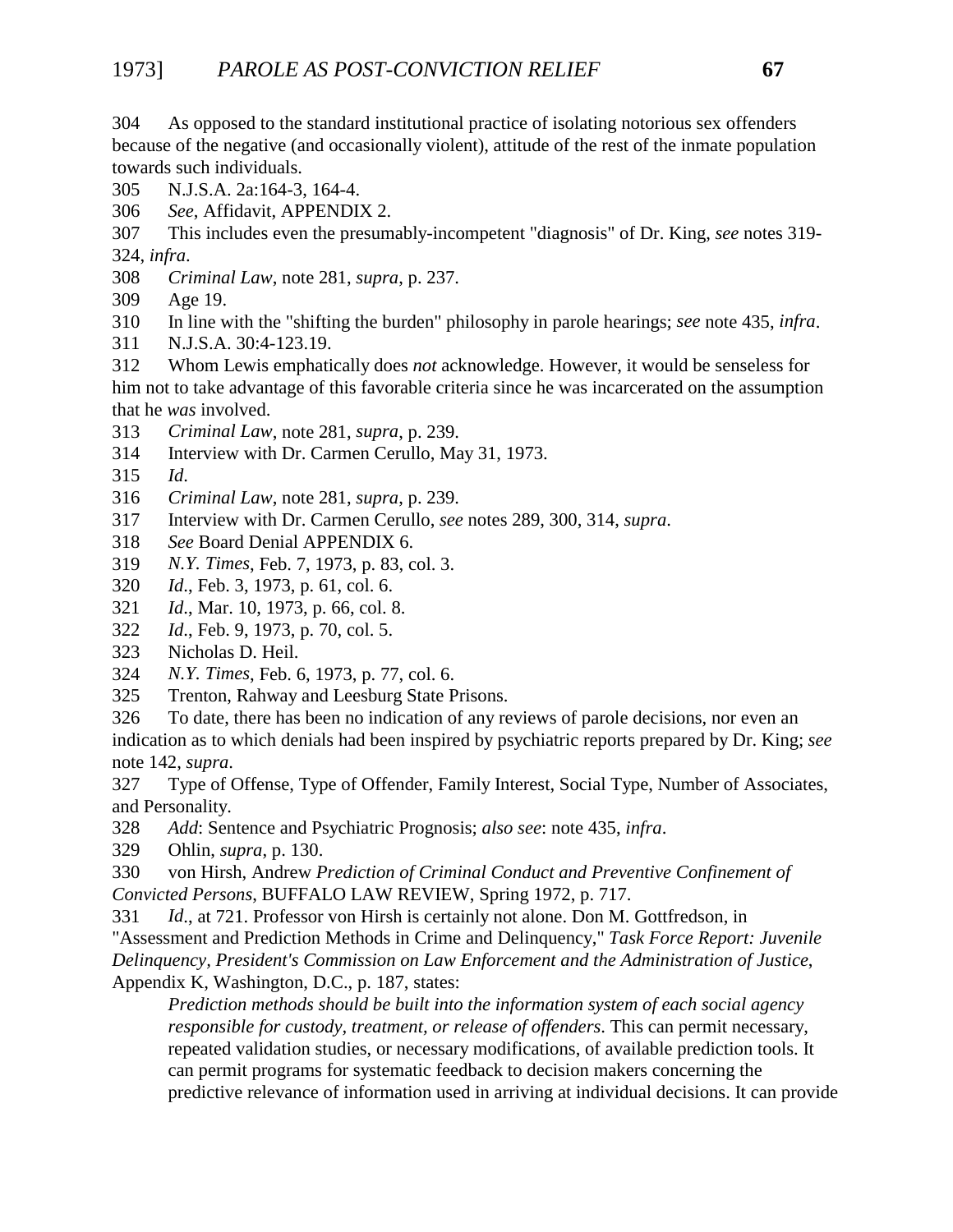304 As opposed to the standard institutional practice of isolating notorious sex offenders because of the negative (and occasionally violent), attitude of the rest of the inmate population towards such individuals.

- 305 N.J.S.A. 2a:164-3, 164-4.
- 306 *See*, Affidavit, APPENDIX 2.
- 307 This includes even the presumably-incompetent "diagnosis" of Dr. King, *see* notes 319- 324, *infra*.
- 308 *Criminal Law*, note 281, *supra*, p. 237.
- 309 Age 19.
- 310 In line with the "shifting the burden" philosophy in parole hearings; *see* note 435, *infra*.
- 311 N.J.S.A. 30:4-123.19.
- 312 Whom Lewis emphatically does *not* acknowledge. However, it would be senseless for him not to take advantage of this favorable criteria since he was incarcerated on the assumption that he *was* involved.
- 313 *Criminal Law*, note 281, *supra*, p. 239.
- 314 Interview with Dr. Carmen Cerullo, May 31, 1973.
- 315 *Id*.
- 316 *Criminal Law*, note 281, *supra*, p. 239.
- 317 Interview with Dr. Carmen Cerullo, *see* notes 289, 300, 314, *supra*.
- 318 *See* Board Denial APPENDIX 6.
- 319 *N.Y. Times*, Feb. 7, 1973, p. 83, col. 3.
- 320 *Id*., Feb. 3, 1973, p. 61, col. 6.
- 321 *Id*., Mar. 10, 1973, p. 66, col. 8.
- 322 *Id*., Feb. 9, 1973, p. 70, col. 5.
- 323 Nicholas D. Heil.
- 324 *N.Y. Times*, Feb. 6, 1973, p. 77, col. 6.
- 325 Trenton, Rahway and Leesburg State Prisons.
- 326 To date, there has been no indication of any reviews of parole decisions, nor even an

indication as to which denials had been inspired by psychiatric reports prepared by Dr. King; *see* note 142, *supra*.

327 Type of Offense, Type of Offender, Family Interest, Social Type, Number of Associates, and Personality.

- 328 *Add*: Sentence and Psychiatric Prognosis; *also see*: note 435, *infra*.
- 329 Ohlin, *supra*, p. 130.
- 330 von Hirsh, Andrew *Prediction of Criminal Conduct and Preventive Confinement of Convicted Persons*, BUFFALO LAW REVIEW, Spring 1972, p. 717.

331 *Id*., at 721. Professor von Hirsh is certainly not alone. Don M. Gottfredson, in "Assessment and Prediction Methods in Crime and Delinquency," *Task Force Report: Juvenile Delinquency, President's Commission on Law Enforcement and the Administration of Justice*, Appendix K, Washington, D.C., p. 187, states:

*Prediction methods should be built into the information system of each social agency responsible for custody, treatment, or release of offenders*. This can permit necessary, repeated validation studies, or necessary modifications, of available prediction tools. It can permit programs for systematic feedback to decision makers concerning the predictive relevance of information used in arriving at individual decisions. It can provide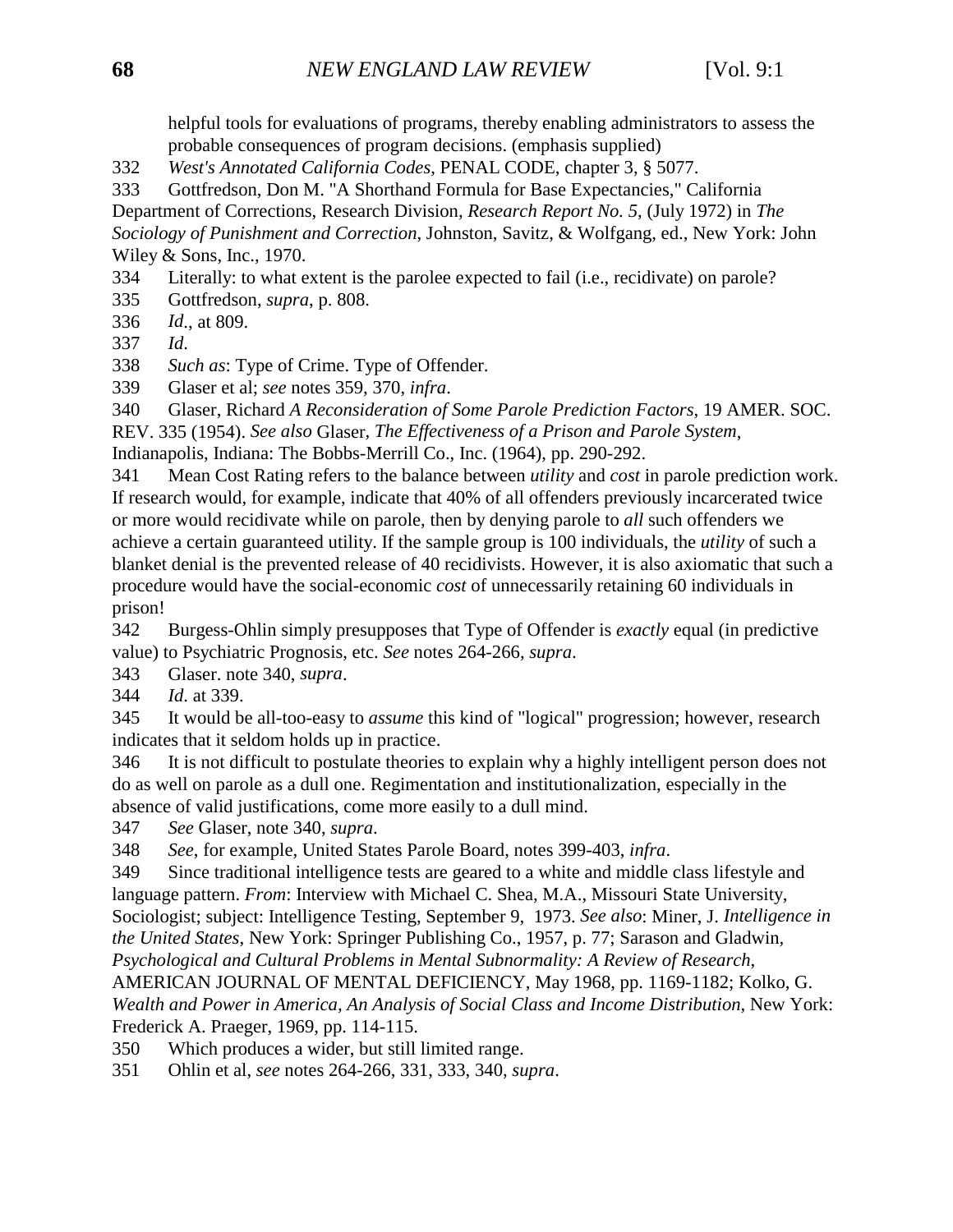helpful tools for evaluations of programs, thereby enabling administrators to assess the probable consequences of program decisions. (emphasis supplied)

332 *West's Annotated California Codes*, PENAL CODE, chapter 3, § 5077.

333 Gottfredson, Don M. "A Shorthand Formula for Base Expectancies," California

Department of Corrections, Research Division, *Research Report No. 5*, (July 1972) in *The Sociology of Punishment and Correction*, Johnston, Savitz, & Wolfgang, ed., New York: John Wiley & Sons, Inc., 1970.

334 Literally: to what extent is the parolee expected to fail (i.e., recidivate) on parole?

335 Gottfredson, *supra*, p. 808.

336 *Id*., at 809.

337 *Id*.

338 *Such as*: Type of Crime. Type of Offender.

339 Glaser et al; *see* notes 359, 370, *infra*.

340 Glaser, Richard *A Reconsideration of Some Parole Prediction Factors*, 19 AMER. SOC. REV. 335 (1954). *See also* Glaser*, The Effectiveness of a Prison and Parole System*, Indianapolis, Indiana: The Bobbs-Merrill Co., Inc. (1964), pp. 290-292.

341 Mean Cost Rating refers to the balance between *utility* and *cost* in parole prediction work. If research would, for example, indicate that 40% of all offenders previously incarcerated twice or more would recidivate while on parole, then by denying parole to *all* such offenders we achieve a certain guaranteed utility. If the sample group is 100 individuals, the *utility* of such a blanket denial is the prevented release of 40 recidivists. However, it is also axiomatic that such a procedure would have the social-economic *cost* of unnecessarily retaining 60 individuals in prison!

342 Burgess-Ohlin simply presupposes that Type of Offender is *exactly* equal (in predictive value) to Psychiatric Prognosis, etc. *See* notes 264-266, *supra*.

343 Glaser. note 340, *supra*.

344 *Id*. at 339.

345 It would be all-too-easy to *assume* this kind of "logical" progression; however, research indicates that it seldom holds up in practice.

346 It is not difficult to postulate theories to explain why a highly intelligent person does not do as well on parole as a dull one. Regimentation and institutionalization, especially in the absence of valid justifications, come more easily to a dull mind.

347 *See* Glaser, note 340, *supra*.

348 *See*, for example, United States Parole Board, notes 399-403, *infra*.

349 Since traditional intelligence tests are geared to a white and middle class lifestyle and language pattern. *From*: Interview with Michael C. Shea, M.A., Missouri State University, Sociologist; subject: Intelligence Testing, September 9, 1973. *See also*: Miner, J. *Intelligence in the United States*, New York: Springer Publishing Co., 1957, p. 77; Sarason and Gladwin*, Psychological and Cultural Problems in Mental Subnormality: A Review of Research*,

AMERICAN JOURNAL OF MENTAL DEFICIENCY, May 1968, pp. 1169-1182; Kolko, G. *Wealth and Power in America, An Analysis of Social Class and Income Distribution*, New York: Frederick A. Praeger, 1969, pp. 114-115.

350 Which produces a wider, but still limited range.

351 Ohlin et al, *see* notes 264-266, 331, 333, 340, *supra*.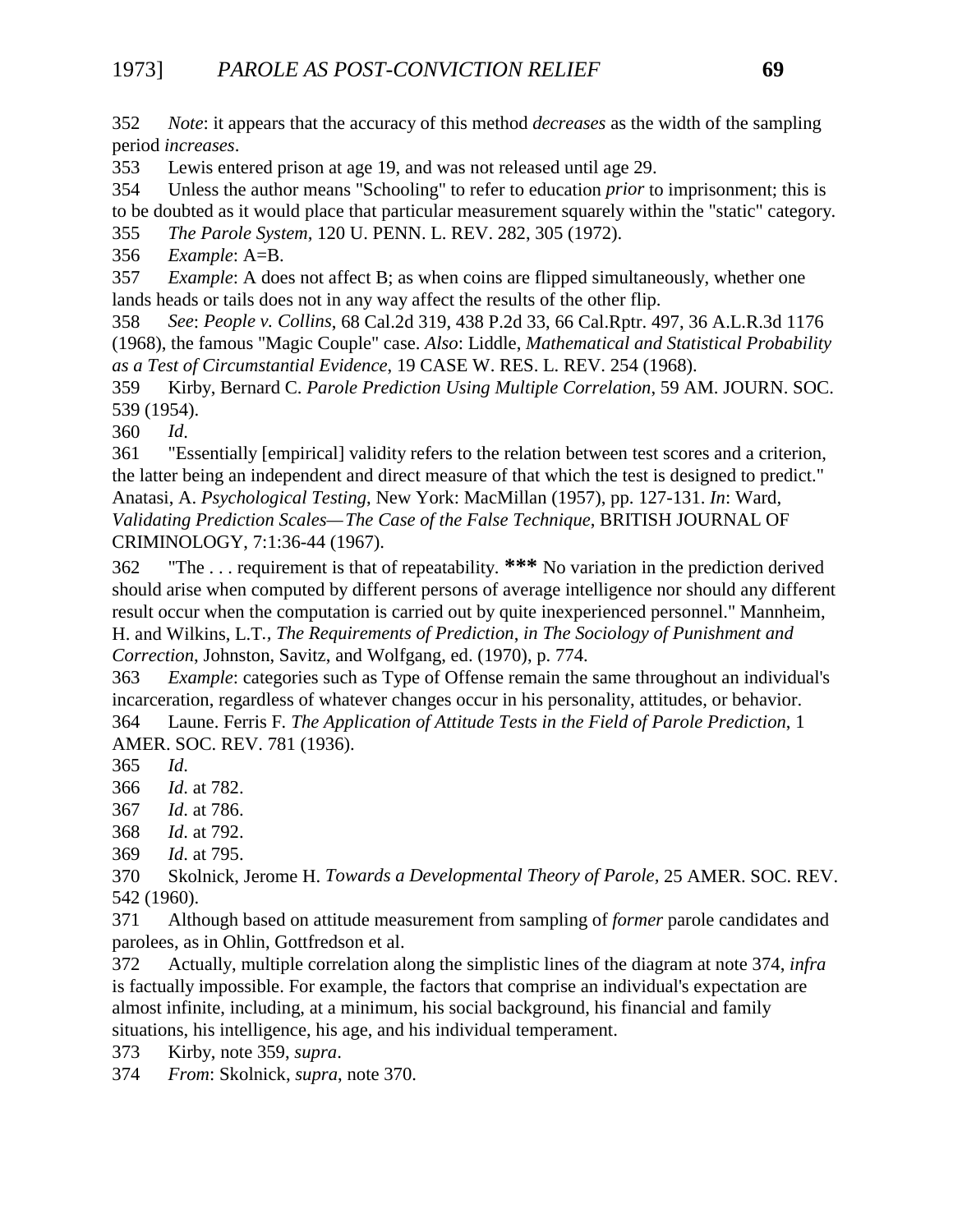352 *Note*: it appears that the accuracy of this method *decreases* as the width of the sampling period *increases*.

353 Lewis entered prison at age 19, and was not released until age 29.

354 Unless the author means "Schooling" to refer to education *prior* to imprisonment; this is to be doubted as it would place that particular measurement squarely within the "static" category.

355 *The Parole System,* 120 U. PENN. L. REV. 282, 305 (1972).

356 *Example*: A=B.

357 *Example*: A does not affect B; as when coins are flipped simultaneously, whether one lands heads or tails does not in any way affect the results of the other flip.

358 *See*: *People v. Collins*, 68 Cal.2d 319, 438 P.2d 33, 66 Cal.Rptr. 497, 36 A.L.R.3d 1176 (1968), the famous "Magic Couple" case. *Also*: Liddle, *Mathematical and Statistical Probability as a Test of Circumstantial Evidence*, 19 CASE W. RES. L. REV. 254 (1968).

359 Kirby, Bernard C. *Parole Prediction Using Multiple Correlation*, 59 AM. JOURN. SOC. 539 (1954).

360 *Id*.

361 "Essentially [empirical] validity refers to the relation between test scores and a criterion, the latter being an independent and direct measure of that which the test is designed to predict." Anatasi, A. *Psychological Testing*, New York: MacMillan (1957), pp. 127-131. *In*: Ward*, Validating Prediction Scales—The Case of the False Technique*, BRITISH JOURNAL OF CRIMINOLOGY, 7:1:36-44 (1967).

362 "The . . . requirement is that of repeatability. **\*\*\*** No variation in the prediction derived should arise when computed by different persons of average intelligence nor should any different result occur when the computation is carried out by quite inexperienced personnel." Mannheim, H. and Wilkins, L.T*., The Requirements of Prediction*, *in The Sociology of Punishment and Correction*, Johnston, Savitz, and Wolfgang, ed. (1970), p. 774.

363 *Example*: categories such as Type of Offense remain the same throughout an individual's incarceration, regardless of whatever changes occur in his personality, attitudes, or behavior.

364 Laune. Ferris F*. The Application of Attitude Tests in the Field of Parole Prediction*, 1 AMER. SOC. REV. 781 (1936).

365 *Id*.

366 *Id*. at 782.

367 *Id*. at 786.

- 368 *Id*. at 792.
- 369 *Id*. at 795.

370 Skolnick, Jerome H. *Towards a Developmental Theory of Parole,* 25 AMER. SOC. REV. 542 (1960).

371 Although based on attitude measurement from sampling of *former* parole candidates and parolees, as in Ohlin, Gottfredson et al.

372 Actually, multiple correlation along the simplistic lines of the diagram at note 374, *infra* is factually impossible. For example, the factors that comprise an individual's expectation are almost infinite, including, at a minimum, his social background, his financial and family situations, his intelligence, his age, and his individual temperament.

373 Kirby, note 359, *supra*.

374 *From*: Skolnick, *supra*, note 370.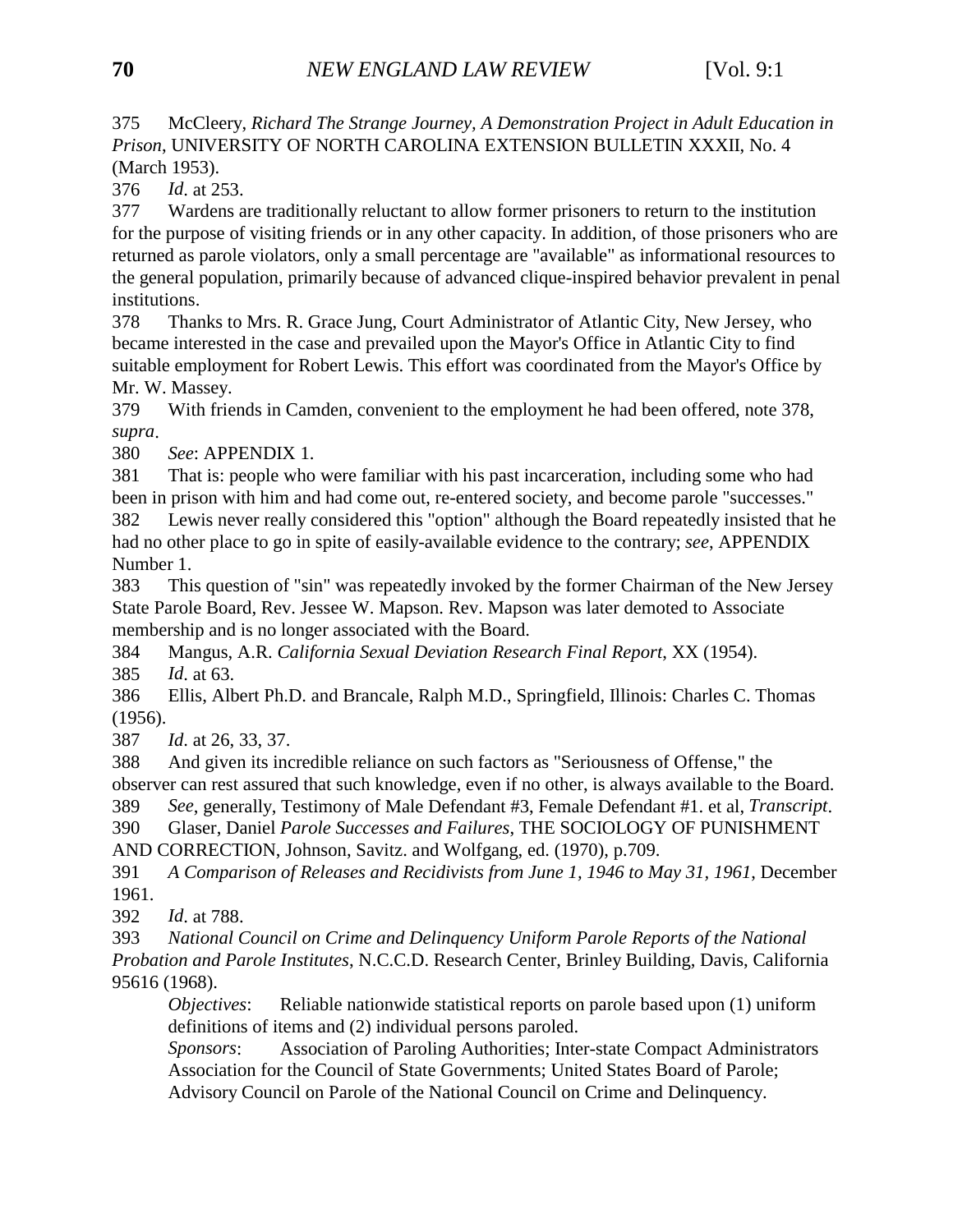375 McCleery, *Richard The Strange Journey, A Demonstration Project in Adult Education in Prison*, UNIVERSITY OF NORTH CAROLINA EXTENSION BULLETIN XXXII, No. 4 (March 1953).

376 *Id*. at 253.

377 Wardens are traditionally reluctant to allow former prisoners to return to the institution for the purpose of visiting friends or in any other capacity. In addition, of those prisoners who are returned as parole violators, only a small percentage are "available" as informational resources to the general population, primarily because of advanced clique-inspired behavior prevalent in penal institutions.

378 Thanks to Mrs. R. Grace Jung, Court Administrator of Atlantic City, New Jersey, who became interested in the case and prevailed upon the Mayor's Office in Atlantic City to find suitable employment for Robert Lewis. This effort was coordinated from the Mayor's Office by Mr. W. Massey.

379 With friends in Camden, convenient to the employment he had been offered, note 378, *supra*.

380 *See*: APPENDIX 1.

381 That is: people who were familiar with his past incarceration, including some who had been in prison with him and had come out, re-entered society, and become parole "successes."

382 Lewis never really considered this "option" although the Board repeatedly insisted that he had no other place to go in spite of easily-available evidence to the contrary; *see*, APPENDIX Number 1.

383 This question of "sin" was repeatedly invoked by the former Chairman of the New Jersey State Parole Board, Rev. Jessee W. Mapson. Rev. Mapson was later demoted to Associate membership and is no longer associated with the Board.

384 Mangus, A.R. *California Sexual Deviation Research Final Report*, XX (1954).

385 *Id*. at 63.

386 Ellis, Albert Ph.D. and Brancale, Ralph M.D., Springfield, Illinois: Charles C. Thomas (1956).

387 *Id*. at 26, 33, 37.

388 And given its incredible reliance on such factors as "Seriousness of Offense," the observer can rest assured that such knowledge, even if no other, is always available to the Board.

389 *See*, generally, Testimony of Male Defendant #3, Female Defendant #1. et al, *Transcript*.

390 Glaser, Daniel *Parole Successes and Failures*, THE SOCIOLOGY OF PUNISHMENT AND CORRECTION, Johnson, Savitz. and Wolfgang, ed. (1970), p.709.

391 *A Comparison of Releases and Recidivists from June 1, 1946 to May 31, 1961*, December 1961.

392 *Id*. at 788.

393 *National Council on Crime and Delinquency Uniform Parole Reports of the National Probation and Parole Institutes*, N.C.C.D. Research Center, Brinley Building, Davis, California 95616 (1968).

*Objectives*: Reliable nationwide statistical reports on parole based upon (1) uniform definitions of items and (2) individual persons paroled.

*Sponsors*: Association of Paroling Authorities; Inter-state Compact Administrators Association for the Council of State Governments; United States Board of Parole; Advisory Council on Parole of the National Council on Crime and Delinquency.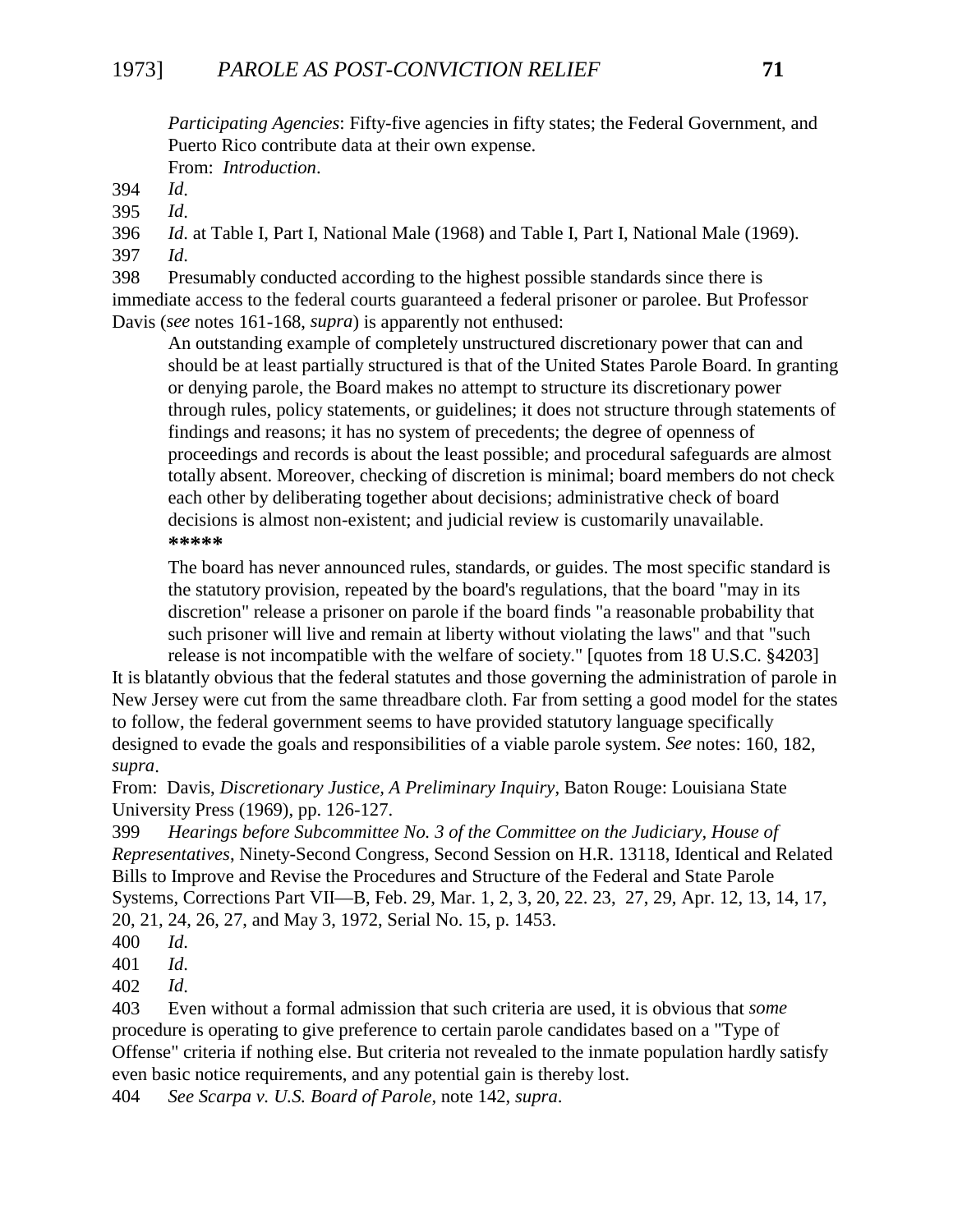*Participating Agencies*: Fifty-five agencies in fifty states; the Federal Government, and Puerto Rico contribute data at their own expense. From: *Introduction*.

394 *Id*.

395 *Id*.

396 *Id*. at Table I, Part I, National Male (1968) and Table I, Part I, National Male (1969). 397 *Id*.

398 Presumably conducted according to the highest possible standards since there is immediate access to the federal courts guaranteed a federal prisoner or parolee. But Professor Davis (*see* notes 161-168, *supra*) is apparently not enthused:

An outstanding example of completely unstructured discretionary power that can and should be at least partially structured is that of the United States Parole Board. In granting or denying parole, the Board makes no attempt to structure its discretionary power through rules, policy statements, or guidelines; it does not structure through statements of findings and reasons; it has no system of precedents; the degree of openness of proceedings and records is about the least possible; and procedural safeguards are almost totally absent. Moreover, checking of discretion is minimal; board members do not check each other by deliberating together about decisions; administrative check of board decisions is almost non-existent; and judicial review is customarily unavailable. **\*\*\*\*\***

The board has never announced rules, standards, or guides. The most specific standard is the statutory provision, repeated by the board's regulations, that the board "may in its discretion" release a prisoner on parole if the board finds "a reasonable probability that such prisoner will live and remain at liberty without violating the laws" and that "such release is not incompatible with the welfare of society." [quotes from 18 U.S.C. §4203]

It is blatantly obvious that the federal statutes and those governing the administration of parole in New Jersey were cut from the same threadbare cloth. Far from setting a good model for the states to follow, the federal government seems to have provided statutory language specifically designed to evade the goals and responsibilities of a viable parole system. *See* notes: 160, 182, *supra*.

From: Davis, *Discretionary Justice, A Preliminary Inquiry*, Baton Rouge: Louisiana State University Press (1969), pp. 126-127.

399 *Hearings before Subcommittee No. 3 of the Committee on the Judiciary, House of Representatives*, Ninety-Second Congress, Second Session on H.R. 13118, Identical and Related Bills to Improve and Revise the Procedures and Structure of the Federal and State Parole Systems, Corrections Part VII—B, Feb. 29, Mar. 1, 2, 3, 20, 22. 23, 27, 29, Apr. 12, 13, 14, 17, 20, 21, 24, 26, 27, and May 3, 1972, Serial No. 15, p. 1453.

402 *Id*.

403 Even without a formal admission that such criteria are used, it is obvious that *some* procedure is operating to give preference to certain parole candidates based on a "Type of Offense" criteria if nothing else. But criteria not revealed to the inmate population hardly satisfy even basic notice requirements, and any potential gain is thereby lost.

404 *See Scarpa v. U.S. Board of Parole*, note 142, *supra*.

<sup>400</sup> *Id*.

<sup>401</sup> *Id*.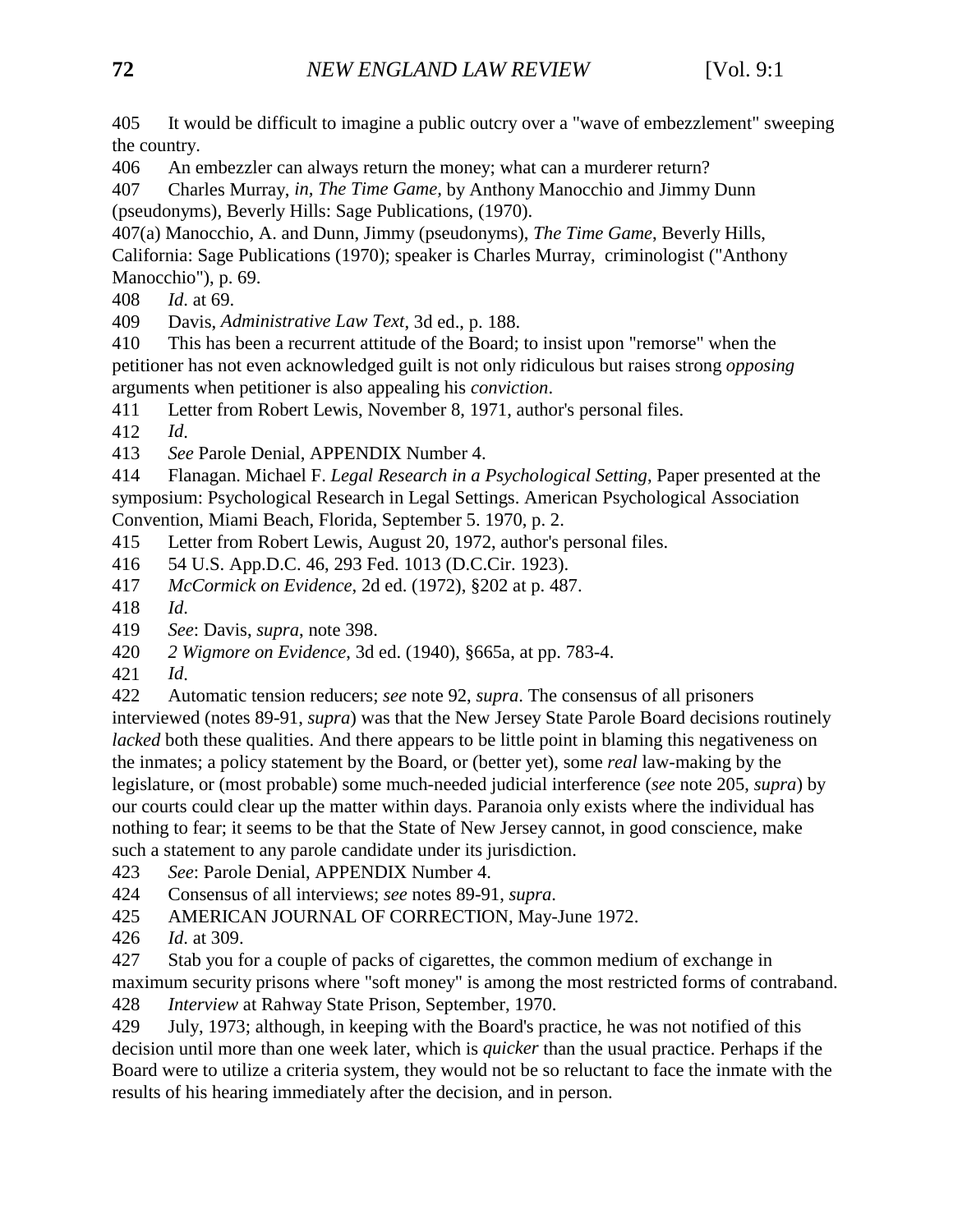405 It would be difficult to imagine a public outcry over a "wave of embezzlement" sweeping the country.

406 An embezzler can always return the money; what can a murderer return?

407 Charles Murray, *in, The Time Game,* by Anthony Manocchio and Jimmy Dunn (pseudonyms), Beverly Hills: Sage Publications, (1970).

407(a) Manocchio, A. and Dunn, Jimmy (pseudonyms), *The Time Game*, Beverly Hills, California: Sage Publications (1970); speaker is Charles Murray, criminologist ("Anthony Manocchio"), p. 69.

408 *Id*. at 69.

409 Davis, *Administrative Law Text*, 3d ed., p. 188.

410 This has been a recurrent attitude of the Board; to insist upon "remorse" when the petitioner has not even acknowledged guilt is not only ridiculous but raises strong *opposing* arguments when petitioner is also appealing his *conviction*.

411 Letter from Robert Lewis, November 8, 1971, author's personal files.

412 *Id*.

413 *See* Parole Denial, APPENDIX Number 4.

414 Flanagan. Michael F. *Legal Research in a Psychological Setting*, Paper presented at the symposium: Psychological Research in Legal Settings. American Psychological Association Convention, Miami Beach, Florida, September 5. 1970, p. 2.

- 415 Letter from Robert Lewis, August 20, 1972, author's personal files.
- 416 54 U.S. App.D.C. 46, 293 Fed. 1013 (D.C.Cir. 1923).
- 417 *McCormick on Evidence*, 2d ed. (1972), §202 at p. 487.

418 *Id*.

- 419 *See*: Davis, *supra*, note 398.
- 420 *2 Wigmore on Evidence*, 3d ed. (1940), §665a, at pp. 783-4.
- 421 *Id*.

422 Automatic tension reducers; *see* note 92, *supra*. The consensus of all prisoners interviewed (notes 89-91, *supra*) was that the New Jersey State Parole Board decisions routinely *lacked* both these qualities. And there appears to be little point in blaming this negativeness on the inmates; a policy statement by the Board, or (better yet), some *real* law-making by the legislature, or (most probable) some much-needed judicial interference (*see* note 205, *supra*) by our courts could clear up the matter within days. Paranoia only exists where the individual has nothing to fear; it seems to be that the State of New Jersey cannot, in good conscience, make such a statement to any parole candidate under its jurisdiction.

- 423 *See*: Parole Denial, APPENDIX Number 4.
- 424 Consensus of all interviews; *see* notes 89-91, *supra*.
- 425 AMERICAN JOURNAL OF CORRECTION, May-June 1972.
- 426 *Id*. at 309.

427 Stab you for a couple of packs of cigarettes, the common medium of exchange in maximum security prisons where "soft money" is among the most restricted forms of contraband.

428 *Interview* at Rahway State Prison, September, 1970.

429 July, 1973; although, in keeping with the Board's practice, he was not notified of this decision until more than one week later, which is *quicker* than the usual practice. Perhaps if the Board were to utilize a criteria system, they would not be so reluctant to face the inmate with the results of his hearing immediately after the decision, and in person.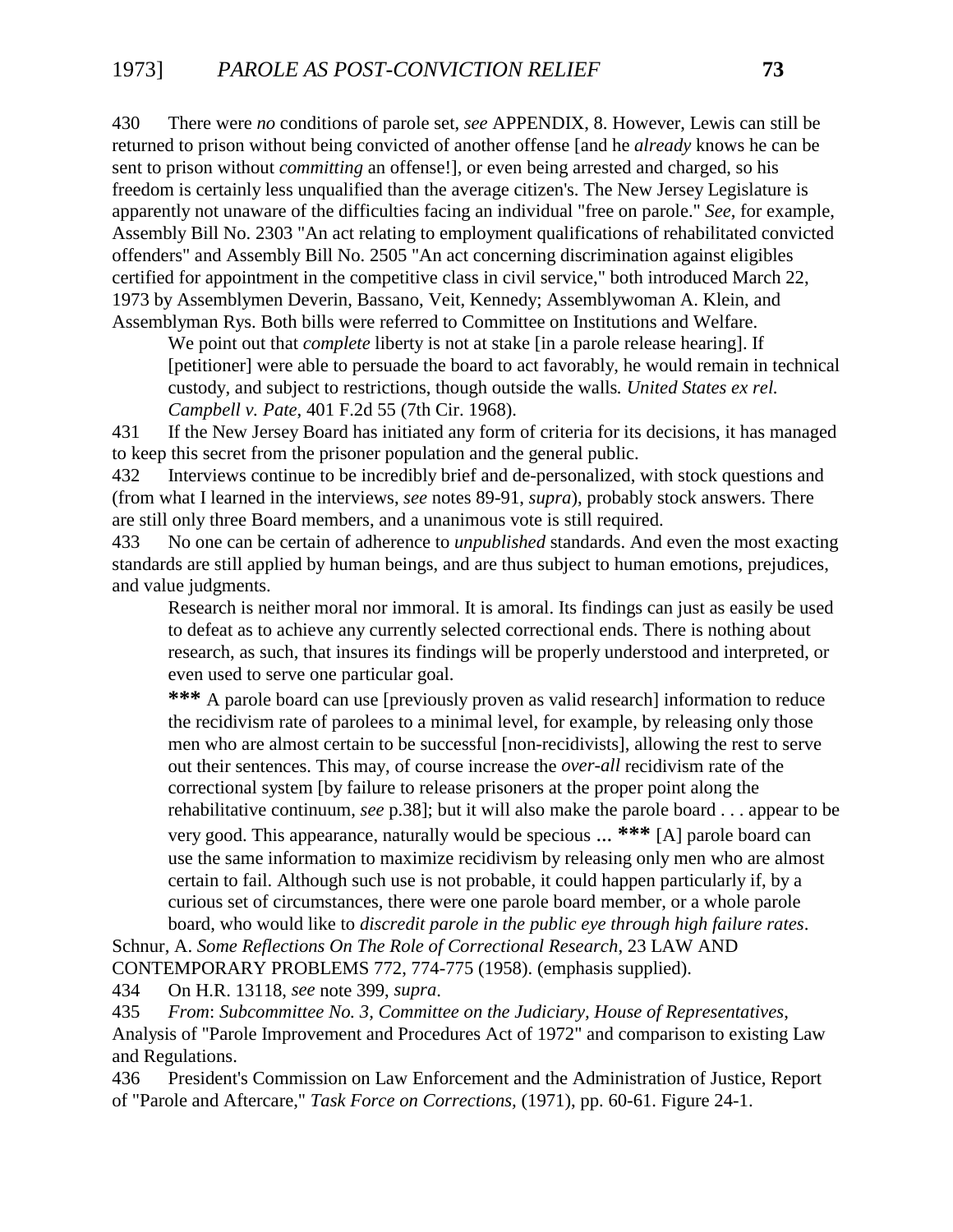430 There were *no* conditions of parole set, *see* APPENDIX, 8. However, Lewis can still be returned to prison without being convicted of another offense [and he *already* knows he can be sent to prison without *committing* an offense!], or even being arrested and charged, so his freedom is certainly less unqualified than the average citizen's. The New Jersey Legislature is apparently not unaware of the difficulties facing an individual "free on parole." *See*, for example, Assembly Bill No. 2303 "An act relating to employment qualifications of rehabilitated convicted offenders" and Assembly Bill No. 2505 "An act concerning discrimination against eligibles certified for appointment in the competitive class in civil service," both introduced March 22, 1973 by Assemblymen Deverin, Bassano, Veit, Kennedy; Assemblywoman A. Klein, and Assemblyman Rys. Both bills were referred to Committee on Institutions and Welfare.

We point out that *complete* liberty is not at stake [in a parole release hearing]. If [petitioner] were able to persuade the board to act favorably, he would remain in technical custody, and subject to restrictions, though outside the walls*. United States ex rel. Campbell v. Pate*, 401 F.2d 55 (7th Cir. 1968).

431 If the New Jersey Board has initiated any form of criteria for its decisions, it has managed to keep this secret from the prisoner population and the general public.

432 Interviews continue to be incredibly brief and de-personalized, with stock questions and (from what I learned in the interviews, *see* notes 89-91, *supra*), probably stock answers. There are still only three Board members, and a unanimous vote is still required.

433 No one can be certain of adherence to *unpublished* standards. And even the most exacting standards are still applied by human beings, and are thus subject to human emotions, prejudices, and value judgments.

Research is neither moral nor immoral. It is amoral. Its findings can just as easily be used to defeat as to achieve any currently selected correctional ends. There is nothing about research, as such, that insures its findings will be properly understood and interpreted, or even used to serve one particular goal.

**\*\*\*** A parole board can use [previously proven as valid research] information to reduce the recidivism rate of parolees to a minimal level, for example, by releasing only those men who are almost certain to be successful [non-recidivists], allowing the rest to serve out their sentences. This may, of course increase the *over-all* recidivism rate of the correctional system [by failure to release prisoners at the proper point along the rehabilitative continuum, *see* p.38]; but it will also make the parole board . . . appear to be very good. This appearance, naturally would be specious ... **\*\*\*** [A] parole board can use the same information to maximize recidivism by releasing only men who are almost certain to fail. Although such use is not probable, it could happen particularly if, by a curious set of circumstances, there were one parole board member, or a whole parole board, who would like to *discredit parole in the public eye through high failure rates*.

Schnur, A. *Some Reflections On The Role of Correctional Research*, 23 LAW AND CONTEMPORARY PROBLEMS 772, 774-775 (1958). (emphasis supplied).

434 On H.R. 13118, *see* note 399, *supra*.

435 *From*: *Subcommittee No. 3, Committee on the Judiciary, House of Representatives*, Analysis of "Parole Improvement and Procedures Act of 1972" and comparison to existing Law and Regulations.

436 President's Commission on Law Enforcement and the Administration of Justice, Report of "Parole and Aftercare," *Task Force on Corrections,* (1971), pp. 60-61. Figure 24-1.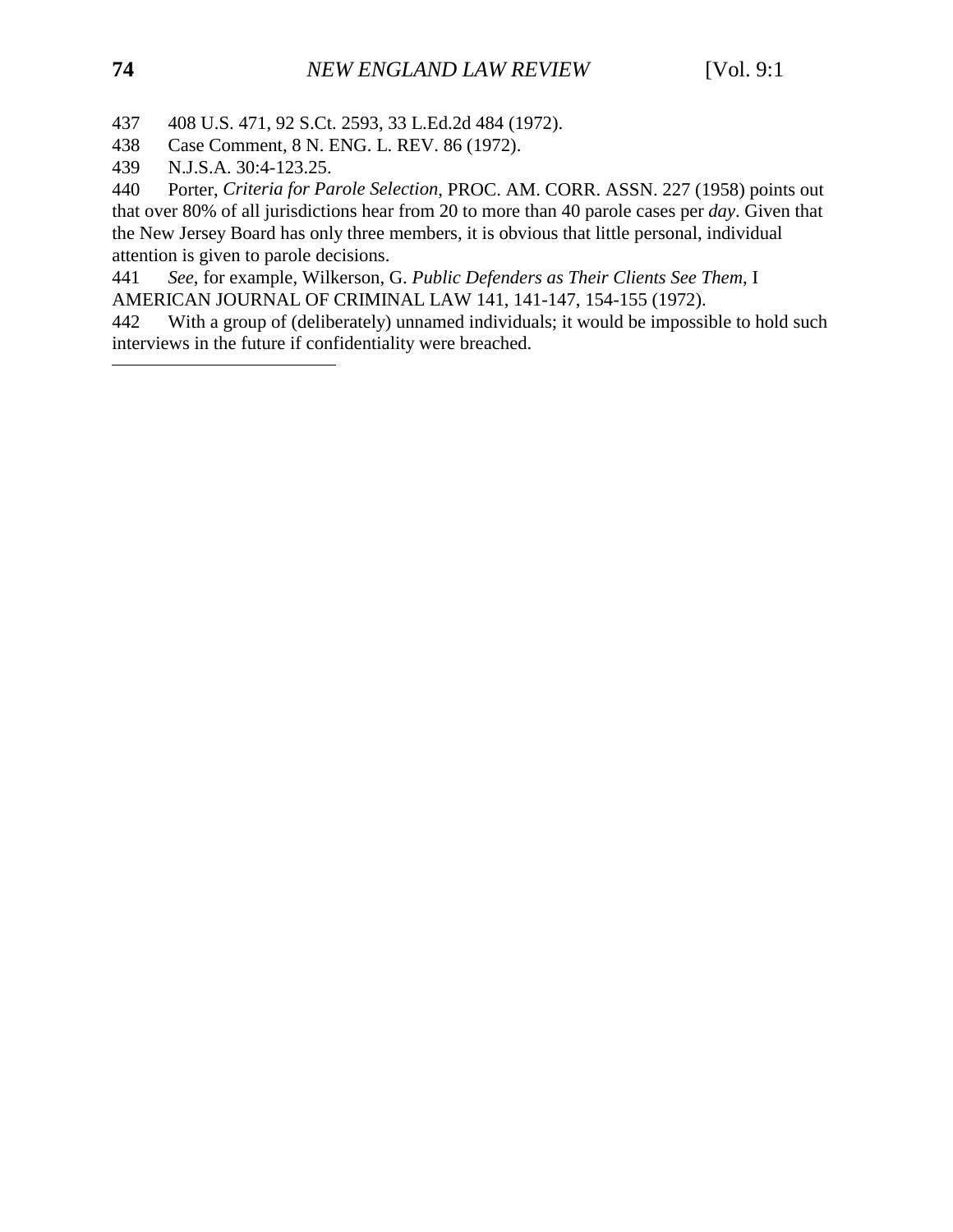437 408 U.S. 471, 92 S.Ct. 2593, 33 L.Ed.2d 484 (1972).

- 438 Case Comment, 8 N. ENG. L. REV. 86 (1972).
- 439 N.J.S.A. 30:4-123.25.

440 Porter, *Criteria for Parole Selection*, PROC. AM. CORR. ASSN. 227 (1958) points out that over 80% of all jurisdictions hear from 20 to more than 40 parole cases per *day*. Given that the New Jersey Board has only three members, it is obvious that little personal, individual attention is given to parole decisions.

441 *See*, for example, Wilkerson, G. *Public Defenders as Their Clients See Them*, I AMERICAN JOURNAL OF CRIMINAL LAW 141, 141-147, 154-155 (1972).

442 With a group of (deliberately) unnamed individuals; it would be impossible to hold such interviews in the future if confidentiality were breached.

 $\overline{a}$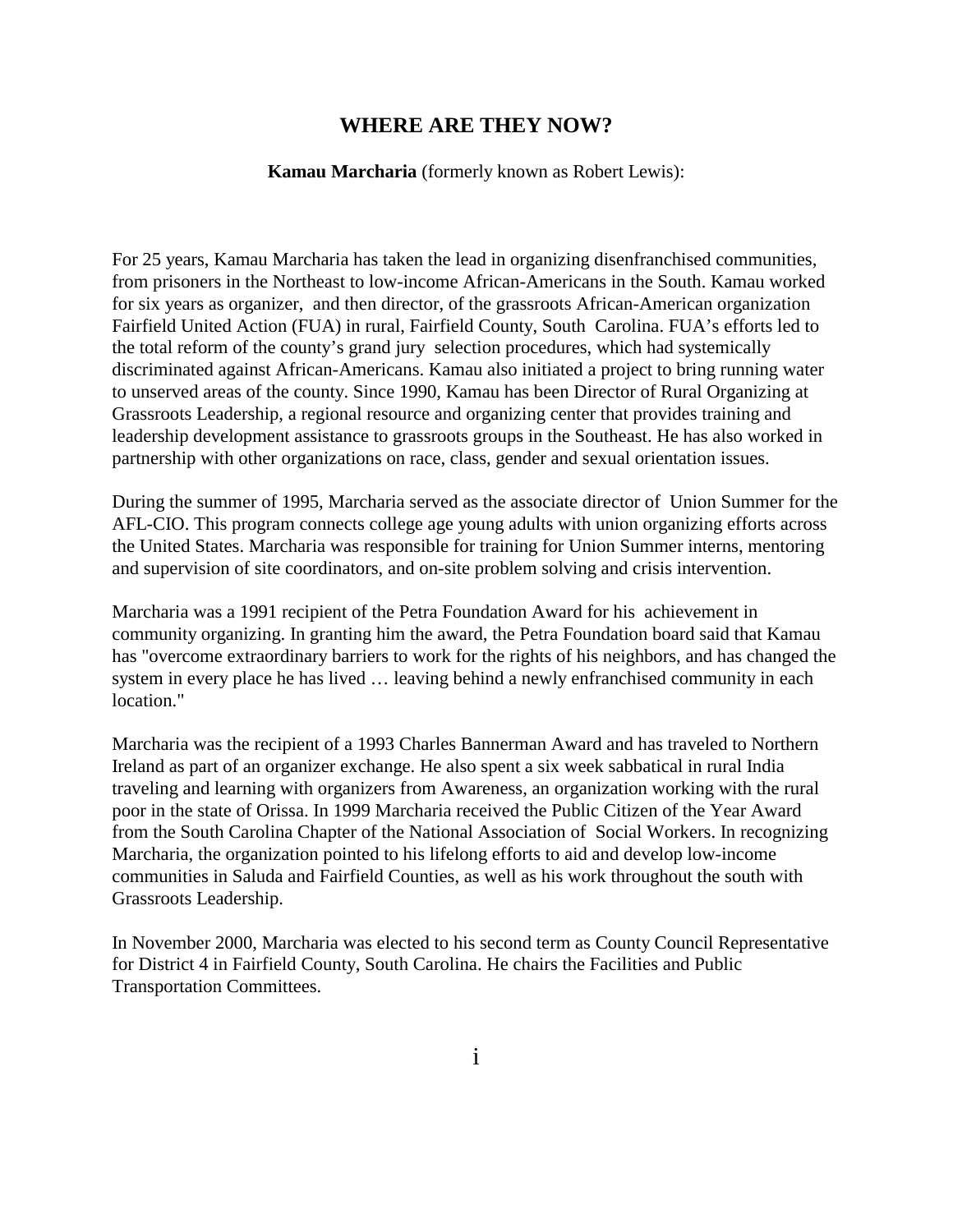### **WHERE ARE THEY NOW?**

#### **Kamau Marcharia** (formerly known as Robert Lewis):

For 25 years, Kamau Marcharia has taken the lead in organizing disenfranchised communities, from prisoners in the Northeast to low-income African-Americans in the South. Kamau worked for six years as organizer, and then director, of the grassroots African-American organization Fairfield United Action (FUA) in rural, Fairfield County, South Carolina. FUA's efforts led to the total reform of the county's grand jury selection procedures, which had systemically discriminated against African-Americans. Kamau also initiated a project to bring running water to unserved areas of the county. Since 1990, Kamau has been Director of Rural Organizing at Grassroots Leadership, a regional resource and organizing center that provides training and leadership development assistance to grassroots groups in the Southeast. He has also worked in partnership with other organizations on race, class, gender and sexual orientation issues.

During the summer of 1995, Marcharia served as the associate director of Union Summer for the AFL-CIO. This program connects college age young adults with union organizing efforts across the United States. Marcharia was responsible for training for Union Summer interns, mentoring and supervision of site coordinators, and on-site problem solving and crisis intervention.

Marcharia was a 1991 recipient of the Petra Foundation Award for his achievement in community organizing. In granting him the award, the Petra Foundation board said that Kamau has "overcome extraordinary barriers to work for the rights of his neighbors, and has changed the system in every place he has lived … leaving behind a newly enfranchised community in each location."

Marcharia was the recipient of a 1993 Charles Bannerman Award and has traveled to Northern Ireland as part of an organizer exchange. He also spent a six week sabbatical in rural India traveling and learning with organizers from Awareness, an organization working with the rural poor in the state of Orissa. In 1999 Marcharia received the Public Citizen of the Year Award from the South Carolina Chapter of the National Association of Social Workers. In recognizing Marcharia, the organization pointed to his lifelong efforts to aid and develop low-income communities in Saluda and Fairfield Counties, as well as his work throughout the south with Grassroots Leadership.

In November 2000, Marcharia was elected to his second term as County Council Representative for District 4 in Fairfield County, South Carolina. He chairs the Facilities and Public Transportation Committees.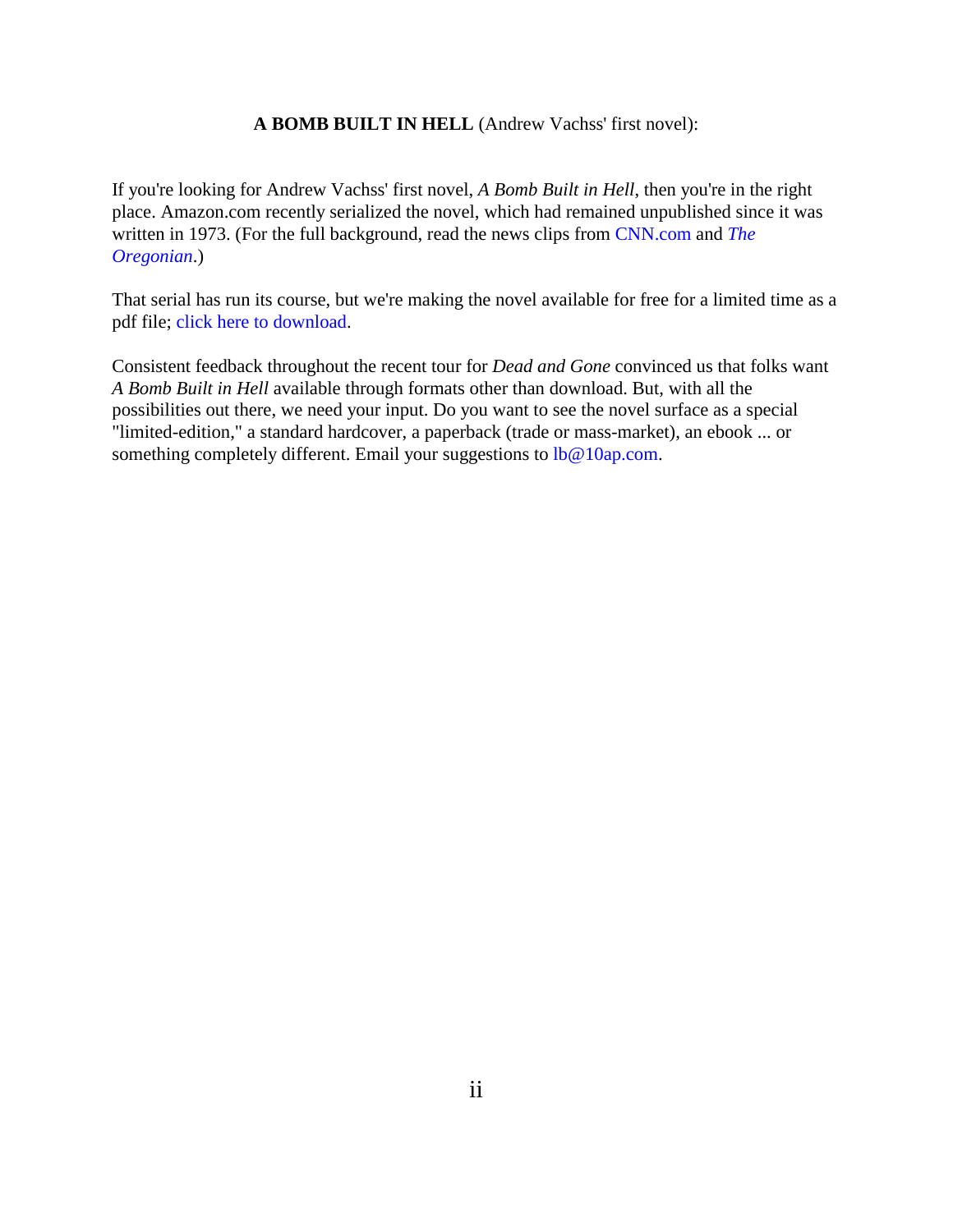### **A BOMB BUILT IN HELL** (Andrew Vachss' first novel):

If you're looking for Andrew Vachss' first novel, *A Bomb Built in Hell*, then you're in the right place. Amazon.com recently serialized the novel, which had remained unpublished since it was written in 1973. (For the full background, read the news clips from [CNN.com a](http://www.cnn.com/2000/books/news/08/09/vachss.online/index.html)nd *[The](http://www.vachss.com/av_articles/orgbomb.html) [Oregonian](http://www.vachss.com/av_articles/orgbomb.html)*.)

That serial has run its course, but we're making the novel available for free for a limited time as a pdf file; [click here to download.](http://www.vachss.com/av_novels/bomb.pdf)

Consistent feedback throughout the recent tour for *Dead and Gone* convinced us that folks want *A Bomb Built in Hell* available through formats other than download. But, with all the possibilities out there, we need your input. Do you want to see the novel surface as a special "limited-edition," a standard hardcover, a paperback (trade or mass-market), an ebook ... or something completely different. Email your suggestions to  $l\bar{b}@10ap.com$ .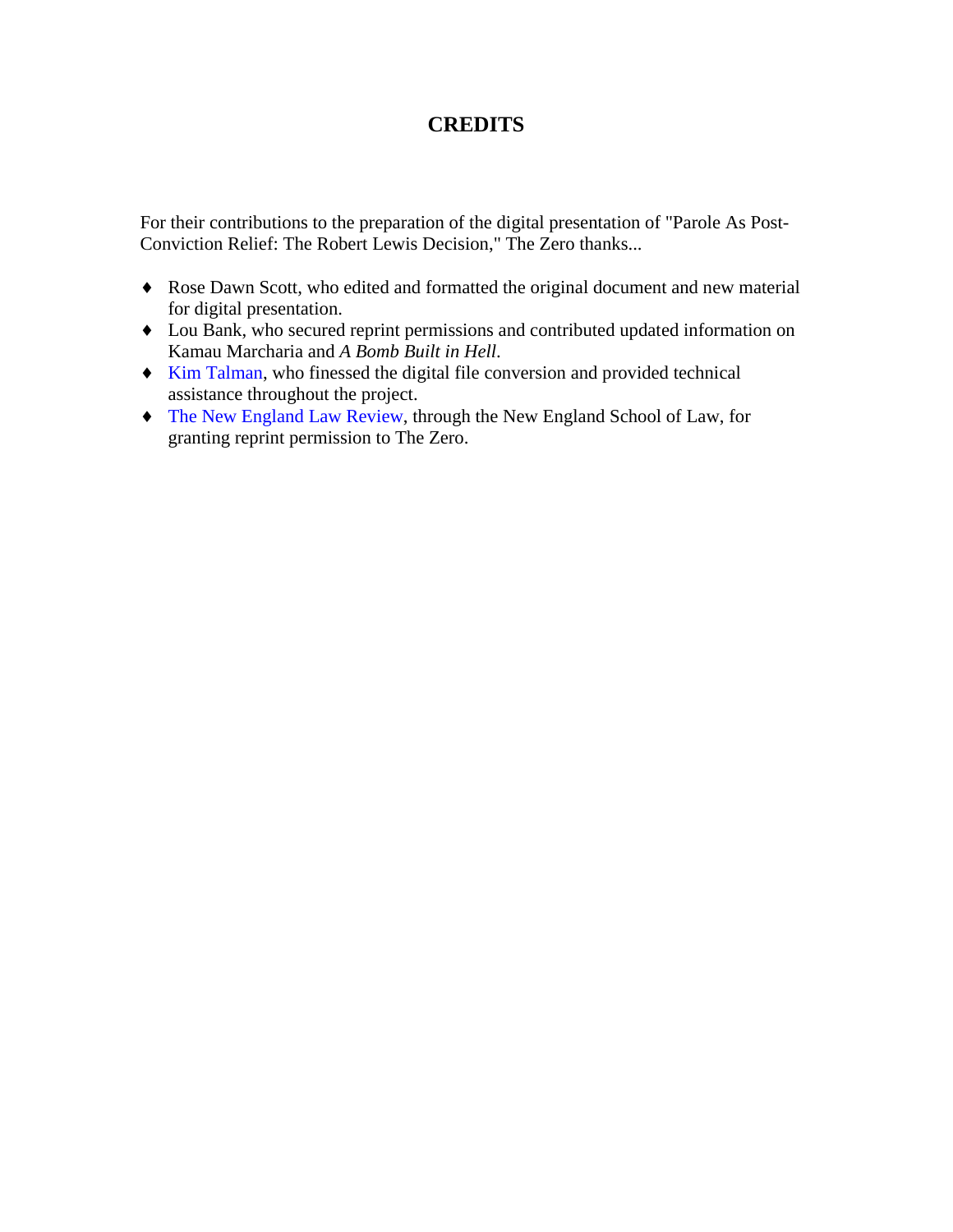## **CREDITS**

For their contributions to the preparation of the digital presentation of "Parole As Post-Conviction Relief: The Robert Lewis Decision," The Zero thanks...

- ♦ Rose Dawn Scott, who edited and formatted the original document and new material for digital presentation.
- ♦ Lou Bank, who secured reprint permissions and contributed updated information on Kamau Marcharia and *A Bomb Built in Hell*.
- ♦ [Kim Talman,](http://www.thedragonlady.com/) who finessed the digital file conversion and provided technical assistance throughout the project.
- ♦ [The New England Law Review,](http://www.nesl.edu/lawrev/lawrev.htm) through the New England School of Law, for granting reprint permission to The Zero.